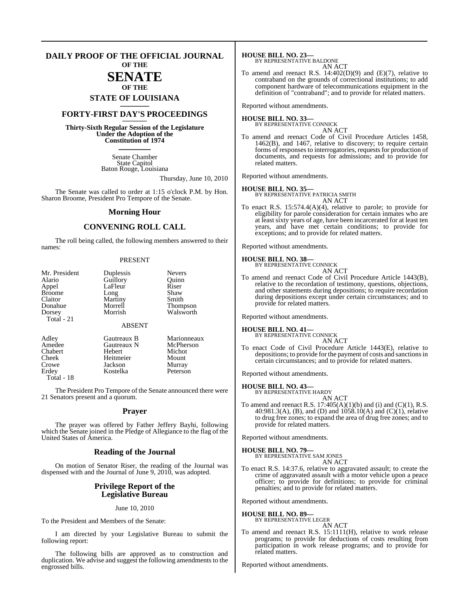#### **DAILY PROOF OF THE OFFICIAL JOURNAL OF THE**

# **SENATE**

# **OF THE STATE OF LOUISIANA \_\_\_\_\_\_\_**

## **FORTY-FIRST DAY'S PROCEEDINGS \_\_\_\_\_\_\_**

**Thirty-Sixth Regular Session of the Legislature Under the Adoption of the Constitution of 1974 \_\_\_\_\_\_\_**

> Senate Chamber State Capitol Baton Rouge, Louisiana

> > Thursday, June 10, 2010

The Senate was called to order at 1:15 o'clock P.M. by Hon. Sharon Broome, President Pro Tempore of the Senate.

#### **Morning Hour**

## **CONVENING ROLL CALL**

The roll being called, the following members answered to their names:

#### PRESENT

| Mr. President<br>Alario<br>Appel<br><b>Broome</b><br>Claitor<br>Donahue<br>Dorsey | Duplessis<br>Guillory<br>LaFleur<br>Long<br>Martiny<br>Morrell<br>Morrish | <b>Nevers</b><br>Ouinn<br>Riser<br>Shaw<br>Smith<br>Thompson<br>Walsworth |
|-----------------------------------------------------------------------------------|---------------------------------------------------------------------------|---------------------------------------------------------------------------|
| Total - 21                                                                        | <b>ABSENT</b>                                                             |                                                                           |
| Adley<br>Amedee                                                                   | Gautreaux B<br>Gautreaux N                                                | Marionneaux<br>McPherson                                                  |
| Chabert                                                                           | Hebert                                                                    | Michot                                                                    |
| Cheek                                                                             | Heitmeier                                                                 | Mount                                                                     |
| Crowe                                                                             | Jackson                                                                   | Murray                                                                    |
| Erdev                                                                             | Kostelka                                                                  | Peterson                                                                  |

Total - 18

The President Pro Tempore of the Senate announced there were 21 Senators present and a quorum.

#### **Prayer**

The prayer was offered by Father Jeffery Bayhi, following which the Senate joined in the Pledge of Allegiance to the flag of the United States of America.

#### **Reading of the Journal**

On motion of Senator Riser, the reading of the Journal was dispensed with and the Journal of June 9, 2010, was adopted.

#### **Privilege Report of the Legislative Bureau**

June 10, 2010

To the President and Members of the Senate:

I am directed by your Legislative Bureau to submit the following report:

The following bills are approved as to construction and duplication. We advise and suggest the following amendments to the engrossed bills.

**HOUSE BILL NO. 23—** BY REPRESENTATIVE BALDONE

AN ACT

To amend and reenact R.S.  $14:402(D)(9)$  and  $(E)(7)$ , relative to contraband on the grounds of correctional institutions; to add component hardware of telecommunications equipment in the definition of "contraband"; and to provide for related matters.

Reported without amendments.

#### **HOUSE BILL NO. 33—** BY REPRESENTATIVE CONNICK

AN ACT

To amend and reenact Code of Civil Procedure Articles 1458, 1462(B), and 1467, relative to discovery; to require certain forms of responses to interrogatories, requests for production of documents, and requests for admissions; and to provide for related matters.

Reported without amendments.

**HOUSE BILL NO. 35—** BY REPRESENTATIVE PATRICIA SMITH AN ACT

To enact R.S. 15:574.4(A)(4), relative to parole; to provide for eligibility for parole consideration for certain inmates who are at least sixty years of age, have been incarcerated for at least ten years, and have met certain conditions; to provide for exceptions; and to provide for related matters.

Reported without amendments.

#### **HOUSE BILL NO. 38—**

BY REPRESENTATIVE CONNICK AN ACT

To amend and reenact Code of Civil Procedure Article 1443(B), relative to the recordation of testimony, questions, objections, and other statements during depositions; to require recordation during depositions except under certain circumstances; and to provide for related matters.

Reported without amendments.

#### **HOUSE BILL NO. 41—**

BY REPRESENTATIVE CONNICK

AN ACT To enact Code of Civil Procedure Article 1443(E), relative to depositions; to provide for the payment of costs and sanctionsin certain circumstances; and to provide for related matters.

Reported without amendments.

#### **HOUSE BILL NO. 43—**

BY REPRESENTATIVE HARDY AN ACT

To amend and reenact R.S.  $17:405(A)(1)(b)$  and (i) and (C)(1), R.S. 40:981.3(A), (B), and (D) and 1058.10(A) and (C)(1), relative to drug free zones; to expand the area of drug free zones; and to provide for related matters.

Reported without amendments.

**HOUSE BILL NO. 79—** BY REPRESENTATIVE SAM JONES AN ACT

To enact R.S. 14:37.6, relative to aggravated assault; to create the crime of aggravated assault with a motor vehicle upon a peace officer; to provide for definitions; to provide for criminal penalties; and to provide for related matters.

Reported without amendments.

# **HOUSE BILL NO. 89—** BY REPRESENTATIVE LEGER

AN ACT

To amend and reenact R.S. 15:1111(H), relative to work release programs; to provide for deductions of costs resulting from participation in work release programs; and to provide for related matters.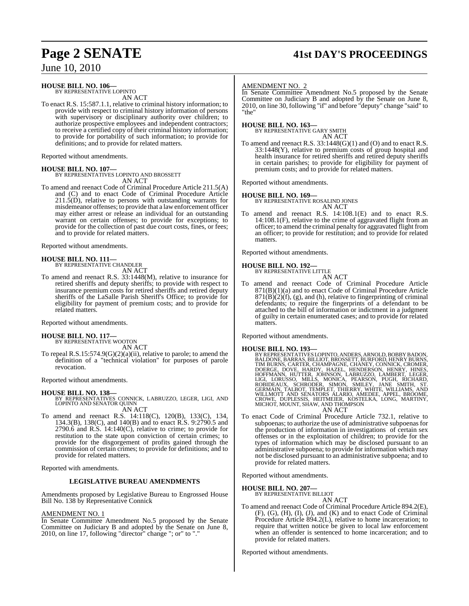# **Page 2 SENATE 41st DAY'S PROCEEDINGS**

June 10, 2010

### **HOUSE BILL NO. 106—**

BY REPRESENTATIVE LOPINTO AN ACT

To enact R.S. 15:587.1.1, relative to criminal history information; to provide with respect to criminal history information of persons with supervisory or disciplinary authority over children; to authorize prospective employees and independent contractors; to receive a certified copy of their criminal history information; to provide for portability of such information; to provide for definitions; and to provide for related matters.

Reported without amendments.

#### **HOUSE BILL NO. 107—**

BY REPRESENTATIVES LOPINTO AND BROSSETT AN ACT

To amend and reenact Code of Criminal Procedure Article 211.5(A) and (C) and to enact Code of Criminal Procedure Article  $211.5(D)$ , relative to persons with outstanding warrants for misdemeanor offenses; to provide that a lawenforcement officer may either arrest or release an individual for an outstanding warrant on certain offenses; to provide for exceptions; to provide for the collection of past due court costs, fines, or fees; and to provide for related matters.

Reported without amendments.

# **HOUSE BILL NO. 111—** BY REPRESENTATIVE CHANDLER

AN ACT

To amend and reenact R.S. 33:1448(M), relative to insurance for retired sheriffs and deputy sheriffs; to provide with respect to insurance premium costs for retired sheriffs and retired deputy sheriffs of the LaSalle Parish Sheriff's Office; to provide for eligibility for payment of premium costs; and to provide for related matters.

Reported without amendments.

# **HOUSE BILL NO. 117—** BY REPRESENTATIVE WOOTON

AN ACT

To repeal R.S.15:574.9(G)(2)(a)(ii), relative to parole; to amend the definition of a "technical violation" for purposes of parole revocation.

Reported without amendments.

**HOUSE BILL NO. 138—** BY REPRESENTATIVES CONNICK, LABRUZZO, LEGER, LIGI, AND LOPINTO AND SENATOR QUINN AN ACT

To amend and reenact R.S. 14:118(C), 120(B), 133(C), 134, 134.3(B), 138(C), and 140(B) and to enact R.S. 9:2790.5 and 2790.6 and R.S. 14:140(C), relative to crime; to provide for restitution to the state upon conviction of certain crimes; to provide for the disgorgement of profits gained through the commission of certain crimes; to provide for definitions; and to provide for related matters.

Reported with amendments.

#### **LEGISLATIVE BUREAU AMENDMENTS**

Amendments proposed by Legislative Bureau to Engrossed House Bill No. 138 by Representative Connick

#### AMENDMENT NO. 1

In Senate Committee Amendment No.5 proposed by the Senate Committee on Judiciary B and adopted by the Senate on June 8,  $2010$ , on line 17, following "director" change "; or" to ".

#### AMENDMENT NO. 2

In Senate Committee Amendment No.5 proposed by the Senate Committee on Judiciary B and adopted by the Senate on June 8, 2010, on line 30, following "if" and before "deputy" change "said" to "the"

# **HOUSE BILL NO. 163—** BY REPRESENTATIVE GARY SMITH

AN ACT

To amend and reenact R.S. 33:1448(G)(1) and (O) and to enact R.S. 33:1448(Y), relative to premium costs of group hospital and health insurance for retired sheriffs and retired deputy sheriffs in certain parishes; to provide for eligibility for payment of premium costs; and to provide for related matters.

Reported without amendments.

#### **HOUSE BILL NO. 169—**

BY REPRESENTATIVE ROSALIND JONES AN ACT

To amend and reenact R.S. 14:108.1(E) and to enact R.S. 14:108.1(F), relative to the crime of aggravated flight from an officer; to amend the criminal penalty for aggravated flight from an officer; to provide for restitution; and to provide for related matters.

Reported without amendments.

#### **HOUSE BILL NO. 192—**

BY REPRESENTATIVE LITTLE AN ACT

To amend and reenact Code of Criminal Procedure Article 871(B)(1)(a) and to enact Code of Criminal Procedure Article  $871(B)(2)(f)$ , (g), and (h), relative to fingerprinting of criminal defendants; to require the fingerprints of a defendant to be attached to the bill of information or indictment in a judgment of guilty in certain enumerated cases; and to provide for related matters.

Reported without amendments.

#### **HOUSE BILL NO. 193—**

BY REPRESENTATIVES LOPINTO, ANDERS, ARNOLD, BOBBY BADON, BALDONE, BARRAS, BILLIOT, BROSSETT, BURFORD, HENRY BURNS, CARTER, CHAMPAGNE, CHANEY, CONNICK, CROMER, TIM BURNS, CARTER, CHAMPAGNE, CHANEY, CONNICK, CROMER, HOFFMANN AN ACT

To enact Code of Criminal Procedure Article 732.1, relative to subpoenas; to authorize the use of administrative subpoenas for the production of information in investigations of certain sex offenses or in the exploitation of children; to provide for the types of information which may be disclosed pursuant to an administrative subpoena; to provide for information which may not be disclosed pursuant to an administrative subpoena; and to provide for related matters.

Reported without amendments.

# **HOUSE BILL NO. 207—** BY REPRESENTATIVE BILLIOT

AN ACT

To amend and reenact Code of Criminal Procedure Article 894.2(E), (F), (G), (H), (I), (J), and (K) and to enact Code of Criminal Procedure Article  $894.2(L)$ , relative to home incarceration; to require that written notice be given to local law enforcement when an offender is sentenced to home incarceration; and to provide for related matters.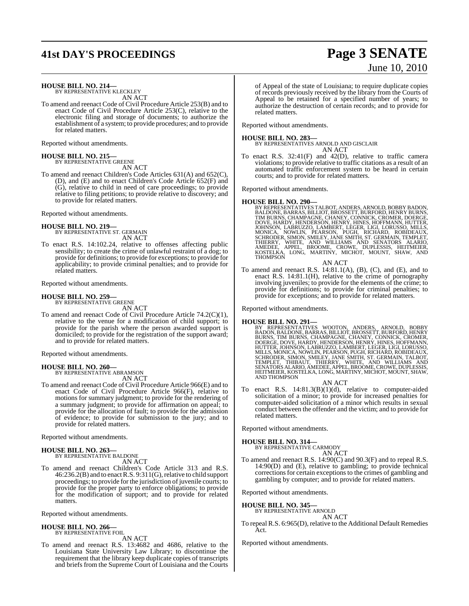# **41st DAY'S PROCEEDINGS Page 3 SENATE**

# June 10, 2010

**HOUSE BILL NO. 214—**

BY REPRESENTATIVE KLECKLEY AN ACT

To amend and reenact Code of Civil Procedure Article 253(B) and to enact Code of Civil Procedure Article 253(C), relative to the electronic filing and storage of documents; to authorize the establishment of a system; to provide procedures; and to provide for related matters.

Reported without amendments.

# **HOUSE BILL NO. 215—** BY REPRESENTATIVE GREENE

AN ACT

To amend and reenact Children's Code Articles 631(A) and 652(C), (D), and (E) and to enact Children's Code Article 652(F) and (G), relative to child in need of care proceedings; to provide relative to filing petitions; to provide relative to discovery; and to provide for related matters.

Reported without amendments.

**HOUSE BILL NO. 219—** BY REPRESENTATIVE ST. GERMAIN AN ACT

To enact R.S. 14:102.24, relative to offenses affecting public sensibility; to create the crime of unlawful restraint of a dog; to provide for definitions; to provide for exceptions; to provide for applicability; to provide criminal penalties; and to provide for related matters.

Reported without amendments.

#### **HOUSE BILL NO. 259—**

BY REPRESENTATIVE GREENE AN ACT

To amend and reenact Code of Civil Procedure Article 74.2(C)(1), relative to the venue for a modification of child support; to provide for the parish where the person awarded support is domiciled; to provide for the registration of the support award; and to provide for related matters.

Reported without amendments.

**HOUSE BILL NO. 260—** BY REPRESENTATIVE ABRAMSON AN ACT

To amend and reenact Code of Civil Procedure Article 966(E) and to enact Code of Civil Procedure Article 966(F), relative to motions for summary judgment; to provide for the rendering of a summary judgment; to provide for affirmation on appeal; to provide for the allocation of fault; to provide for the admission of evidence; to provide for submission to the jury; and to provide for related matters.

Reported without amendments.

#### **HOUSE BILL NO. 263—** BY REPRESENTATIVE BALDONE

AN ACT

To amend and reenact Children's Code Article 313 and R.S. 46:236.2(B) and to enactR.S. 9:311(G),relative to child support proceedings; to provide for the jurisdiction of juvenile courts; to provide for the proper party to enforce obligations; to provide for the modification of support; and to provide for related matters.

Reported without amendments.

#### **HOUSE BILL NO. 266—** BY REPRESENTATIVE FOIL

AN ACT

To amend and reenact R.S. 13:4682 and 4686, relative to the Louisiana State University Law Library; to discontinue the requirement that the library keep duplicate copies of transcripts and briefs from the Supreme Court of Louisiana and the Courts

of Appeal of the state of Louisiana; to require duplicate copies of records previously received by the library from the Courts of Appeal to be retained for a specified number of years; to authorize the destruction of certain records; and to provide for related matters.

Reported without amendments.

**HOUSE BILL NO. 283—** BY REPRESENTATIVES ARNOLD AND GISCLAIR AN ACT

To enact R.S. 32:41(F) and 42(D), relative to traffic camera violations; to provide relative to traffic citations as a result of an automated traffic enforcement system to be heard in certain courts; and to provide for related matters.

Reported without amendments.

HOUSE BILL NO. 290—<br>BY REPRESENTATIVES TALBOT, ANDERS, ARNOLD, BOBBY BADON, BALDONE, BARRAS, BILLIOT, BROSSETT, BURFORD, HENRY BURNS, TIM BURNS, CHAMPAGNE, CHANEY, CONNICK, CROMER, DOERGE, DOVE, HARDY, HENDERSON, HENRY T,

AN ACT To amend and reenact R.S.  $14:81.1(A)$ ,  $(B)$ ,  $(C)$ , and  $(E)$ , and to enact R.S. 14:81.1(H), relative to the crime of pornography involving juveniles; to provide for the elements of the crime; to provide for definitions; to provide for criminal penalties; to provide for exceptions; and to provide for related matters.

Reported without amendments.

HOUSE BILL NO. 291—<br>BY REPRESENTATIVES WOOTON, ANDERS, ARNOLD, BOBBY<br>BADON, BALDONE, BARRAS, BILLIOT, BROSSETT, BURFORD, HENRY<br>BURNS, TIM BURNS, CHAMPAGNE, CHANEY, CONNICK, CROMER,<br>DOERGE, DOVE, HARDY, HENDERSON, HENRY, HI AND THOMPSON

- AN ACT
- To enact R.S. 14:81.3(B)(1)(d), relative to computer-aided solicitation of a minor; to provide for increased penalties for computer-aided solicitation of a minor which results in sexual conduct between the offender and the victim; and to provide for related matters.

Reported without amendments.

**HOUSE BILL NO. 314—**

BY REPRESENTATIVE CARMODY AN ACT

To amend and reenact R.S. 14:90(C) and 90.3(F) and to repeal R.S. 14:90(D) and (E), relative to gambling; to provide technical corrections for certain exceptions to the crimes of gambling and gambling by computer; and to provide for related matters.

Reported without amendments.

**HOUSE BILL NO. 345—** BY REPRESENTATIVE ARNOLD

```
AN ACT
```
To repeal R.S. 6:965(D), relative to the Additional Default Remedies Act.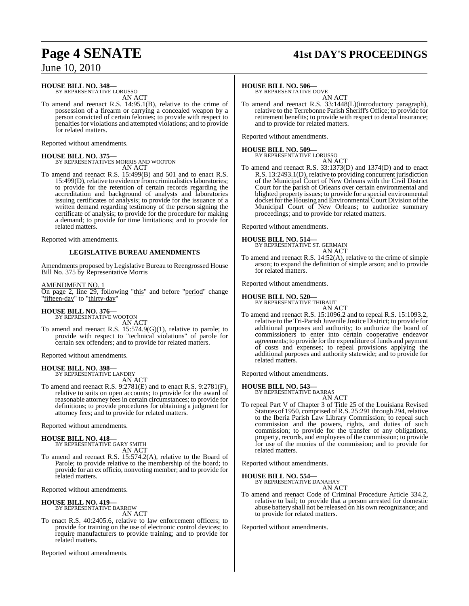#### **HOUSE BILL NO. 348—** BY REPRESENTATIVE LORUSSO

AN ACT

To amend and reenact R.S. 14:95.1(B), relative to the crime of possession of a firearm or carrying a concealed weapon by a person convicted of certain felonies; to provide with respect to penalties for violations and attempted violations; and to provide for related matters.

Reported without amendments.

**HOUSE BILL NO. 375—** BY REPRESENTATIVES MORRIS AND WOOTON AN ACT

To amend and reenact R.S. 15:499(B) and 501 and to enact R.S. 15:499(D), relative to evidence from criminalistics laboratories; to provide for the retention of certain records regarding the accreditation and background of analysts and laboratories issuing certificates of analysis; to provide for the issuance of a written demand regarding testimony of the person signing the certificate of analysis; to provide for the procedure for making a demand; to provide for time limitations; and to provide for related matters.

Reported with amendments.

#### **LEGISLATIVE BUREAU AMENDMENTS**

Amendments proposed by Legislative Bureau to Reengrossed House Bill No. 375 by Representative Morris

#### AMENDMENT NO. 1

On page 2, line 29, following "this" and before "period" change "fifteen-day" to "thirty-day"

#### **HOUSE BILL NO. 376—**

BY REPRESENTATIVE WOOTON AN ACT

To amend and reenact R.S. 15:574.9(G)(1), relative to parole; to provide with respect to "technical violations" of parole for certain sex offenders; and to provide for related matters.

Reported without amendments.

#### **HOUSE BILL NO. 398—** BY REPRESENTATIVE LANDRY

AN ACT

To amend and reenact R.S. 9:2781(E) and to enact R.S. 9:2781(F), relative to suits on open accounts; to provide for the award of reasonable attorney fees in certain circumstances; to provide for definitions; to provide procedures for obtaining a judgment for attorney fees; and to provide for related matters.

Reported without amendments.

# **HOUSE BILL NO. 418—** BY REPRESENTATIVE GARY SMITH

AN ACT

To amend and reenact R.S. 15:574.2(A), relative to the Board of Parole; to provide relative to the membership of the board; to provide for an ex officio, nonvoting member; and to provide for related matters.

Reported without amendments.

#### **HOUSE BILL NO. 419—**

BY REPRESENTATIVE BARROW AN ACT

To enact R.S. 40:2405.6, relative to law enforcement officers; to provide for training on the use of electronic control devices; to require manufacturers to provide training; and to provide for related matters.

Reported without amendments.

# **Page 4 SENATE 41st DAY'S PROCEEDINGS**

### **HOUSE BILL NO. 506—**

BY REPRESENTATIVE DOVE

AN ACT To amend and reenact R.S. 33:1448(L)(introductory paragraph), relative to the Terrebonne Parish Sheriff's Office; to provide for retirement benefits; to provide with respect to dental insurance; and to provide for related matters.

Reported without amendments.

# **HOUSE BILL NO. 509—** BY REPRESENTATIVE LORUSSO

AN ACT

To amend and reenact R.S. 33:1373(D) and 1374(D) and to enact R.S. 13:2493.1(D), relative to providing concurrent jurisdiction of the Municipal Court of New Orleans with the Civil District Court for the parish of Orleans over certain environmental and blighted property issues; to provide for a special environmental docket for the Housing and Environmental Court Division of the Municipal Court of New Orleans; to authorize summary proceedings; and to provide for related matters.

Reported without amendments.

**HOUSE BILL NO. 514—** BY REPRESENTATIVE ST. GERMAIN AN ACT

To amend and reenact R.S. 14:52(A), relative to the crime of simple arson; to expand the definition of simple arson; and to provide for related matters.

Reported without amendments.

#### **HOUSE BILL NO. 520—**

BY REPRESENTATIVE THIBAUT

AN ACT To amend and reenact R.S. 15:1096.2 and to repeal R.S. 15:1093.2, relative to the Tri-Parish Juvenile Justice District; to provide for additional purposes and authority; to authorize the board of commissioners to enter into certain cooperative endeavor agreements; to provide for the expenditure of funds and payment of costs and expenses; to repeal provisions applying the additional purposes and authority statewide; and to provide for related matters.

Reported without amendments.

#### **HOUSE BILL NO. 543—**

BY REPRESENTATIVE BARRAS AN ACT

To repeal Part V of Chapter 3 of Title 25 of the Louisiana Revised Statutes of 1950, comprised ofR.S. 25:291 through 294,relative to the Iberia Parish Law Library Commission; to repeal such commission and the powers, rights, and duties of such commission; to provide for the transfer of any obligations, property, records, and employees of the commission; to provide for use of the monies of the commission; and to provide for related matters.

Reported without amendments.

# **HOUSE BILL NO. 554—** BY REPRESENTATIVE DANAHAY

AN ACT

To amend and reenact Code of Criminal Procedure Article 334.2, relative to bail; to provide that a person arrested for domestic abuse battery shall not be released on his own recognizance; and to provide for related matters.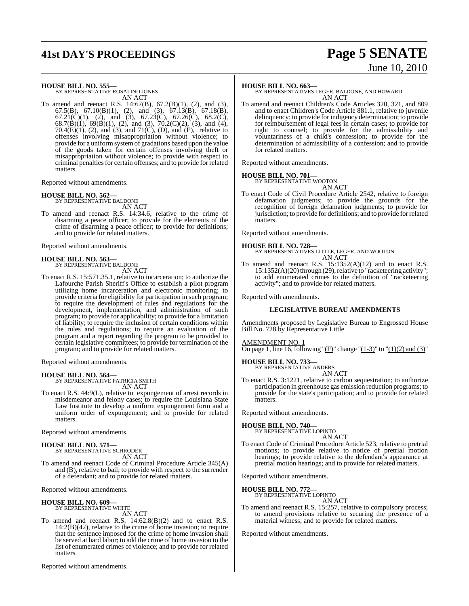# **41st DAY'S PROCEEDINGS Page 5 SENATE**

# June 10, 2010

**HOUSE BILL NO. 555—**

BY REPRESENTATIVE ROSALIND JONES AN ACT

To amend and reenact R.S. 14:67(B), 67.2(B)(1), (2), and (3), 67.5(B), 67.10(B)(1), (2), and (3), 67.13(B), 67.18(B), 67.21(C)(1), (2), and (3), 67.23(C), 67.26(C), 68.2(C), 68.7(B)(1), 69(B)(1), (2), and (3), 70.2(C)(2), (3), and (4), 70.4 $(E)(1)$ ,  $(2)$ , and  $(3)$ , and  $71(C)$ ,  $(D)$ , and  $(E)$ , relative to offenses involving misappropriation without violence; to provide for a uniformsystem of gradations based upon the value of the goods taken for certain offenses involving theft or misappropriation without violence; to provide with respect to criminal penaltiesfor certain offenses; and to provide for related matters.

Reported without amendments.

#### **HOUSE BILL NO. 562—**

BY REPRESENTATIVE BALDONE AN ACT

To amend and reenact R.S. 14:34.6, relative to the crime of disarming a peace officer; to provide for the elements of the crime of disarming a peace officer; to provide for definitions; and to provide for related matters.

Reported without amendments.

# **HOUSE BILL NO. 563—** BY REPRESENTATIVE BALDONE

AN ACT

To enact R.S. 15:571.35.1, relative to incarceration; to authorize the Lafourche Parish Sheriff's Office to establish a pilot program utilizing home incarceration and electronic monitoring; to provide criteria for eligibility for participation in such program; to require the development of rules and regulations for the development, implementation, and administration of such program; to provide for applicability; to provide for a limitation of liability; to require the inclusion of certain conditions within the rules and regulations; to require an evaluation of the program and a report regarding the program to be provided to certain legislative committees; to provide for termination of the program; and to provide for related matters.

Reported without amendments.

# **HOUSE BILL NO. 564—** BY REPRESENTATIVE PATRICIA SMITH

AN ACT

To enact R.S. 44:9(L), relative to expungement of arrest records in misdemeanor and felony cases; to require the Louisiana State Law Institute to develop a uniform expungement form and a uniform order of expungement; and to provide for related matters.

Reported without amendments.

**HOUSE BILL NO. 571—** BY REPRESENTATIVE SCHRODER AN ACT

To amend and reenact Code of Criminal Procedure Article 345(A) and (B), relative to bail; to provide with respect to the surrender of a defendant; and to provide for related matters.

Reported without amendments.

### **HOUSE BILL NO. 609—**

BY REPRESENTATIVE WHITE AN ACT

To amend and reenact R.S. 14:62.8(B)(2) and to enact R.S. 14:2(B)(42), relative to the crime of home invasion; to require that the sentence imposed for the crime of home invasion shall be served at hard labor; to add the crime of home invasion to the list of enumerated crimes of violence; and to provide for related matters.

Reported without amendments.

#### **HOUSE BILL NO. 663—**

BY REPRESENTATIVES LEGER, BALDONE, AND HOWARD AN ACT

To amend and reenact Children's Code Articles 320, 321, and 809 and to enact Children's Code Article 881.1, relative to juvenile delinquency; to provide for indigency determination; to provide for reimbursement of legal fees in certain cases; to provide for right to counsel; to provide for the admissibility and voluntariness of a child's confession; to provide for the determination of admissibility of a confession; and to provide for related matters.

Reported without amendments.

## **HOUSE BILL NO. 701—**

BY REPRESENTATIVE WOOTON AN ACT

To enact Code of Civil Procedure Article 2542, relative to foreign defamation judgments; to provide the grounds for the recognition of foreign defamation judgments; to provide for jurisdiction; to provide for definitions; and to provide forrelated matters.

Reported without amendments.

#### **HOUSE BILL NO. 728—**

BY REPRESENTATIVES LITTLE, LEGER, AND WOOTON AN ACT

To amend and reenact R.S. 15:1352(A)(12) and to enact R.S.  $15:1352(A)(20)$  through (29), relative to "racketeering activity"; to add enumerated crimes to the definition of "racketeering activity"; and to provide for related matters.

Reported with amendments.

#### **LEGISLATIVE BUREAU AMENDMENTS**

Amendments proposed by Legislative Bureau to Engrossed House Bill No. 728 by Representative Little

AMENDMENT NO. 1

On page 1, line 16, following "(F)" change " $(1-3)$ " to " $(1)(2)$  and  $(3)$ "

#### **HOUSE BILL NO. 733—** BY REPRESENTATIVE ANDERS

AN ACT

To enact R.S. 3:1221, relative to carbon sequestration; to authorize participation in greenhouse gas emission reduction programs; to provide for the state's participation; and to provide for related matters.

Reported without amendments.

#### **HOUSE BILL NO. 740—**

BY REPRESENTATIVE LOPINTO AN ACT

To enact Code of Criminal Procedure Article 523, relative to pretrial motions; to provide relative to notice of pretrial motion hearings; to provide relative to the defendant's appearance at pretrial motion hearings; and to provide for related matters.

Reported without amendments.

# **HOUSE BILL NO. 772—** BY REPRESENTATIVE LOPINTO

AN ACT

To amend and reenact R.S. 15:257, relative to compulsory process; to amend provisions relative to securing the presence of a material witness; and to provide for related matters.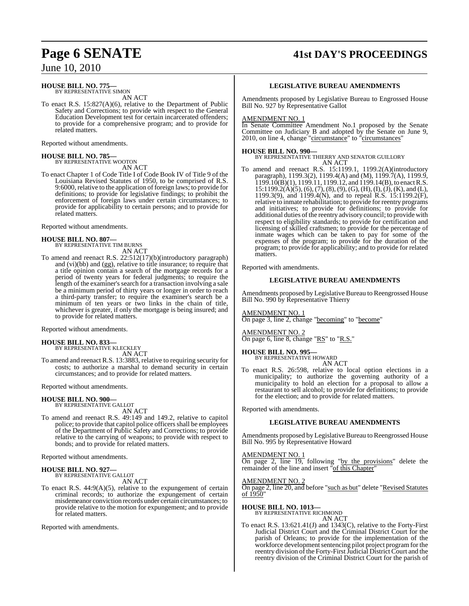# **Page 6 SENATE 41st DAY'S PROCEEDINGS**

June 10, 2010

#### **HOUSE BILL NO. 775—** BY REPRESENTATIVE SIMON

AN ACT

To enact R.S. 15:827(A)(6), relative to the Department of Public Safety and Corrections; to provide with respect to the General Education Development test for certain incarcerated offenders; to provide for a comprehensive program; and to provide for related matters.

Reported without amendments.

# **HOUSE BILL NO. 785—** BY REPRESENTATIVE WOOTON

AN ACT

To enact Chapter 1 of Code Title I of Code Book IV of Title 9 of the Louisiana Revised Statutes of 1950, to be comprised of R.S. 9:6000, relative to the application of foreign laws; to provide for definitions; to provide for legislative findings; to prohibit the enforcement of foreign laws under certain circumstances; to provide for applicability to certain persons; and to provide for related matters.

Reported without amendments.

# **HOUSE BILL NO. 807—** BY REPRESENTATIVE TIM BURNS

AN ACT

To amend and reenact R.S. 22:512(17)(b)(introductory paragraph) and (vi)(bb) and (gg), relative to title insurance; to require that a title opinion contain a search of the mortgage records for a period of twenty years for federal judgments; to require the length of the examiner's search for a transaction involving a sale be a minimum period of thirty years or longer in order to reach a third-party transfer; to require the examiner's search be a minimum of ten years or two links in the chain of title, whichever is greater, if only the mortgage is being insured; and to provide for related matters.

Reported without amendments.

**HOUSE BILL NO. 833—** BY REPRESENTATIVE KLECKLEY AN ACT

To amend and reenact R.S. 13:3883, relative to requiring security for costs; to authorize a marshal to demand security in certain circumstances; and to provide for related matters.

Reported without amendments.

#### **HOUSE BILL NO. 900—**

BY REPRESENTATIVE GALLOT AN ACT

To amend and reenact R.S. 49:149 and 149.2, relative to capitol police; to provide that capitol police officers shall be employees of the Department of Public Safety and Corrections; to provide relative to the carrying of weapons; to provide with respect to bonds; and to provide for related matters.

Reported without amendments.

# **HOUSE BILL NO. 927—** BY REPRESENTATIVE GALLOT

AN ACT

To enact R.S.  $44:9(A)(5)$ , relative to the expungement of certain criminal records; to authorize the expungement of certain misdemeanor conviction records under certain circumstances; to provide relative to the motion for expungement; and to provide for related matters.

Reported with amendments.

#### **LEGISLATIVE BUREAU AMENDMENTS**

Amendments proposed by Legislative Bureau to Engrossed House Bill No. 927 by Representative Gallot

#### AMENDMENT NO. 1

In Senate Committee Amendment No.1 proposed by the Senate Committee on Judiciary B and adopted by the Senate on June 9, 2010, on line 4, change "circumstance" to "circumstances"

#### **HOUSE BILL NO. 990—**

BY REPRESENTATIVE THIERRY AND SENATOR GUILLORY AN ACT

To amend and reenact R.S. 15:1199.1, 1199.2(A)(introductory paragraph), 1199.3(2), 1199.4(A) and (M), 1199.7(A), 1199.9,  $1199.10(B)(1)$ ,  $1199.11$ ,  $1199.12$ , and  $1199.14(B)$ , to enact R.S.  $15:1199.2(A)(5), (6), (7), (8), (9), (G), (H), (I), (J), (K),$  and (L), 1199.3(9), and 1199.4(N), and to repeal R.S. 15:1199.2(F), relative to inmate rehabilitation; to provide for reentry programs and initiatives; to provide for definitions; to provide for additional duties ofthe reentry advisory council; to provide with respect to eligibility standards; to provide for certification and licensing of skilled craftsmen; to provide for the percentage of inmate wages which can be taken to pay for some of the expenses of the program; to provide for the duration of the program; to provide for applicability; and to provide for related matters.

Reported with amendments.

#### **LEGISLATIVE BUREAU AMENDMENTS**

Amendments proposed by Legislative Bureau to Reengrossed House Bill No. 990 by Representative Thierry

AMENDMENT NO. 1 On page 3, line 2, change "becoming" to "become"

AMENDMENT NO. 2 On page 6, line 8, change "RS" to "R.S."

# **HOUSE BILL NO. 995—** BY REPRESENTATIVE HOWARD

AN ACT

To enact R.S. 26:598, relative to local option elections in a municipality; to authorize the governing authority of a municipality to hold an election for a proposal to allow a restaurant to sell alcohol; to provide for definitions; to provide for the election; and to provide for related matters.

Reported with amendments.

## **LEGISLATIVE BUREAU AMENDMENTS**

Amendments proposed by Legislative Bureau to Reengrossed House Bill No. 995 by Representative Howard

### AMENDMENT NO. 1

On page 2, line 19, following "by the provisions" delete the remainder of the line and insert "of this Chapter"

#### AMENDMENT NO. 2

On page 2, line 20, and before "such as but" delete "Revised Statutes <u>of 1950</u>"

#### **HOUSE BILL NO. 1013—**

BY REPRESENTATIVE RICHMOND

- AN ACT
- To enact R.S. 13:621.41(J) and 1343(C), relative to the Forty-First Judicial District Court and the Criminal District Court for the parish of Orleans; to provide for the implementation of the workforce development sentencing pilot project program for the reentry division of the Forty-First Judicial District Court and the reentry division of the Criminal District Court for the parish of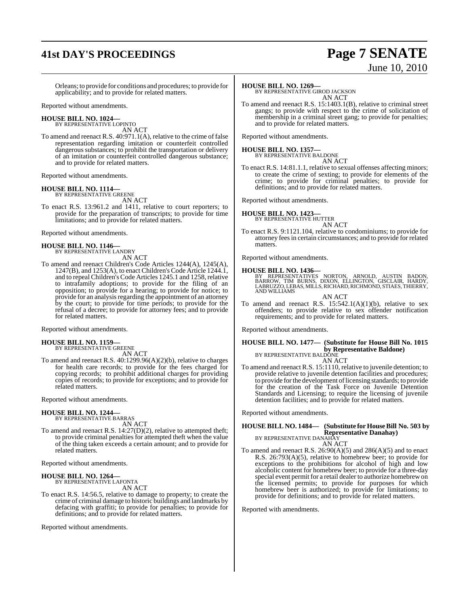# **41st DAY'S PROCEEDINGS Page 7 SENATE**

# June 10, 2010

Orleans; to provide for conditions and procedures; to provide for applicability; and to provide for related matters.

Reported without amendments.

#### **HOUSE BILL NO. 1024—** BY REPRESENTATIVE LOPINTO

AN ACT

To amend and reenact R.S. 40:971.1(A), relative to the crime of false representation regarding imitation or counterfeit controlled dangerous substances; to prohibit the transportation or delivery of an imitation or counterfeit controlled dangerous substance; and to provide for related matters.

Reported without amendments.

# **HOUSE BILL NO. 1114—** BY REPRESENTATIVE GREENE

AN ACT

To enact R.S. 13:961.2 and 1411, relative to court reporters; to provide for the preparation of transcripts; to provide for time limitations; and to provide for related matters.

Reported without amendments.

#### **HOUSE BILL NO. 1146—** BY REPRESENTATIVE LANDRY

AN ACT

To amend and reenact Children's Code Articles 1244(A), 1245(A), 1247(B), and 1253(A), to enact Children's Code Article 1244.1, and to repeal Children's Code Articles 1245.1 and 1258, relative to intrafamily adoptions; to provide for the filing of an opposition; to provide for a hearing; to provide for notice; to provide for an analysis regarding the appointment of an attorney by the court; to provide for time periods; to provide for the refusal of a decree; to provide for attorney fees; and to provide for related matters.

Reported without amendments.

# **HOUSE BILL NO. 1159—** BY REPRESENTATIVE GREENE

AN ACT

To amend and reenact R.S. 40:1299.96(A)(2)(b), relative to charges for health care records; to provide for the fees charged for copying records; to prohibit additional charges for providing copies of records; to provide for exceptions; and to provide for related matters.

Reported without amendments.

#### **HOUSE BILL NO. 1244—**

BY REPRESENTATIVE BARRAS AN ACT

To amend and reenact R.S. 14:27(D)(2), relative to attempted theft; to provide criminal penalties for attempted theft when the value of the thing taken exceeds a certain amount; and to provide for related matters.

Reported without amendments.

#### **HOUSE BILL NO. 1264—** BY REPRESENTATIVE LAFONTA

AN ACT

To enact R.S. 14:56.5, relative to damage to property; to create the crime of criminal damage to historic buildings and landmarks by defacing with graffiti; to provide for penalties; to provide for definitions; and to provide for related matters.

Reported without amendments.

#### **HOUSE BILL NO. 1269—**

BY REPRESENTATIVE GIROD JACKSON AN ACT

To amend and reenact R.S. 15:1403.1(B), relative to criminal street gangs; to provide with respect to the crime of solicitation of membership in a criminal street gang; to provide for penalties; and to provide for related matters.

Reported without amendments.

# **HOUSE BILL NO. 1357—** BY REPRESENTATIVE BALDONE

AN ACT

To enact R.S. 14:81.1.1, relative to sexual offenses affecting minors; to create the crime of sexting; to provide for elements of the crime; to provide for criminal penalties; to provide for definitions; and to provide for related matters.

Reported without amendments.

#### **HOUSE BILL NO. 1423—**

BY REPRESENTATIVE HUTTER AN ACT

To enact R.S. 9:1121.104, relative to condominiums; to provide for attorney feesin certain circumstances; and to provide for related matters.

Reported without amendments.

**HOUSE BILL NO. 1436—**<br>BY REPRESENTATIVES NORTON, ARNOLD, AUSTIN BADON,<br>BARROW, TIM BURNS, DIXON, ELLINGTON, GISCLAIR, HARDY,<br>LABRUZZO,LEBAS,MILLS,RICHARD,RICHMOND,STIAES,THIERRY,<br>AND WILLIAMS

AN ACT

To amend and reenact R.S.  $15:542.1(A)(1)(b)$ , relative to sex offenders; to provide relative to sex offender notification requirements; and to provide for related matters.

Reported without amendments.

## **HOUSE BILL NO. 1477— (Substitute for House Bill No. 1015 by Representative Baldone)** BY REPRESENTATIVE BALDONE

AN ACT To amend and reenact R.S. 15:1110, relative to juvenile detention; to provide relative to juvenile detention facilities and procedures; to provide forthe development oflicensing standards; to provide for the creation of the Task Force on Juvenile Detention Standards and Licensing; to require the licensing of juvenile detention facilities; and to provide for related matters.

Reported without amendments.

#### **HOUSE BILL NO. 1484— (Substitute for HouseBill No. 503 by Representative Danahay)** BY REPRESENTATIVE DANAHAY

AN ACT

To amend and reenact R.S.  $26:90(A)(5)$  and  $286(A)(5)$  and to enact R.S. 26:793(A)(5), relative to homebrew beer; to provide for exceptions to the prohibitions for alcohol of high and low alcoholic content for homebrew beer; to provide for a three-day special event permit for a retail dealer to authorize homebrewon the licensed permits; to provide for purposes for which homebrew beer is authorized; to provide for limitations; to provide for definitions; and to provide for related matters.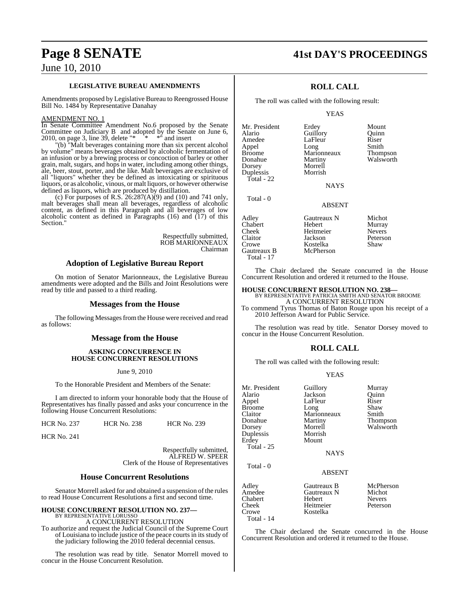# **Page 8 SENATE 41st DAY'S PROCEEDINGS**

## June 10, 2010

#### **LEGISLATIVE BUREAU AMENDMENTS**

Amendments proposed by Legislative Bureau to Reengrossed House Bill No. 1484 by Representative Danahay

#### AMENDMENT NO. 1

In Senate Committee Amendment No.6 proposed by the Senate Committee on Judiciary B and adopted by the Senate on June 6, 2010, on page 3, line 39, delete  $**$   $**$  and insert

"(b) "Malt beverages containing more than six percent alcohol by volume" means beverages obtained by alcoholic fermentation of an infusion or by a brewing process or concoction of barley or other grain, malt, sugars, and hops in water, including among other things, ale, beer, stout, porter, and the like. Malt beverages are exclusive of all "liquors" whether they be defined as intoxicating or spirituous liquors, or as alcoholic, vinous, or malt liquors, or however otherwise defined as liquors, which are produced by distillation.

(c) For purposes of R.S.  $26:287(A)(9)$  and (10) and 741 only, malt beverages shall mean all beverages, regardless of alcoholic content, as defined in this Paragraph and all beverages of low alcoholic content as defined in Paragraphs (16) and (17) of this Section."

> Respectfully submitted, ROB MARIONNEAUX Chairman

### **Adoption of Legislative Bureau Report**

On motion of Senator Marionneaux, the Legislative Bureau amendments were adopted and the Bills and Joint Resolutions were read by title and passed to a third reading.

#### **Messages from the House**

The following Messages from the House were received and read as follows:

#### **Message from the House**

#### **ASKING CONCURRENCE IN HOUSE CONCURRENT RESOLUTIONS**

#### June 9, 2010

To the Honorable President and Members of the Senate:

I am directed to inform your honorable body that the House of Representatives has finally passed and asks your concurrence in the following House Concurrent Resolutions:

HCR No. 237 HCR No. 238 HCR No. 239

HCR No. 241

Respectfully submitted, ALFRED W. SPEER Clerk of the House of Representatives

#### **House Concurrent Resolutions**

Senator Morrell asked for and obtained a suspension of the rules to read House Concurrent Resolutions a first and second time.

# **HOUSE CONCURRENT RESOLUTION NO. 237—** BY REPRESENTATIVE LORUSSO

A CONCURRENT RESOLUTION

To authorize and request the Judicial Council of the Supreme Court of Louisiana to include justice of the peace courts in its study of the judiciary following the 2010 federal decennial census.

The resolution was read by title. Senator Morrell moved to concur in the House Concurrent Resolution.

## **ROLL CALL**

The roll was called with the following result:

Guillory

YEAS

Mr. President Erdey Mount<br>Alario Guillory Duinn Amedee LaFleur Riser<br>
Appel Long Smith Appel Long Smith<br>Broome Marionneaux Thompson Broome Marionneaux<br>Donahue Martiny Dorsey Duplessis Morrish Total - 22

Total - 0

Martiny Walsworth<br>Morrell

**NAYS** 

#### ABSENT

Adley **Gautreaux N** Michot<br> **Chabert** Hebert Murray Hebert Murray Cheek Heitmeier Nevers<br>Claitor Jackson Peterso Claitor Jackson Peterson Kostelka<br>McPherson Gautreaux B Total - 17

The Chair declared the Senate concurred in the House Concurrent Resolution and ordered it returned to the House.

## **HOUSE CONCURRENT RESOLUTION NO. 238—**

BY REPRESENTATIVE PATRICIA SMITH AND SENATOR BROOME A CONCURRENT RESOLUTION

To commend Tyrus Thomas of Baton Rouge upon his receipt of a 2010 Jefferson Award for Public Service.

The resolution was read by title. Senator Dorsey moved to concur in the House Concurrent Resolution.

## **ROLL CALL**

The roll was called with the following result:

#### YEAS

| Mr. President<br>Alario<br>Appel<br>Broome<br>Claitor<br>Donahue<br>Dorsey<br>Duplessis<br>Erdey | Guillory<br>Jackson<br>LaFleur<br>Long<br>Marionneaux<br>Martiny<br>Morrell<br>Morrish<br>Mount | Murray<br>Ouinn<br>Riser<br>Shaw<br>Smith<br>Thompson<br>Walsworth |
|--------------------------------------------------------------------------------------------------|-------------------------------------------------------------------------------------------------|--------------------------------------------------------------------|
| Total - 25                                                                                       | <b>NAYS</b>                                                                                     |                                                                    |
| Total - 0                                                                                        | <b>ABSENT</b>                                                                                   |                                                                    |
| Adlev<br>Amedee<br>Chabert<br>Cheek<br>Crowe                                                     | Gautreaux B<br>Gautreaux N<br>Hebert<br>Heitmeier<br>Kostelka                                   | McPherson<br>Michot<br><b>Nevers</b><br>Peterson                   |

Total - 14

The Chair declared the Senate concurred in the House Concurrent Resolution and ordered it returned to the House.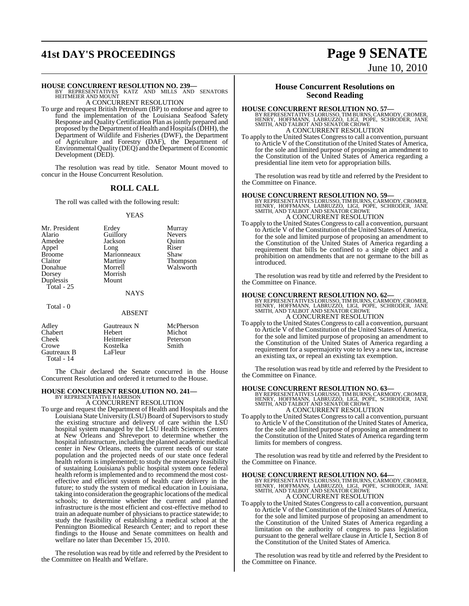# **41st DAY'S PROCEEDINGS Page 9 SENATE**

**HOUSE CONCURRENT RESOLUTION NO. 239—** BY REPRESENTATIVES KATZ AND MILLS AND SENATORS HEITMEIER AND MOUNT A CONCURRENT RESOLUTION

To urge and request British Petroleum (BP) to endorse and agree to fund the implementation of the Louisiana Seafood Safety Response and Quality Certification Plan as jointly prepared and proposed by the Department of Health and Hospitals(DHH), the Department of Wildlife and Fisheries (DWF), the Department of Agriculture and Forestry (DAF), the Department of Environmental Quality (DEQ) and the Department of Economic Development (DED).

The resolution was read by title. Senator Mount moved to concur in the House Concurrent Resolution.

#### **ROLL CALL**

The roll was called with the following result:

#### YEAS

| Mr. President<br>Alario | Erdey<br>Guillory   | Murray<br><b>Nevers</b> |
|-------------------------|---------------------|-------------------------|
| Amedee                  | Jackson             | Ouinn<br>Riser          |
| Appel<br><b>Broome</b>  | Long<br>Marionneaux | Shaw                    |
| Claitor                 | Martiny             | Thompson                |
| Donahue                 | Morrell             | Walsworth               |
| Dorsey                  | Morrish             |                         |
| Duplessis               | Mount               |                         |
| Total - $25$            |                     |                         |
|                         | <b>NAYS</b>         |                         |
| Total - 0               |                     |                         |
|                         | <b>ABSENT</b>       |                         |
| Adley                   | Gautreaux N         | McPherson               |
| Chabert                 | Hebert              | Michot                  |
| Cheek                   | Heitmeier           | Peterson                |
| Crowe                   | Kostelka            | Smith                   |

The Chair declared the Senate concurred in the House Concurrent Resolution and ordered it returned to the House.

#### **HOUSE CONCURRENT RESOLUTION NO. 241—**

Crowe Kostelka<br>Gautreaux B LaFleur

Gautreaux B Total - 14

> BY REPRESENTATIVE HARRISON A CONCURRENT RESOLUTION

To urge and request the Department of Health and Hospitals and the Louisiana State University (LSU) Board of Supervisorsto study the existing structure and delivery of care within the LSU hospital system managed by the LSU Health Sciences Centers at New Orleans and Shreveport to determine whether the hospital infrastructure, including the planned academic medical center in New Orleans, meets the current needs of our state population and the projected needs of our state once federal health reform is implemented; to study the monetary feasibility of sustaining Louisiana's public hospital system once federal health reform is implemented and to recommend the most costeffective and efficient system of health care delivery in the future; to study the system of medical education in Louisiana, taking into consideration the geographic locations of the medical schools; to determine whether the current and planned infrastructure is the most efficient and cost-effective method to train an adequate number of physicians to practice statewide; to study the feasibility of establishing a medical school at the Pennington Biomedical Research Center; and to report these findings to the House and Senate committees on health and welfare no later than December 15, 2010.

The resolution was read by title and referred by the President to the Committee on Health and Welfare.

#### **House Concurrent Resolutions on Second Reading**

#### **HOUSE CONCURRENT RESOLUTION NO. 57—**

BY REPRESENTATIVES LORUSSO, TIMBURNS, CARMODY, CROMER,<br>HENRY, HOFFMANN, LABRUZZO, LIGI, POPE, SCHRODER, JANE<br>SMITH, AND TALBOT AND SENATOR CROWE<br>A CONCURRENT RESOLUTION

To apply to the United States Congressto call a convention, pursuant to Article V of the Constitution of the United States of America, for the sole and limited purpose of proposing an amendment to the Constitution of the United States of America regarding a presidential line item veto for appropriation bills.

The resolution was read by title and referred by the President to the Committee on Finance.

**HOUSE CONCURRENT RESOLUTION NO. 59—**<br>BY REPRESENTATIVES LORUSSO, TIMBURNS, CARMODY, CROMER,<br>HENRY, HOFFMANN, LABRUZZO, LIGI, POPE, SCHRODER, JANE<br>SMITH, AND TALBOT AND SENATOR CROWE A CONCURRENT RESOLUTION

To apply to the United States Congressto call a convention, pursuant to Article V of the Constitution of the United States of America, for the sole and limited purpose of proposing an amendment to the Constitution of the United States of America regarding a requirement that bills be confined to a single object and a prohibition on amendments that are not germane to the bill as introduced.

The resolution was read by title and referred by the President to the Committee on Finance.

HOUSE CONCURRENT RESOLUTION NO. 62—<br>
BY REPRESENTATIVES LORUSSO, TIMBURNS, CARMODY, CROMER,<br>
HENRY, HOFFMANN, LABRUZZO, LIGI, POPE, SCHRODER, JANE<br>
SMITH, AND TALBOT AND SENATOR CROWE<br>
A CONCURRENT RESOLUTION

To apply to the United States Congressto call a convention, pursuant to Article V of the Constitution of the United States of America, for the sole and limited purpose of proposing an amendment to the Constitution of the United States of America regarding a requirement for a supermajority vote to levy a new tax, increase an existing tax, or repeal an existing tax exemption.

The resolution was read by title and referred by the President to the Committee on Finance.

#### **HOUSE CONCURRENT RESOLUTION NO. 63—**

BY REPRESENTATIVES LORUSSO, TIM BURNS, CARMODY, CROMER,<br>HENRY, HOFFMANN, LABRUZZO, LIGI, POPE, SCHRODER, JANE<br>SMITH, AND TALBOT AND SENATOR CROWE A CONCURRENT RESOLUTION

To apply to the United States Congressto call a convention, pursuant to Article V of the Constitution of the United States of America, for the sole and limited purpose of proposing an amendment to the Constitution of the United States of America regarding term limits for members of congress.

The resolution was read by title and referred by the President to the Committee on Finance.

**HOUSE CONCURRENT RESOLUTION NO. 64—**<br>BY REPRESENTATIVES LORUSSO, TIMBURNS, CARMODY, CROMER,<br>HENRY, HOFFMANN, LABRUZZO, LIGI, POPE, SCHRODER, JANE<br>SMITH, AND TALBOT AND SENATOR CROWE A CONCURRENT RESOLUTION

To apply to the United States Congressto call a convention, pursuant to Article V of the Constitution of the United States of America, for the sole and limited purpose of proposing an amendment to the Constitution of the United States of America regarding a limitation on the authority of congress to pass legislation pursuant to the general welfare clause in Article I, Section 8 of the Constitution of the United States of America.

The resolution was read by title and referred by the President to the Committee on Finance.

# June 10, 2010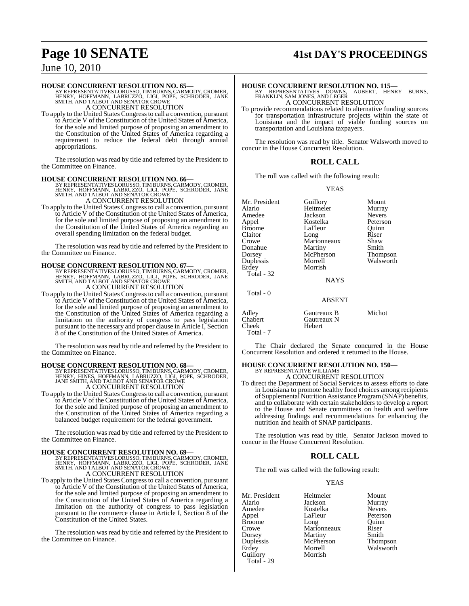# **Page 10 SENATE 41st DAY'S PROCEEDINGS**

## June 10, 2010

**HOUSE CONCURRENT RESOLUTION NO. 65—**<br>BY REPRESENTATIVES LORUSSO, TIMBURNS, CARMODY, CROMER,<br>HENRY, HOFFMANN, LABRUZZO, LIGI, POPE, SCHRODER, JANE<br>SMITH, AND TALBOT AND SENATOR CROWE A CONCURRENT RESOLUTION

To apply to the United States Congressto call a convention, pursuant to Article V of the Constitution of the United States of America, for the sole and limited purpose of proposing an amendment to the Constitution of the United States of America regarding a requirement to reduce the federal debt through annual appropriations.

The resolution was read by title and referred by the President to the Committee on Finance.

**HOUSE CONCURRENT RESOLUTION NO. 66—**<br>BY REPRESENTATIVES LORUSSO, TIMBURNS, CARMODY, CROMER,<br>HENRY, HOFFMANN, LABRUZZO, LIGI, POPE, SCHRODER, JANE<br>SMITH, AND TALBOT AND SENATOR CROWE

## A CONCURRENT RESOLUTION

To apply to the United States Congressto call a convention, pursuant to Article V of the Constitution of the United States of America, for the sole and limited purpose of proposing an amendment to the Constitution of the United States of America regarding an overall spending limitation on the federal budget.

The resolution was read by title and referred by the President to the Committee on Finance.

**HOUSE CONCURRENT RESOLUTION NO. 67—**<br>BY REPRESENTATIVES LORUSSO, TIMBURNS, CARMODY, CROMER,<br>HENRY, HOFFMANN, LABRUZZO, LIGI, POPE, SCHRODER, JANE<br>SMITH, AND TALBOT AND SENATOR CROWE A CONCURRENT RESOLUTION

To apply to the United States Congressto call a convention, pursuant to Article V of the Constitution of the United States of America, for the sole and limited purpose of proposing an amendment to the Constitution of the United States of America regarding a limitation on the authority of congress to pass legislation pursuant to the necessary and proper clause in Article I, Section 8 of the Constitution of the United States of America.

The resolution was read by title and referred by the President to the Committee on Finance.

**HOUSE CONCURRENT RESOLUTION NO. 68—**<br>BY REPRESENTATIVES LORUSSO, TIMBURNS, CARMODY, CROMER,<br>HENRY, HINES, HOFFMANN, LABRUZZO, LIGI, POPE, SCHRODER,<br>JANE SMITH, AND TALBOT AND SENATOR CROWE

A CONCURRENT RESOLUTION

To apply to the United States Congressto call a convention, pursuant to Article V of the Constitution of the United States of America, for the sole and limited purpose of proposing an amendment to the Constitution of the United States of America regarding a balanced budget requirement for the federal government.

The resolution was read by title and referred by the President to the Committee on Finance.

#### **HOUSE CONCURRENT RESOLUTION NO. 69—**

BY REPRESENTATIVES LORUSSO, TIMBURNS, CARMODY, CROMER,<br>HENRY, HOFFMANN, LABRUZZO, LIGI, POPE, SCHRODER, JANE<br>SMITH, AND TALBOT AND SENATOR CROWE A CONCURRENT RESOLUTION

To apply to the United States Congressto call a convention, pursuant to Article V of the Constitution of the United States of America, for the sole and limited purpose of proposing an amendment to the Constitution of the United States of America regarding a limitation on the authority of congress to pass legislation pursuant to the commerce clause in Article I, Section 8 of the Constitution of the United States.

The resolution was read by title and referred by the President to the Committee on Finance.

**HOUSE CONCURRENT RESOLUTION NO. 115—** BY REPRESENTATIVES DOWNS, AUBERT, HENRY BURNS, FRANKLIN, SAM JONES, AND LEGER A CONCURRENT RESOLUTION

To provide recommendations related to alternative funding sources for transportation infrastructure projects within the state of Louisiana and the impact of viable funding sources on transportation and Louisiana taxpayers.

The resolution was read by title. Senator Walsworth moved to concur in the House Concurrent Resolution.

#### **ROLL CALL**

The roll was called with the following result:

#### YEAS

Mr. President Guillory Mount<br>Alario Heitmeier Murray Amedee Jackson Nevers<br>Appel Kostelka Peterson Broome LaFleur Quinn<br>Claitor Long Riser Claitor Long Riser<br>Crowe Marionneaux Shaw Donahue Martiny Smith<br>Dorsey McPherson Thompson Dorsey McPherson<br>
Dunlessis Morrell Duplessis Morrell Walsworth Total - 32

Heitmeier Morrish

Kostelka Peterson<br>LaFleur Ouinn Marionneaux Shaw<br>Martiny Smith

Total - 0

#### ABSENT

|                                        | .                                    |        |
|----------------------------------------|--------------------------------------|--------|
| Adley<br>Chabert<br>Cheek<br>Total - 7 | Gautreaux B<br>Gautreaux N<br>Hebert | Michot |
|                                        |                                      |        |

The Chair declared the Senate concurred in the House Concurrent Resolution and ordered it returned to the House.

NAYS

# **HOUSE CONCURRENT RESOLUTION NO. 150—** BY REPRESENTATIVE WILLIAMS A CONCURRENT RESOLUTION

To direct the Department of Social Services to assess efforts to date in Louisiana to promote healthy food choices among recipients of Supplemental Nutrition Assistance Program (SNAP) benefits, and to collaborate with certain stakeholders to develop a report to the House and Senate committees on health and welfare addressing findings and recommendations for enhancing the nutrition and health of SNAP participants.

The resolution was read by title. Senator Jackson moved to concur in the House Concurrent Resolution.

## **ROLL CALL**

The roll was called with the following result:

#### YEAS

Mr. President Heitmeier Mount<br>Alario Jackson Murray Alario Jackson Murray Amedee Kostelka<br>Appel LaFleur Broome Long Quinn<br>Crowe Marionneaux Riser Crowe Marionneaux Riser<br>
Dorsey Martiny Smith Dorsey Martiny Smith<br>
Duplessis McPherson Thompson McPherson<br>Morrell Erdey Morrell Walsworth<br>Guillory Morrish Guillory Total - 29

Peterson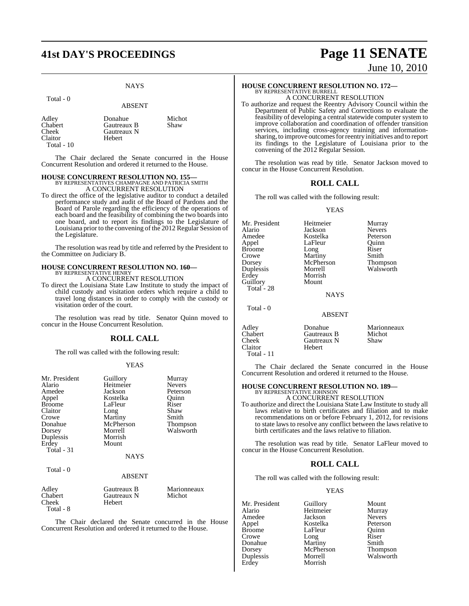# **41st DAY'S PROCEEDINGS Page 11 SENATE**

## **NAYS**

#### Total - 0

#### ABSENT

| Adley          | Donahue     | Michot |
|----------------|-------------|--------|
| Chabert        | Gautreaux B | Shaw   |
| Cheek          | Gautreaux N |        |
| <b>Claitor</b> | Hebert      |        |
| Total $-10$    |             |        |

The Chair declared the Senate concurred in the House Concurrent Resolution and ordered it returned to the House.

#### **HOUSE CONCURRENT RESOLUTION NO. 155—**

BY REPRESENTATIVES CHAMPAGNE AND PATRICIA SMITH A CONCURRENT RESOLUTION

To direct the office of the legislative auditor to conduct a detailed performance study and audit of the Board of Pardons and the Board of Parole regarding the efficiency of the operations of each board and the feasibility of combining the two boards into one board, and to report its findings to the Legislature of Louisiana prior to the convening of the 2012 Regular Session of the Legislature.

The resolution was read by title and referred by the President to the Committee on Judiciary B.

# **HOUSE CONCURRENT RESOLUTION NO. 160—** BY REPRESENTATIVE HENRY

A CONCURRENT RESOLUTION

To direct the Louisiana State Law Institute to study the impact of child custody and visitation orders which require a child to travel long distances in order to comply with the custody or visitation order of the court.

The resolution was read by title. Senator Quinn moved to concur in the House Concurrent Resolution.

## **ROLL CALL**

The roll was called with the following result:

#### YEAS

| Mr. President<br>Alario<br>Amedee<br>Appel<br><b>Broome</b><br>Claitor<br>Crowe<br>Donahue<br>Dorsey<br>Duplessis<br>Erdey<br>Total $-31$<br>Total - 0 | Guillory<br>Heitmeier<br>Jackson<br>Kostelka<br>LaFleur<br>Long<br>Martiny<br>McPherson<br>Morrell<br>Morrish<br>Mount<br><b>NAYS</b> | Murray<br><b>Nevers</b><br>Peterson<br>Quinn<br>Riser<br>Shaw<br>Smith<br>Thompson<br>Walsworth |
|--------------------------------------------------------------------------------------------------------------------------------------------------------|---------------------------------------------------------------------------------------------------------------------------------------|-------------------------------------------------------------------------------------------------|
|                                                                                                                                                        | ABSENT                                                                                                                                |                                                                                                 |
| Adley<br>Chabert<br>Cheek<br>Total - 8                                                                                                                 | Gautreaux B<br>Gautreaux N<br>Hebert                                                                                                  | Marionneaux<br>Michot                                                                           |

The Chair declared the Senate concurred in the House Concurrent Resolution and ordered it returned to the House.

# June 10, 2010

# **HOUSE CONCURRENT RESOLUTION NO. 172—** BY REPRESENTATIVE BURRELL

A CONCURRENT RESOLUTION

To authorize and request the Reentry Advisory Council within the Department of Public Safety and Corrections to evaluate the feasibility of developing a central statewide computer system to improve collaboration and coordination of offender transition services, including cross-agency training and informationsharing, to improve outcomes for reentry initiatives and to report its findings to the Legislature of Louisiana prior to the convening of the 2012 Regular Session.

The resolution was read by title. Senator Jackson moved to concur in the House Concurrent Resolution.

## **ROLL CALL**

The roll was called with the following result:

#### YEAS

| Mr. President | Heitmeier     | Murray        |
|---------------|---------------|---------------|
| Alario        | Jackson       | <b>Nevers</b> |
| Amedee        | Kostelka      | Peterson      |
| Appel         | LaFleur       | Ouinn         |
| <b>Broome</b> | Long          | Riser         |
| Crowe         | Martiny       | Smith         |
| Dorsey        | McPherson     | Thompson      |
| Duplessis     | Morrell       | Walsworth     |
| Erdey         | Morrish       |               |
| Guillory      | Mount         |               |
| Total - 28    |               |               |
|               | <b>NAYS</b>   |               |
| Total - 0     |               |               |
|               | <b>ABSENT</b> |               |

Adley **Donahue** Marionneaux<br>
Chabert Gautreaux B Michot Chabert Gautreaux B Michot<br>Cheek Gautreaux N Shaw Gautreaux N<br>Hebert Claitor Total - 11

The Chair declared the Senate concurred in the House Concurrent Resolution and ordered it returned to the House.

# **HOUSE CONCURRENT RESOLUTION NO. 189—** BY REPRESENTATIVE JOHNSON

A CONCURRENT RESOLUTION To authorize and direct the Louisiana State Law Institute to study all laws relative to birth certificates and filiation and to make recommendations on or before February 1, 2012, for revisions to state laws to resolve any conflict between the laws relative to birth certificates and the laws relative to filiation.

The resolution was read by title. Senator LaFleur moved to concur in the House Concurrent Resolution.

## **ROLL CALL**

The roll was called with the following result:

#### YEAS

Mr. President Guillory Mount<br>Alario Heitmeier Murray Alario Heitmeier Murray Amedee Jackson Nevers Appel Kostelka<br>Broome LaFleur Crowe Long Riser<br>
Donahue Martiny Smith Donahue Martiny Smith Dorsey McPherson<br>
Duplessis Morrell Erdey

LaFleur Quinn<br>Long Riser Morrell Walsworth<br>Morrish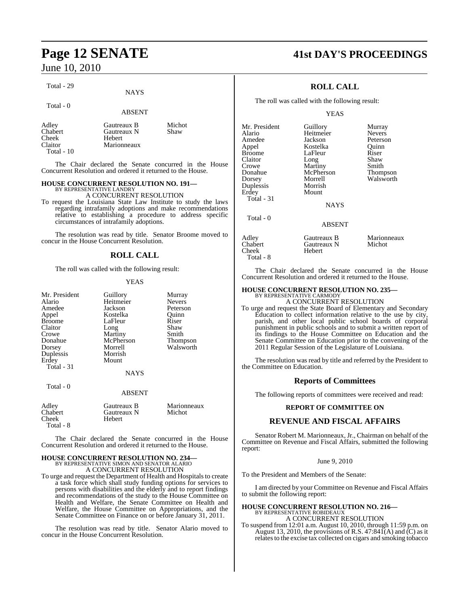Total - 29

Total - 0

## ABSENT

NAYS

| Adley<br>Chabert<br>Cheek<br>Claitor | Gautreaux B<br>Gautreaux N<br>Hebert<br>Marionneaux | Michot<br>Shaw |
|--------------------------------------|-----------------------------------------------------|----------------|
| Total $-10$                          |                                                     |                |

The Chair declared the Senate concurred in the House Concurrent Resolution and ordered it returned to the House.

#### **HOUSE CONCURRENT RESOLUTION NO. 191—** BY REPRESENTATIVE LANDRY

A CONCURRENT RESOLUTION

To request the Louisiana State Law Institute to study the laws regarding intrafamily adoptions and make recommendations relative to establishing a procedure to address specific circumstances of intrafamily adoptions.

The resolution was read by title. Senator Broome moved to concur in the House Concurrent Resolution.

## **ROLL CALL**

The roll was called with the following result:

#### YEAS

| Mr. President<br>Alario<br>Amedee<br>Appel<br><b>Broome</b><br>Claitor<br>Crowe<br>Donahue<br>Dorsey<br>Duplessis<br>Erdey<br>Total - 31 | Guillory<br>Heitmeier<br>Jackson<br>Kostelka<br>LaFleur<br>Long<br>Martiny<br>McPherson<br>Morrell<br>Morrish<br>Mount | Murray<br><b>Nevers</b><br>Peterson<br>Ouinn<br>Riser<br>Shaw<br>Smith<br>Thompson<br>Walsworth |
|------------------------------------------------------------------------------------------------------------------------------------------|------------------------------------------------------------------------------------------------------------------------|-------------------------------------------------------------------------------------------------|
| Total - 0                                                                                                                                | <b>NAYS</b><br><b>ABSENT</b>                                                                                           |                                                                                                 |
| Adley<br>Chabert<br>Cheek<br>Total - 8                                                                                                   | Gautreaux B<br>Gautreaux N<br>Hebert                                                                                   | Marionneaux<br>Michot                                                                           |

The Chair declared the Senate concurred in the House Concurrent Resolution and ordered it returned to the House.

## **HOUSE CONCURRENT RESOLUTION NO. 234—** BY REPRESENTATIVE SIMON AND SENATOR ALARIO A CONCURRENT RESOLUTION

To urge and request the Department of Health and Hospitals to create a task force which shall study funding options for services to persons with disabilities and the elderly and to report findings and recommendations of the study to the House Committee on Health and Welfare, the Senate Committee on Health and Welfare, the House Committee on Appropriations, and the Senate Committee on Finance on or before January 31, 2011.

The resolution was read by title. Senator Alario moved to concur in the House Concurrent Resolution.

# **Page 12 SENATE 41st DAY'S PROCEEDINGS**

## **ROLL CALL**

The roll was called with the following result:

#### YEAS

| Mr. President | Guillory      | Murray          |
|---------------|---------------|-----------------|
| Alario        | Heitmeier     | <b>Nevers</b>   |
| Amedee        | Jackson       | Peterson        |
| Appel         | Kostelka      | Ouinn           |
| <b>Broome</b> | LaFleur       | Riser           |
| Claitor       | Long          | Shaw            |
| Crowe         | Martiny       | Smith           |
| Donahue       | McPherson     | <b>Thompson</b> |
| Dorsey        | Morrell       | Walsworth       |
| Duplessis     | Morrish       |                 |
| Erdey         | Mount         |                 |
| Total - 31    |               |                 |
|               | <b>NAYS</b>   |                 |
| Total - 0     |               |                 |
|               | <b>ABSENT</b> |                 |
| Adley         | Gautreaux B   | Marionneaux     |
| Chabert       | Gautreaux N   | Michot          |

Total - 8

Chabert Gautreaux N Michot Hebert

The Chair declared the Senate concurred in the House Concurrent Resolution and ordered it returned to the House.

## **HOUSE CONCURRENT RESOLUTION NO. 235—**

BY REPRESENTATIVE CARMODY A CONCURRENT RESOLUTION

To urge and request the State Board of Elementary and Secondary Education to collect information relative to the use by city, parish, and other local public school boards of corporal punishment in public schools and to submit a written report of its findings to the House Committee on Education and the Senate Committee on Education prior to the convening of the 2011 Regular Session of the Legislature of Louisiana.

The resolution was read by title and referred by the President to the Committee on Education.

#### **Reports of Committees**

The following reports of committees were received and read:

#### **REPORT OF COMMITTEE ON**

### **REVENUE AND FISCAL AFFAIRS**

Senator Robert M. Marionneaux, Jr., Chairman on behalf of the Committee on Revenue and Fiscal Affairs, submitted the following report:

#### June 9, 2010

To the President and Members of the Senate:

I am directed by your Committee on Revenue and Fiscal Affairs to submit the following report:

# **HOUSE CONCURRENT RESOLUTION NO. 216—** BY REPRESENTATIVE ROBIDEAUX A CONCURRENT RESOLUTION

To suspend from 12:01 a.m. August 10, 2010, through 11:59 p.m. on August 13, 2010, the provisions of R.S.  $47:84\tilde{I}(A)$  and  $\tilde{C}$  as it relates to the excise tax collected on cigars and smoking tobacco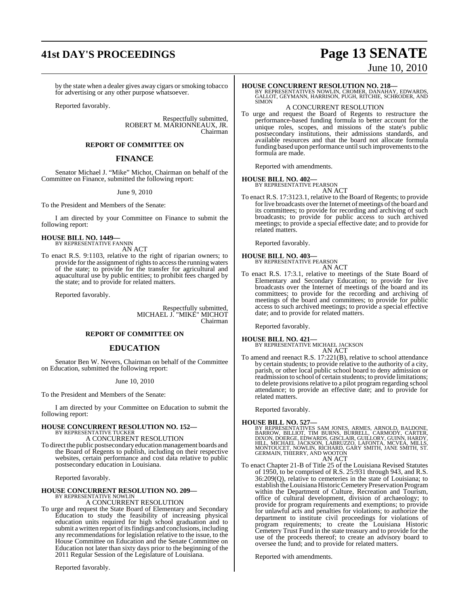# **41st DAY'S PROCEEDINGS Page 13 SENATE**

by the state when a dealer gives away cigars or smoking tobacco for advertising or any other purpose whatsoever.

Reported favorably.

Respectfully submitted, ROBERT M. MARIONNEAUX, JR. Chairman

#### **REPORT OF COMMITTEE ON**

#### **FINANCE**

Senator Michael J. "Mike" Michot, Chairman on behalf of the Committee on Finance, submitted the following report:

#### June 9, 2010

To the President and Members of the Senate:

I am directed by your Committee on Finance to submit the following report:

# **HOUSE BILL NO. 1449—** BY REPRESENTATIVE FANNIN

AN ACT

To enact R.S. 9:1103, relative to the right of riparian owners; to provide for the assignment of rights to access the running waters of the state; to provide for the transfer for agricultural and aquacultural use by public entities; to prohibit fees charged by the state; and to provide for related matters.

Reported favorably.

Respectfully submitted, MICHAEL J. "MIKE" MICHOT Chairman

## **REPORT OF COMMITTEE ON**

### **EDUCATION**

Senator Ben W. Nevers, Chairman on behalf of the Committee on Education, submitted the following report:

#### June 10, 2010

To the President and Members of the Senate:

I am directed by your Committee on Education to submit the following report:

# **HOUSE CONCURRENT RESOLUTION NO. 152—** BY REPRESENTATIVE TUCKER A CONCURRENT RESOLUTION

To direct the public postsecondary education management boards and the Board of Regents to publish, including on their respective websites, certain performance and cost data relative to public postsecondary education in Louisiana.

Reported favorably.

## **HOUSE CONCURRENT RESOLUTION NO. 209—**

BY REPRESENTATIVE NOWLIN A CONCURRENT RESOLUTION

To urge and request the State Board of Elementary and Secondary Education to study the feasibility of increasing physical education units required for high school graduation and to submit a written report of its findings and conclusions, including any recommendations for legislation relative to the issue, to the House Committee on Education and the Senate Committee on Education not later than sixty days prior to the beginning of the 2011 Regular Session of the Legislature of Louisiana.

Reported favorably.

# June 10, 2010

**HOUSE CONCURRENT RESOLUTION NO. 218—**<br>BY REPRESENTATIVES NOWLIN, CROMER, DANAHAY, EDWARDS,<br>GALLOT, GEYMANN, HARRISON, PUGH, RITCHIE, SCHRODER, AND<br>SIMON

### A CONCURRENT RESOLUTION

To urge and request the Board of Regents to restructure the performance-based funding formula to better account for the unique roles, scopes, and missions of the state's public postsecondary institutions, their admissions standards, and available resources and that the board not allocate formula funding based upon performance until such improvements to the formula are made.

Reported with amendments.

#### **HOUSE BILL NO. 402—**

BY REPRESENTATIVE PEARSON

AN ACT To enact R.S. 17:3123.1, relative to the Board of Regents; to provide for live broadcasts over the Internet of meetings of the board and its committees; to provide for recording and archiving of such broadcasts; to provide for public access to such archived meetings; to provide a special effective date; and to provide for related matters.

Reported favorably.

#### **HOUSE BILL NO. 403—**

BY REPRESENTATIVE PEARSON AN ACT

To enact R.S. 17:3.1, relative to meetings of the State Board of Elementary and Secondary Education; to provide for live broadcasts over the Internet of meetings of the board and its committees; to provide for the recording and archiving of meetings of the board and committees; to provide for public access to such archived meetings; to provide a special effective date; and to provide for related matters.

Reported favorably.

**HOUSE BILL NO. 421—** BY REPRESENTATIVE MICHAEL JACKSON AN ACT

To amend and reenact R.S. 17:221(B), relative to school attendance by certain students; to provide relative to the authority of a city, parish, or other local public school board to deny admission or readmission to school of certain students; to provide limitations; to delete provisions relative to a pilot program regarding school attendance; to provide an effective date; and to provide for related matters.

Reported favorably.

- **HOUSE BILL NO. 527—**<br>BY REPRESENTATIVES SAM JONES, ARMES, ARNOLD, BALDONE,<br>BARROW, BILLIOT, TIM BURNS, BURRELL, CARMODY, CARTER,<br>DIXON, DOERGE, EDWARDS, GISCLAIR, GUILLORY, GUINN, HARDY,<br>HILL, MICHAEL JACKSON, LABRUZZO, L AN ACT
- To enact Chapter 21-B of Title 25 of the Louisiana Revised Statutes of 1950, to be comprised of R.S. 25:931 through 943, and R.S. 36:209(Q), relative to cemeteries in the state of Louisiana; to establish the Louisiana Historic Cemetery Preservation Program within the Department of Culture, Recreation and Tourism, office of cultural development, division of archaeology; to provide for program requirements and exemptions; to provide for unlawful acts and penalties for violations; to authorize the department to institute civil proceedings for violations of program requirements; to create the Louisiana Historic Cemetery Trust Fund in the state treasury and to provide for the use of the proceeds thereof; to create an advisory board to oversee the fund; and to provide for related matters.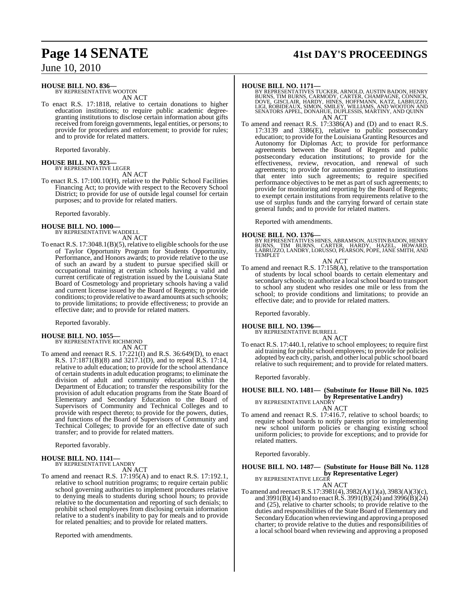# **HOUSE BILL NO. 836—** BY REPRESENTATIVE WOOTON

AN ACT

To enact R.S. 17:1818, relative to certain donations to higher education institutions; to require public academic degreegranting institutions to disclose certain information about gifts received from foreign governments, legal entities, or persons; to provide for procedures and enforcement; to provide for rules; and to provide for related matters.

Reported favorably.

#### **HOUSE BILL NO. 923—** BY REPRESENTATIVE LEGER

AN ACT

To enact R.S. 17:100.10(H), relative to the Public School Facilities Financing Act; to provide with respect to the Recovery School District; to provide for use of outside legal counsel for certain purposes; and to provide for related matters.

Reported favorably.

#### **HOUSE BILL NO. 1000—** BY REPRESENTATIVE WADDELL

AN ACT

To enact R.S.  $17:3048.1(B)(5)$ , relative to eligible schools for the use of Taylor Opportunity Program for Students Opportunity, Performance, and Honors awards; to provide relative to the use of such an award by a student to pursue specified skill or occupational training at certain schools having a valid and current certificate of registration issued by the Louisiana State Board of Cosmetology and proprietary schools having a valid and current license issued by the Board of Regents; to provide conditions; to provide relative to award amounts at such schools; to provide limitations; to provide effectiveness; to provide an effective date; and to provide for related matters.

Reported favorably.

# **HOUSE BILL NO. 1055—** BY REPRESENTATIVE RICHMOND

AN ACT To amend and reenact R.S. 17:221(I) and R.S. 36:649(D), to enact R.S. 17:1871(B)(8) and 3217.1(D), and to repeal R.S. 17:14, relative to adult education; to provide for the school attendance of certain students in adult education programs; to eliminate the division of adult and community education within the Department of Education; to transfer the responsibility for the provision of adult education programs from the State Board of Elementary and Secondary Education to the Board of Supervisors of Community and Technical Colleges and to provide with respect thereto; to provide for the powers, duties, and functions of the Board of Supervisors of Community and Technical Colleges; to provide for an effective date of such transfer; and to provide for related matters.

Reported favorably.

#### **HOUSE BILL NO. 1141—** BY REPRESENTATIVE LANDRY

AN ACT

To amend and reenact R.S. 17:195(A) and to enact R.S. 17:192.1, relative to school nutrition programs; to require certain public school governing authorities to implement procedures relative to denying meals to students during school hours; to provide relative to the documentation and reporting of such denials; to prohibit school employees from disclosing certain information relative to a student's inability to pay for meals and to provide for related penalties; and to provide for related matters.

Reported with amendments.

# **Page 14 SENATE 41st DAY'S PROCEEDINGS**

**HOUSE BILL NO. 1171—**<br>BY REPRESENTATIVES TUCKER, ARNOLD, AUSTIN BADON, HENRY<br>BURNS, TIM BURNS, CARMODY, CARTER, CHAMPAGNE, CONNICK,<br>DOVE, GISCLAIR, HARDY, HINES, HOFFMANN, KATZ, LABRUZZO,<br>LIGI, ROBIDEAUX, SIMON, SMILEY, W AN ACT

To amend and reenact R.S. 17:3386(A) and (D) and to enact R.S. 17:3139 and 3386(E), relative to public postsecondary education; to provide for the Louisiana Granting Resources and Autonomy for Diplomas Act; to provide for performance agreements between the Board of Regents and public postsecondary education institutions; to provide for the effectiveness, review, revocation, and renewal of such agreements; to provide for autonomies granted to institutions that enter into such agreements; to require specified performance objectives to be met as part of such agreements; to provide for monitoring and reporting by the Board of Regents; to exempt certain institutions from requirements relative to the use of surplus funds and the carrying forward of certain state general funds; and to provide for related matters.

Reported with amendments.

**HOUSE BILL NO. 1376—**<br>BY REPRESENTATIVES HINES, ABRAMSON, AUSTIN BADON, HENRY<br>BURNS, TIM BURNS, CARTER, HARDY, HAZEL, HOWARD,<br>LABRUZZO, LANDRY, LORUSSO, PEARSON, POPE, JANE SMITH, AND TEMPLET

AN ACT

To amend and reenact R.S. 17:158(A), relative to the transportation of students by local school boards to certain elementary and secondary schools; to authorize a local school board to transport to school any student who resides one mile or less from the school; to provide conditions and limitations; to provide an effective date; and to provide for related matters.

Reported favorably.

### **HOUSE BILL NO. 1396—**

BY REPRESENTATIVE BURRELL AN ACT

To enact R.S. 17:440.1, relative to school employees; to require first aid training for public school employees; to provide for policies adopted by each city, parish, and other local public school board relative to such requirement; and to provide for related matters.

Reported favorably.

## **HOUSE BILL NO. 1481— (Substitute for House Bill No. 1025 by Representative Landry)**<br>BY REPRESENTATIVE LANDRY

AN ACT

To amend and reenact R.S. 17:416.7, relative to school boards; to require school boards to notify parents prior to implementing new school uniform policies or changing existing school uniform policies; to provide for exceptions; and to provide for related matters.

Reported favorably.

## **HOUSE BILL NO. 1487— (Substitute for House Bill No. 1128 by Representative Leger)**<br>BY REPRESENTATIVE LEGER

AN ACT

To amend and reenact R.S.17:3981(4), 3982(A)(1)(a), 3983(A)(3)(c), and 3991(B)(14) and to enact R.S. 3991(B)(24) and 3996(B)(24) and (25), relative to charter schools; to provide relative to the duties and responsibilities of the State Board of Elementary and SecondaryEducation when reviewing and approving a proposed charter; to provide relative to the duties and responsibilities of a local school board when reviewing and approving a proposed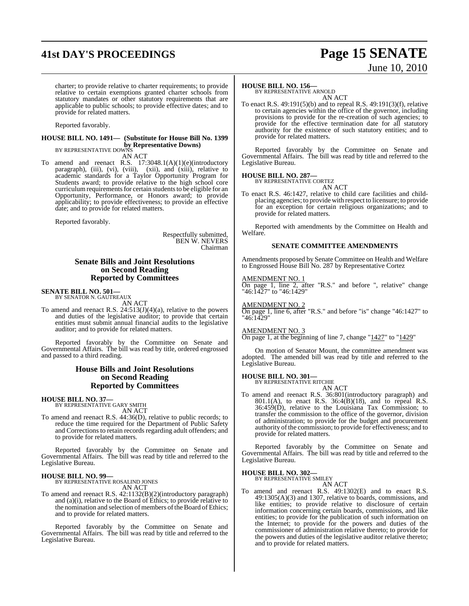# **41st DAY'S PROCEEDINGS Page 15 SENATE**

# June 10, 2010

charter; to provide relative to charter requirements; to provide relative to certain exemptions granted charter schools from statutory mandates or other statutory requirements that are applicable to public schools; to provide effective dates; and to provide for related matters.

Reported favorably.

#### **HOUSE BILL NO. 1491— (Substitute for House Bill No. 1399 by Representative Downs)** BY REPRESENTATIVE DOWNS

AN ACT

To amend and reenact R.S. 17:3048.1(A)(1)(e)(introductory paragraph), (iii), (vi), (viii), (xiii), and (xiii), relative to academic standards for a Taylor Opportunity Program for Students award; to provide relative to the high school core curriculum requirements for certain students to be eligible for an Opportunity, Performance, or Honors award; to provide applicability; to provide effectiveness; to provide an effective date; and to provide for related matters.

Reported favorably.

Respectfully submitted, BEN W. NEVERS Chairman

#### **Senate Bills and Joint Resolutions on Second Reading Reported by Committees**

# **SENATE BILL NO. 501—** BY SENATOR N. GAUTREAUX

AN ACT

To amend and reenact R.S.  $24:513(J)(4)(a)$ , relative to the powers and duties of the legislative auditor; to provide that certain entities must submit annual financial audits to the legislative auditor; and to provide for related matters.

Reported favorably by the Committee on Senate and Governmental Affairs. The bill was read by title, ordered engrossed and passed to a third reading.

#### **House Bills and Joint Resolutions on Second Reading Reported by Committees**

**HOUSE BILL NO. 37—** BY REPRESENTATIVE GARY SMITH

AN ACT

To amend and reenact R.S. 44:36(D), relative to public records; to reduce the time required for the Department of Public Safety and Corrections to retain records regarding adult offenders; and to provide for related matters.

Reported favorably by the Committee on Senate and Governmental Affairs. The bill was read by title and referred to the Legislative Bureau.

#### **HOUSE BILL NO. 99—**

BY REPRESENTATIVE ROSALIND JONES AN ACT

To amend and reenact R.S. 42:1132(B)(2)(introductory paragraph) and (a)(i), relative to the Board of Ethics; to provide relative to the nomination and selection of members of the Board of Ethics; and to provide for related matters.

Reported favorably by the Committee on Senate and Governmental Affairs. The bill was read by title and referred to the Legislative Bureau.

#### **HOUSE BILL NO. 156—**

BY REPRESENTATIVE ARNOLD AN ACT

To enact R.S. 49:191(5)(b) and to repeal R.S. 49:191(3)(f), relative to certain agencies within the office of the governor, including provisions to provide for the re-creation of such agencies; to provide for the effective termination date for all statutory authority for the existence of such statutory entities; and to provide for related matters.

Reported favorably by the Committee on Senate and Governmental Affairs. The bill was read by title and referred to the Legislative Bureau.

#### **HOUSE BILL NO. 287—**

BY REPRESENTATIVE CORTEZ AN ACT

To enact R.S. 46:1427, relative to child care facilities and childplacing agencies; to provide with respect to licensure; to provide for an exception for certain religious organizations; and to provide for related matters.

Reported with amendments by the Committee on Health and Welfare.

#### **SENATE COMMITTEE AMENDMENTS**

Amendments proposed by Senate Committee on Health and Welfare to Engrossed House Bill No. 287 by Representative Cortez

#### AMENDMENT NO. 1

On page 1, line 2, after "R.S." and before ", relative" change "46:1427" to "46:1429"

#### AMENDMENT NO. 2

On page 1, line 6, after "R.S." and before "is" change "46:1427" to "46:1429"

#### AMENDMENT NO. 3

On page 1, at the beginning of line 7, change "1427" to "1429"

On motion of Senator Mount, the committee amendment was adopted. The amended bill was read by title and referred to the Legislative Bureau.

# **HOUSE BILL NO. 301—** BY REPRESENTATIVE RITCHIE

AN ACT

To amend and reenact R.S. 36:801(introductory paragraph) and 801.1(A), to enact R.S.  $36:4(B)(18)$ , and to repeal R.S. 36:459(D), relative to the Louisiana Tax Commission; to transfer the commission to the office of the governor, division of administration; to provide for the budget and procurement authority of the commission; to provide for effectiveness; and to provide for related matters.

Reported favorably by the Committee on Senate and Governmental Affairs. The bill was read by title and referred to the Legislative Bureau.

#### **HOUSE BILL NO. 302—** BY REPRESENTATIVE SMILEY

AN ACT

To amend and reenact R.S. 49:1302(E) and to enact R.S. 49:1305(A)(3) and 1307, relative to boards, commissions, and like entities; to provide relative to disclosure of certain information concerning certain boards, commissions, and like entities; to provide for the publication of such information on the Internet; to provide for the powers and duties of the commissioner of administration relative thereto; to provide for the powers and duties of the legislative auditor relative thereto; and to provide for related matters.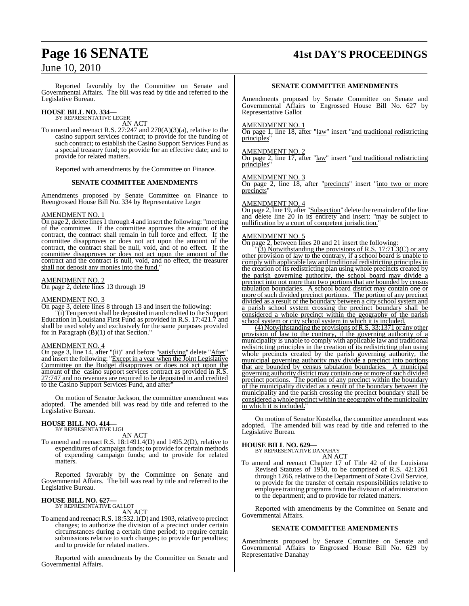Reported favorably by the Committee on Senate and Governmental Affairs. The bill was read by title and referred to the Legislative Bureau.

# **HOUSE BILL NO. 334—** BY REPRESENTATIVE LEGER

AN ACT

To amend and reenact R.S. 27:247 and 270(A)(3)(a), relative to the casino support services contract; to provide for the funding of such contract; to establish the Casino Support Services Fund as a special treasury fund; to provide for an effective date; and to provide for related matters.

Reported with amendments by the Committee on Finance.

#### **SENATE COMMITTEE AMENDMENTS**

Amendments proposed by Senate Committee on Finance to Reengrossed House Bill No. 334 by Representative Leger

#### AMENDMENT NO. 1

On page 2, delete lines 1 through 4 and insert the following: "meeting of the committee. If the committee approves the amount of the contract, the contract shall remain in full force and effect. If the committee disapproves or does not act upon the amount of the contract, the contract shall be null, void, and of no effect. If the committee disapproves or does not act upon the amount of the contract and the contract is null, void, and no effect, the treasurer shall not deposit any monies into the fund.

#### AMENDMENT NO. 2

On page 2, delete lines 13 through 19

#### AMENDMENT NO. 3

On page 3, delete lines 8 through 13 and insert the following:  $\tilde{f}$ (i) Ten percent shall be deposited in and credited to the Support Education in Louisiana First Fund as provided in R.S. 17:421.7 and shall be used solely and exclusively for the same purposes provided for in Paragraph  $(\dot{B})(1)$  of that Section."

#### AMENDMENT NO. 4

On page 3, line 14, after "(ii)" and before "satisfying" delete "After" and insert the following: "Except in a year when the Joint Legislative Committee on the Budget disapproves or does not act upon the amount of the casino support services contract as provided in R.S. 27:747 and no revenues are required to be deposited in and credited to the Casino Support Services Fund, and after"

On motion of Senator Jackson, the committee amendment was adopted. The amended bill was read by title and referred to the Legislative Bureau.

#### **HOUSE BILL NO. 414—** BY REPRESENTATIVE LIGI

AN ACT

To amend and reenact R.S. 18:1491.4(D) and 1495.2(D), relative to expenditures of campaign funds; to provide for certain methods of expending campaign funds; and to provide for related matters.

Reported favorably by the Committee on Senate and Governmental Affairs. The bill was read by title and referred to the Legislative Bureau.

# **HOUSE BILL NO. 627—** BY REPRESENTATIVE GALLOT

AN ACT

To amend and reenact R.S. 18:532.1(D) and 1903, relative to precinct changes; to authorize the division of a precinct under certain circumstances during a certain time period; to require certain submissions relative to such changes; to provide for penalties; and to provide for related matters.

Reported with amendments by the Committee on Senate and Governmental Affairs.

# **Page 16 SENATE 41st DAY'S PROCEEDINGS**

#### **SENATE COMMITTEE AMENDMENTS**

Amendments proposed by Senate Committee on Senate and Governmental Affairs to Engrossed House Bill No. 627 by Representative Gallot

#### AMENDMENT NO. 1

On page 1, line 18, after "law" insert "and traditional redistricting principles"

#### AMENDMENT NO. 2

On page 2, line 17, after "law" insert "and traditional redistricting principles"

#### AMENDMENT NO.

On page 2, line 18, after "precincts" insert "into two or more precincts"

#### AMENDMENT NO. 4

On page 2, line 19, after "Subsection" delete the remainder of the line and delete line 20 in its entirety and insert: "may be subject to nullification by a court of competent jurisdiction.

#### AMENDMENT NO. 5

On page 2, between lines 20 and 21 insert the following:

 $\sqrt{3}$ ) Notwithstanding the provisions of R.S. 17:71.3(C) or any other provision of law to the contrary, if a school board is unable to comply with applicable law and traditional redistricting principles in the creation of its redistricting plan using whole precincts created by the parish governing authority, the school board may divide a precinct into not more than two portions that are bounded by census tabulation boundaries. A school board district may contain one or more of such divided precinct portions. The portion of any precinct divided as a result of the boundary between a city school system and a parish school system crossing the precinct boundary shall be considered a whole precinct within the geography of the parish school system or city school system in which it is included.

(4) Notwithstanding the provisions ofR.S. 33:1371 or any other provision of law to the contrary, if the governing authority of a municipality is unable to comply with applicable law and traditional redistricting principles in the creation of its redistricting plan using whole precincts created by the parish governing authority, the municipal governing authority may divide a precinct into portions that are bounded by census tabulation boundaries. A municipal governing authority district may contain one or more of such divided precinct portions. The portion of any precinct within the boundary of the municipality divided as a result of the boundary between the municipality and the parish crossing the precinct boundary shall be considered a whole precinct within the geography of the municipality in which it is included.

On motion of Senator Kostelka, the committee amendment was adopted. The amended bill was read by title and referred to the Legislative Bureau.

# **HOUSE BILL NO. 629—** BY REPRESENTATIVE DANAHAY

- AN ACT
- To amend and reenact Chapter 17 of Title 42 of the Louisiana Revised Statutes of 1950, to be comprised of R.S. 42:1261 through 1266, relative to the Department of State Civil Service, to provide for the transfer of certain responsibilities relative to employee training programs from the division of administration to the department; and to provide for related matters.

Reported with amendments by the Committee on Senate and Governmental Affairs.

#### **SENATE COMMITTEE AMENDMENTS**

Amendments proposed by Senate Committee on Senate and Governmental Affairs to Engrossed House Bill No. 629 by Representative Danahay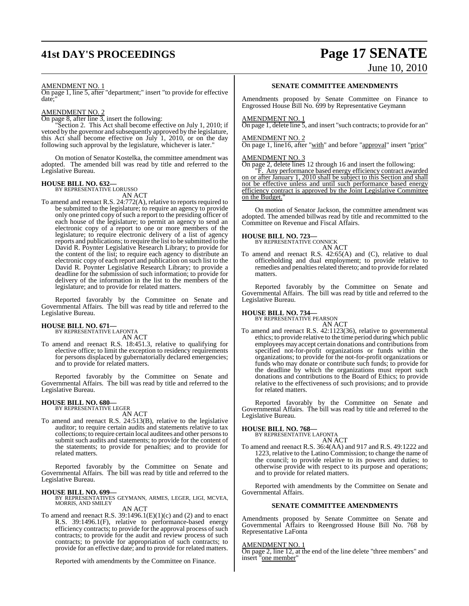# **41st DAY'S PROCEEDINGS Page 17 SENATE**

# June 10, 2010

#### AMENDMENT NO. 1

On page 1, line 5, after "department;" insert "to provide for effective date;"

#### AMENDMENT NO. 2

On page 8, after line 3, insert the following:

"Section 2. This Act shall become effective on July 1, 2010; if vetoed by the governor and subsequently approved by the legislature, this Act shall become effective on July 1, 2010, or on the day following such approval by the legislature, whichever is later."

On motion of Senator Kostelka, the committee amendment was adopted. The amended bill was read by title and referred to the Legislative Bureau.

# **HOUSE BILL NO. 632—** BY REPRESENTATIVE LORUSSO

AN ACT

To amend and reenact R.S. 24:772(A), relative to reports required to be submitted to the legislature; to require an agency to provide only one printed copy of such a report to the presiding officer of each house of the legislature; to permit an agency to send an electronic copy of a report to one or more members of the legislature; to require electronic delivery of a list of agency reports and publications; to require the list to be submitted to the David R. Poynter Legislative Research Library; to provide for the content of the list; to require each agency to distribute an electronic copy of each report and publication on such list to the David R. Poynter Legislative Research Library; to provide a deadline for the submission of such information; to provide for delivery of the information in the list to the members of the legislature; and to provide for related matters.

Reported favorably by the Committee on Senate and Governmental Affairs. The bill was read by title and referred to the Legislative Bureau.

#### **HOUSE BILL NO. 671—** BY REPRESENTATIVE LAFONTA

AN ACT

To amend and reenact R.S. 18:451.3, relative to qualifying for elective office; to limit the exception to residency requirements for persons displaced by gubernatorially declared emergencies; and to provide for related matters.

Reported favorably by the Committee on Senate and Governmental Affairs. The bill was read by title and referred to the Legislative Bureau.

# **HOUSE BILL NO. 680—** BY REPRESENTATIVE LEGER

AN ACT

To amend and reenact R.S. 24:513(B), relative to the legislative auditor; to require certain audits and statements relative to tax collections; to require certain local auditees and other personsto submit such audits and statements; to provide for the content of the statements; to provide for penalties; and to provide for related matters.

Reported favorably by the Committee on Senate and Governmental Affairs. The bill was read by title and referred to the Legislative Bureau.

#### **HOUSE BILL NO. 699—**

BY REPRESENTATIVES GEYMANN, ARMES, LEGER, LIGI, MCVEA, MORRIS, AND SMILEY

## AN ACT

To amend and reenact R.S. 39:1496.1(E)(1)(c) and (2) and to enact R.S. 39:1496.1(F), relative to performance-based energy efficiency contracts; to provide for the approval process of such contracts; to provide for the audit and review process of such contracts; to provide for appropriation of such contracts; to provide for an effective date; and to provide for related matters.

Reported with amendments by the Committee on Finance.

#### **SENATE COMMITTEE AMENDMENTS**

Amendments proposed by Senate Committee on Finance to Engrossed House Bill No. 699 by Representative Geymann

#### AMENDMENT NO. 1

 $\overline{On}$  page 1, delete line 5, and insert "such contracts; to provide for an"

#### AMENDMENT NO. 2

On page 1, line16, after "with" and before "approval" insert "prior"

#### AMENDMENT NO. 3

On page 2, delete lines 12 through 16 and insert the following:

"F. Any performance based energy efficiency contract awarded on or after January 1, 2010 shall be subject to this Section and shall not be effective unless and until such performance based energy efficiency contract is approved by the Joint Legislative Committee on the Budget.'

On motion of Senator Jackson, the committee amendment was adopted. The amended billwas read by title and recommitted to the Committee on Revenue and Fiscal Affairs.

#### **HOUSE BILL NO. 723—**

BY REPRESENTATIVE CONNICK AN ACT

To amend and reenact R.S. 42:65(A) and (C), relative to dual officeholding and dual employment; to provide relative to remedies and penalties related thereto; and to provide for related matters.

Reported favorably by the Committee on Senate and Governmental Affairs. The bill was read by title and referred to the Legislative Bureau.

# **HOUSE BILL NO. 734—** BY REPRESENTATIVE PEARSON

AN ACT

To amend and reenact R.S. 42:1123(36), relative to governmental ethics; to provide relative to the time period during which public employees may accept certain donations and contributions from specified not-for-profit organizations or funds within the organizations; to provide for the not-for-profit organizations or funds who may donate or contribute such funds; to provide for the deadline by which the organizations must report such donations and contributions to the Board of Ethics; to provide relative to the effectiveness of such provisions; and to provide for related matters.

Reported favorably by the Committee on Senate and Governmental Affairs. The bill was read by title and referred to the Legislative Bureau.

# **HOUSE BILL NO. 768—** BY REPRESENTATIVE LAFONTA

AN ACT

To amend and reenact R.S. 36:4(AA) and 917 and R.S. 49:1222 and 1223, relative to the Latino Commission; to change the name of the council; to provide relative to its powers and duties; to otherwise provide with respect to its purpose and operations; and to provide for related matters.

Reported with amendments by the Committee on Senate and Governmental Affairs.

### **SENATE COMMITTEE AMENDMENTS**

Amendments proposed by Senate Committee on Senate and Governmental Affairs to Reengrossed House Bill No. 768 by Representative LaFonta

#### AMENDMENT NO. 1

On page 2, line 12, at the end of the line delete "three members" and insert "one member"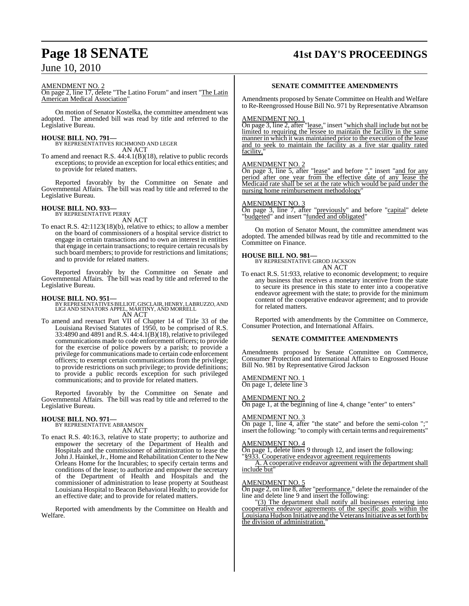#### AMENDMENT NO. 2

On page 2, line 17, delete "The Latino Forum" and insert "The Latin American Medical Association"

On motion of Senator Kostelka, the committee amendment was adopted. The amended bill was read by title and referred to the Legislative Bureau.

**HOUSE BILL NO. 791—** BY REPRESENTATIVES RICHMOND AND LEGER AN ACT

To amend and reenact R.S. 44:4.1(B)(18), relative to public records exceptions; to provide an exception for local ethics entities; and to provide for related matters.

Reported favorably by the Committee on Senate and Governmental Affairs. The bill was read by title and referred to the Legislative Bureau.

#### **HOUSE BILL NO. 933—** BY REPRESENTATIVE PERRY

AN ACT

To enact R.S. 42:1123(18)(b), relative to ethics; to allow a member on the board of commissioners of a hospital service district to engage in certain transactions and to own an interest in entities that engage in certain transactions; to require certain recusals by such board members; to provide for restrictions and limitations; and to provide for related matters.

Reported favorably by the Committee on Senate and Governmental Affairs. The bill was read by title and referred to the Legislative Bureau.

**HOUSE BILL NO. 951—** BY REPRESENTATIVES BILLIOT, GISCLAIR, HENRY, LABRUZZO, AND LIGI AND SENATORS APPEL, MARTINY, AND MORRELL AN ACT

To amend and reenact Part VII of Chapter 14 of Title 33 of the Louisiana Revised Statutes of 1950, to be comprised of R.S. 33:4890 and 4891 and R.S. 44:4.1(B)(18), relative to privileged communications made to code enforcement officers; to provide for the exercise of police powers by a parish; to provide a privilege for communications made to certain code enforcement officers; to exempt certain communications from the privilege; to provide restrictions on such privilege; to provide definitions; to provide a public records exception for such privileged communications; and to provide for related matters.

Reported favorably by the Committee on Senate and Governmental Affairs. The bill was read by title and referred to the Legislative Bureau.

# **HOUSE BILL NO. 971—** BY REPRESENTATIVE ABRAMSON

AN ACT

To enact R.S. 40:16.3, relative to state property; to authorize and empower the secretary of the Department of Health and Hospitals and the commissioner of administration to lease the John J. Hainkel, Jr., Home and Rehabilitation Center to the New Orleans Home for the Incurables; to specify certain terms and conditions of the lease; to authorize and empower the secretary of the Department of Health and Hospitals and the commissioner of administration to lease property at Southeast Louisiana Hospital to Beacon Behavioral Health; to provide for an effective date; and to provide for related matters.

Reported with amendments by the Committee on Health and Welfare.

# **Page 18 SENATE 41st DAY'S PROCEEDINGS**

#### **SENATE COMMITTEE AMENDMENTS**

Amendments proposed by Senate Committee on Health and Welfare to Re-Reengrossed House Bill No. 971 by Representative Abramson

#### AMENDMENT NO. 1

On page 3, line 2, after "lease," insert "which shall include but not be limited to requiring the lessee to maintain the facility in the same manner in which it was maintained prior to the execution of the lease and to seek to maintain the facility as a five star quality rated facility,

#### AMENDMENT NO. 2

On page 3, line 5, after "lease" and before "," insert "and for any period after one year from the effective date of any lease the Medicaid rate shall be set at the rate which would be paid under the nursing home reimbursement methodology'

#### AMENDMENT NO. 3

On page 3, line 7, after "previously" and before "capital" delete "budgeted" and insert "funded and obligated"

On motion of Senator Mount, the committee amendment was adopted. The amended billwas read by title and recommitted to the Committee on Finance.

**HOUSE BILL NO. 981—** BY REPRESENTATIVE GIROD JACKSON AN ACT

To enact R.S. 51:933, relative to economic development; to require any business that receives a monetary incentive from the state to secure its presence in this state to enter into a cooperative endeavor agreement with the state; to provide for the minimum content of the cooperative endeavor agreement; and to provide for related matters.

Reported with amendments by the Committee on Commerce, Consumer Protection, and International Affairs.

#### **SENATE COMMITTEE AMENDMENTS**

Amendments proposed by Senate Committee on Commerce, Consumer Protection and International Affairs to Engrossed House Bill No. 981 by Representative Girod Jackson

## AMENDMENT NO. 1

On page 1, delete line 3

### AMENDMENT NO. 2

On page 1, at the beginning of line 4, change "enter" to enters"

#### AMENDMENT NO. 3

On page 1, line 4, after "the state" and before the semi-colon ";" insert the following: "to complywith certain terms and requirements"

#### AMENDMENT NO. 4

On page 1, delete lines 9 through 12, and insert the following: "§933. Cooperative endeavor agreement requirements

A. A cooperative endeavor agreement with the department shall include but"

#### AMENDMENT NO. 5

On page 2, on line 8, after "performance." delete the remainder of the line and delete line 9 and insert the following:

"(3) The department shall notify all businesses entering into cooperative endeavor agreements of the specific goals within the Louisiana Hudson Initiative and the Veterans Initiative as set forth by the division of administration."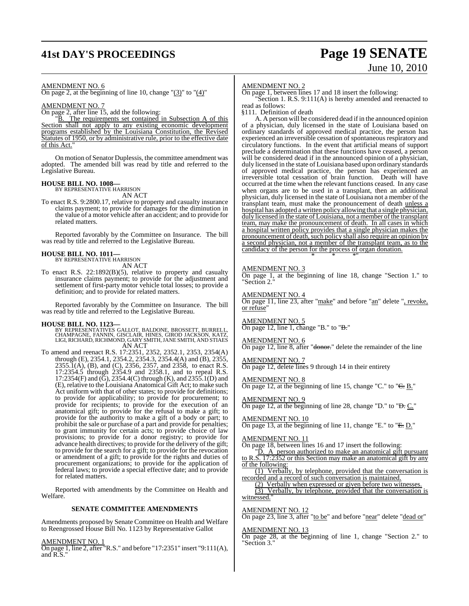# **41st DAY'S PROCEEDINGS Page 19 SENATE**

# June 10, 2010

AMENDMENT NO. 6

On page 2, at the beginning of line 10, change " $(3)$ " to " $(4)$ "

AMENDMENT NO. 7

On page 2, after line 15, add the following:

"B. The requirements set contained in Subsection A of this Section shall not apply to any existing economic development programs established by the Louisiana Constitution, the Revised Statutes of 1950, or by administrative rule, prior to the effective date of this Act."

On motion of Senator Duplessis, the committee amendment was adopted. The amended bill was read by title and referred to the Legislative Bureau.

#### **HOUSE BILL NO. 1008—**

BY REPRESENTATIVE HARRISON AN ACT

To enact R.S. 9:2800.17, relative to property and casualty insurance claims payment; to provide for damages for the diminution in the value of a motor vehicle after an accident; and to provide for related matters.

Reported favorably by the Committee on Insurance. The bill was read by title and referred to the Legislative Bureau.

#### **HOUSE BILL NO. 1011—**

BY REPRESENTATIVE HARRISON AN ACT

To enact R.S. 22:1892(B)(5), relative to property and casualty insurance claims payment; to provide for the adjustment and settlement of first-party motor vehicle total losses; to provide a definition; and to provide for related matters.

Reported favorably by the Committee on Insurance. The bill was read by title and referred to the Legislative Bureau.

- **HOUSE BILL NO. 1123—**<br>BY REPRESENTATIVES GALLOT, BALDONE, BROSSETT, BURRELL,<br>CHAMPAGNE, FANNIN, GISCLAIR, HINES, GIROD JACKSON, KATZ,<br>LIGI, RICHARD, RICHMOND, GARY SMITH, JANE SMITH, AND STIAES AN ACT
- To amend and reenact R.S. 17:2351, 2352, 2352.1, 2353, 2354(A) through (E), 2354.1, 2354.2, 2354.3, 2354.4(A) and (B), 2355, 2355.1(A), (B), and (C), 2356, 2357, and 2358, to enact R.S. 17:2354.5 through 2354.9 and 2358.1, and to repeal R.S. 17:2354(F) and ( $\ddot{G}$ ), 2354.4(C) through (K), and 2355.1(D) and (E), relative to the Louisiana Anatomical Gift Act; to make such Act uniform with that of other states; to provide for definitions; to provide for applicability; to provide for procurement; to provide for recipients; to provide for the execution of an anatomical gift; to provide for the refusal to make a gift; to provide for the authority to make a gift of a body or part; to prohibit the sale or purchase of a part and provide for penalties; to grant immunity for certain acts; to provide choice of law provisions; to provide for a donor registry; to provide for advance health directives; to provide for the delivery of the gift; to provide for the search for a gift; to provide for the revocation or amendment of a gift; to provide for the rights and duties of procurement organizations; to provide for the application of federal laws; to provide a special effective date; and to provide for related matters.

Reported with amendments by the Committee on Health and Welfare.

#### **SENATE COMMITTEE AMENDMENTS**

Amendments proposed by Senate Committee on Health and Welfare to Reengrossed House Bill No. 1123 by Representative Gallot

AMENDMENT NO. 1

On page 1, line 2, after "R.S." and before "17:2351" insert "9:111(A), and R.S."

#### AMENDMENT NO. 2

On page 1, between lines 17 and 18 insert the following: "Section 1. R.S. 9:111(A) is hereby amended and reenacted to

read as follows: §111. Definition of death

A. A person will be considered dead if in the announced opinion of a physician, duly licensed in the state of Louisiana based on ordinary standards of approved medical practice, the person has experienced an irreversible cessation of spontaneous respiratory and circulatory functions. In the event that artificial means of support preclude a determination that these functions have ceased, a person will be considered dead if in the announced opinion of a physician, duly licensed in the state of Louisiana based upon ordinary standards of approved medical practice, the person has experienced an irreversible total cessation of brain function. Death will have occurred at the time when the relevant functions ceased. In any case when organs are to be used in a transplant, then an additional physician, duly licensed in the state of Louisiana not a member of the transplant team, must make the pronouncement of death unless a hospital has adopted a written policy allowing that a single physician, duly licensed in the state of Louisiana, not a member of the transplant team, may make the pronouncement of death. In all cases in which a hospital written policy provides that a single physician makes the pronouncement of death, such policy shall also require an opinion by a second physician, not a member of the transplant team, as to the candidacy of the person for the process of organ donation. \* \* \*"

#### AMENDMENT NO. 3

On page 1, at the beginning of line 18, change "Section 1." to "Section 2."

#### AMENDMENT NO. 4

On page 11, line 23, after "make" and before "an" delete ", revoke, or refuse'

#### AMENDMENT NO. 5

On page 12, line 1, change "B." to "B."

AMENDMENT NO. 6

On page 12, line 8, after "<del>donor.</del>" delete the remainder of the line

AMENDMENT NO. 7 On page 12, delete lines 9 through 14 in their entirety

#### AMENDMENT NO. 8

On page 12, at the beginning of line 15, change "C." to " $\leftarrow$  B."

#### AMENDMENT NO. 9

On page 12, at the beginning of line 28, change "D." to "<del>D.</del> C."

#### AMENDMENT NO. 10

On page 13, at the beginning of line 11, change "E." to "E. D."

#### AMENDMENT NO. 11

On page 18, between lines 16 and 17 insert the following: "D. A person authorized to make an anatomical gift pursuant to R.S. 17:2352 or this Section may make an anatomical gift by any of the following:

(1) Verbally, by telephone, provided that the conversation is recorded and a record of such conversation is maintained.

(2) Verbally when expressed or given before two witnesses.

(3) Verbally, by telephone, provided that the conversation is witnessed."

### AMENDMENT NO. 12

On page 23, line 3, after "to be" and before "near" delete "dead or"

#### AMENDMENT NO. 13

On page 28, at the beginning of line 1, change "Section 2." to "Section 3."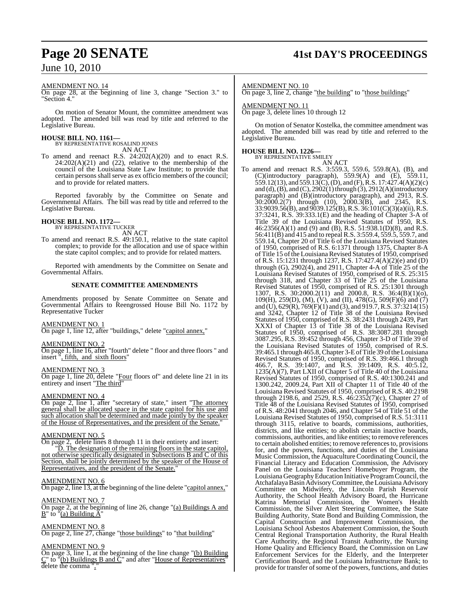#### AMENDMENT NO. 14

On page 28, at the beginning of line 3, change "Section 3." to "Section 4."

On motion of Senator Mount, the committee amendment was adopted. The amended bill was read by title and referred to the Legislative Bureau.

# **HOUSE BILL NO. 1161—** BY REPRESENTATIVE ROSALIND JONES

AN ACT

To amend and reenact R.S. 24:202(A)(20) and to enact R.S.  $24:202(A)(21)$  and  $(22)$ , relative to the membership of the council of the Louisiana State Law Institute; to provide that certain persons shall serve as ex officio members of the council; and to provide for related matters.

Reported favorably by the Committee on Senate and Governmental Affairs. The bill was read by title and referred to the Legislative Bureau.

# **HOUSE BILL NO. 1172—** BY REPRESENTATIVE TUCKER

AN ACT

To amend and reenact R.S. 49:150.1, relative to the state capitol complex; to provide for the allocation and use of space within the state capitol complex; and to provide for related matters.

Reported with amendments by the Committee on Senate and Governmental Affairs.

#### **SENATE COMMITTEE AMENDMENTS**

Amendments proposed by Senate Committee on Senate and Governmental Affairs to Reengrossed House Bill No. 1172 by Representative Tucker

#### AMENDMENT NO. 1

On page 1, line 12, after "buildings," delete "capitol annex,"

#### AMENDMENT NO. 2

On page 1, line 16, after "fourth" delete " floor and three floors " and insert ", fifth, and sixth floors"

#### AMENDMENT NO. 3

On page 1, line 20, delete "Four floors of" and delete line 21 in its entirety and insert "The third"

#### AMENDMENT NO. 4

On page 2, line 1, after "secretary of state," insert "The attorney general shall be allocated space in the state capitol for his use and such allocation shall be determined and made jointly by the speaker of the House of Representatives, and the president of the Senate."

#### AMENDMENT NO. 5

On page 2, delete lines 8 through 11 in their entirety and insert:

"D. The designation of the remaining floors in the state capitol, not otherwise specifically designated in Subsections B and C of this Section, shall be jointly determined by the speaker of the House of Representatives, and the president of the Senate."

#### AMENDMENT NO. 6

On page 2, line 13, at the beginning of the line delete "capitol annex,"

#### AMENDMENT NO. 7

On page 2, at the beginning of line 26, change "(a) Buildings A and  $B''$  to "(a) Building  $\tilde{A}$ "

#### AMENDMENT NO. 8

On page 2, line 27, change "those buildings" to "that building"

#### AMENDMENT NO. 9

On page 3, line 1, at the beginning of the line change "(b) Building C" to "(b) Buildings B and C" and after "House of Representatives" delete the comma ","

# **Page 20 SENATE 41st DAY'S PROCEEDINGS**

#### AMENDMENT NO. 10

On page 3, line 2, change "the building" to "those buildings"

#### AMENDMENT NO. 11 On page 3, delete lines 10 through 12

On motion of Senator Kostelka, the committee amendment was adopted. The amended bill was read by title and referred to the Legislative Bureau.

#### **HOUSE BILL NO. 1226—**

BY REPRESENTATIVE SMILEY

## AN ACT

To amend and reenact R.S. 3:559.3, 559.6, 559.8(A), (B), and (C)(introductory paragraph), 559.9(A) and (E), 559.11, 559.12(13), and 559.13(C), (D), and (F), R.S. 17:427.4(A)(2)(c) and (d),  $(B)$ , and  $(C)$ ,  $2902(1)$  through  $(3)$ ,  $2912(A)$ (introductory paragraph) and (B)(introductory paragraph), and 2913, R.S. 30:2000.2(7) through (10), 2000.3(B), and 2345, R.S. 33:9039.56(B), and 9039.125(B),R.S. 36:101(C)(3)(a)(ii), R.S. 37:3241, R.S. 39:333.1(E) and the heading of Chapter 3-A of Title 39 of the Louisiana Revised Statutes of 1950, R.S. 46:2356(A)(1) and (9) and (B), R.S. 51:938.1(D)(8), and R.S. 56:411(B) and 415 and to repeal R.S. 3:559.4, 559.5, 559.7, and 559.14, Chapter 20 of Title 6 of the Louisiana Revised Statutes of 1950, comprised of R.S. 6:1371 through 1375, Chapter 8-A of Title 15 of the Louisiana Revised Statutes of 1950, comprised of R.S. 15:1231 through 1237, R.S. 17:427.4(A)(2)(e) and (D) through (G),  $2902(4)$ , and  $2911$ , Chapter 4-A of Title 25 of the Louisiana Revised Statutes of 1950, comprised of R.S. 25:315 through 318, and Chapter 33 of Title 25 of the Louisiana Revised Statutes of 1950, comprised of R.S. 25:1301 through 1307, R.S. 30:2000.2(11) and 2000.8, R.S. 36:4(B)(1)(o), 109(H), 259(D), (M), (V), and (II), 478(G), 509(F)(6) and (7) and (U), 629(R), 769(F)(1) and (3), and 919.7,R.S. 37:3214(15) and 3242, Chapter 12 of Title 38 of the Louisiana Revised Statutes of 1950, comprised of R.S. 38:2431 through 2439, Part XXXI of Chapter 13 of Title 38 of the Louisiana Revised Statutes of 1950, comprised of R.S. 38:3087.281 through 3087.295, R.S. 39:452 through 456, Chapter 3-D of Title 39 of the Louisiana Revised Statutes of 1950, comprised of R.S. 39:465.1 through 465.8,Chapter 3-EofTitle 39 oftheLouisiana Revised Statutes of 1950, comprised of R.S. 39:466.1 through 466.7, R.S. 39:1407, and R.S. 39:1409, R.S. 40:5.12, 1235(A)(7), Part LXII of Chapter 5 of Title 40 of the Louisiana Revised Statutes of 1950, comprised of R.S. 40:1300.241 and 1300.242, 2009.24, Part XII of Chapter 11 of Title 40 of the Louisiana Revised Statutes of 1950, comprised of R.S. 40:2198 through 2198.6, and 2529, R.S.  $46:2352(7)(c)$ , Chapter 27 of Title 48 of the Louisiana Revised Statutes of 1950, comprised of R.S. 48:2041 through 2046, and Chapter 54 of Title 51 of the Louisiana Revised Statutes of 1950, comprised of R.S. 51:3111 through 3115, relative to boards, commissions, authorities, districts, and like entities; to abolish certain inactive boards, commissions, authorities, and like entities; to remove references to certain abolished entities; to remove references to, provisions for, and the powers, functions, and duties of the Louisiana Music Commission, the Aquaculture Coordinating Council, the Financial Literacy and Education Commission, the Advisory Panel on the Louisiana Teachers' Homebuyer Program, the Louisiana GeographyEducation Initiative ProgramCouncil, the Atchafalaya Basin Advisory Committee, the Louisiana Advisory Committee on Midwifery, the Lincoln Parish Reservoir Authority, the School Health Advisory Board, the Hurricane Katrina Memorial Commission, the Women's Health Commission, the Silver Alert Steering Committee, the State Building Authority, State Bond and Building Commission, the Capital Construction and Improvement Commission, the Louisiana School Asbestos Abatement Commission, the South Central Regional Transportation Authority, the Rural Health Care Authority, the Regional Transit Authority, the Nursing Home Quality and Efficiency Board, the Commission on Law Enforcement Services for the Elderly, and the Interpreter Certification Board, and the Louisiana Infrastructure Bank; to provide for transfer of some of the powers, functions, and duties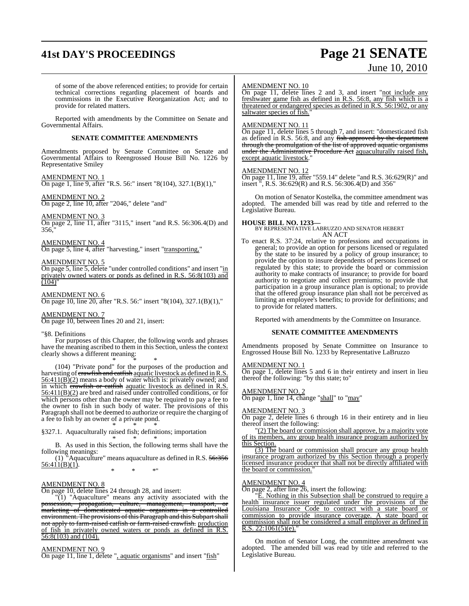# **41st DAY'S PROCEEDINGS Page 21 SENATE**

# June 10, 2010

of some of the above referenced entities; to provide for certain technical corrections regarding placement of boards and commissions in the Executive Reorganization Act; and to provide for related matters.

Reported with amendments by the Committee on Senate and Governmental Affairs.

#### **SENATE COMMITTEE AMENDMENTS**

Amendments proposed by Senate Committee on Senate and Governmental Affairs to Reengrossed House Bill No. 1226 by Representative Smiley

#### AMENDMENT NO. 1 On page 1, line 9, after "R.S. 56:" insert "8(104), 327.1(B)(1),"

AMENDMENT NO. 2 On page 2, line 10, after "2046," delete "and"

#### AMENDMENT NO. 3

On page 2, line 11, after "3115," insert "and R.S. 56:306.4(D) and 356,

## AMEND<u>MENT NO. 4</u>

On page 5, line 4, after "harvesting," insert "transporting,"

#### AMENDMENT NO. 5

On page 5, line 5, delete "under controlled conditions" and insert "in privately owned waters or ponds as defined in R.S. 56:8(103) and  $(104)$ "

AMENDMENT NO. 6 **On page 10, line 20, after "R.S. 56:" insert "8(104), 327.1(B)(1),"** 

#### AMENDMENT NO. 7

On page 10, between lines 20 and 21, insert:

#### "§8. Definitions

For purposes of this Chapter, the following words and phrases have the meaning ascribed to them in this Section, unless the context clearly shows a different meaning:

\* \* \* (104) "Private pond" for the purposes of the production and harvesting of crawfish and catfish aquatic livestock as defined in R.S.  $56:411(B)(2)$  means a body of water which is: privately owned; and in which crawfish or catfish aquatic livestock as defined in R.S. 56:411(B)(2) are bred and raised under controlled conditions, or for which persons other than the owner may be required to pay a fee to the owner to fish in such body of water. The provisions of this Paragraph shall not be deemed to authorize or require the charging of a fee to fish by an owner of a private pond.

\* \* \* §327.1. Aquaculturally raised fish; definitions; importation

\* \* \* B. As used in this Section, the following terms shall have the following meanings:

(1) "Aquaculture" means aquaculture as defined in R.S.  $56:356$  $\overline{56:411(B)(1)}$ . \* \* \*"

#### AMENDMENT NO. 8

On page 10, delete lines 24 through 28, and insert:

"(1) "Aquaculture" means any activity associated with the possession, propagation, culture, management, transport, or marketing of domesticated aquatic organisms in a controlled environment. The provisions of this Paragraph and this Subpart shall not apply to farm-raised catfish or farm-raised crawfish. production of fish in privately owned waters or ponds as defined in R.S. 56:8(103) and (104).

#### AMENDMENT NO. 9

On page 11, line 1, delete ", aquatic organisms" and insert "fish"

#### AMENDMENT NO. 10

On page 11, delete lines 2 and 3, and insert "not include any freshwater game fish as defined in R.S. 56:8, any fish which is a threatened or endangered species as defined in R.S. 56:1902, or any saltwater species of fish."

#### AMENDMENT NO. 11

On page 11, delete lines 5 through 7, and insert: "domesticated fish as defined in R.S. 56:8, and any fish approved by the department through the promulgation of the list of approved aquatic organisms under the Administrative Procedure Act aquaculturally raised fish, except aquatic livestock."

#### AMENDMENT NO. 12

On page 11, line 19, after "559.14" delete "and R.S. 36:629(R)" and insert ", R.S. 36:629(R) and R.S. 56:306.4(D) and 356"

On motion of Senator Kostelka, the committee amendment was adopted. The amended bill was read by title and referred to the Legislative Bureau.

**HOUSE BILL NO. 1233—** BY REPRESENTATIVE LABRUZZO AND SENATOR HEBERT AN ACT

To enact R.S. 37:24, relative to professions and occupations in general; to provide an option for persons licensed or regulated by the state to be insured by a policy of group insurance; to provide the option to insure dependents of persons licensed or regulated by this state; to provide the board or commission authority to make contracts of insurance; to provide for board authority to negotiate and collect premiums; to provide that participation in a group insurance plan is optional; to provide that the offered group insurance plan shall not be perceived as limiting an employee's benefits; to provide for definitions; and to provide for related matters.

Reported with amendments by the Committee on Insurance.

#### **SENATE COMMITTEE AMENDMENTS**

Amendments proposed by Senate Committee on Insurance to Engrossed House Bill No. 1233 by Representative LaBruzzo

#### AMENDMENT NO. 1

On page 1, delete lines 5 and 6 in their entirety and insert in lieu thereof the following: "by this state; to"

#### AMENDMENT NO. 2

On page 1, line 14, change "shall" to "may"

#### AMENDMENT NO. 3

On page 2, delete lines 6 through 16 in their entirety and in lieu thereof insert the following:

"(2) The board or commission shall approve, by a majority vote of its members, any group health insurance program authorized by this Section.

(3) The board or commission shall procure any group health insurance program authorized by this Section through a properly licensed insurance producer that shall not be directly affiliated with the board or commission."

#### AMENDMENT NO. 4

On page 2, after line 26, insert the following:

E. Nothing in this Subsection shall be construed to require a health insurance issuer regulated under the provisions of the Louisiana Insurance Code to contract with a state board or commission to provide insurance coverage. A state board or commission shall not be considered a small employer as defined in R.S.  $22:1061(5)$ (e).

On motion of Senator Long, the committee amendment was adopted. The amended bill was read by title and referred to the Legislative Bureau.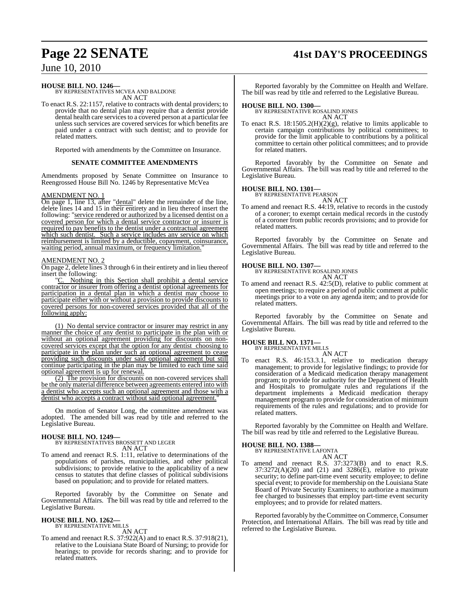# **Page 22 SENATE 41st DAY'S PROCEEDINGS**

June 10, 2010

**HOUSE BILL NO. 1246—** BY REPRESENTATIVES MCVEA AND BALDONE AN ACT

To enact R.S. 22:1157, relative to contracts with dental providers; to provide that no dental plan may require that a dentist provide dental health care services to a covered person at a particular fee unless such services are covered services for which benefits are paid under a contract with such dentist; and to provide for related matters.

Reported with amendments by the Committee on Insurance.

#### **SENATE COMMITTEE AMENDMENTS**

Amendments proposed by Senate Committee on Insurance to Reengrossed House Bill No. 1246 by Representative McVea

#### AMENDMENT NO. 1

On page 1, line 13, after "dental" delete the remainder of the line, delete lines 14 and 15 in their entirety and in lieu thereof insert the following: "service rendered or authorized by a licensed dentist on a covered person for which a dental service contractor or insurer is required to pay benefits to the dentist under a contractual agreement which such dentist. Such a service includes any service on which reimbursement is limited by a deductible, copayment, coinsurance, waiting period, annual maximum, or frequency limitation.

#### AMENDMENT NO. 2

On page 2, delete lines 3 through 6 in their entirety and in lieu thereof insert the following:

"C. Nothing in this Section shall prohibit a dental service contractor or insurer from offering a dentist optional agreements for participation in a dental plan in which a dentist may choose to participate either with or without a provision to provide discounts to covered persons for non-covered services provided that all of the following apply:

(1) No dental service contractor or insurer may restrict in any manner the choice of any dentist to participate in the plan with or without an optional agreement providing for discounts on noncovered services except that the option for any dentist choosing to participate in the plan under such an optional agreement to cease providing such discounts under said optional agreement but still continue participating in the plan may be limited to each time said optional agreement is up for renewal.

(2) The provision for discounts on non-covered services shall be the only material difference between agreements entered into with a dentist who accepts such an optional agreement and those with a dentist who accepts a contract without said optional agreement."

On motion of Senator Long, the committee amendment was adopted. The amended bill was read by title and referred to the Legislative Bureau.

# **HOUSE BILL NO. 1249—** BY REPRESENTATIVES BROSSETT AND LEGER

AN ACT

To amend and reenact R.S. 1:11, relative to determinations of the populations of parishes, municipalities, and other political subdivisions; to provide relative to the applicability of a new census to statutes that define classes of political subdivisions based on population; and to provide for related matters.

Reported favorably by the Committee on Senate and Governmental Affairs. The bill was read by title and referred to the Legislative Bureau.

# **HOUSE BILL NO. 1262—** BY REPRESENTATIVE MILLS

AN ACT

To amend and reenact R.S. 37:922(A) and to enact R.S. 37:918(21), relative to the Louisiana State Board of Nursing; to provide for hearings; to provide for records sharing; and to provide for related matters.

Reported favorably by the Committee on Health and Welfare. The bill was read by title and referred to the Legislative Bureau.

**HOUSE BILL NO. 1300—** BY REPRESENTATIVE ROSALIND JONES AN ACT

To enact R.S.  $18:1505.2(H)(2)(g)$ , relative to limits applicable to certain campaign contributions by political committees; to provide for the limit applicable to contributions by a political committee to certain other political committees; and to provide for related matters.

Reported favorably by the Committee on Senate and Governmental Affairs. The bill was read by title and referred to the Legislative Bureau.

**HOUSE BILL NO. 1301—** BY REPRESENTATIVE PEARSON

AN ACT To amend and reenact R.S. 44:19, relative to records in the custody of a coroner; to exempt certain medical records in the custody of a coroner from public records provisions; and to provide for related matters.

Reported favorably by the Committee on Senate and Governmental Affairs. The bill was read by title and referred to the Legislative Bureau.

### **HOUSE BILL NO. 1307—**

BY REPRESENTATIVE ROSALIND JONES AN ACT

To amend and reenact R.S. 42:5(D), relative to public comment at open meetings; to require a period of public comment at public meetings prior to a vote on any agenda item; and to provide for related matters.

Reported favorably by the Committee on Senate and Governmental Affairs. The bill was read by title and referred to the Legislative Bureau.

# **HOUSE BILL NO. 1371—** BY REPRESENTATIVE MILLS

AN ACT

enact R.S. 46:153.3.1, relative to medication therapy management; to provide for legislative findings; to provide for consideration of a Medicaid medication therapy management program; to provide for authority for the Department of Health and Hospitals to promulgate rules and regulations if the department implements a Medicaid medication therapy management program to provide for consideration of minimum requirements of the rules and regulations; and to provide for related matters.

Reported favorably by the Committee on Health and Welfare. The bill was read by title and referred to the Legislative Bureau.

# **HOUSE BILL NO. 1388—** BY REPRESENTATIVE LAFONTA

- AN ACT
- To amend and reenact R.S. 37:3273(B) and to enact R.S. 37:3272(A)(20) and (21) and 3286(E), relative to private security; to define part-time event security employee; to define special event; to provide for membership on the Louisiana State Board of Private Security Examiners; to authorize a maximum fee charged to businesses that employ part-time event security employees; and to provide for related matters.

Reported favorably by the Committee on Commerce, Consumer Protection, and International Affairs. The bill was read by title and referred to the Legislative Bureau.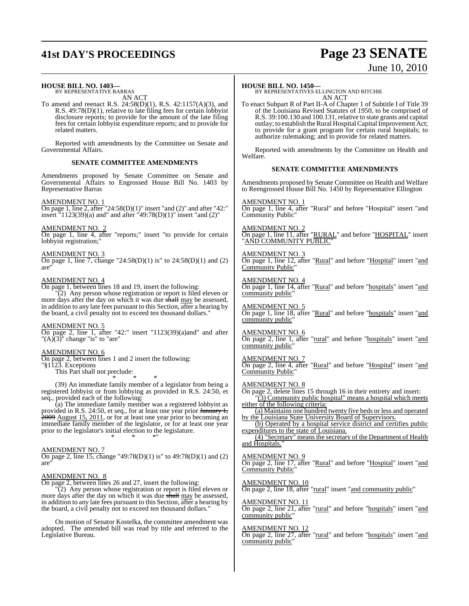# **41st DAY'S PROCEEDINGS Page 23 SENATE**

# June 10, 2010

#### **HOUSE BILL NO. 1403—**

BY REPRESENTATIVE BARRAS AN ACT

To amend and reenact R.S. 24:58(D)(1), R.S. 42:1157(A)(3), and R.S. 49:78(D)(1), relative to late filing fees for certain lobbyist disclosure reports; to provide for the amount of the late filing fees for certain lobbyist expenditure reports; and to provide for related matters.

Reported with amendments by the Committee on Senate and Governmental Affairs.

#### **SENATE COMMITTEE AMENDMENTS**

Amendments proposed by Senate Committee on Senate and Governmental Affairs to Engrossed House Bill No. 1403 by Representative Barras

#### AMENDMENT NO. 1

On page 1, line 2, after "24:58(D)(1)" insert "and (2)" and after "42:" insert "1123(39)(a) and" and after "49:78(D)(1)" insert "and (2)"

#### AMENDMENT NO. 2

On page 1, line 4, after "reports;" insert "to provide for certain lobbyist registration;"

#### AMENDMENT NO. 3

On page 1, line 7, change "24:58(D)(1) is" to  $24:58(D)(1)$  and (2) are"

#### AMENDMENT NO. 4

On page 1, between lines 18 and 19, insert the following:

"(2) Any person whose registration or report is filed eleven or more days after the day on which it was due shall may be assessed, in addition to any late fees pursuant to this Section, after a hearing by the board, a civil penalty not to exceed ten thousand dollars."

#### AMENDMENT NO. 5

On page 2, line 1, after "42:" insert "1123(39)(a)and" and after " $(A)$  $(3)$ " change "is" to "are"

## AMENDMENT NO. 6

On page 2, between lines 1 and 2 insert the following:

"§1123. Exceptions

This Part shall not preclude: \* \* \*

(39) An immediate family member of a legislator from being a registered lobbyist or from lobbying as provided in R.S. 24:50, et seq., provided each of the following:

(a) The immediate family member was a registered lobbyist as provided in R.S. 24:50, et seq., for at least one year prior January 1,  $\frac{2009}{2009}$  August 15, 2011, or for at least one year prior to becoming an immediate family member of the legislator, or for at least one year prior to the legislator's initial election to the legislature. \* \* \*"

#### AMENDMENT NO. 7

On page 2, line 15, change "49:78(D)(1) is" to 49:78(D)(1) and (2) are"

#### AMENDMENT NO. 8

On page 2, between lines 26 and 27, insert the following:

(2) Any person whose registration or report is filed eleven or more days after the day on which it was due shall may be assessed, in addition to any late fees pursuant to this Section, after a hearing by the board, a civil penalty not to exceed ten thousand dollars."

On motion of Senator Kostelka, the committee amendment was adopted. The amended bill was read by title and referred to the Legislative Bureau.

#### **HOUSE BILL NO. 1450—**

BY REPRESENTATIVES ELLINGTON AND RITCHIE AN ACT

To enact Subpart R of Part II-A of Chapter 1 of Subtitle I of Title 39 of the Louisiana Revised Statutes of 1950, to be comprised of R.S. 39:100.130 and 100.131, relative to state grants and capital outlay; to establish the Rural Hospital Capital Improvement Act; to provide for a grant program for certain rural hospitals; to authorize rulemaking; and to provide for related matters.

Reported with amendments by the Committee on Health and Welfare.

#### **SENATE COMMITTEE AMENDMENTS**

Amendments proposed by Senate Committee on Health and Welfare to Reengrossed House Bill No. 1450 by Representative Ellington

#### AMENDMENT NO. 1

On page 1, line 4, after "Rural" and before "Hospital" insert "and Community Public"

AMENDMENT NO. 2 On page 1, line 11, after "RURAL" and before "HOSPITAL" insert <u>'AND COMMUNITY PUBLIC</u>

#### AMENDMENT NO. 3

On page 1, line 12, after "Rural" and before "Hospital" insert "and Community Public

#### AMENDMENT NO. 4

On page 1, line 14, after "Rural" and before "hospitals" insert "and community public'

#### AMENDMENT NO. 5

On page 1, line 18, after "Rural" and before "hospitals" insert "and community public

#### AMENDMENT NO. 6

On page 2, line 1, after "rural" and before "hospitals" insert "and community public"

#### AMENDMENT NO. 7

On page 2, line 4, after "Rural" and before "Hospital" insert "and Community Public"

#### AMENDMENT NO. 8

On page 2, delete lines 15 through 16 in their entirety and insert: "(3) Community public hospital" means a hospital which meets either of the following criteria:

(a) Maintains one hundred twenty five beds or less and operated by the Louisiana State University Board of Supervisors.

(b) Operated by a hospital service district and certifies public expenditures to the state of Louisiana.

(4) "Secretary" means the secretary of the Department of Health and Hospitals.'

#### AMENDMENT NO. 9

On page 2, line 17, after "Rural" and before "Hospital" insert "and Community Public"

AMENDMENT NO. 10

On page 2, line 18, after "rural" insert "and community public"

#### AMENDMENT NO. 11 On page 2, line 21, after "rural" and before "hospitals" insert "and community public"

<u>AMENDMENT NO. 12</u>

On page 2, line 27, after "rural" and before "hospitals" insert "and community public"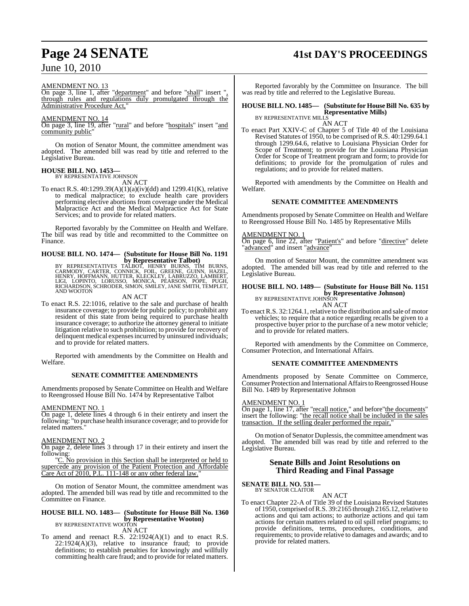#### AMENDMENT NO. 13

On page 3, line 1, after "department" and before "shall" insert ", through rules and regulations duly promulgated through the Administrative Procedure Act,

#### AMENDMENT NO. 14

On page 3, line 19, after "rural" and before "hospitals" insert "and community public"

On motion of Senator Mount, the committee amendment was adopted. The amended bill was read by title and referred to the Legislative Bureau.

#### **HOUSE BILL NO. 1453—**

BY REPRESENTATIVE JOHNSON AN ACT

To enact R.S. 40:1299.39(A)(1)(a)(iv)(dd) and 1299.41(K), relative to medical malpractice; to exclude health care providers performing elective abortions from coverage under the Medical Malpractice Act and the Medical Malpractice Act for State Services; and to provide for related matters.

Reported favorably by the Committee on Health and Welfare. The bill was read by title and recommitted to the Committee on Finance.

# **HOUSE BILL NO. 1474— (Substitute for House Bill No. 1191**

**by Representative Talbot)**<br>BY REPRESENTATIVES TALBOT, HENRY BURNS, TIM BURNS<br>CARMODY, CARTER, CONNICK, FOIL, GREENE, GUINN, HAZEL,<br>HENRY, HOFFMANN, HUTTER, KLECKLEY, LABRUZZO, LAMBERT,<br>LIGI, LOPINTO, LORUSSO, MONICA, PEAR RICHARDSON, SCHRODER, SIMON, SMILEY, JANE SMITH, TEMPLET,<br>AND WOOTON

#### AN ACT

To enact R.S. 22:1016, relative to the sale and purchase of health insurance coverage; to provide for public policy; to prohibit any resident of this state from being required to purchase health insurance coverage; to authorize the attorney general to initiate litigation relative to such prohibition; to provide for recovery of delinquent medical expenses incurred by uninsured individuals; and to provide for related matters.

Reported with amendments by the Committee on Health and Welfare.

#### **SENATE COMMITTEE AMENDMENTS**

Amendments proposed by Senate Committee on Health and Welfare to Reengrossed House Bill No. 1474 by Representative Talbot

#### AMENDMENT NO. 1

On page 1, delete lines 4 through 6 in their entirety and insert the following: "to purchase health insurance coverage; and to provide for related matters.

#### AMENDMENT NO. 2

On page 2, delete lines 3 through 17 in their entirety and insert the following:

"C. No provision in this Section shall be interpreted or held to supercede any provision of the Patient Protection and Affordable Care Act of 2010, P.L. 111-148 or any other federal law.

On motion of Senator Mount, the committee amendment was adopted. The amended bill was read by title and recommitted to the Committee on Finance.

#### **HOUSE BILL NO. 1483— (Substitute for House Bill No. 1360 by Representative Wooton)** BY REPRESENTATIVE WOOTON

AN ACT

To amend and reenact R.S. 22:1924(A)(1) and to enact R.S. 22:1924(A)(3), relative to insurance fraud; to provide definitions; to establish penalties for knowingly and willfully committing health care fraud; and to provide for related matters.

# **Page 24 SENATE 41st DAY'S PROCEEDINGS**

Reported favorably by the Committee on Insurance. The bill was read by title and referred to the Legislative Bureau.

#### **HOUSE BILL NO. 1485— (Substitute for HouseBill No. 635 by Representative Mills)** BY REPRESENTATIVE MILLS

AN ACT

To enact Part XXIV-C of Chapter 5 of Title 40 of the Louisiana Revised Statutes of 1950, to be comprised of R.S. 40:1299.64.1 through 1299.64.6, relative to Louisiana Physician Order for Scope of Treatment; to provide for the Louisiana Physician Order for Scope of Treatment program and form; to provide for definitions; to provide for the promulgation of rules and regulations; and to provide for related matters.

Reported with amendments by the Committee on Health and Welfare.

#### **SENATE COMMITTEE AMENDMENTS**

Amendments proposed by Senate Committee on Health and Welfare to Reengrossed House Bill No. 1485 by Representative Mills

#### AMENDMENT NO. 1

On page 6, line 22, after "Patient's" and before "directive" delete "advanced" and insert "advance"

On motion of Senator Mount, the committee amendment was adopted. The amended bill was read by title and referred to the Legislative Bureau.

#### **HOUSE BILL NO. 1489— (Substitute for House Bill No. 1151 by Representative Johnson)**

BY REPRESENTATIVE JOHNSON AN ACT

To enact R.S. 32:1264.1, relative to the distribution and sale of motor vehicles; to require that a notice regarding recalls be given to a prospective buyer prior to the purchase of a new motor vehicle; and to provide for related matters.

Reported with amendments by the Committee on Commerce, Consumer Protection, and International Affairs.

#### **SENATE COMMITTEE AMENDMENTS**

Amendments proposed by Senate Committee on Commerce, Consumer Protection and International Affairs to Reengrossed House Bill No. 1489 by Representative Johnson

#### AMENDMENT NO. 1

On page 1, line 17, after "recall notice," and before "the documents" insert the following: "the recall notice shall be included in the sales transaction. If the selling dealer performed the repair,"

On motion of Senator Duplessis, the committee amendment was adopted. The amended bill was read by title and referred to the Legislative Bureau.

#### **Senate Bills and Joint Resolutions on Third Reading and Final Passage**

## **SENATE BILL NO. 531**

BY SENATOR CLAITOR AN ACT

To enact Chapter 22-A of Title 39 of the Louisiana Revised Statutes of 1950, comprised of R.S. 39:2165 through 2165.12, relative to actions and qui tam actions; to authorize actions and qui tam actions for certain matters related to oil spill relief programs; to provide definitions, terms, procedures, conditions, and requirements; to provide relative to damages and awards; and to provide for related matters.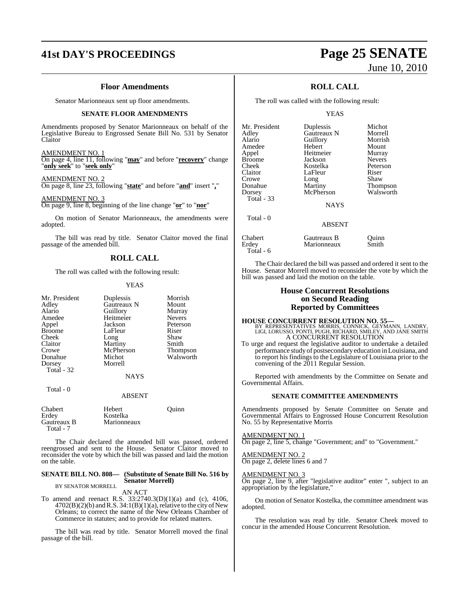# **41st DAY'S PROCEEDINGS Page 25 SENATE**

#### **Floor Amendments**

Senator Marionneaux sent up floor amendments.

#### **SENATE FLOOR AMENDMENTS**

Amendments proposed by Senator Marionneaux on behalf of the Legislative Bureau to Engrossed Senate Bill No. 531 by Senator Claitor

#### AMENDMENT NO. 1

On page 4, line 11, following "**may**" and before "**recovery**" change "**only seek**" to "**seek only**"

#### AMENDMENT NO. 2

On page 8, line 23, following "**state**" and before "**and**" insert "**,**"

AMENDMENT NO. 3 On page 9, line 8, beginning of the line change "**or**" to "**nor**"

On motion of Senator Marionneaux, the amendments were adopted.

The bill was read by title. Senator Claitor moved the final passage of the amended bill.

## **ROLL CALL**

The roll was called with the following result:

#### YEAS

| Mr. President | Duplessis   | Morrish         |
|---------------|-------------|-----------------|
| Adley         | Gautreaux N | Mount           |
| Alario        | Guillory    | Murray          |
| Amedee        | Heitmeier   | <b>Nevers</b>   |
| Appel         | Jackson     | Peterson        |
| <b>Broome</b> | LaFleur     | Riser           |
| Cheek         | Long        | Shaw            |
| Claitor       | Martiny     | Smith           |
| Crowe         | McPherson   | <b>Thompson</b> |
| Donahue       | Michot      | Walsworth       |
| Dorsey        | Morrell     |                 |
| Total - 32    |             |                 |
|               | <b>NAYS</b> |                 |
| Total - 0     |             |                 |

#### ABSENT

| <b>Chabert</b><br>Erdey  | Hebert<br>Kostelka | Ouinn |
|--------------------------|--------------------|-------|
| Gautreaux B<br>Total - 7 | Marionneaux        |       |

The Chair declared the amended bill was passed, ordered reengrossed and sent to the House. Senator Claitor moved to reconsider the vote by which the bill was passed and laid the motion on the table.

#### **SENATE BILL NO. 808— (Substitute of Senate Bill No. 516 by Senator Morrell)** BY SENATOR MORRELL

AN ACT

To amend and reenact R.S. 33:2740.3(D)(1)(a) and (c), 4106,  $4702(B)(2)(b)$  and R.S. 34:1(B)(1)(a), relative to the city of New Orleans; to correct the name of the New Orleans Chamber of Commerce in statutes; and to provide for related matters.

The bill was read by title. Senator Morrell moved the final passage of the bill.

# June 10, 2010

## **ROLL CALL**

The roll was called with the following result:

YEAS

| Mr. President     | Duplessis     | Michot          |
|-------------------|---------------|-----------------|
| Adley             | Gautreaux N   | Morrell         |
| Alario            | Guillory      | Morrish         |
| Amedee            | Hebert        | Mount           |
| Appel             | Heitmeier     | Murray          |
| <b>Broome</b>     | Jackson       | <b>Nevers</b>   |
| Cheek             | Kostelka      | Peterson        |
| Claitor           | LaFleur       | Riser           |
| Crowe             | Long          | Shaw            |
| Donahue           | Martiny       | <b>Thompson</b> |
| Dorsey            | McPherson     | Walsworth       |
| <b>Total - 33</b> |               |                 |
|                   | <b>NAYS</b>   |                 |
| Total - 0         |               |                 |
|                   | <b>ABSENT</b> |                 |
| Chabert           | Gautreaux B   | Ouınn           |
| Erdev             | Marionneaux   | Smith           |

The Chair declared the bill was passed and ordered it sent to the House. Senator Morrell moved to reconsider the vote by which the bill was passed and laid the motion on the table.

#### **House Concurrent Resolutions on Second Reading Reported by Committees**

## **HOUSE CONCURRENT RESOLUTION NO. 55—** BY REPRESENTATIVES MORRIS, CONNICK, GEYMANN, LANDRY, LIGI, LORUSSO, PONTI, PUGH, RICHARD, SMILEY, AND JANE SMITH

A CONCURRENT RESOLUTION To urge and request the legislative auditor to undertake a detailed performance study of postsecondary education in Louisiana, and to report his findings to the Legislature of Louisiana prior to the convening of the 2011 Regular Session.

Reported with amendments by the Committee on Senate and Governmental Affairs.

#### **SENATE COMMITTEE AMENDMENTS**

Amendments proposed by Senate Committee on Senate and Governmental Affairs to Engrossed House Concurrent Resolution No. 55 by Representative Morris

#### AMENDMENT NO. 1

Total - 6

On page 2, line 5, change "Government; and" to "Government."

### AMENDMENT NO. 2

On page 2, delete lines 6 and 7

#### AMENDMENT NO. 3

On page 2, line 9, after "legislative auditor" enter ", subject to an appropriation by the legislature,"

On motion of Senator Kostelka, the committee amendment was adopted.

The resolution was read by title. Senator Cheek moved to concur in the amended House Concurrent Resolution.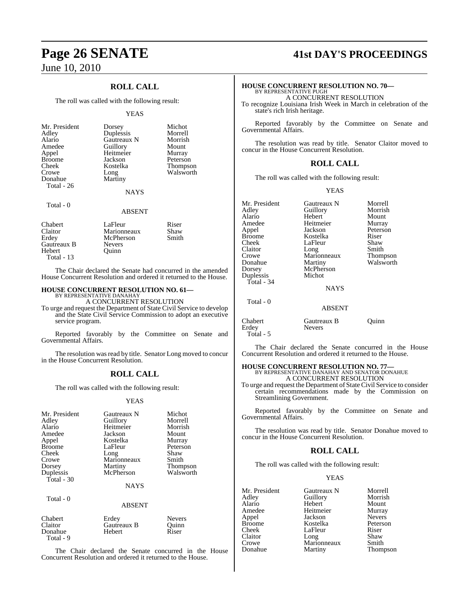## **ROLL CALL**

The roll was called with the following result:

#### YEAS

| Mr. President<br>Adley<br>Alario<br>Amedee<br>Appel<br><b>Broome</b><br>Cheek<br>Crowe<br>Donahue<br><b>Total</b> - 26 | Dorsey<br>Duplessis<br>Gautreaux N<br>Guillory<br>Heitmeier<br>Jackson<br>Kostelka<br>Long<br>Martiny<br><b>NAYS</b> | Michot<br>Morrell<br>Morrish<br>Mount<br>Murray<br>Peterson<br><b>Thompson</b><br>Walsworth |
|------------------------------------------------------------------------------------------------------------------------|----------------------------------------------------------------------------------------------------------------------|---------------------------------------------------------------------------------------------|
| Total - 0                                                                                                              |                                                                                                                      |                                                                                             |

#### ABSENT

| Chabert<br>Claitor | LaFleur<br>Marionneaux | Riser<br>Shaw |
|--------------------|------------------------|---------------|
| Erdey              | McPherson              | Smith         |
| Gautreaux B        | <b>Nevers</b>          |               |
| Hebert             | Ouinn                  |               |
| Total $-13$        |                        |               |

The Chair declared the Senate had concurred in the amended House Concurrent Resolution and ordered it returned to the House.

#### **HOUSE CONCURRENT RESOLUTION NO. 61—**

BY REPRESENTATIVE DANAHAY A CONCURRENT RESOLUTION

To urge and request the Department of State Civil Service to develop and the State Civil Service Commission to adopt an executive service program.

Reported favorably by the Committee on Senate and Governmental Affairs.

The resolution was read by title. Senator Long moved to concur in the House Concurrent Resolution.

## **ROLL CALL**

The roll was called with the following result:

#### YEAS

| Mr. President<br>Adley<br>Alario<br>Amedee<br>Appel<br><b>Broome</b><br>Cheek<br>Crowe<br>Dorsey<br>Duplessis<br>Total $-30$ | Gautreaux N<br>Guillory<br>Heitmeier<br>Jackson<br>Kostelka<br>LaFleur<br>Long<br>Marionneaux<br>Martiny<br>McPherson | Michot<br>Morrell<br>Morrish<br>Mount<br>Murray<br>Peterson<br>Shaw<br>Smith<br>Thompson<br>Walsworth |
|------------------------------------------------------------------------------------------------------------------------------|-----------------------------------------------------------------------------------------------------------------------|-------------------------------------------------------------------------------------------------------|
|                                                                                                                              | <b>NAYS</b>                                                                                                           |                                                                                                       |
| Total - 0                                                                                                                    | <b>ABSENT</b>                                                                                                         |                                                                                                       |
| Chabert<br>Claitor<br>Donahue                                                                                                | Erdey<br>Gautreaux B<br>Hebert                                                                                        | <b>Nevers</b><br>Quinn<br>Riser                                                                       |

The Chair declared the Senate concurred in the House Concurrent Resolution and ordered it returned to the House.

Total - 9

# **Page 26 SENATE 41st DAY'S PROCEEDINGS**

# **HOUSE CONCURRENT RESOLUTION NO. 70—** BY REPRESENTATIVE PUGH

A CONCURRENT RESOLUTION

To recognize Louisiana Irish Week in March in celebration of the state's rich Irish heritage.

Reported favorably by the Committee on Senate and Governmental Affairs.

The resolution was read by title. Senator Claitor moved to concur in the House Concurrent Resolution.

#### **ROLL CALL**

The roll was called with the following result:

#### YEAS

| Mr. President | Gautreaux N   | Morrell   |
|---------------|---------------|-----------|
| Adley         | Guillory      | Morrish   |
| Alario        | Hebert        | Mount     |
| Amedee        | Heitmeier     | Murray    |
| Appel         | Jackson       | Peterson  |
| <b>Broome</b> | Kostelka      | Riser     |
| Cheek         | LaFleur       | Shaw      |
| Claitor       | Long          | Smith     |
| Crowe         | Marionneaux   | Thompson  |
| Donahue       | Martiny       | Walsworth |
| Dorsey        | McPherson     |           |
| Duplessis     | Michot        |           |
| Total - 34    |               |           |
|               | <b>NAYS</b>   |           |
| Total - 0     |               |           |
|               | <b>ABSENT</b> |           |
| Chabert       | Gautreaux B   | Ouınn     |
| Erdey         | Nevers        |           |

Total - 5

The Chair declared the Senate concurred in the House Concurrent Resolution and ordered it returned to the House.

**HOUSE CONCURRENT RESOLUTION NO. 77—BY REPRESENTATIVE DANAHAY AND SENATOR DONAHUE A CONCURRENT RESOLUTION** 

To urge and request the Department of State Civil Service to consider certain recommendations made by the Commission on Streamlining Government.

Reported favorably by the Committee on Senate and Governmental Affairs.

The resolution was read by title. Senator Donahue moved to concur in the House Concurrent Resolution.

#### **ROLL CALL**

The roll was called with the following result:

#### YEAS

| Mr. President | Gautreaux N | Morrell       |
|---------------|-------------|---------------|
| Adley         | Guillory    | Morrish       |
| Alario        | Hebert      | Mount         |
| Amedee        | Heitmeier   | Murray        |
| Appel         | Jackson     | <b>Nevers</b> |
| Broome        | Kostelka    | Peterson      |
| Cheek         | LaFleur     | Riser         |
| Claitor       | Long        | Shaw          |
| Crowe         | Marionneaux | Smith         |
| Donahue       | Martiny     | Thompson      |
|               |             |               |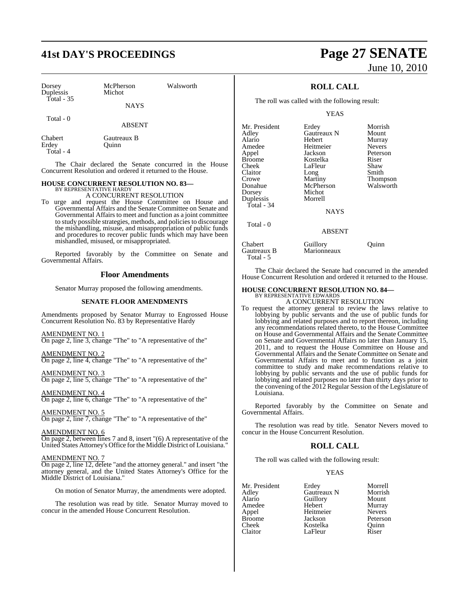# **41st DAY'S PROCEEDINGS Page 27 SENATE**

| Dorsey<br>Duplessis<br>Total $-35$ | McPherson<br>Michot<br><b>NAYS</b> | Walsworth |  |
|------------------------------------|------------------------------------|-----------|--|
|                                    |                                    |           |  |
| Total $-0$                         | <b>ABSENT</b>                      |           |  |
| Chabert<br>Erdey                   | Gautreaux B<br>uinn)               |           |  |

Total - 4

The Chair declared the Senate concurred in the House Concurrent Resolution and ordered it returned to the House.

#### **HOUSE CONCURRENT RESOLUTION NO. 83—** BY REPRESENTATIVE HARDY

A CONCURRENT RESOLUTION

To urge and request the House Committee on House and Governmental Affairs and the Senate Committee on Senate and Governmental Affairs to meet and function as a joint committee to study possible strategies, methods, and policies to discourage the mishandling, misuse, and misappropriation of public funds and procedures to recover public funds which may have been mishandled, misused, or misappropriated.

Reported favorably by the Committee on Senate and Governmental Affairs.

### **Floor Amendments**

Senator Murray proposed the following amendments.

#### **SENATE FLOOR AMENDMENTS**

Amendments proposed by Senator Murray to Engrossed House Concurrent Resolution No. 83 by Representative Hardy

AMENDMENT NO. 1 On page 2, line 3, change "The" to "A representative of the"

AMENDMENT NO. 2 On page 2, line 4, change "The" to "A representative of the"

AMENDMENT NO. 3 On page 2, line 5, change "The" to "A representative of the"

AMENDMENT NO. 4 On page 2, line 6, change "The" to "A representative of the"

AMENDMENT NO. 5 On page 2, line 7, change "The" to "A representative of the"

AMENDMENT NO. 6 On page 2, between lines 7 and 8, insert "(6) A representative of the United States Attorney's Office for the Middle District of Louisiana."

#### AMENDMENT NO. 7

On page 2, line 12, delete "and the attorney general." and insert "the attorney general, and the United States Attorney's Office for the Middle District of Louisiana."

On motion of Senator Murray, the amendments were adopted.

The resolution was read by title. Senator Murray moved to concur in the amended House Concurrent Resolution.

# June 10, 2010

## **ROLL CALL**

The roll was called with the following result:

YEAS

| Mr. President          | Erdey                   | Morrish       |
|------------------------|-------------------------|---------------|
| Adley                  | Gautreaux N             | Mount         |
| Alario                 | Hebert                  | Murray        |
| Amedee                 | Heitmeier               | <b>Nevers</b> |
| Appel                  | Jackson                 | Peterson      |
| <b>Broome</b>          | Kostelka                | Riser         |
| Cheek                  | LaFleur                 | Shaw          |
| Claitor                | Long                    | Smith         |
| Crowe                  | Martiny                 | Thompson      |
| Donahue                | McPherson               | Walsworth     |
| Dorsey                 | Michot                  |               |
| Duplessis              | Morrell                 |               |
| Total - $34$           |                         |               |
|                        | <b>NAYS</b>             |               |
| Total - 0              |                         |               |
|                        | <b>ABSENT</b>           |               |
| Chabert<br>Gautreaux B | Guillory<br>Marionneaux | Juınn         |

The Chair declared the Senate had concurred in the amended House Concurrent Resolution and ordered it returned to the House.

# **HOUSE CONCURRENT RESOLUTION NO. 84—** BY REPRESENTATIVE EDWARDS A CONCURRENT RESOLUTION

Total - 5

To request the attorney general to review the laws relative to lobbying by public servants and the use of public funds for lobbying and related purposes and to report thereon, including any recommendations related thereto, to the House Committee on House and Governmental Affairs and the Senate Committee on Senate and Governmental Affairs no later than January 15, 2011, and to request the House Committee on House and Governmental Affairs and the Senate Committee on Senate and Governmental Affairs to meet and to function as a joint committee to study and make recommendations relative to lobbying by public servants and the use of public funds for lobbying and related purposes no later than thirty days prior to the convening of the 2012 Regular Session of the Legislature of Louisiana.

Reported favorably by the Committee on Senate and Governmental Affairs.

The resolution was read by title. Senator Nevers moved to concur in the House Concurrent Resolution.

## **ROLL CALL**

The roll was called with the following result:

#### YEAS

|             | Morrell       |
|-------------|---------------|
| Gautreaux N | Morrish       |
| Guillory    | Mount         |
| Hebert      | Murray        |
| Heitmeier   | <b>Nevers</b> |
| Jackson     | Peterson      |
| Kostelka    | Ouinn         |
| LaFleur     | Riser         |
|             | Erdey         |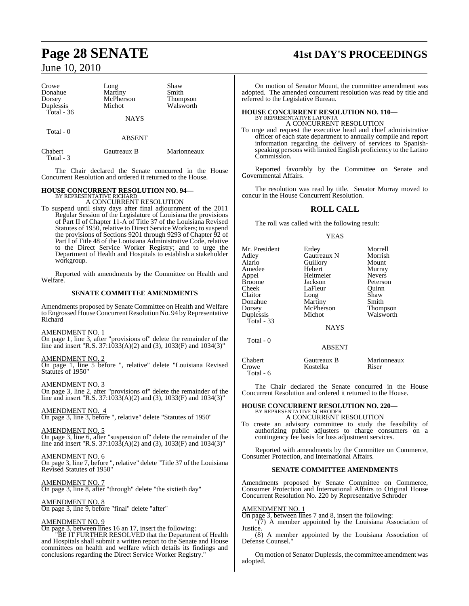| Crowe<br>Donahue<br>Dorsey<br>Duplessis<br>Total - 36 | Long<br>Martiny<br>McPherson<br>Michot | Shaw<br>Smith<br>Thompson<br>Walsworth |
|-------------------------------------------------------|----------------------------------------|----------------------------------------|
|                                                       | <b>NAYS</b>                            |                                        |
| Total - 0                                             | <b>ABSENT</b>                          |                                        |
| Chabert<br>Total - 3                                  | Gautreaux B                            | Marionneaux                            |

The Chair declared the Senate concurred in the House Concurrent Resolution and ordered it returned to the House.

# **HOUSE CONCURRENT RESOLUTION NO. 94—** BY REPRESENTATIVE RICHARD

A CONCURRENT RESOLUTION

To suspend until sixty days after final adjournment of the 2011 Regular Session of the Legislature of Louisiana the provisions of Part II of Chapter 11-A of Title 37 of the Louisiana Revised Statutes of 1950, relative to Direct Service Workers; to suspend the provisions of Sections 9201 through 9293 of Chapter 92 of Part I of Title 48 of the Louisiana Administrative Code, relative to the Direct Service Worker Registry; and to urge the Department of Health and Hospitals to establish a stakeholder workgroup.

Reported with amendments by the Committee on Health and Welfare.

#### **SENATE COMMITTEE AMENDMENTS**

Amendments proposed by Senate Committee on Health and Welfare to Engrossed House Concurrent Resolution No. 94 by Representative Richard

#### AMENDMENT NO. 1

On page 1, line 3, after "provisions of" delete the remainder of the line and insert "R.S. 37:1033(A)(2) and (3), 1033(F) and 1034(3)"

#### AMENDMENT NO. 2

On page 1, line 5 before ", relative" delete "Louisiana Revised Statutes of 1950"

#### AMENDMENT NO. 3

On page 3, line 2, after "provisions of" delete the remainder of the line and insert "R.S. 37:1033(A)(2) and (3), 1033(F) and 1034(3)"

### AMENDMENT NO. 4

On page 3, line 3, before ", relative" delete "Statutes of 1950"

#### AMENDMENT NO. 5

On page 3, line 6, after "suspension of" delete the remainder of the line and insert "R.S. 37:1033(A)(2) and (3), 1033(F) and 1034(3)"

#### AMENDMENT NO. 6

On page 3, line 7, before ", relative" delete "Title 37 of the Louisiana Revised Statutes of 1950"

#### AMENDMENT NO. 7

On page 3, line 8, after "through" delete "the sixtieth day"

## AMENDMENT NO. 8

On page 3, line 9, before "final" delete "after"

#### AMENDMENT NO. 9

On page 3, between lines 16 an 17, insert the following:

"BE IT FURTHER RESOLVED that the Department of Health and Hospitals shall submit a written report to the Senate and House committees on health and welfare which details its findings and conclusions regarding the Direct Service Worker Registry."

# **Page 28 SENATE 41st DAY'S PROCEEDINGS**

On motion of Senator Mount, the committee amendment was adopted. The amended concurrent resolution was read by title and referred to the Legislative Bureau.

#### **HOUSE CONCURRENT RESOLUTION NO. 110—** BY REPRESENTATIVE LAFONTA

A CONCURRENT RESOLUTION

To urge and request the executive head and chief administrative officer of each state department to annually compile and report information regarding the delivery of services to Spanishspeaking persons with limited English proficiency to the Latino Commission.

Reported favorably by the Committee on Senate and Governmental Affairs.

The resolution was read by title. Senator Murray moved to concur in the House Concurrent Resolution.

#### **ROLL CALL**

The roll was called with the following result:

#### **YEAS**

| Mr. President<br>Adley<br>Alario<br>Amedee<br>Appel<br>Broome | Erdey<br>Gautreaux N<br>Guillory<br>Hebert<br>Heitmeier<br>Jackson | Morrell<br>Morrish<br>Mount<br>Murray<br><b>Nevers</b><br>Peterson |
|---------------------------------------------------------------|--------------------------------------------------------------------|--------------------------------------------------------------------|
| Cheek<br>Claitor                                              | LaFleur<br>Long                                                    | Ouinn<br>Shaw                                                      |
| Donahue                                                       | Martiny                                                            | Smith                                                              |
| Dorsey                                                        | McPherson                                                          | <b>Thompson</b>                                                    |
| Duplessis                                                     | Michot                                                             | Walsworth                                                          |
| Total - 33                                                    |                                                                    |                                                                    |
|                                                               | <b>NAYS</b>                                                        |                                                                    |
| Total - 0                                                     |                                                                    |                                                                    |
|                                                               | ABSENT                                                             |                                                                    |

| Chabert   | Gautreaux B | Marionneaux |
|-----------|-------------|-------------|
| Crowe     | Kostelka    | Riser       |
| Total - 6 |             |             |

The Chair declared the Senate concurred in the House Concurrent Resolution and ordered it returned to the House.

#### **HOUSE CONCURRENT RESOLUTION NO. 220—** BY REPRESENTATIVE SCHRODER

#### A CONCURRENT RESOLUTION

To create an advisory committee to study the feasibility of authorizing public adjusters to charge consumers on a contingency fee basis for loss adjustment services.

Reported with amendments by the Committee on Commerce, Consumer Protection, and International Affairs.

#### **SENATE COMMITTEE AMENDMENTS**

Amendments proposed by Senate Committee on Commerce, Consumer Protection and International Affairs to Original House Concurrent Resolution No. 220 by Representative Schroder

#### AMENDMENT NO. 1

On page 3, between lines 7 and 8, insert the following:

"(7) A member appointed by the Louisiana Association of Justice.

(8) A member appointed by the Louisiana Association of Defense Counsel."

On motion of Senator Duplessis, the committee amendment was adopted.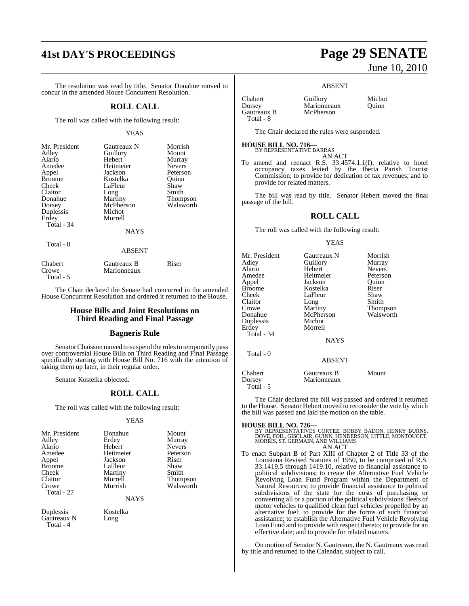# **41st DAY'S PROCEEDINGS Page 29 SENATE**

The resolution was read by title. Senator Donahue moved to concur in the amended House Concurrent Resolution.

#### **ROLL CALL**

The roll was called with the following result:

#### YEAS

| Mr. President | Gautreaux N             | Morrish           |
|---------------|-------------------------|-------------------|
| Adley         | Guillory                | Mount             |
| Alario        | Hebert                  | Murray            |
| Amedee        | Heitmeier               | <b>Nevers</b>     |
| Appel         | Jackson                 | Peterson          |
| <b>Broome</b> | Kostelka                | Ouinn             |
| Cheek         | LaFleur                 | Shaw              |
| Claitor       | Long                    | Smith             |
| Donahue       | Martiny                 | Thompson          |
| Dorsey        | McPherson               | Walsworth         |
| Duplessis     | Michot                  |                   |
| Erdey         | Morrell                 |                   |
| Total - 34    |                         |                   |
|               | <b>NAYS</b>             |                   |
| Total - 0     |                         |                   |
|               | <b>ABSENT</b>           |                   |
| Chah          | $C_{\text{outroouv}}$ D | $\mathbf{D}$ isor |

| Спарсті   | утацие анд тэ | <b>IN INCL</b> |
|-----------|---------------|----------------|
| Crowe     | Marionneaux   |                |
| Total - 5 |               |                |
|           |               |                |

The Chair declared the Senate had concurred in the amended House Concurrent Resolution and ordered it returned to the House.

#### **House Bills and Joint Resolutions on Third Reading and Final Passage**

#### **Bagneris Rule**

Senator Chaisson moved to suspend the rules to temporarily pass over controversial House Bills on Third Reading and Final Passage specifically starting with House Bill No. 716 with the intention of taking them up later, in their regular order.

Senator Kostelka objected.

#### **ROLL CALL**

The roll was called with the following result:

#### YEAS

| Mr. President | Donahue   | Mount                 |
|---------------|-----------|-----------------------|
| Adley         | Erdey     | Murray                |
| Alario        | Hebert    | <b>Nevers</b>         |
| Amedee        | Heitmeier | Peterson              |
| Appel         | Jackson   | Riser                 |
| <b>Broome</b> | LaFleur   | Shaw                  |
| Cheek         | Martiny   | Smith                 |
| Claitor       | Morrell   | Thompson<br>Walsworth |
| Crowe         | Morrish   |                       |
| Total - 27    |           |                       |

**NAYS** 

Duplessis Kostelka<br>Gautreaux N Long Gautreaux N Total - 4

# June 10, 2010

#### ABSENT

| Chabert     |  |
|-------------|--|
| Dorsey      |  |
| Gautreaux B |  |
| Total - 8   |  |

Guillory Michot<br>Marionneaux Ouinn

The Chair declared the rules were suspended.

Marionneaux McPherson

# **HOUSE BILL NO. 716—** BY REPRESENTATIVE BARRAS

AN ACT

To amend and reenact R.S. 33:4574.1.1(I), relative to hotel occupancy taxes levied by the Iberia Parish Tourist Commission; to provide for dedication of tax revenues; and to provide for related matters.

The bill was read by title. Senator Hebert moved the final passage of the bill.

#### **ROLL CALL**

The roll was called with the following result:

#### YEAS

| Mr. President<br>Adley<br>Alario<br>Amedee<br>Appel<br><b>Broome</b><br>Cheek<br>Claitor<br>Crowe<br>Donahue<br>Duplessis<br>Erdey<br>Total - 34<br>Total - 0 | Gautreaux N<br>Guillory<br>Hebert<br>Heitmeier<br>Jackson<br>Kostelka<br>LaFleur<br>Long<br>Martiny<br>McPherson<br>Michot<br>Morrell<br><b>NAYS</b><br><b>ABSENT</b> | Morrish<br>Murray<br><b>Nevers</b><br>Peterson<br>Ouinn<br>Riser<br>Shaw<br>Smith<br>Thompson<br>Walsworth |
|---------------------------------------------------------------------------------------------------------------------------------------------------------------|-----------------------------------------------------------------------------------------------------------------------------------------------------------------------|------------------------------------------------------------------------------------------------------------|
| Chabert<br>Dorsey                                                                                                                                             | Gautreaux B<br>Marionneaux                                                                                                                                            | Mount                                                                                                      |
| Total - 5                                                                                                                                                     |                                                                                                                                                                       |                                                                                                            |

The Chair declared the bill was passed and ordered it returned to the House. Senator Hebert moved to reconsider the vote by which the bill was passed and laid the motion on the table.

**HOUSE BILL NO. 726—**<br>BY REPRESENTATIVES CORTEZ, BOBBY BADON, HENRY BURNS,<br>DOVE, FOIL, GISCLAIR, GUINN, HENDERSON, LITTLE, MONTOUCET,<br>MORRIS, ST. GERMAIN, AND WILLIAMS AN ACT

To enact Subpart B of Part XIII of Chapter 2 of Title 33 of the Louisiana Revised Statutes of 1950, to be comprised of R.S. 33:1419.5 through 1419.10, relative to financial assistance to political subdivisions; to create the Alternative Fuel Vehicle Revolving Loan Fund Program within the Department of Natural Resources; to provide financial assistance to political subdivisions of the state for the costs of purchasing or converting all or a portion of the political subdivisions' fleets of motor vehicles to qualified clean fuel vehicles propelled by an alternative fuel; to provide for the forms of such financial assistance; to establish the Alternative Fuel Vehicle Revolving Loan Fund and to provide with respect thereto; to provide for an effective date; and to provide for related matters.

On motion of Senator N. Gautreaux, the N. Gautreaux was read by title and returned to the Calendar, subject to call.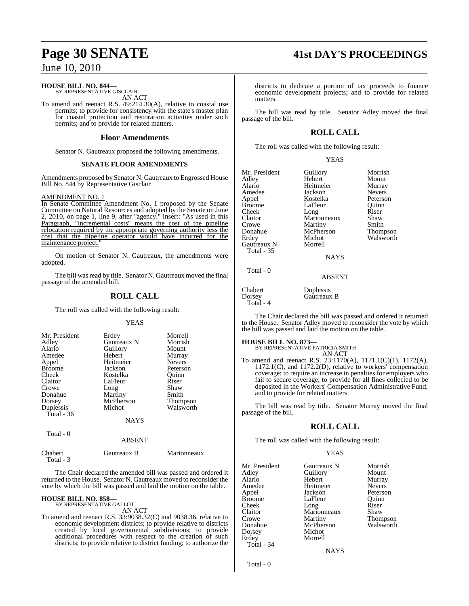#### **HOUSE BILL NO. 844—**

BY REPRESENTATIVE GISCLAIR AN ACT

To amend and reenact R.S. 49:214.30(A), relative to coastal use permits; to provide for consistency with the state's master plan for coastal protection and restoration activities under such permits; and to provide for related matters.

#### **Floor Amendments**

Senator N. Gautreaux proposed the following amendments.

#### **SENATE FLOOR AMENDMENTS**

Amendments proposed by Senator N. Gautreaux to Engrossed House Bill No. 844 by Representative Gisclair

#### AMENDMENT NO. 1

In Senate Committee Amendment No. 1 proposed by the Senate Committee on Natural Resources and adopted by the Senate on June 2, 2010, on page 1, line 9, after "agency." insert: "As used in this Paragraph, "incremental costs" means the cost of the pipeline relocation required by the appropriate governing authority less the cost that the pipeline operator would have incurred for the maintenance project.

On motion of Senator N. Gautreaux, the amendments were adopted.

The bill was read by title. Senator N. Gautreaux moved the final passage of the amended bill.

## **ROLL CALL**

The roll was called with the following result:

#### YEAS

| Mr. President<br>Adley<br>Alario<br>Amedee<br>Appel<br><b>Broome</b><br>Cheek<br>Claitor<br>Crowe<br>Donahue | Erdey<br>Gautreaux N<br>Guillory<br>Hebert<br>Heitmeier<br>Jackson<br>Kostelka<br>LaFleur<br>Long<br>Martiny | Morrell<br>Morrish<br>Mount<br>Murray<br><b>Nevers</b><br>Peterson<br>Ouinn<br>Riser<br>Shaw<br>Smith |
|--------------------------------------------------------------------------------------------------------------|--------------------------------------------------------------------------------------------------------------|-------------------------------------------------------------------------------------------------------|
|                                                                                                              |                                                                                                              |                                                                                                       |
|                                                                                                              |                                                                                                              |                                                                                                       |
| Dorsey                                                                                                       | McPherson                                                                                                    | Thompson                                                                                              |
| Duplessis<br>Total $-36$                                                                                     | Michot                                                                                                       | Walsworth                                                                                             |
|                                                                                                              | <b>NAYS</b>                                                                                                  |                                                                                                       |

| -----   | <b>ABSENT</b> |             |
|---------|---------------|-------------|
| Chabert | Gautreaux B   | Marionneaux |

Total - 3

 $Total \ \ 0$ 

The Chair declared the amended bill was passed and ordered it returned to the House. Senator N. Gautreaux moved to reconsider the vote by which the bill was passed and laid the motion on the table.

#### **HOUSE BILL NO. 858—** BY REPRESENTATIVE GALLOT

AN ACT

To amend and reenact R.S. 33:9038.32(C) and 9038.36, relative to economic development districts; to provide relative to districts created by local governmental subdivisions; to provide additional procedures with respect to the creation of such districts; to provide relative to district funding; to authorize the

# **Page 30 SENATE 41st DAY'S PROCEEDINGS**

districts to dedicate a portion of tax proceeds to finance economic development projects; and to provide for related matters.

The bill was read by title. Senator Adley moved the final passage of the bill.

## **ROLL CALL**

The roll was called with the following result:

#### YEAS

| Mr. President | Guillory    | Morrish       |
|---------------|-------------|---------------|
| Adley         | Hebert      | Mount         |
| Alario        | Heitmeier   | Murray        |
| Amedee        | Jackson     | <b>Nevers</b> |
| Appel         | Kostelka    | Peterson      |
| <b>Broome</b> | LaFleur     | Ouinn         |
| Cheek         | Long        | Riser         |
| Claitor       | Marionneaux | Shaw          |
| Crowe         | Martiny     | Smith         |
| Donahue       | McPherson   | Thompson      |
| Erdey         | Michot      | Walsworth     |
| Gautreaux N   | Morrell     |               |
| Total - 35    |             |               |
|               | <b>NAYS</b> |               |
| Total - 0     |             |               |
|               | ABSENT      |               |

Chabert Duplessis<br>
Dorsey Gautreaux Gautreaux B Total - 4

The Chair declared the bill was passed and ordered it returned to the House. Senator Adley moved to reconsider the vote by which the bill was passed and laid the motion on the table.

**HOUSE BILL NO. 873—** BY REPRESENTATIVE PATRICIA SMITH AN ACT

To amend and reenact R.S. 23:1170(A), 1171.1(C)(1), 1172(A), 1172.1(C), and 1172.2(D), relative to workers' compensation coverage; to require an increase in penalties for employers who fail to secure coverage; to provide for all fines collected to be deposited in the Workers' Compensation Administrative Fund; and to provide for related matters.

The bill was read by title. Senator Murray moved the final passage of the bill.

## **ROLL CALL**

The roll was called with the following result:

#### YEAS

| Mr. President | Gautreaux N | Morrish       |
|---------------|-------------|---------------|
| Adley         | Guillory    | Mount         |
| Alario        | Hebert      | Murray        |
| Amedee        | Heitmeier   | <b>Nevers</b> |
| Appel         | Jackson     | Peterson      |
| <b>Broome</b> | LaFleur     | Ouinn         |
| Cheek         | Long        | Riser         |
| Claitor       | Marionneaux | Shaw          |
| Crowe         | Martiny     | Thompson      |
| Donahue       | McPherson   | Walsworth     |
| Dorsey        | Michot      |               |
| Erdey         | Morrell     |               |
| Total - 34    |             |               |
|               |             |               |

Total - 0

**NAYS**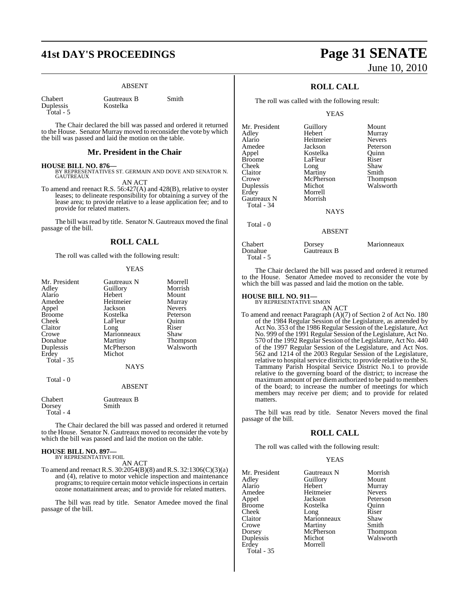# **41st DAY'S PROCEEDINGS Page 31 SENATE**

#### ABSENT

| Chabert   |
|-----------|
| Duplessis |
| Total -   |

Gautreaux B Smith Kostelka

The Chair declared the bill was passed and ordered it returned to the House. Senator Murray moved to reconsider the vote by which the bill was passed and laid the motion on the table.

#### **Mr. President in the Chair**

**HOUSE BILL NO. 876—** BY REPRESENTATIVES ST. GERMAIN AND DOVE AND SENATOR N. **GAUTREAUX** 

AN ACT To amend and reenact R.S. 56:427(A) and 428(B), relative to oyster leases; to delineate responsibility for obtaining a survey of the lease area; to provide relative to a lease application fee; and to provide for related matters.

The bill was read by title. Senator N. Gautreaux moved the final passage of the bill.

#### **ROLL CALL**

The roll was called with the following result:

#### YEAS

| Mr. President     | Gautreaux N          | Morrell       |
|-------------------|----------------------|---------------|
| Adley             | Guillory             | Morrish       |
| Alario            | Hebert               | Mount         |
| Amedee            | Heitmeier            | Murray        |
| Appel             | Jackson              | <b>Nevers</b> |
| <b>Broome</b>     | Kostelka             | Peterson      |
| Cheek             | LaFleur              | Ouinn         |
| Claitor           | Long                 | Riser         |
| Crowe             | Marionneaux          | Shaw          |
| Donahue           | Martiny              | Thompson      |
| Duplessis         | McPherson            | Walsworth     |
| Erdey             | Michot               |               |
| Total - 35        |                      |               |
|                   | <b>NAYS</b>          |               |
| Total - 0         |                      |               |
|                   | <b>ABSENT</b>        |               |
| Chabert<br>Dorsey | Gautreaux B<br>Smith |               |

The Chair declared the bill was passed and ordered it returned to the House. Senator N. Gautreaux moved to reconsider the vote by which the bill was passed and laid the motion on the table.

# **HOUSE BILL NO. 897—** BY REPRESENTATIVE FOIL

Total - 4

AN ACT

To amend and reenact R.S. 30:2054(B)(8) and R.S. 32:1306(C)(3)(a) and (4), relative to motor vehicle inspection and maintenance programs; to require certain motor vehicle inspectionsin certain ozone nonattainment areas; and to provide for related matters.

The bill was read by title. Senator Amedee moved the final passage of the bill.

# June 10, 2010

## **ROLL CALL**

The roll was called with the following result:

YEAS

| Mr. President | Guillory      | Mount           |
|---------------|---------------|-----------------|
| Adley         | Hebert        | Murray          |
| Alario        | Heitmeier     | <b>Nevers</b>   |
| Amedee        | Jackson       | Peterson        |
| Appel         | Kostelka      | Quinn           |
| <b>Broome</b> | LaFleur       | Riser           |
| Cheek         | Long          | Shaw            |
| Claitor       | Martiny       | Smith           |
| Crowe         | McPherson     | <b>Thompson</b> |
| Duplessis     | Michot        | Walsworth       |
| Erdey         | Morrell       |                 |
| Gautreaux N   | Morrish       |                 |
| Total - 34    |               |                 |
|               | NAYS          |                 |
| Total - 0     |               |                 |
|               | <b>ABSENT</b> |                 |
| Chabert       | Dorsey        | Marionneaux     |
| Donahue       | Gautreaux B   |                 |

The Chair declared the bill was passed and ordered it returned to the House. Senator Amedee moved to reconsider the vote by which the bill was passed and laid the motion on the table.

# **HOUSE BILL NO. 911—** BY REPRESENTATIVE SIMON

Total - 5

AN ACT

To amend and reenact Paragraph (A)(7) of Section 2 of Act No. 180 of the 1984 Regular Session of the Legislature, as amended by Act No. 353 of the 1986 Regular Session of the Legislature, Act No. 999 of the 1991 Regular Session of the Legislature, Act No. 570 of the 1992 Regular Session of the Legislature, Act No. 440 of the 1997 Regular Session of the Legislature, and Act Nos. 562 and 1214 of the 2003 Regular Session of the Legislature, relative to hospital service districts; to provide relative to the St. Tammany Parish Hospital Service District No.1 to provide relative to the governing board of the district; to increase the maximum amount of per diem authorized to be paid to members of the board; to increase the number of meetings for which members may receive per diem; and to provide for related matters.

The bill was read by title. Senator Nevers moved the final passage of the bill.

#### **ROLL CALL**

The roll was called with the following result:

#### YEAS

| Mr. President     | Gautreaux N         | Morrish       |
|-------------------|---------------------|---------------|
| Adley             | Guillory            | Mount         |
| Alario            | Hebert              | Murray        |
| Amedee            | Heitmeier           | <b>Nevers</b> |
| Appel             | Jackson             | Peterson      |
| <b>Broome</b>     | Kostelka            | Ouinn         |
| Cheek             |                     | Riser         |
| Claitor           | Long<br>Marionneaux | Shaw          |
| Crowe             | Martiny             | Smith         |
| Dorsey            | McPherson           | Thompson      |
| Duplessis         | Michot              | Walsworth     |
| Erdey             | Morrell             |               |
| <b>Total - 35</b> |                     |               |
|                   |                     |               |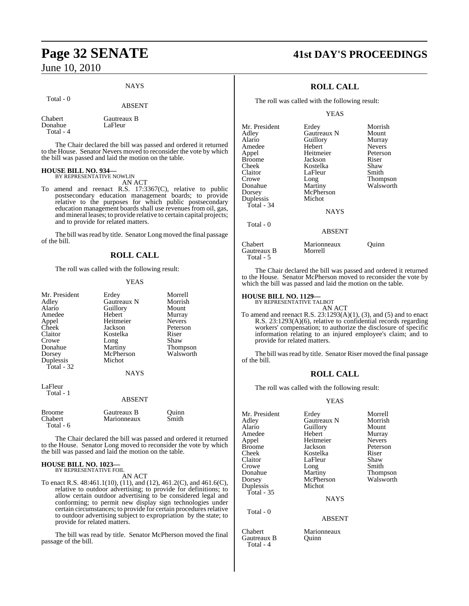#### NAYS

Total - 0

#### ABSENT

| Chabert   | Gautreaux B |
|-----------|-------------|
| Donahue   | LaFleur     |
| Total - 4 |             |

The Chair declared the bill was passed and ordered it returned to the House. Senator Nevers moved to reconsider the vote by which the bill was passed and laid the motion on the table.

### **HOUSE BILL NO. 934—**

BY REPRESENTATIVE NOWLIN AN ACT

To amend and reenact R.S. 17:3367(C), relative to public postsecondary education management boards; to provide relative to the purposes for which public postsecondary education management boards shall use revenues from oil, gas, and mineral leases; to provide relative to certain capital projects; and to provide for related matters.

The bill was read by title. Senator Long moved the final passage of the bill.

### **ROLL CALL**

The roll was called with the following result:

#### YEAS

| Mr. President<br>Adley<br>Alario<br>Amedee<br>Appel<br>Cheek<br>Claitor<br>Crowe<br>Donahue<br>Dorsey<br>Duplessis<br>Total - 32 | Erdey<br>Gautreaux N<br>Guillory<br>Hebert<br>Heitmeier<br>Jackson<br>Kostelka<br>Long<br>Martiny<br>McPherson<br>Michot<br><b>NAYS</b> | Morrell<br>Morrish<br>Mount<br>Murray<br><b>Nevers</b><br>Peterson<br>Riser<br>Shaw<br>Thompson<br>Walsworth |
|----------------------------------------------------------------------------------------------------------------------------------|-----------------------------------------------------------------------------------------------------------------------------------------|--------------------------------------------------------------------------------------------------------------|
| LaFleur<br>Total - 1                                                                                                             | <b>ABSENT</b>                                                                                                                           |                                                                                                              |
| <b>Broome</b><br>Chabert                                                                                                         | Gautreaux B<br>Marionneaux                                                                                                              | Ouinn<br>Smith                                                                                               |

The Chair declared the bill was passed and ordered it returned to the House. Senator Long moved to reconsider the vote by which the bill was passed and laid the motion on the table.

# **HOUSE BILL NO. 1023—** BY REPRESENTATIVE FOIL

Total - 6

AN ACT

To enact R.S. 48:461.1(10), (11), and (12), 461.2(C), and 461.6(C), relative to outdoor advertising; to provide for definitions; to allow certain outdoor advertising to be considered legal and conforming; to permit new display sign technologies under certain circumstances; to provide for certain procedures relative to outdoor advertising subject to expropriation by the state; to provide for related matters.

The bill was read by title. Senator McPherson moved the final passage of the bill.

# **Page 32 SENATE 41st DAY'S PROCEEDINGS**

## **ROLL CALL**

The roll was called with the following result:

YEAS

| Mr. President | Erdey         | Morrish       |
|---------------|---------------|---------------|
| Adlev         | Gautreaux N   | Mount         |
| Alario        | Guillory      | Murray        |
| Amedee        | Hebert        | <b>Nevers</b> |
| Appel         | Heitmeier     | Peterson      |
| Broome        | Jackson       | Riser         |
| Cheek         | Kostelka      | Shaw          |
| Claitor       | LaFleur       | Smith         |
| Crowe         | Long          | Thompson      |
| Donahue       | Martiny       | Walsworth     |
| Dorsey        | McPherson     |               |
| Duplessis     | Michot        |               |
| Total - 34    |               |               |
|               | <b>NAYS</b>   |               |
| Total - 0     |               |               |
|               | <b>ABSENT</b> |               |
| Chabert       | Marionneaux   | Ouinn         |
|               |               |               |

The Chair declared the bill was passed and ordered it returned to the House. Senator McPherson moved to reconsider the vote by which the bill was passed and laid the motion on the table.

# **HOUSE BILL NO. 1129—** BY REPRESENTATIVE TALBOT

AN ACT

To amend and reenact R.S.  $23:1293(A)(1)$ ,  $(3)$ , and  $(5)$  and to enact R.S. 23:1293(A)(6), relative to confidential records regarding workers' compensation; to authorize the disclosure of specific information relating to an injured employee's claim; and to provide for related matters.

The bill was read by title. Senator Riser moved the final passage of the bill.

## **ROLL CALL**

The roll was called with the following result:

#### YEAS

| Mr. President | Erdey       | Morrell       |
|---------------|-------------|---------------|
| Adley         | Gautreaux N | Morrish       |
| Alario        | Guillory    | Mount         |
| Amedee        | Hebert      | Murray        |
| Appel         | Heitmeier   | <b>Nevers</b> |
| <b>Broome</b> | Jackson     | Peterson      |
| Cheek         | Kostelka    | Riser         |
| Claitor       | LaFleur     | Shaw          |
| Crowe         | Long        | Smith         |
| Donahue       | Martiny     | Thompson      |
| Dorsey        | McPherson   | Walsworth     |
| Duplessis     | Michot      |               |
| Total - $35$  |             |               |
|               | <b>NAYS</b> |               |

#### ABSENT

Chabert Marionneaux<br>
Gautreaux B Quinn

## Gautreaux B Morrell Total - 5

Total - 0

Gautreaux B Total - 4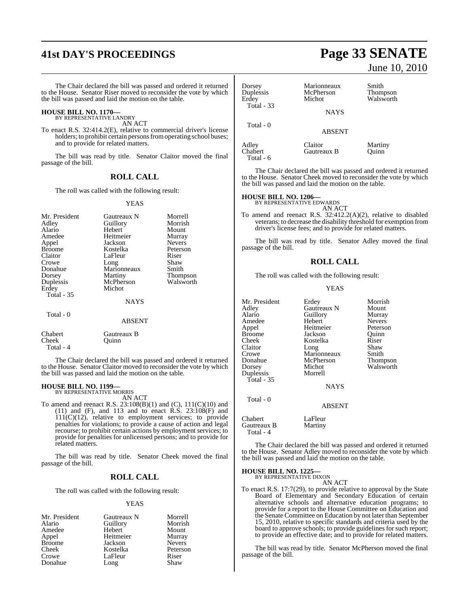# **41st DAY'S PROCEEDINGS Page 33 SENATE**

The Chair declared the bill was passed and ordered it returned to the House. Senator Riser moved to reconsider the vote by which the bill was passed and laid the motion on the table.

# **HOUSE BILL NO. 1170—** BY REPRESENTATIVE LANDRY

AN ACT

To enact R.S. 32:414.2(E), relative to commercial driver's license holders; to prohibit certain persons from operating school buses; and to provide for related matters.

The bill was read by title. Senator Claitor moved the final passage of the bill.

### **ROLL CALL**

The roll was called with the following result:

#### YEAS

| Mr. President<br>Adley<br>Alario<br>Amedee<br>Appel<br><b>Broome</b><br>Claitor<br>Crowe<br>Donahue<br>Dorsey<br>Duplessis<br>Erdey | Gautreaux N<br>Guillory<br>Hebert<br>Heitmeier<br>Jackson<br>Kostelka<br>LaFleur<br>Long<br>Marionneaux<br>Martiny<br>McPherson<br>Michot | Morrell<br>Morrish<br>Mount<br>Murray<br><b>Nevers</b><br>Peterson<br>Riser<br>Shaw<br>Smith<br><b>Thompson</b><br>Walsworth |
|-------------------------------------------------------------------------------------------------------------------------------------|-------------------------------------------------------------------------------------------------------------------------------------------|------------------------------------------------------------------------------------------------------------------------------|
| <b>Total - 35</b>                                                                                                                   | <b>NAYS</b>                                                                                                                               |                                                                                                                              |
| Total $-0$                                                                                                                          | <b>ABSENT</b>                                                                                                                             |                                                                                                                              |
| Chabert<br>Cheek                                                                                                                    | Gautreaux B<br>Ouinn                                                                                                                      |                                                                                                                              |

The Chair declared the bill was passed and ordered it returned to the House. Senator Claitor moved to reconsider the vote by which the bill was passed and laid the motion on the table.

# **HOUSE BILL NO. 1199—** BY REPRESENTATIVE MORRIS

Cheek Total - 4

AN ACT

To amend and reenact R.S. 23:108(B)(1) and (C), 111(C)(10) and (11) and (F), and 113 and to enact R.S. 23:108(F) and 111(C)(12), relative to employment services; to provide penalties for violations; to provide a cause of action and legal recourse; to prohibit certain actions by employment services; to provide for penalties for unlicensed persons; and to provide for related matters.

The bill was read by title. Senator Cheek moved the final passage of the bill.

## **ROLL CALL**

The roll was called with the following result:

#### YEAS

| Mr. President | Gautreaux N | Morrell       |
|---------------|-------------|---------------|
| Alario        | Guillory    | Morrish       |
| Amedee        | Hebert      | Mount         |
| Appel         | Heitmeier   | Murray        |
| <b>Broome</b> | Jackson     | <b>Nevers</b> |
| Cheek         | Kostelka    | Peterson      |
| Crowe         | LaFleur     | Riser         |
| Donahue       | Long        | Shaw          |

# June 10, 2010

| Dorsey<br>Duplessis<br>Erdev  | Marionneaux<br>McPherson<br>Michot | Smith<br><b>Thompson</b><br>Walsworth |
|-------------------------------|------------------------------------|---------------------------------------|
| Total - 33                    | <b>NAYS</b>                        |                                       |
| Total - 0                     | <b>ABSENT</b>                      |                                       |
| Adley<br>Chabert<br>Total - 6 | Claitor<br>Gautreaux B             | Martiny<br>Ouinn                      |

The Chair declared the bill was passed and ordered it returned to the House. Senator Cheek moved to reconsider the vote by which the bill was passed and laid the motion on the table.

# **HOUSE BILL NO. 1206—** BY REPRESENTATIVE EDWARDS

AN ACT To amend and reenact R.S. 32:412.2(A)(2), relative to disabled veterans; to decrease the disability threshold for exemption from driver's license fees; and to provide for related matters.

The bill was read by title. Senator Adley moved the final passage of the bill.

## **ROLL CALL**

The roll was called with the following result:

#### YEAS

| Mr. President<br>Adley<br>Alario<br>Amedee<br>Appel<br><b>Broome</b><br>Cheek<br>Claitor<br>Crowe<br>Donahue<br>Dorsey<br>Duplessis<br>Total - $35$ | Erdey<br>Gautreaux N<br>Guillory<br>Hebert<br>Heitmeier<br>Jackson<br>Kostelka<br>Long<br>Marionneaux<br>McPherson<br>Michot<br>Morrell<br><b>NAYS</b> | Morrish<br>Mount<br>Murray<br><b>Nevers</b><br>Peterson<br>Quinn<br>Riser<br>Shaw<br>Smith<br>Thompson<br>Walsworth |
|-----------------------------------------------------------------------------------------------------------------------------------------------------|--------------------------------------------------------------------------------------------------------------------------------------------------------|---------------------------------------------------------------------------------------------------------------------|
| Total - 0                                                                                                                                           | <b>ABSENT</b>                                                                                                                                          |                                                                                                                     |
| Chabert                                                                                                                                             | LaFleur                                                                                                                                                |                                                                                                                     |

The Chair declared the bill was passed and ordered it returned to the House. Senator Adley moved to reconsider the vote by which the bill was passed and laid the motion on the table.

#### **HOUSE BILL NO. 1225—** BY REPRESENTATIVE DIXON

Gautreaux B Martiny

Total - 4

AN ACT

To enact R.S. 17:7(29), to provide relative to approval by the State Board of Elementary and Secondary Education of certain alternative schools and alternative education programs; to provide for a report to the House Committee on Education and the Senate Committee on Education by not later than September 15, 2010, relative to specific standards and criteria used by the board to approve schools; to provide guidelines for such report; to provide an effective date; and to provide for related matters.

The bill was read by title. Senator McPherson moved the final passage of the bill.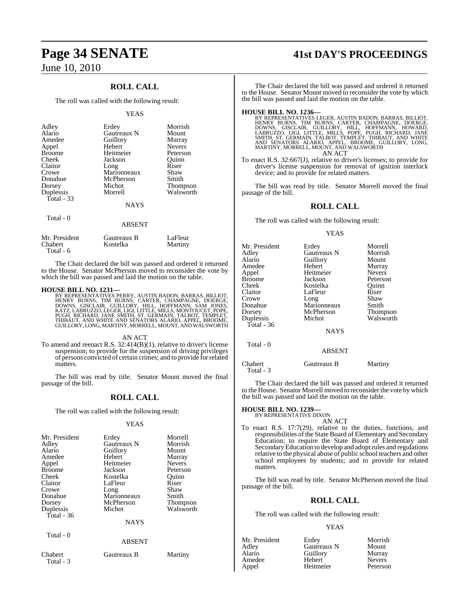## **ROLL CALL**

The roll was called with the following result:

#### YEAS

| Adley<br>Alario<br>Amedee<br>Appel<br><b>Broome</b><br>Cheek<br>Claitor<br>Crowe<br>Donahue<br>Dorsey<br>Duplessis<br>Total $-33$ | Erdey<br>Gautreaux N<br>Guillory<br>Hebert<br>Heitmeier<br>Jackson<br>Long<br>Marionneaux<br>McPherson<br>Michot<br>Morrell<br><b>NAYS</b> | Morrish<br>Mount<br>Murray<br><b>Nevers</b><br>Peterson<br>Ouinn<br>Riser<br>Shaw<br>Smith<br><b>Thompson</b><br>Walsworth |
|-----------------------------------------------------------------------------------------------------------------------------------|--------------------------------------------------------------------------------------------------------------------------------------------|----------------------------------------------------------------------------------------------------------------------------|
|                                                                                                                                   |                                                                                                                                            |                                                                                                                            |
| Total - 0                                                                                                                         | <b>ABSENT</b>                                                                                                                              |                                                                                                                            |

| Mr. President | Gautreaux B | LaFleur |
|---------------|-------------|---------|
| Chabert       | Kostelka    | Martiny |
| Total - $6$   |             |         |

The Chair declared the bill was passed and ordered it returned to the House. Senator McPherson moved to reconsider the vote by which the bill was passed and laid the motion on the table.

#### **HOUSE BILL NO. 1231—**

BY REPRESENTATIVES PERRY, AUSTIN BADON, BARRAS, BILLIOT,<br>HENRY BURNS, TIM BURNS, CARTER, CHAMPAGNE, DOERGE,<br>DOWNS, GISCLAIR, GUILLORY, HILL, HOFFMANN, SAM JONES,<br>KATZ, LABRUZZO, LEGER, LIGI, LITTLE, MILLS, MONTOUCET, POPE,

#### AN ACT

To amend and reenact R.S.  $32:414(B)(1)$ , relative to driver's license suspension; to provide for the suspension of driving privileges of persons convicted of certain crimes; and to provide forrelated matters.

The bill was read by title. Senator Mount moved the final passage of the bill.

## **ROLL CALL**

The roll was called with the following result:

#### YEAS

| Mr. President<br>Adley<br>Alario<br>Amedee<br>Appel<br><b>Broome</b><br>Cheek<br>Claitor<br>Crowe<br>Donahue<br>Dorsey | Erdey<br>Gautreaux N<br>Guillory<br>Hebert<br>Heitmeier<br>Jackson<br>Kostelka<br>LaFleur<br>Long<br>Marionneaux<br>McPherson<br>Michot | Morrell<br>Morrish<br>Mount<br>Murray<br><b>Nevers</b><br>Peterson<br>Ouinn<br>Riser<br>Shaw<br>Smith<br><b>Thompson</b><br>Walsworth |
|------------------------------------------------------------------------------------------------------------------------|-----------------------------------------------------------------------------------------------------------------------------------------|---------------------------------------------------------------------------------------------------------------------------------------|
| Duplessis<br>Total - 36                                                                                                | <b>NAYS</b>                                                                                                                             |                                                                                                                                       |
| Total - 0                                                                                                              | <b>ABSENT</b>                                                                                                                           |                                                                                                                                       |
| Chabert<br>Total - 3                                                                                                   | Gautreaux B                                                                                                                             | Martiny                                                                                                                               |

# **Page 34 SENATE 41st DAY'S PROCEEDINGS**

The Chair declared the bill was passed and ordered it returned to the House. Senator Mount moved to reconsider the vote by which the bill was passed and laid the motion on the table.

**HOUSE BILL NO. 1236**—<br>BY REPRESENTATIVES LEGER, AUSTIN BADON, BARRAS, BILLIOT,<br>HENRY BURNS, TIM BURNS, CARTER, CHAMPAGNE, DOERGE,<br>DOWNS, GISCLAIR, GUILLORY, HILL, HOFFMANN, HOWARD,<br>LABRUZZO, LIGI, LITTLE, MILLS, POPE, PUG AN ACT

To enact R.S. 32:667(J), relative to driver's licenses; to provide for driver's license suspension for removal of ignition interlock device; and to provide for related matters.

The bill was read by title. Senator Morrell moved the final passage of the bill.

#### **ROLL CALL**

The roll was called with the following result:

#### YEAS

| Mr. President<br>Adlev<br>Alario<br>Amedee<br>Appel<br>Broome<br>Cheek<br>Claitor<br>Crowe<br>Donahue<br>Dorsey | Erdey<br>Gautreaux N<br>Guillory<br>Hebert<br>Heitmeier<br>Jackson<br>Kostelka<br>LaFleur<br>Long<br>Marionneaux<br>McPherson<br>Michot | Morrell<br>Morrish<br>Mount<br>Murray<br><b>Nevers</b><br>Peterson<br>Ouinn<br>Riser<br>Shaw<br>Smith<br>Thompson<br>Walsworth |
|-----------------------------------------------------------------------------------------------------------------|-----------------------------------------------------------------------------------------------------------------------------------------|--------------------------------------------------------------------------------------------------------------------------------|
| Duplessis<br>Total - 36                                                                                         | <b>NAYS</b>                                                                                                                             |                                                                                                                                |
| Total - 0                                                                                                       | <b>ABSENT</b>                                                                                                                           |                                                                                                                                |
| Chabert<br>Total - 3                                                                                            | Gautreaux B                                                                                                                             | Martiny                                                                                                                        |

The Chair declared the bill was passed and ordered it returned to the House. Senator Morrell moved to reconsider the vote by which the bill was passed and laid the motion on the table.

#### **HOUSE BILL NO. 1239—**

BY REPRESENTATIVE DIXON

AN ACT To enact R.S. 17:7(29), relative to the duties, functions, and responsibilities of the State Board of Elementary and Secondary Education; to require the State Board of Elementary and SecondaryEducation to develop and adoptrules and regulations relative to the physical abuse of public school teachers and other school employees by students; and to provide for related matters.

The bill was read by title. Senator McPherson moved the final passage of the bill.

#### **ROLL CALL**

The roll was called with the following result:

#### YEAS

| Mr. President | Erdey       | Morrish       |
|---------------|-------------|---------------|
| Adley         | Gautreaux N | Mount         |
| Alario        | Guillory    | Murray        |
| Amedee        | Hebert      | <b>Nevers</b> |
| Appel         | Heitmeier   | Peterson      |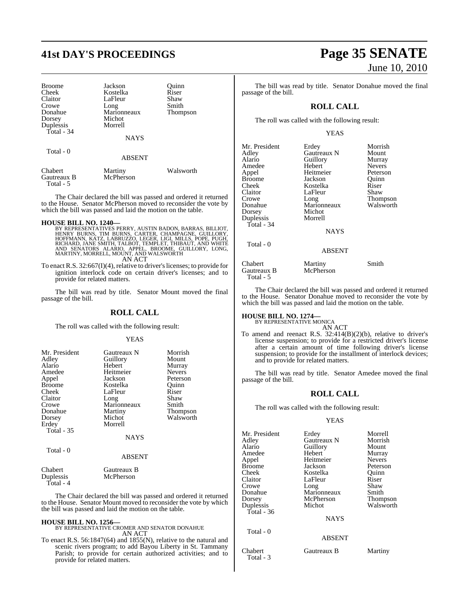# **41st DAY'S PROCEEDINGS Page 35 SENATE**

| <b>Broome</b>          | Jackson              | Ouinn     |
|------------------------|----------------------|-----------|
| Cheek                  | Kostelka             | Riser     |
| Claitor                | LaFleur              | Shaw      |
| Crowe                  | Long                 | Smith     |
| Donahue                | Marionneaux          | Thompson  |
| Dorsey                 | Michot               |           |
| Duplessis              | Morrell              |           |
| Total - 34             |                      |           |
|                        | <b>NAYS</b>          |           |
| Total - 0              |                      |           |
|                        | <b>ABSENT</b>        |           |
| Chabert<br>Gautreaux B | Martiny<br>McPherson | Walsworth |

The Chair declared the bill was passed and ordered it returned to the House. Senator McPherson moved to reconsider the vote by which the bill was passed and laid the motion on the table.

#### **HOUSE BILL NO. 1240—**

Total - 5

BY REPRESENTATIVES PERRY, AUSTIN BADON, BARRAS, BILLIOT,<br>HENRY BURNS, TIM BURNS, CARTER, CHAMPAGNE, GUILLORY,<br>HOFFMANN, KATZ, LABRUZZO, LEGER, LIGI, MILLS, POPE, PUGH,<br>RICHARD, JANE SMITH, TALBOT, TEMPLET, THIBAUT, AND WHI AN ACT

To enact R.S.  $32:667(I)(4)$ , relative to driver's licenses; to provide for ignition interlock code on certain driver's licenses; and to provide for related matters.

The bill was read by title. Senator Mount moved the final passage of the bill.

## **ROLL CALL**

The roll was called with the following result:

#### YEAS

| Mr. President | <b>Gautreaux N</b> | Morrish       |
|---------------|--------------------|---------------|
| Adley         | Guillory           | Mount         |
| Alario        | Hebert             | Murray        |
| Amedee        | Heitmeier          | <b>Nevers</b> |
| Appel         | Jackson            | Peterson      |
| <b>Broome</b> | Kostelka           | Ouinn         |
| Cheek         | LaFleur            | Riser         |
| Claitor       | Long               | Shaw          |
| Crowe         | Marionneaux        | Smith         |
| Donahue       | Martiny            | Thompson      |
| Dorsey        | Michot             | Walsworth     |
| Erdey         | Morrell            |               |
| Total - 35    |                    |               |
|               | <b>NAYS</b>        |               |
| Total - 0     |                    |               |
|               | <b>ABSENT</b>      |               |
| Chabert       | Gautreaux B        |               |

Duplessis McPherson Total - 4

The Chair declared the bill was passed and ordered it returned to the House. Senator Mount moved to reconsider the vote by which the bill was passed and laid the motion on the table.

**HOUSE BILL NO. 1256—** BY REPRESENTATIVE CROMER AND SENATOR DONAHUE AN ACT

To enact R.S. 56:1847(64) and 1855(N), relative to the natural and scenic rivers program; to add Bayou Liberty in St. Tammany Parish; to provide for certain authorized activities; and to provide for related matters.

# June 10, 2010

The bill was read by title. Senator Donahue moved the final passage of the bill.

### **ROLL CALL**

The roll was called with the following result:

#### YEAS

| Mr. President | Erdey         | Morrish       |
|---------------|---------------|---------------|
| Adley         | Gautreaux N   | Mount         |
| Alario        | Guillory      | Murray        |
| Amedee        | Hebert        | <b>Nevers</b> |
| Appel         | Heitmeier     | Peterson      |
| <b>Broome</b> | Jackson       | Quinn         |
| Cheek         | Kostelka      | Riser         |
| Claitor       | LaFleur       | Shaw          |
| Crowe         | Long          | Thompson      |
| Donahue       | Marionneaux   | Walsworth     |
| Dorsey        | Michot        |               |
| Duplessis     | Morrell       |               |
| Total - 34    |               |               |
|               | <b>NAYS</b>   |               |
| Total - 0     |               |               |
|               | <b>ABSENT</b> |               |
| Chabert       | Martiny       | Smith         |
| Gautreaux B   | McPherson     |               |
| Total - 5     |               |               |

The Chair declared the bill was passed and ordered it returned to the House. Senator Donahue moved to reconsider the vote by which the bill was passed and laid the motion on the table.

# **HOUSE BILL NO. 1274—** BY REPRESENTATIVE MONICA

AN ACT

To amend and reenact R.S. 32:414(B)(2)(b), relative to driver's license suspension; to provide for a restricted driver's license after a certain amount of time following driver's license suspension; to provide for the installment of interlock devices; and to provide for related matters.

The bill was read by title. Senator Amedee moved the final passage of the bill.

#### **ROLL CALL**

The roll was called with the following result:

#### YEAS

| Mr. President | Erdey         | Morrell       |
|---------------|---------------|---------------|
| Adley         | Gautreaux N   | Morrish       |
| Alario        | Guillory      | Mount         |
| Amedee        | Hebert        | Murray        |
| Appel         | Heitmeier     | <b>Nevers</b> |
| <b>Broome</b> | Jackson       | Peterson      |
| Cheek         | Kostelka      | Ouinn         |
| Claitor       | LaFleur       | Riser         |
| Crowe         | Long          | Shaw          |
| Donahue       | Marionneaux   | Smith         |
| Dorsey        | McPherson     | Thompson      |
| Duplessis     | Michot        | Walsworth     |
| Total - 36    |               |               |
|               | <b>NAYS</b>   |               |
| Total - 0     |               |               |
|               | <b>ABSENT</b> |               |
| Chabert       | Gautreaux B   | Martiny       |

Total - 3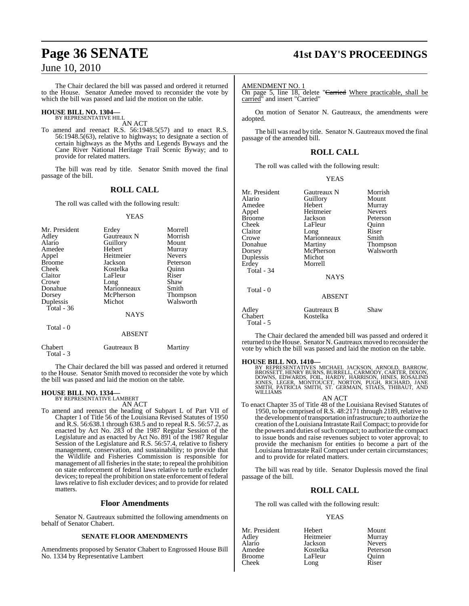The Chair declared the bill was passed and ordered it returned to the House. Senator Amedee moved to reconsider the vote by which the bill was passed and laid the motion on the table.

# **HOUSE BILL NO. 1304—** BY REPRESENTATIVE HILL

AN ACT

To amend and reenact R.S. 56:1948.5(57) and to enact R.S. 56:1948.5(63), relative to highways; to designate a section of certain highways as the Myths and Legends Byways and the Cane River National Heritage Trail Scenic Byway; and to provide for related matters.

The bill was read by title. Senator Smith moved the final passage of the bill.

#### **ROLL CALL**

The roll was called with the following result:

#### YEAS

| Mr. President<br>Adley<br>Alario<br>Amedee<br>Appel<br><b>Broome</b><br>Cheek<br>Claitor<br>Crowe | Erdey<br>Gautreaux N<br>Guillory<br>Hebert<br>Heitmeier<br>Jackson<br>Kostelka<br>LaFleur<br>Long<br>Marionneaux | Morrell<br>Morrish<br>Mount<br>Murray<br><b>Nevers</b><br>Peterson<br>Ouinn<br>Riser<br>Shaw |
|---------------------------------------------------------------------------------------------------|------------------------------------------------------------------------------------------------------------------|----------------------------------------------------------------------------------------------|
| Dorsey<br>Duplessis                                                                               | McPherson<br>Michot                                                                                              | Thompson<br>Walsworth                                                                        |
| Total - 36                                                                                        |                                                                                                                  |                                                                                              |
|                                                                                                   | <b>NAYS</b>                                                                                                      |                                                                                              |
| Total - 0                                                                                         | <b>ABSENT</b>                                                                                                    |                                                                                              |

The Chair declared the bill was passed and ordered it returned to the House. Senator Smith moved to reconsider the vote by which the bill was passed and laid the motion on the table.

# **HOUSE BILL NO. 1334—** BY REPRESENTATIVE LAMBERT

Total - 3

Chabert Gautreaux B Martiny

AN ACT To amend and reenact the heading of Subpart L of Part VII of Chapter 1 of Title 56 of the Louisiana Revised Statutes of 1950 and R.S. 56:638.1 through 638.5 and to repeal R.S. 56:57.2, as enacted by Act No. 283 of the 1987 Regular Session of the Legislature and as enacted by Act No. 891 of the 1987 Regular Session of the Legislature and R.S. 56:57.4, relative to fishery management, conservation, and sustainability; to provide that the Wildlife and Fisheries Commission is responsible for management of all fisheries in the state; to repeal the prohibition on state enforcement of federal laws relative to turtle excluder devices; to repeal the prohibition on state enforcement of federal laws relative to fish excluder devices; and to provide for related matters.

#### **Floor Amendments**

Senator N. Gautreaux submitted the following amendments on behalf of Senator Chabert.

#### **SENATE FLOOR AMENDMENTS**

Amendments proposed by Senator Chabert to Engrossed House Bill No. 1334 by Representative Lambert

# **Page 36 SENATE 41st DAY'S PROCEEDINGS**

AMENDMENT NO. 1

On page 5, line 18, delete "<del>Carried</del> Where practicable, shall be carried" and insert "Carried"

On motion of Senator N. Gautreaux, the amendments were adopted.

The bill was read by title. Senator N. Gautreaux moved the final passage of the amended bill.

### **ROLL CALL**

The roll was called with the following result:

#### YEAS

| Mr. President    | Gautreaux N             | Morrish       |
|------------------|-------------------------|---------------|
| Alario           | Guillory                | Mount         |
| Amedee           | Hebert                  | Murray        |
| Appel            | Heitmeier               | <b>Nevers</b> |
| <b>Broome</b>    | Jackson                 | Peterson      |
| Cheek            | LaFleur                 | Ouinn         |
| Claitor          | Long                    | Riser         |
| Crowe            | Marionneaux             | Smith         |
| Donahue          | Martiny                 | Thompson      |
| Dorsey           | McPherson               | Walsworth     |
| Duplessis        | Michot                  |               |
| Erdey            | Morrell                 |               |
| Total - 34       |                         |               |
|                  | <b>NAYS</b>             |               |
| Total - 0        |                         |               |
|                  | <b>ABSENT</b>           |               |
| Adley<br>Chabert | Gautreaux B<br>Kostelka | Shaw          |

The Chair declared the amended bill was passed and ordered it returned to the House. Senator N. Gautreaux moved to reconsider the vote by which the bill was passed and laid the motion on the table.

#### **HOUSE BILL NO. 1410—**

Total - 5

BY REPRESENTATIVES MICHAEL JACKSON, ARNOLD, BARROW,<br>BROSSETT,HENRY BURNS,BURRELL, CARMODY, CARTER, DIXON,<br>DOWNS, EDWARDS, FOIL, HARDY, HARRISON, HINES, ROSALIND<br>JONES, LEGER, MONTOUCET, NORTON, PUGH, RICHARD, JANE<br>SMITH, P

AN ACT To enact Chapter 35 of Title 48 of the Louisiana Revised Statutes of 1950, to be comprised of R.S. 48:2171 through 2189, relative to the development of transportation infrastructure; to authorize the creation of the Louisiana Intrastate Rail Compact; to provide for the powers and duties of such compact; to authorize the compact to issue bonds and raise revenues subject to voter approval; to provide the mechanism for entities to become a part of the Louisiana Intrastate Rail Compact under certain circumstances; and to provide for related matters.

The bill was read by title. Senator Duplessis moved the final passage of the bill.

### **ROLL CALL**

The roll was called with the following result:

#### YEAS

| Mr. President | Hebert    | Mount         |
|---------------|-----------|---------------|
| Adley         | Heitmeier | Murray        |
| Alario        | Jackson   | <b>Nevers</b> |
| Amedee        | Kostelka  | Peterson      |
| <b>Broome</b> | LaFleur   | Ouinn         |
| Cheek         | Long      | Riser         |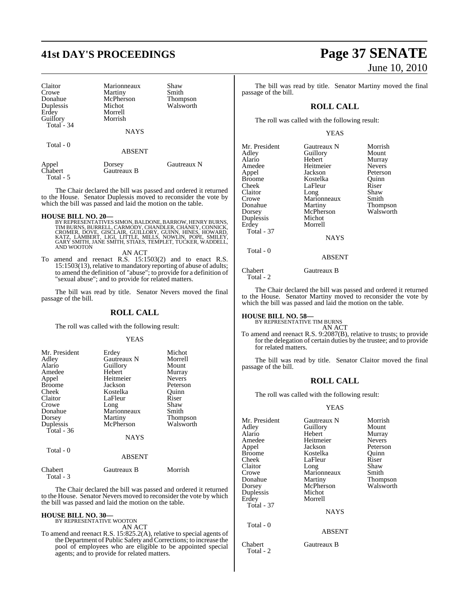# **41st DAY'S PROCEEDINGS Page 37 SENATE**

| Claitor<br>Crowe<br>Donahue<br>Duplessis<br>Erdey<br>Guillory<br>Total - 34 | Marionneaux<br>Martiny<br>McPherson<br>Michot<br>Morrell<br>Morrish<br><b>NAYS</b> | Shaw<br>Smith<br>Thompson<br>Walsworth |
|-----------------------------------------------------------------------------|------------------------------------------------------------------------------------|----------------------------------------|
| Total - 0                                                                   | ABSENT                                                                             |                                        |
| Appel<br>Chabert<br>Total - 5                                               | Dorsey<br>Gautreaux B                                                              | Gautreaux N                            |

The Chair declared the bill was passed and ordered it returned to the House. Senator Duplessis moved to reconsider the vote by which the bill was passed and laid the motion on the table.

#### **HOUSE BILL NO. 20—**

BY REPRESENTATIVES SIMON, BALDONE, BARROW, HENRY BURNS,<br>TIM BURNS, BURRELL, CARMODY, CHANDLER, CHANEY, CONNICK,<br>CROMER, DOVE, GISCLAIR, GUILLORY, GUINN, HINES, HOWARD,<br>KATZ, LAMBERT, LIGI, LITTLE, MILLS, NOWLIN, POPE, SMIL

AN ACT

To amend and reenact R.S. 15:1503(2) and to enact R.S. 15:1503(13), relative to mandatory reporting of abuse of adults; to amend the definition of "abuse"; to provide for a definition of "sexual abuse"; and to provide for related matters.

The bill was read by title. Senator Nevers moved the final passage of the bill.

### **ROLL CALL**

The roll was called with the following result:

#### YEAS

| Mr. President | Erdey       | Michot        |
|---------------|-------------|---------------|
| Adley         | Gautreaux N | Morrell       |
| Alario        | Guillory    | Mount         |
| Amedee        | Hebert      | Murray        |
| Appel         | Heitmeier   | <b>Nevers</b> |
| <b>Broome</b> | Jackson     | Peterson      |
| Cheek         | Kostelka    | Ouinn         |
| Claitor       | LaFleur     | Riser         |
| Crowe         | Long        | Shaw          |
| Donahue       | Marionneaux | Smith         |
| Dorsey        | Martiny     | Thompson      |
| Duplessis     | McPherson   | Walsworth     |
| Total $-36$   |             |               |
|               | <b>NAYS</b> |               |
| Total - 0     | ABSENT      |               |

| Gautreaux B | Morrish |
|-------------|---------|
|             |         |
|             |         |

The Chair declared the bill was passed and ordered it returned to the House. Senator Nevers moved to reconsider the vote by which the bill was passed and laid the motion on the table.

#### **HOUSE BILL NO. 30—** BY REPRESENTATIVE WOOTON

AN ACT

To amend and reenact R.S. 15:825.2(A), relative to special agents of the Department of Public Safety and Corrections; to increase the pool of employees who are eligible to be appointed special agents; and to provide for related matters.

# June 10, 2010

Morrish Mount Murray<br>Nevers

Peterson Quinn<br>Riser

Smith Thompson Walsworth

The bill was read by title. Senator Martiny moved the final passage of the bill.

#### **ROLL CALL**

The roll was called with the following result:

#### YEAS

| Mr. President | Gautreaux N | <b>Morris</b> |
|---------------|-------------|---------------|
| Adley         | Guillory    | Mount         |
| Alario        | Hebert      | Murray        |
| Amedee        | Heitmeier   | Nevers        |
| Appel         | Jackson     | Peterso       |
| <b>Broome</b> | Kostelka    | Ouinn         |
| Cheek         | LaFleur     | Riser         |
| Claitor       | Long        | Shaw          |
| Crowe         | Marionneaux | Smith         |
| Donahue       | Martiny     | Thomp         |
| Dorsey        | McPherson   | Walsw         |
| Duplessis     | Michot      |               |
| Erdey         | Morrell     |               |
| Total - 37    |             |               |
|               | <b>NAYS</b> |               |
| Total - 0     |             |               |
|               | ABSENT      |               |

#### Chabert Gautreaux B Total - 2

The Chair declared the bill was passed and ordered it returned to the House. Senator Martiny moved to reconsider the vote by which the bill was passed and laid the motion on the table.

**HOUSE BILL NO. 58—** BY REPRESENTATIVE TIM BURNS AN ACT

To amend and reenact R.S. 9:2087(B), relative to trusts; to provide for the delegation of certain duties by the trustee; and to provide for related matters.

The bill was read by title. Senator Claitor moved the final passage of the bill.

#### **ROLL CALL**

The roll was called with the following result:

#### YEAS

| Mr. President     | Gautreaux N   | Morrish       |
|-------------------|---------------|---------------|
| Adley             | Guillory      | Mount         |
| Alario            | Hebert        | Murray        |
| Amedee            | Heitmeier     | <b>Nevers</b> |
| Appel             | Jackson       | Peterson      |
| Broome            | Kostelka      | Ouinn         |
| Cheek             | LaFleur       | Riser         |
| Claitor           | Long          | Shaw          |
| Crowe             | Marionneaux   | Smith         |
| Donahue           | Martiny       | Thompson      |
| Dorsey            | McPherson     | Walsworth     |
| Duplessis         | Michot        |               |
| Erdey             | Morrell       |               |
| <b>Total - 37</b> |               |               |
|                   | <b>NAYS</b>   |               |
| Total $-0$        |               |               |
|                   | <b>ABSENT</b> |               |
|                   |               |               |

Chabert Gautreaux B Total - 2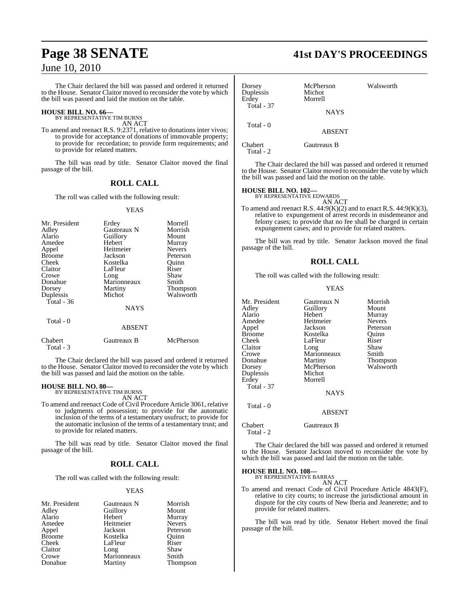The Chair declared the bill was passed and ordered it returned to the House. Senator Claitor moved to reconsider the vote by which the bill was passed and laid the motion on the table.

# **HOUSE BILL NO. 66—** BY REPRESENTATIVE TIM BURNS

AN ACT

To amend and reenact R.S. 9:2371, relative to donations inter vivos; to provide for acceptance of donations of immovable property; to provide for recordation; to provide form requirements; and to provide for related matters.

The bill was read by title. Senator Claitor moved the final passage of the bill.

### **ROLL CALL**

The roll was called with the following result:

#### YEAS

| Erdey         | Morrell               |
|---------------|-----------------------|
| Gautreaux N   | Morrish               |
| Guillory      | Mount                 |
| Hebert        | Murray                |
| Heitmeier     | <b>Nevers</b>         |
| Jackson       | Peterson              |
| Kostelka      | Ouinn                 |
| LaFleur       | Riser                 |
| Long          | Shaw                  |
| Marionneaux   | Smith                 |
| Martiny       | Thompson              |
|               | Walsworth             |
|               |                       |
|               |                       |
|               |                       |
| <b>ABSENT</b> |                       |
|               | Michot<br><b>NAYS</b> |

| Chabert   | Gautreaux B | McPherson |
|-----------|-------------|-----------|
| Total - 3 |             |           |

The Chair declared the bill was passed and ordered it returned to the House. Senator Claitor moved to reconsider the vote by which the bill was passed and laid the motion on the table.

# **HOUSE BILL NO. 80—** BY REPRESENTATIVE TIM BURNS

AN ACT

To amend and reenact Code of Civil Procedure Article 3061, relative to judgments of possession; to provide for the automatic inclusion of the terms of a testamentary usufruct; to provide for the automatic inclusion of the terms of a testamentary trust; and to provide for related matters.

The bill was read by title. Senator Claitor moved the final passage of the bill.

#### **ROLL CALL**

The roll was called with the following result:

#### YEAS

| Mr. President | Gautreaux N | Morrish       |
|---------------|-------------|---------------|
| Adley         | Guillory    | Mount         |
| Alario        | Hebert      | Murray        |
| Amedee        | Heitmeier   | <b>Nevers</b> |
| Appel         | Jackson     | Peterson      |
| <b>Broome</b> | Kostelka    | Ouinn         |
| Cheek         | LaFleur     | Riser         |
| Claitor       | Long        | Shaw          |
| Crowe         | Marionneaux | Smith         |
| Donahue       | Martiny     | Thompson      |

**Page 38 SENATE 41st DAY'S PROCEEDINGS**

| Dorsey<br>Duplessis<br>Erdev<br><b>Total - 37</b> | McPherson<br>Michot<br>Morrell | Walsworth |
|---------------------------------------------------|--------------------------------|-----------|
|                                                   | <b>NAYS</b>                    |           |
| Total - 0                                         | <b>ABSENT</b>                  |           |
| Chabert                                           | Gautreaux B                    |           |

Total - 2

The Chair declared the bill was passed and ordered it returned to the House. Senator Claitor moved to reconsider the vote by which the bill was passed and laid the motion on the table.

# **HOUSE BILL NO. 102—** BY REPRESENTATIVE EDWARDS

AN ACT To amend and reenact R.S.  $44:9(K)(2)$  and to enact R.S.  $44:9(K)(3)$ , relative to expungement of arrest records in misdemeanor and felony cases; to provide that no fee shall be charged in certain expungement cases; and to provide for related matters.

The bill was read by title. Senator Jackson moved the final passage of the bill.

### **ROLL CALL**

The roll was called with the following result:

#### YEAS

| Mr. President<br>Adley<br>Alario<br>Amedee<br>Appel<br><b>Broome</b><br>Cheek<br>Claitor<br>Crowe<br>Donahue<br>Dorsey<br>Duplessis<br>Erdey<br><b>Total - 37</b> | Gautreaux N<br>Guillory<br>Hebert<br>Heitmeier<br>Jackson<br>Kostelka<br>LaFleur<br>Long<br>Marionneaux<br>Martiny<br>McPherson<br>Michot<br>Morrell<br><b>NAYS</b> | Morrish<br>Mount<br>Murray<br><b>Nevers</b><br>Peterson<br>Ouinn<br>Riser<br>Shaw<br>Smith<br>Thompson<br>Walsworth |
|-------------------------------------------------------------------------------------------------------------------------------------------------------------------|---------------------------------------------------------------------------------------------------------------------------------------------------------------------|---------------------------------------------------------------------------------------------------------------------|
| Total - 0                                                                                                                                                         | <b>ABSENT</b>                                                                                                                                                       |                                                                                                                     |
| Chabert                                                                                                                                                           | Gautreaux B                                                                                                                                                         |                                                                                                                     |

Total - 2

The Chair declared the bill was passed and ordered it returned to the House. Senator Jackson moved to reconsider the vote by which the bill was passed and laid the motion on the table.

**HOUSE BILL NO. 108—**

BY REPRESENTATIVE BARRAS

AN ACT To amend and reenact Code of Civil Procedure Article 4843(F), relative to city courts; to increase the jurisdictional amount in dispute for the city courts of New Iberia and Jeanerette; and to provide for related matters.

The bill was read by title. Senator Hebert moved the final passage of the bill.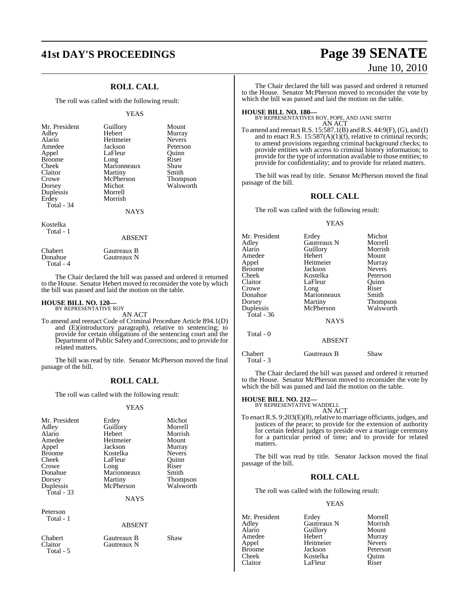## **ROLL CALL**

The roll was called with the following result:

#### YEAS

| Mr. President | Guillory    | Mount           |
|---------------|-------------|-----------------|
| Adley         | Hebert      | Murray          |
| Alario        | Heitmeier   | <b>Nevers</b>   |
| Amedee        | Jackson     | Peterson        |
| Appel         | LaFleur     | Ouinn           |
| <b>Broome</b> | Long        | Riser           |
| Cheek         | Marionneaux | Shaw            |
| Claitor       | Martiny     | Smith           |
| Crowe         | McPherson   | <b>Thompson</b> |
| Dorsey        | Michot      | Walsworth       |
| Duplessis     | Morrell     |                 |
| Erdey         | Morrish     |                 |
| Total - 34    |             |                 |
|               | <b>NAYS</b> |                 |

Kostelka Total - 1

#### ABSENT

| <b>Chabert</b> | Gautreaux B |
|----------------|-------------|
| Donahue        | Gautreaux N |
| Total - 4      |             |

The Chair declared the bill was passed and ordered it returned to the House. Senator Hebert moved to reconsider the vote by which the bill was passed and laid the motion on the table.

# **HOUSE BILL NO. 120—** BY REPRESENTATIVE ROY

AN ACT

To amend and reenact Code of Criminal Procedure Article 894.1(D) and (E)(introductory paragraph), relative to sentencing; to provide for certain obligations of the sentencing court and the Department of Public Safety and Corrections; and to provide for related matters.

The bill was read by title. Senator McPherson moved the final passage of the bill.

### **ROLL CALL**

The roll was called with the following result:

#### YEAS

| Mr. President<br>Adley<br>Alario<br>Amedee<br>Appel<br><b>Broome</b><br>Cheek<br>Crowe<br>Donahue<br>Dorsey<br>Duplessis | Erdey<br>Guillory<br>Hebert<br>Heitmeier<br>Jackson<br>Kostelka<br>LaFleur<br>Long<br>Marionneaux<br>Martiny<br>McPherson | Michot<br>Morrell<br>Morrish<br>Mount<br>Murray<br><b>Nevers</b><br>Ouinn<br>Riser<br>Smith<br><b>Thompson</b><br>Walsworth |
|--------------------------------------------------------------------------------------------------------------------------|---------------------------------------------------------------------------------------------------------------------------|-----------------------------------------------------------------------------------------------------------------------------|
| <b>Total - 33</b>                                                                                                        | <b>NAYS</b>                                                                                                               |                                                                                                                             |
| Peterson<br>Total - 1                                                                                                    | <b>ABSENT</b>                                                                                                             |                                                                                                                             |
| Chabert<br>Claitor<br>Total - 5                                                                                          | Gautreaux B<br>Gautreaux N                                                                                                | Shaw                                                                                                                        |

# **41st DAY'S PROCEEDINGS Page 39 SENATE** June 10, 2010

The Chair declared the bill was passed and ordered it returned to the House. Senator McPherson moved to reconsider the vote by which the bill was passed and laid the motion on the table.

**HOUSE BILL NO. 180—** BY REPRESENTATIVES ROY, POPE, AND JANE SMITH AN ACT

To amend and reenact R.S. 15:587.1(B) and R.S. 44:9(F), (G), and (I) and to enact R.S.  $15:587(A)(1)(f)$ , relative to criminal records; to amend provisions regarding criminal background checks; to provide entities with access to criminal history information; to provide for the type of information available to those entities; to provide for confidentiality; and to provide for related matters.

The bill was read by title. Senator McPherson moved the final passage of the bill.

#### **ROLL CALL**

The roll was called with the following result:

#### YEAS

| Mr. President | Erdey         | Michot          |
|---------------|---------------|-----------------|
| Adley         | Gautreaux N   | Morrell         |
| Alario        | Guillory      | Morrish         |
| Amedee        | Hebert        | Mount           |
| Appel         | Heitmeier     | Murray          |
| <b>Broome</b> | Jackson       | <b>Nevers</b>   |
| Cheek         | Kostelka      | Peterson        |
| Claitor       | LaFleur       | Ouinn           |
| Crowe         | Long          | Riser           |
| Donahue       | Marionneaux   | Smith           |
| Dorsey        | Martiny       | <b>Thompson</b> |
| Duplessis     | McPherson     | Walsworth       |
| Total - $36$  |               |                 |
|               | <b>NAYS</b>   |                 |
| Total - 0     |               |                 |
|               | <b>ABSENT</b> |                 |
| Chabert       | Gautreaux R   | Shaw            |

Total - 3

The Chair declared the bill was passed and ordered it returned to the House. Senator McPherson moved to reconsider the vote by which the bill was passed and laid the motion on the table.

# **HOUSE BILL NO. 212—** BY REPRESENTATIVE WADDELL

AN ACT

To enact R.S. 9:203(E)(8), relative to marriage officiants, judges, and justices of the peace; to provide for the extension of authority for certain federal judges to preside over a marriage ceremony for a particular period of time; and to provide for related matters.

The bill was read by title. Senator Jackson moved the final passage of the bill.

### **ROLL CALL**

The roll was called with the following result:

#### YEAS

| Mr. President | Erdey       | Morrell       |
|---------------|-------------|---------------|
| Adley         | Gautreaux N | Morrish       |
| Alario        | Guillory    | Mount         |
| Amedee        | Hebert      | Murray        |
| Appel         | Heitmeier   | <b>Nevers</b> |
| <b>Broome</b> | Jackson     | Peterson      |
| Cheek         | Kostelka    | Quinn         |
| Claitor       | LaFleur     | Riser         |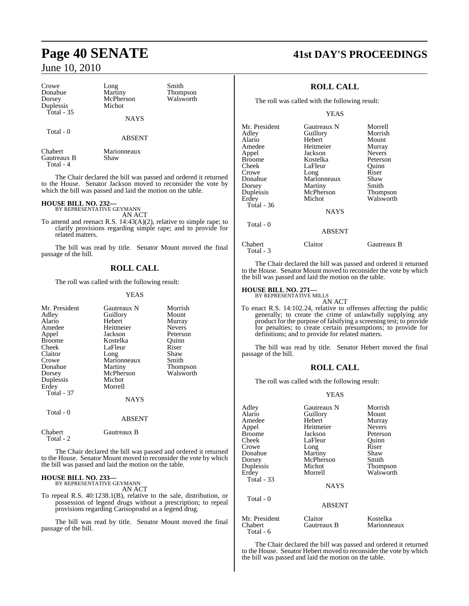Crowe Long Smith<br>Donahue Martiny Thom Donahue Martiny Thompson Duplessis Total - 35

McPherson<br>Michot

NAYS

ABSENT

## Total - 0

Chabert Marionneaux<br>
Gautreaux B Shaw Gautreaux B Total - 4

The Chair declared the bill was passed and ordered it returned to the House. Senator Jackson moved to reconsider the vote by which the bill was passed and laid the motion on the table.

# **HOUSE BILL NO. 232—** BY REPRESENTATIVE GEYMANN

AN ACT

To amend and reenact R.S. 14:43(A)(2), relative to simple rape; to clarify provisions regarding simple rape; and to provide for related matters.

The bill was read by title. Senator Mount moved the final passage of the bill.

#### **ROLL CALL**

The roll was called with the following result:

#### YEAS

| Mr. President        | Gautreaux N | Morrish       |
|----------------------|-------------|---------------|
| Adley                | Guillory    | Mount         |
| Alario               | Hebert      | Murray        |
| Amedee               | Heitmeier   | <b>Nevers</b> |
| Appel                | Jackson     | Peterson      |
| <b>Broome</b>        | Kostelka    | Ouinn         |
| Cheek                | LaFleur     | Riser         |
| Claitor              | Long        | Shaw          |
| Crowe                | Marionneaux | Smith         |
| Donahue              | Martiny     | Thompson      |
| Dorsey               | McPherson   | Walsworth     |
| Duplessis            | Michot      |               |
| Erdey                | Morrell     |               |
| Total - 37           |             |               |
|                      | <b>NAYS</b> |               |
| Total - 0            |             |               |
|                      | ABSENT      |               |
| Chabert<br>Total - 2 | Gautreaux B |               |

The Chair declared the bill was passed and ordered it returned to the House. Senator Mount moved to reconsider the vote by which the bill was passed and laid the motion on the table.

# **HOUSE BILL NO. 233—** BY REPRESENTATIVE GEYMANN

AN ACT

To repeal R.S. 40:1238.1(B), relative to the sale, distribution, or possession of legend drugs without a prescription; to repeal provisions regarding Carisoprodol as a legend drug.

The bill was read by title. Senator Mount moved the final passage of the bill.

# **Page 40 SENATE 41st DAY'S PROCEEDINGS**

### **ROLL CALL**

The roll was called with the following result:

#### YEAS

| Mr. President | Gautreaux N | Morrell         |
|---------------|-------------|-----------------|
| Adlev         | Guillory    | Morrish         |
| Alario        | Hebert      | Mount           |
| Amedee        | Heitmeier   | Murray          |
| Appel         | Jackson     | <b>Nevers</b>   |
| Broome        | Kostelka    | Peterson        |
| Cheek         | LaFleur     | Ouinn           |
| Crowe         | Long        | Riser           |
| Donahue       | Marionneaux | Shaw            |
| Dorsey        | Martiny     | Smith           |
| Duplessis     | McPherson   | <b>Thompson</b> |
| Erdey         | Michot      | Walsworth       |
| Total - 36    |             |                 |
|               | <b>NAYS</b> |                 |
| Total - 0     |             |                 |
|               | ABSENT      |                 |

Chabert Claitor Gautreaux B Total - 3

Total - 6

The Chair declared the bill was passed and ordered it returned to the House. Senator Mount moved to reconsider the vote by which the bill was passed and laid the motion on the table.

# **HOUSE BILL NO. 271—** BY REPRESENTATIVE MILLS

AN ACT

To enact R.S. 14:102.24, relative to offenses affecting the public generally; to create the crime of unlawfully supplying any product for the purpose of falsifying a screening test; to provide for penalties; to create certain presumptions; to provide for definitions; and to provide for related matters.

The bill was read by title. Senator Hebert moved the final passage of the bill.

#### **ROLL CALL**

The roll was called with the following result:

#### YEAS

| Adley                            | Gautreaux N                  | Morrish               |
|----------------------------------|------------------------------|-----------------------|
| Alario                           | Guillory                     | Mount                 |
| Amedee                           | Hebert                       | Murray                |
| Appel                            | Heitmeier                    | <b>Nevers</b>         |
| Broome                           | Jackson                      | Peterson              |
| Cheek                            | LaFleur                      | Ouinn                 |
| Crowe                            | Long                         | Riser                 |
| Donahue                          | Martiny                      | Shaw                  |
| Dorsey                           | McPherson                    | Smith                 |
| Duplessis<br>Erdey<br>Total - 33 | Michot<br>Morrell            | Thompson<br>Walsworth |
| Total - 0                        | <b>NAYS</b><br><b>ABSENT</b> |                       |
| Mr. President                    | Claitor                      | Kostelka              |
| Chabert                          | Gautreaux B                  | Marionneaux           |

The Chair declared the bill was passed and ordered it returned to the House. Senator Hebert moved to reconsider the vote by which the bill was passed and laid the motion on the table.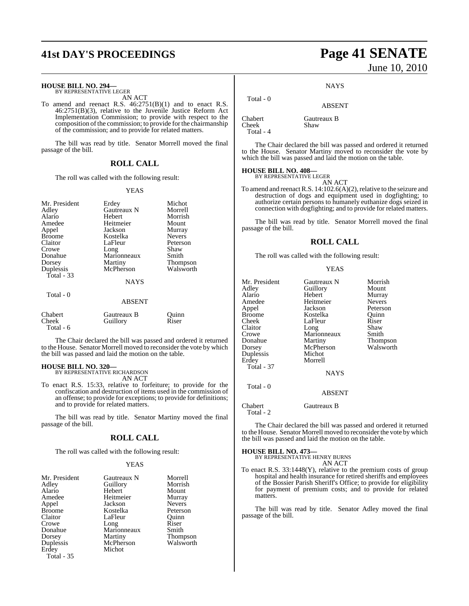# **41st DAY'S PROCEEDINGS Page 41 SENATE**

# **HOUSE BILL NO. 294—** BY REPRESENTATIVE LEGER

AN ACT

To amend and reenact R.S. 46:2751(B)(1) and to enact R.S. 46:2751(B)(3), relative to the Juvenile Justice Reform Act Implementation Commission; to provide with respect to the composition ofthe commission; to provide forthe chairmanship of the commission; and to provide for related matters.

The bill was read by title. Senator Morrell moved the final passage of the bill.

#### **ROLL CALL**

The roll was called with the following result:

#### YEAS

| Mr. President<br>Adley<br>Alario<br>Amedee<br>Appel<br><b>Broome</b><br>Claitor<br>Crowe<br>Donahue<br>Dorsey<br>Duplessis<br>Total - 33<br>Total - 0 | Erdey<br>Gautreaux N<br>Hebert<br>Heitmeier<br>Jackson<br>Kostelka<br>LaFleur<br>Long<br>Marionneaux<br>Martiny<br>McPherson<br><b>NAYS</b> | Michot<br>Morrell<br>Morrish<br>Mount<br>Murray<br><b>Nevers</b><br>Peterson<br>Shaw<br>Smith<br>Thompson<br>Walsworth |
|-------------------------------------------------------------------------------------------------------------------------------------------------------|---------------------------------------------------------------------------------------------------------------------------------------------|------------------------------------------------------------------------------------------------------------------------|
|                                                                                                                                                       | <b>ABSENT</b>                                                                                                                               |                                                                                                                        |
| Chabert<br>Cheek<br>Total - 6                                                                                                                         | Gautreaux B<br>Guillory                                                                                                                     | Ouinn<br>Riser                                                                                                         |

The Chair declared the bill was passed and ordered it returned to the House. Senator Morrell moved to reconsider the vote by which the bill was passed and laid the motion on the table.

# **HOUSE BILL NO. 320—** BY REPRESENTATIVE RICHARDSON

AN ACT

To enact R.S. 15:33, relative to forfeiture; to provide for the confiscation and destruction of items used in the commission of an offense; to provide for exceptions; to provide for definitions; and to provide for related matters.

The bill was read by title. Senator Martiny moved the final passage of the bill.

#### **ROLL CALL**

The roll was called with the following result:

#### YEAS

| Mr. President | Gautreaux N | Morrell       |
|---------------|-------------|---------------|
| Adley         | Guillory    | Morrish       |
| Alario        | Hebert      | Mount         |
| Amedee        | Heitmeier   | Murray        |
| Appel         | Jackson     | <b>Nevers</b> |
| <b>Broome</b> | Kostelka    | Peterson      |
| Claitor       | LaFleur     | Ouinn         |
| Crowe         | Long        | Riser         |
| Donahue       | Marionneaux | Smith         |
| Dorsey        | Martiny     | Thompson      |
| Duplessis     | McPherson   | Walsworth     |
| Erdey         | Michot      |               |
| Total - 35    |             |               |

# June 10, 2010

**NAYS** 

## ABSENT

Chabert Gautreaux B<br>
Cheek Shaw Cheek Total - 4

Total - 0

The Chair declared the bill was passed and ordered it returned to the House. Senator Martiny moved to reconsider the vote by which the bill was passed and laid the motion on the table.

### **HOUSE BILL NO. 408—**

BY REPRESENTATIVE LEGER AN ACT

To amend and reenact R.S.  $14:102.6(A)(2)$ , relative to the seizure and destruction of dogs and equipment used in dogfighting; to authorize certain persons to humanely euthanize dogs seized in connection with dogfighting; and to provide for related matters.

The bill was read by title. Senator Morrell moved the final passage of the bill.

#### **ROLL CALL**

The roll was called with the following result:

#### YEAS

ABSENT

Chabert Gautreaux B Total - 2

The Chair declared the bill was passed and ordered it returned to the House. Senator Morrell moved to reconsider the vote by which the bill was passed and laid the motion on the table.

# **HOUSE BILL NO. 473—** BY REPRESENTATIVE HENRY BURNS

AN ACT

To enact R.S. 33:1448(Y), relative to the premium costs of group hospital and health insurance for retired sheriffs and employees of the Bossier Parish Sheriff's Office; to provide for eligibility for payment of premium costs; and to provide for related matters.

The bill was read by title. Senator Adley moved the final passage of the bill.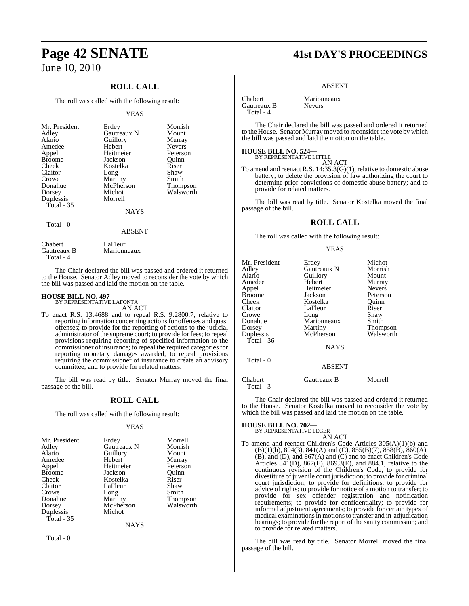## **ROLL CALL**

The roll was called with the following result:

#### YEAS

| Mr. President<br>Adley<br>Alario<br>Amedee<br>Appel<br><b>Broome</b><br>Cheek<br>Claitor<br>Crowe<br>Donahue<br>Dorsey<br>Duplessis<br>Total - 35 | Erdey<br>Gautreaux N<br>Guillory<br>Hebert<br>Heitmeier<br>Jackson<br>Kostelka<br>Long<br>Martiny<br>McPherson<br>Michot<br>Morrell<br><b>NAYS</b> | Morrish<br>Mount<br>Murray<br><b>Nevers</b><br>Peterson<br>Ouinn<br>Riser<br>Shaw<br>Smith<br>Thompson<br>Walsworth |
|---------------------------------------------------------------------------------------------------------------------------------------------------|----------------------------------------------------------------------------------------------------------------------------------------------------|---------------------------------------------------------------------------------------------------------------------|
| Total - 0                                                                                                                                         | <b>ABSENT</b>                                                                                                                                      |                                                                                                                     |

Chabert LaFleur<br>Gautreaux B Marionn Marionneaux Total - 4

The Chair declared the bill was passed and ordered it returned to the House. Senator Adley moved to reconsider the vote by which the bill was passed and laid the motion on the table.

#### **HOUSE BILL NO. 497—** BY REPRESENTATIVE LAFONTA

AN ACT

To enact R.S. 13:4688 and to repeal R.S. 9:2800.7, relative to reporting information concerning actions for offenses and quasi offenses; to provide for the reporting of actions to the judicial administrator of the supreme court; to provide for fees; to repeal provisions requiring reporting of specified information to the commissioner of insurance; to repeal the required categories for reporting monetary damages awarded; to repeal provisions requiring the commissioner of insurance to create an advisory committee; and to provide for related matters.

The bill was read by title. Senator Murray moved the final passage of the bill.

#### **ROLL CALL**

The roll was called with the following result:

#### YEAS

| Mr. President | Erdey       | Morrell         |
|---------------|-------------|-----------------|
| Adley         | Gautreaux N | Morrish         |
| Alario        | Guillory    | Mount           |
| Amedee        | Hebert      | Murray          |
| Appel         | Heitmeier   | Peterson        |
| <b>Broome</b> | Jackson     | Quinn           |
| Cheek         | Kostelka    | Riser           |
| Claitor       | LaFleur     | Shaw            |
| Crowe         | Long        | Smith           |
| Donahue       | Martiny     | <b>Thompson</b> |
| Dorsey        | McPherson   | Walsworth       |
| Duplessis     | Michot      |                 |
| Total - 35    |             |                 |

**NAYS** 

Total - 0

# **Page 42 SENATE 41st DAY'S PROCEEDINGS**

#### ABSENT

**Chabert** Marionneaux<br> **Gautreaux B** Nevers Gautreaux B Total - 4

The Chair declared the bill was passed and ordered it returned to the House. Senator Murray moved to reconsider the vote by which the bill was passed and laid the motion on the table.

#### **HOUSE BILL NO. 524—**

BY REPRESENTATIVE LITTLE AN ACT

To amend and reenact R.S. 14:35.3(G)(1), relative to domestic abuse battery; to delete the provision of law authorizing the court to determine prior convictions of domestic abuse battery; and to provide for related matters.

The bill was read by title. Senator Kostelka moved the final passage of the bill.

#### **ROLL CALL**

The roll was called with the following result:

#### YEAS

| Mr. President<br>Adley<br>Alario<br>Amedee<br>Appel<br><b>Broome</b><br>Cheek<br>Claitor<br>Crowe<br>Donahue<br>Dorsey | Erdey<br>Gautreaux N<br>Guillory<br>Hebert<br>Heitmeier<br>Jackson<br>Kostelka<br>LaFleur<br>Long<br>Marionneaux<br>Martiny | Michot<br>Morrish<br>Mount<br>Murray<br><b>Nevers</b><br>Peterson<br>Ouinn<br>Riser<br>Shaw<br>Smith<br>Thompson |
|------------------------------------------------------------------------------------------------------------------------|-----------------------------------------------------------------------------------------------------------------------------|------------------------------------------------------------------------------------------------------------------|
| Duplessis<br>Total - $36$<br>Total - 0                                                                                 | McPherson<br><b>NAYS</b><br><b>ABSENT</b>                                                                                   | Walsworth                                                                                                        |
| Chabert                                                                                                                | Gautreaux B                                                                                                                 | Morrell                                                                                                          |

Total - 3

The Chair declared the bill was passed and ordered it returned to the House. Senator Kostelka moved to reconsider the vote by which the bill was passed and laid the motion on the table.

# **HOUSE BILL NO. 702—** BY REPRESENTATIVE LEGER

AN ACT

To amend and reenact Children's Code Articles 305(A)(1)(b) and (B)(1)(b), 804(3), 841(A) and (C), 855(B)(7), 858(B), 860(A), (B), and (D), and 867(A) and (C) and to enact Children's Code Articles 841(D), 867(E), 869.3(E), and 884.1, relative to the continuous revision of the Children's Code; to provide for divestiture of juvenile court jurisdiction; to provide for criminal court jurisdiction; to provide for definitions; to provide for advice of rights; to provide for notice of a motion to transfer; to provide for sex offender registration and notification requirements; to provide for confidentiality; to provide for informal adjustment agreements; to provide for certain types of medical examinations in motions to transfer and in adjudication hearings; to provide for the report of the sanity commission; and to provide for related matters.

The bill was read by title. Senator Morrell moved the final passage of the bill.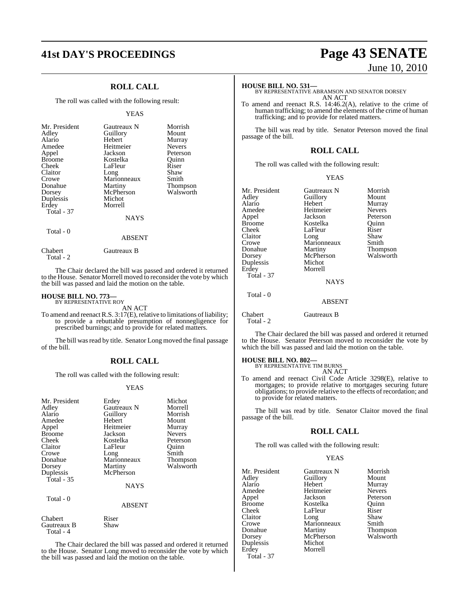## **ROLL CALL**

The roll was called with the following result:

#### YEAS

| Mr. President<br>Adley<br>Alario<br>Amedee<br>Appel<br><b>Broome</b><br>Cheek<br>Claitor<br>Crowe<br>Donahue<br>Dorsey<br>Duplessis<br>Erdey<br>Total - 37 | Gautreaux N<br>Guillory<br>Hebert<br>Heitmeier<br>Jackson<br>Kostelka<br>LaFleur<br>Long<br>Marionneaux<br>Martiny<br>McPherson<br>Michot<br>Morrell<br><b>NAYS</b> | Morrish<br>Mount<br>Murray<br><b>Nevers</b><br>Peterson<br>Quinn<br>Riser<br>Shaw<br>Smith<br><b>Thompson</b><br>Walsworth |
|------------------------------------------------------------------------------------------------------------------------------------------------------------|---------------------------------------------------------------------------------------------------------------------------------------------------------------------|----------------------------------------------------------------------------------------------------------------------------|
| Total - 0                                                                                                                                                  | <b>ABSENT</b>                                                                                                                                                       |                                                                                                                            |

The Chair declared the bill was passed and ordered it returned to the House. Senator Morrell moved to reconsider the vote by which the bill was passed and laid the motion on the table.

#### **HOUSE BILL NO. 773—** BY REPRESENTATIVE ROY

Total - 2

Chabert Gautreaux B

AN ACT

To amend and reenact R.S.  $3:17(E)$ , relative to limitations of liability; to provide a rebuttable presumption of nonnegligence for prescribed burnings; and to provide for related matters.

The bill was read by title. Senator Long moved the final passage of the bill.

#### **ROLL CALL**

The roll was called with the following result:

#### YEAS

| Mr. President            | Erdey         | Michot        |
|--------------------------|---------------|---------------|
| Adley                    | Gautreaux N   | Morrell       |
| Alario                   | Guillory      | Morrish       |
| Amedee                   | Hebert        | Mount         |
| Appel                    | Heitmeier     | Murray        |
| <b>Broome</b>            | Jackson       | <b>Nevers</b> |
| Cheek                    | Kostelka      | Peterson      |
| Claitor                  | LaFleur       | Quinn         |
| Crowe                    | Long          | Smith         |
| Donahue                  | Marionneaux   | Thompson      |
| Dorsey                   | Martiny       | Walsworth     |
| Duplessis                | McPherson     |               |
| Total - 35               |               |               |
|                          | <b>NAYS</b>   |               |
| Total - 0                |               |               |
|                          | <b>ABSENT</b> |               |
| Chabert                  | Riser         |               |
| Gautreaux B<br>Total - 4 | Shaw          |               |

The Chair declared the bill was passed and ordered it returned to the House. Senator Long moved to reconsider the vote by which the bill was passed and laid the motion on the table.

# **41st DAY'S PROCEEDINGS Page 43 SENATE** June 10, 2010

**HOUSE BILL NO. 531—** BY REPRESENTATIVE ABRAMSON AND SENATOR DORSEY AN ACT

To amend and reenact R.S. 14:46.2(A), relative to the crime of human trafficking; to amend the elements of the crime of human trafficking; and to provide for related matters.

The bill was read by title. Senator Peterson moved the final passage of the bill.

#### **ROLL CALL**

The roll was called with the following result:

#### YEAS

| Mr. President<br>Adley<br>Alario<br>Amedee<br>Appel<br><b>Broome</b><br>Cheek<br>Claitor<br>Crowe<br>Donahue<br>Dorsey<br>Duplessis | Gautreaux N<br>Guillory<br>Hebert<br>Heitmeier<br>Jackson<br>Kostelka<br>LaFleur<br>Long<br>Marionneaux<br>Martiny<br>McPherson<br>Michot | Morrish<br>Mount<br>Murray<br><b>Nevers</b><br>Peterson<br>Ouinn<br>Riser<br>Shaw<br>Smith<br><b>Thompson</b><br>Walsworth |
|-------------------------------------------------------------------------------------------------------------------------------------|-------------------------------------------------------------------------------------------------------------------------------------------|----------------------------------------------------------------------------------------------------------------------------|
| Erdey                                                                                                                               | Morrell                                                                                                                                   |                                                                                                                            |
| Total - 37                                                                                                                          | <b>NAYS</b>                                                                                                                               |                                                                                                                            |
| Total - 0                                                                                                                           | <b>ABSENT</b>                                                                                                                             |                                                                                                                            |

Chabert Gautreaux B Total - 2

The Chair declared the bill was passed and ordered it returned to the House. Senator Peterson moved to reconsider the vote by which the bill was passed and laid the motion on the table.

# **HOUSE BILL NO. 802—** BY REPRESENTATIVE TIM BURNS

AN ACT

To amend and reenact Civil Code Article 3298(E), relative to mortgages; to provide relative to mortgages securing future obligations; to provide relative to the effects of recordation; and to provide for related matters.

The bill was read by title. Senator Claitor moved the final passage of the bill.

#### **ROLL CALL**

The roll was called with the following result:

#### YEAS

| Gautreaux N<br>Morrish<br>Mount<br>Murray<br><b>Nevers</b><br>Peterson<br>Ouinn<br>Riser<br>Shaw<br>Marionneaux<br>Smith<br><b>Thompson</b><br>Walsworth<br>McPherson |
|-----------------------------------------------------------------------------------------------------------------------------------------------------------------------|
|                                                                                                                                                                       |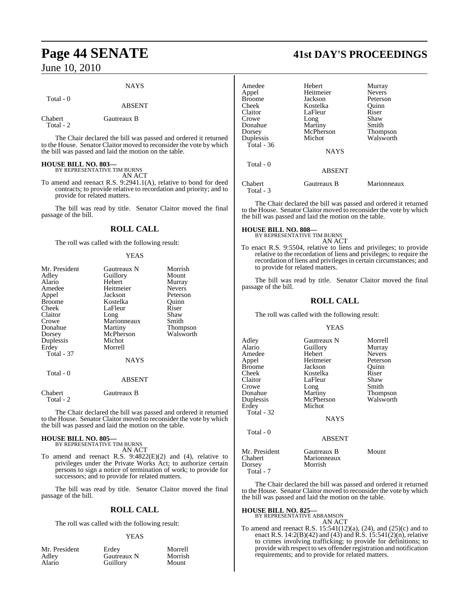# **Page 44 SENATE 41st DAY'S PROCEEDINGS**

June 10, 2010

#### **NAYS**

Total - 0

#### ABSENT

Chabert Gautreaux B Total - 2

The Chair declared the bill was passed and ordered it returned to the House. Senator Claitor moved to reconsider the vote by which the bill was passed and laid the motion on the table.

# **HOUSE BILL NO. 803—** BY REPRESENTATIVE TIM BURNS

AN ACT

To amend and reenact R.S. 9:2941.1(A), relative to bond for deed contracts; to provide relative to recordation and priority; and to provide for related matters.

The bill was read by title. Senator Claitor moved the final passage of the bill.

#### **ROLL CALL**

The roll was called with the following result:

#### YEAS

| Mr. President        | Gautreaux N   | Morrish       |
|----------------------|---------------|---------------|
| Adley                | Guillory      | Mount         |
| Alario               | Hebert        | Murray        |
| Amedee               | Heitmeier     | <b>Nevers</b> |
| Appel                | Jackson       | Peterson      |
| Broome               | Kostelka      | Quinn         |
| Cheek                | LaFleur       | Riser         |
| Claitor              | Long          | Shaw          |
| Crowe                | Marionneaux   | Smith         |
| Donahue              | Martiny       | Thompson      |
| Dorsey               | McPherson     | Walsworth     |
| Duplessis            | Michot        |               |
| Erdev                | Morrell       |               |
| <b>Total - 37</b>    |               |               |
|                      | <b>NAYS</b>   |               |
| Total - 0            |               |               |
|                      | <b>ABSENT</b> |               |
| Chabert<br>Total - 2 | Gautreaux B   |               |

The Chair declared the bill was passed and ordered it returned to the House. Senator Claitor moved to reconsider the vote by which the bill was passed and laid the motion on the table.

#### **HOUSE BILL NO. 805—** BY REPRESENTATIVE TIM BURNS

AN ACT

To amend and reenact R.S. 9:4822(E)(2) and (4), relative to privileges under the Private Works Act; to authorize certain persons to sign a notice of termination of work; to provide for successors; and to provide for related matters.

The bill was read by title. Senator Claitor moved the final passage of the bill.

#### **ROLL CALL**

The roll was called with the following result:

#### YEAS

| Mr. President | Erdev       | Morrell |
|---------------|-------------|---------|
| Adlev         | Gautreaux N | Morrish |
| Alario        | Guillory    | Mount   |

| Amedee               | Hebert        | Murray        |
|----------------------|---------------|---------------|
| Appel                | Heitmeier     | <b>Nevers</b> |
| Broome               | Jackson       | Peterson      |
| Cheek                | Kostelka      | Ouinn         |
| Claitor              | LaFleur       | Riser         |
| Crowe                | Long          | Shaw          |
| Donahue              | Martiny       | Smith         |
| Dorsey               | McPherson     | Thompson      |
| Duplessis            | Michot        | Walsworth     |
| Total - 36           |               |               |
|                      | <b>NAYS</b>   |               |
| Total - 0            |               |               |
|                      | <b>ABSENT</b> |               |
| Chabert<br>Total - 3 | Gautreaux B   | Marionneaux   |

The Chair declared the bill was passed and ordered it returned to the House. Senator Claitor moved to reconsider the vote by which the bill was passed and laid the motion on the table.

# **HOUSE BILL NO. 808—** BY REPRESENTATIVE TIM BURNS

AN ACT To enact R.S. 9:5504, relative to liens and privileges; to provide relative to the recordation of liens and privileges; to require the recordation of liens and privileges in certain circumstances; and to provide for related matters.

The bill was read by title. Senator Claitor moved the final passage of the bill.

#### **ROLL CALL**

The roll was called with the following result:

#### YEAS

| Adley         | Gautreaux N   | Morrell       |
|---------------|---------------|---------------|
| Alario        | Guillory      | Murray        |
| Amedee        | Hebert        | <b>Nevers</b> |
| Appel         | Heitmeier     | Peterson      |
| <b>Broome</b> | Jackson       | Ouinn         |
| Cheek         | Kostelka      | Riser         |
| Claitor       | LaFleur       | Shaw          |
| Crowe         | Long          | Smith         |
| Donahue       | Martiny       | Thompson      |
| Duplessis     | McPherson     | Walsworth     |
| Erdey         | Michot        |               |
| Total - 32    |               |               |
|               | <b>NAYS</b>   |               |
| Total - 0     |               |               |
|               | <b>ABSENT</b> |               |
| Mr. President | Gautreaux B   | Mount         |
| Chabert       | Marionneaux   |               |
| Dorsey        | Morrish       |               |

The Chair declared the bill was passed and ordered it returned to the House. Senator Claitor moved to reconsider the vote by which the bill was passed and laid the motion on the table.

#### **HOUSE BILL NO. 825—**

Total - 7

BY REPRESENTATIVE ABRAMSON AN ACT

To amend and reenact R.S. 15:541(12)(a), (24), and (25)(c) and to enact R.S. 14:2(B)(42) and (43) and R.S. 15:541(2)(n), relative to crimes involving trafficking; to provide for definitions; to provide with respect to sex offenderregistration and notification requirements; and to provide for related matters.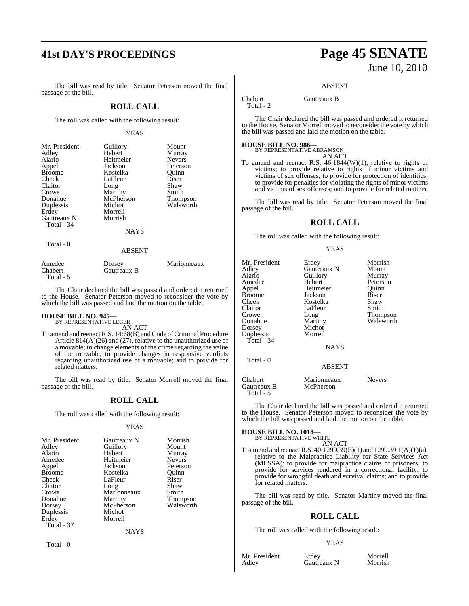# **41st DAY'S PROCEEDINGS Page 45 SENATE**

The bill was read by title. Senator Peterson moved the final passage of the bill.

#### **ROLL CALL**

The roll was called with the following result:

#### YEAS

| Mr. President<br>Adley<br>Alario | Guillory<br>Hebert<br>Heitmeier | Mount<br>Murray<br><b>Nevers</b> |
|----------------------------------|---------------------------------|----------------------------------|
| Appel                            | Jackson                         | Peterson                         |
| <b>Broome</b>                    | Kostelka                        | Ouinn                            |
| Cheek                            | LaFleur                         | Riser                            |
| Claitor                          | Long                            | Shaw                             |
| Crowe                            | Martiny                         | Smith                            |
| Donahue                          | McPherson                       | Thompson                         |
| Duplessis                        | Michot                          | Walsworth                        |
| Erdey                            | Morrell                         |                                  |
| Gautreaux N                      | Morrish                         |                                  |
| Total - 34                       |                                 |                                  |
|                                  | <b>NAYS</b>                     |                                  |
| Total - 0                        |                                 |                                  |
|                                  | <b>ABSENT</b>                   |                                  |
| Amedee<br>Chabert                | Dorsey<br>Gautreaux B           | Marionneaux                      |

Gautreaux B Total - 5 The Chair declared the bill was passed and ordered it returned

to the House. Senator Peterson moved to reconsider the vote by which the bill was passed and laid the motion on the table.

# **HOUSE BILL NO. 945—** BY REPRESENTATIVE LEGER

AN ACT

To amend and reenact R.S. 14:68(B) and Code of Criminal Procedure Article 814(A)(26) and (27), relative to the unauthorized use of a movable; to change elements of the crime regarding the value of the movable; to provide changes in responsive verdicts regarding unauthorized use of a movable; and to provide for related matters.

The bill was read by title. Senator Morrell moved the final passage of the bill.

#### **ROLL CALL**

The roll was called with the following result:

#### YEAS

| Mr. President | Gautreaux N | Morrish       |
|---------------|-------------|---------------|
| Adley         | Guillory    | Mount         |
| Alario        | Hebert      | Murray        |
| Amedee        | Heitmeier   | <b>Nevers</b> |
| Appel         | Jackson     | Peterson      |
| Broome        | Kostelka    | Ouinn         |
| Cheek         | LaFleur     | Riser         |
| Claitor       | Long        | Shaw          |
| Crowe         | Marionneaux | Smith         |
| Donahue       | Martiny     | Thompson      |
| Dorsey        | McPherson   | Walsworth     |
| Duplessis     | Michot      |               |
| Erdey         | Morrell     |               |
| Total - 37    |             |               |
|               | NAYS        |               |

Total - 0

# June 10, 2010

#### ABSENT

Chabert Gautreaux B

Total - 2

The Chair declared the bill was passed and ordered it returned to the House. Senator Morrell moved to reconsider the vote by which the bill was passed and laid the motion on the table.

# **HOUSE BILL NO. 986—** BY REPRESENTATIVE ABRAMSON

AN ACT

To amend and reenact R.S. 46:1844(W)(1), relative to rights of victims; to provide relative to rights of minor victims and victims of sex offenses; to provide for protection of identities; to provide for penalties for violating the rights of minor victims and victims of sex offenses; and to provide for related matters.

The bill was read by title. Senator Peterson moved the final passage of the bill.

#### **ROLL CALL**

The roll was called with the following result:

#### YEAS

| Mr. President                       | Erdey                    | Morrish       |
|-------------------------------------|--------------------------|---------------|
| Adley                               | Gautreaux N              | Mount         |
| Alario                              | Guillory                 | Murray        |
| Amedee                              | Hebert                   | Peterson      |
| Appel                               | Heitmeier                | Ouinn         |
| Broome                              | Jackson                  | Riser         |
| Cheek                               | Kostelka                 | Shaw          |
| Claitor                             | LaFleur                  | Smith         |
| Crowe                               | Long                     | Thompson      |
| Donahue                             | Martiny                  | Walsworth     |
| Dorsey                              | Michot                   |               |
| Duplessis                           | Morrell                  |               |
| Total - 34                          |                          |               |
|                                     | <b>NAYS</b>              |               |
| Total - 0                           |                          |               |
|                                     | <b>ABSENT</b>            |               |
| Chabert<br>Gautreaux B<br>Total - 5 | Marionneaux<br>McPherson | <b>Nevers</b> |

The Chair declared the bill was passed and ordered it returned to the House. Senator Peterson moved to reconsider the vote by which the bill was passed and laid the motion on the table.

# **HOUSE BILL NO. 1018—** BY REPRESENTATIVE WHITE

AN ACT To amend and reenactR.S. 40:1299.39(E)(1) and 1299.39.1(A)(1)(a), relative to the Malpractice Liability for State Services Act (MLSSA); to provide for malpractice claims of prisoners; to provide for services rendered in a correctional facility; to provide for wrongful death and survival claims; and to provide for related matters.

The bill was read by title. Senator Martiny moved the final passage of the bill.

#### **ROLL CALL**

The roll was called with the following result:

#### YEAS

Mr. President Erdey Morrell<br>Adley Gautreaux N Morrish Gautreaux N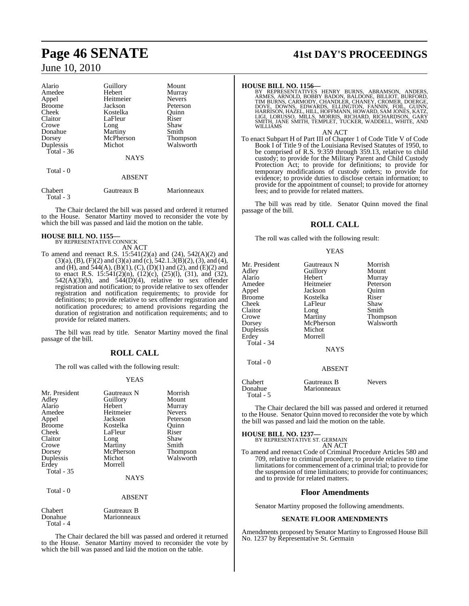| Alario        | Guillory      | Mount           |
|---------------|---------------|-----------------|
| Amedee        | Hebert        | Murray          |
| Appel         | Heitmeier     | <b>Nevers</b>   |
| <b>Broome</b> | Jackson       | Peterson        |
| Cheek         | Kostelka      | Ouinn           |
| Claitor       | LaFleur       | Riser           |
| Crowe         | Long          | Shaw            |
| Donahue       | Martiny       | Smith           |
| Dorsey        | McPherson     | <b>Thompson</b> |
| Duplessis     | Michot        | Walsworth       |
| Total - 36    |               |                 |
|               | <b>NAYS</b>   |                 |
| Total - 0     |               |                 |
|               | <b>ABSENT</b> |                 |
| Chabert       | Gautreaux B   | Marionneaux     |

The Chair declared the bill was passed and ordered it returned to the House. Senator Martiny moved to reconsider the vote by which the bill was passed and laid the motion on the table.

#### **HOUSE BILL NO. 1155—**

Total - 3

BY REPRESENTATIVE CONNICK AN ACT

To amend and reenact R.S. 15:541(2)(a) and (24), 542(A)(2) and  $(3)(a)$ ,  $(B)$ ,  $(F)(2)$  and  $(3)(a)$  and  $(c)$ ,  $542.1.3(B)(2)$ ,  $(3)$ , and  $(4)$ , and (H), and  $\frac{544(A)}{A}$ ,  $\frac{B(1)}{A}$ ,  $\frac{C}{A}$ ,  $\frac{D(1)}{A}$  and  $\frac{2}{A}$ , and  $\frac{E(2)}{A}$  and to enact R.S. 15:541(2)(n), (12)(c), (25)(l), (31), and (32),  $542(A)(3)(h)$ , and  $544(D)(4)$ , relative to sex offender registration and notification; to provide relative to sex offender registration and notification requirements; to provide for definitions; to provide relative to sex offender registration and notification procedures; to amend provisions regarding the duration of registration and notification requirements; and to provide for related matters.

The bill was read by title. Senator Martiny moved the final passage of the bill.

## **ROLL CALL**

The roll was called with the following result:

#### YEAS

| Mr. President<br>Adley<br>Alario<br>Amedee<br>Appel<br><b>Broome</b><br>Cheek<br>Claitor<br>Crowe<br>Dorsey<br>Duplessis | Gautreaux N<br>Guillory<br>Hebert<br>Heitmeier<br>Jackson<br>Kostelka<br>LaFleur<br>Long<br>Martiny<br>McPherson<br>Michot<br>Morrell | Morrish<br>Mount<br>Murray<br><b>Nevers</b><br>Peterson<br>Ouinn<br>Riser<br>Shaw<br>Smith<br>Thompson<br>Walsworth |
|--------------------------------------------------------------------------------------------------------------------------|---------------------------------------------------------------------------------------------------------------------------------------|---------------------------------------------------------------------------------------------------------------------|
| Erdey<br><b>Total - 35</b>                                                                                               | <b>NAYS</b>                                                                                                                           |                                                                                                                     |
| Total - 0                                                                                                                | <b>ABSENT</b>                                                                                                                         |                                                                                                                     |
| Chabert<br>Donahue                                                                                                       | Gautreaux B<br>Marionneaux                                                                                                            |                                                                                                                     |

Total - 4

The Chair declared the bill was passed and ordered it returned to the House. Senator Martiny moved to reconsider the vote by which the bill was passed and laid the motion on the table.

# **Page 46 SENATE 41st DAY'S PROCEEDINGS**

**HOUSE BILL NO. 1156**—<br>BY REPRESENTATIVES HENRY BURNS, ABRAMSON, ANDERS, ARMES, ARNOLD, BOBBY BADON, BALDONE, BILLIOT, BURFORD, TIM BURNS, CARMODY, CHANDLER, CHANEY, CROMER, DOERGE, DOVE, DOWNS, EDAVARDS, ELLINGTON, FOIL,

#### AN ACT

To enact Subpart H of Part III of Chapter 1 of Code Title V of Code Book I of Title 9 of the Louisiana Revised Statutes of 1950, to be comprised of R.S. 9:359 through 359.13, relative to child custody; to provide for the Military Parent and Child Custody Protection Act; to provide for definitions; to provide for temporary modifications of custody orders; to provide for evidence; to provide duties to disclose certain information; to provide for the appointment of counsel; to provide for attorney fees; and to provide for related matters.

The bill was read by title. Senator Quinn moved the final passage of the bill.

#### **ROLL CALL**

The roll was called with the following result:

YEAS

| Mr. President<br>Adley<br>Alario<br>Amedee<br>Appel<br>Broome<br>Cheek<br>Claitor<br>Crowe<br>Dorsey<br>Duplessis<br>Erdey<br>Total - 34 | Gautreaux N<br>Guillory<br>Hebert<br>Heitmeier<br>Jackson<br>Kostelka<br>LaFleur<br>Long<br>Martiny<br>McPherson<br>Michot<br>Morrell<br><b>NAYS</b> | Morrish<br>Mount<br>Murray<br>Peterson<br>Quinn<br>Riser<br>Shaw<br>Smith<br>Thompson<br>Walsworth |
|------------------------------------------------------------------------------------------------------------------------------------------|------------------------------------------------------------------------------------------------------------------------------------------------------|----------------------------------------------------------------------------------------------------|
| Total - 0                                                                                                                                | <b>ABSENT</b>                                                                                                                                        |                                                                                                    |
| Chabert<br>Donahue<br>Total - 5                                                                                                          | Gautreaux B<br>Marionneaux                                                                                                                           | <b>Nevers</b>                                                                                      |

The Chair declared the bill was passed and ordered it returned to the House. Senator Quinn moved to reconsider the vote by which the bill was passed and laid the motion on the table.

**HOUSE BILL NO. 1237—**

| <u>www.community.com</u>                             |  |
|------------------------------------------------------|--|
| BY REPRESENTATIVE ST. GERMAIN                        |  |
| $\lambda$ $\lambda$ $\tau$ $\lambda$ $\sigma$ $\tau$ |  |

AN ACT To amend and reenact Code of Criminal Procedure Articles 580 and 709, relative to criminal procedure; to provide relative to time limitations for commencement of a criminal trial; to provide for the suspension of time limitations; to provide for continuances; and to provide for related matters.

#### **Floor Amendments**

Senator Martiny proposed the following amendments.

#### **SENATE FLOOR AMENDMENTS**

Amendments proposed by Senator Martiny to Engrossed House Bill No. 1237 by Representative St. Germain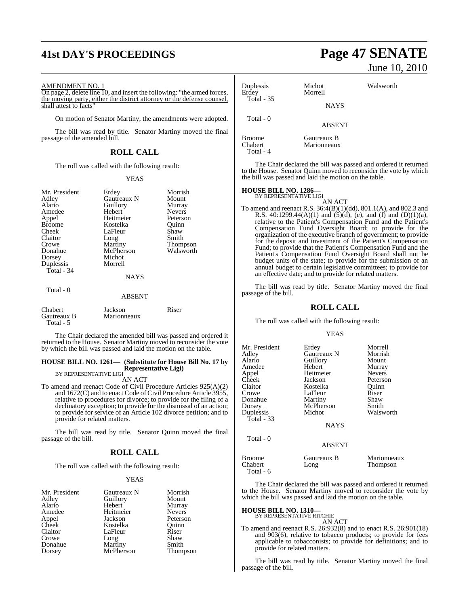# **41st DAY'S PROCEEDINGS Page 47 SENATE**

#### AMENDMENT NO. 1

Total - 5

On page 2, delete line 10, and insert the following: "the armed forces, the moving party, either the district attorney or the defense counsel, shall attest to facts"

On motion of Senator Martiny, the amendments were adopted.

The bill was read by title. Senator Martiny moved the final passage of the amended bill.

### **ROLL CALL**

The roll was called with the following result:

#### YEAS

| Mr. President<br>Adley<br>Alario<br>Amedee<br>Appel<br><b>Broome</b><br>Cheek<br>Claitor<br>Crowe<br>Donahue<br>Dorsey | Erdey<br>Gautreaux N<br>Guillory<br>Hebert<br>Heitmeier<br>Kostelka<br>LaFleur<br>Long<br>Martiny<br>McPherson<br>Michot | Morrish<br>Mount<br>Murray<br><b>Nevers</b><br>Peterson<br>Ouinn<br>Shaw<br>Smith<br>Thompson<br>Walsworth |
|------------------------------------------------------------------------------------------------------------------------|--------------------------------------------------------------------------------------------------------------------------|------------------------------------------------------------------------------------------------------------|
| Total - 34                                                                                                             | <b>NAYS</b>                                                                                                              |                                                                                                            |
| Total - 0                                                                                                              | <b>ABSENT</b>                                                                                                            |                                                                                                            |
| Chabert<br>Gautreaux B                                                                                                 | Jackson<br>Marionneaux                                                                                                   | Riser                                                                                                      |

The Chair declared the amended bill was passed and ordered it returned to the House. Senator Martiny moved to reconsider the vote by which the bill was passed and laid the motion on the table.

#### **HOUSE BILL NO. 1261— (Substitute for House Bill No. 17 by Representative Ligi)**

BY REPRESENTATIVE LIGI AN ACT

To amend and reenact Code of Civil Procedure Articles 925(A)(2) and 1672(C) and to enact Code of Civil Procedure Article 3955, relative to procedures for divorce; to provide for the filing of a declinatory exception; to provide for the dismissal of an action; to provide for service of an Article 102 divorce petition; and to provide for related matters.

The bill was read by title. Senator Quinn moved the final passage of the bill.

#### **ROLL CALL**

The roll was called with the following result:

#### YEAS

| Mr. President | Gautreaux N | Morrish       |
|---------------|-------------|---------------|
| Adley         | Guillory    | Mount         |
| Alario        | Hebert      | Murray        |
| Amedee        | Heitmeier   | <b>Nevers</b> |
| Appel         | Jackson     | Peterson      |
| Cheek         | Kostelka    | Ouinn         |
| Claitor       | LaFleur     | Riser         |
| Crowe         | Long        | Shaw          |
| Donahue       | Martiny     | Smith         |
| Dorsey        | McPherson   | Thompson      |

# June 10, 2010

| Duplessis<br>Erdey       | Michot<br>Morrell          | Walsworth |  |
|--------------------------|----------------------------|-----------|--|
| <b>Total - 35</b>        | <b>NAYS</b>                |           |  |
| Total - 0                | <b>ABSENT</b>              |           |  |
| <b>Broome</b><br>Chabert | Gautreaux B<br>Marionneaux |           |  |

Total - 4

The Chair declared the bill was passed and ordered it returned to the House. Senator Quinn moved to reconsider the vote by which the bill was passed and laid the motion on the table.

# **HOUSE BILL NO. 1286—** BY REPRESENTATIVE LIGI

AN ACT

To amend and reenact R.S. 36:4(B)(1)(dd), 801.1(A), and 802.3 and R.S. 40:1299.44(A)(1) and  $(5)(d)$ , (e), and (f) and (D)(1)(a), relative to the Patient's Compensation Fund and the Patient's Compensation Fund Oversight Board; to provide for the organization of the executive branch of government; to provide for the deposit and investment of the Patient's Compensation Fund; to provide that the Patient's Compensation Fund and the Patient's Compensation Fund Oversight Board shall not be budget units of the state; to provide for the submission of an annual budget to certain legislative committees; to provide for an effective date; and to provide for related matters.

The bill was read by title. Senator Martiny moved the final passage of the bill.

#### **ROLL CALL**

The roll was called with the following result:

#### YEAS

| Mr. President<br>Adlev<br>Alario<br>Amedee<br>Appel<br>Cheek<br>Claitor<br>Crowe<br>Donahue<br>Dorsey<br>Duplessis<br>Total - 33 | Erdey<br>Gautreaux N<br>Guillory<br>Hebert<br>Heitmeier<br>Jackson<br>Kostelka<br>LaFleur<br>Martiny<br>McPherson<br>Michot<br><b>NAYS</b> | Morrell<br>Morrish<br>Mount<br>Murray<br><b>Nevers</b><br>Peterson<br>Ouinn<br>Riser<br>Shaw<br>Smith<br>Walsworth |
|----------------------------------------------------------------------------------------------------------------------------------|--------------------------------------------------------------------------------------------------------------------------------------------|--------------------------------------------------------------------------------------------------------------------|
| Total - 0                                                                                                                        | <b>ABSENT</b>                                                                                                                              |                                                                                                                    |
|                                                                                                                                  |                                                                                                                                            |                                                                                                                    |

| Broome<br>Chabert | Gautreaux B<br>Long | Marionneaux<br>Thompson |
|-------------------|---------------------|-------------------------|
| Total - 6         |                     |                         |

The Chair declared the bill was passed and ordered it returned to the House. Senator Martiny moved to reconsider the vote by which the bill was passed and laid the motion on the table.

#### **HOUSE BILL NO. 1310—**

BY REPRESENTATIVE RITCHIE

AN ACT To amend and reenact R.S. 26:932(8) and to enact R.S. 26:901(18) and 903(6), relative to tobacco products; to provide for fees applicable to tobacconists; to provide for definitions; and to provide for related matters.

The bill was read by title. Senator Martiny moved the final passage of the bill.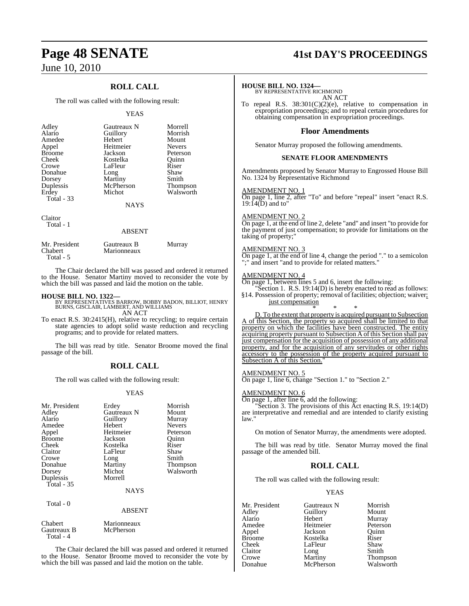## **ROLL CALL**

The roll was called with the following result:

#### YEAS

| Adley<br>Alario<br>Amedee<br>Appel<br><b>Broome</b><br>Cheek<br>Crowe<br>Donahue<br>Dorsey<br>Duplessis<br>Erdey<br>Total $-33$ | Gautreaux N<br>Guillory<br>Hebert<br>Heitmeier<br>Jackson<br>Kostelka<br>LaFleur<br>Long<br>Martiny<br>McPherson<br>Michot<br><b>NAYS</b> | Morrell<br>Morrish<br>Mount<br><b>Nevers</b><br>Peterson<br>Ouinn<br>Riser<br>Shaw<br>Smith<br><b>Thompson</b><br>Walsworth |
|---------------------------------------------------------------------------------------------------------------------------------|-------------------------------------------------------------------------------------------------------------------------------------------|-----------------------------------------------------------------------------------------------------------------------------|
|                                                                                                                                 |                                                                                                                                           |                                                                                                                             |

Claitor Total - 1

Total - 4

#### ABSENT

| Mr. President<br>Chabert | Gautreaux B<br>Marionneaux | Murray |
|--------------------------|----------------------------|--------|
| Total - 5                |                            |        |

The Chair declared the bill was passed and ordered it returned to the House. Senator Martiny moved to reconsider the vote by which the bill was passed and laid the motion on the table.

**HOUSE BILL NO. 1322—** BY REPRESENTATIVES BARROW, BOBBY BADON, BILLIOT, HENRY BURNS, GISCLAIR, LAMBERT, AND WILLIAMS AN ACT

To enact R.S. 30:2415(H), relative to recycling; to require certain state agencies to adopt solid waste reduction and recycling programs; and to provide for related matters.

The bill was read by title. Senator Broome moved the final passage of the bill.

#### **ROLL CALL**

The roll was called with the following result:

#### YEAS

| Mr. President<br>Adley<br>Alario<br>Amedee<br>Appel<br><b>Broome</b><br>Cheek<br>Claitor<br>Crowe<br>Donahue<br>Dorsey<br>Duplessis<br>Total - 35 | Erdey<br>Gautreaux N<br>Guillory<br>Hebert<br>Heitmeier<br>Jackson<br>Kostelka<br>LaFleur<br>Long<br>Martiny<br>Michot<br>Morrell<br><b>NAYS</b> | Morrish<br>Mount<br>Murray<br><b>Nevers</b><br>Peterson<br>Ouinn<br>Riser<br>Shaw<br>Smith<br>Thompson<br>Walsworth |
|---------------------------------------------------------------------------------------------------------------------------------------------------|--------------------------------------------------------------------------------------------------------------------------------------------------|---------------------------------------------------------------------------------------------------------------------|
| Total - 0                                                                                                                                         | <b>ABSENT</b>                                                                                                                                    |                                                                                                                     |
| Chabert<br>Gautreaux B                                                                                                                            | Marionneaux<br>McPherson                                                                                                                         |                                                                                                                     |

The Chair declared the bill was passed and ordered it returned to the House. Senator Broome moved to reconsider the vote by which the bill was passed and laid the motion on the table.

# **Page 48 SENATE 41st DAY'S PROCEEDINGS**

#### **HOUSE BILL NO. 1324—**

BY REPRESENTATIVE RICHMOND AN ACT

To repeal R.S. 38:301(C)(2)(e), relative to compensation in expropriation proceedings; and to repeal certain procedures for obtaining compensation in expropriation proceedings.

#### **Floor Amendments**

Senator Murray proposed the following amendments.

#### **SENATE FLOOR AMENDMENTS**

Amendments proposed by Senator Murray to Engrossed House Bill No. 1324 by Representative Richmond

#### AMENDMENT NO. 1

On page 1, line 2, after "To" and before "repeal" insert "enact R.S.  $19:14(D)$  and to"

#### AMENDMENT NO. 2

On page 1, at the end of line 2, delete "and" and insert "to provide for the payment of just compensation; to provide for limitations on the taking of property;"

#### AMENDMENT NO. 3

On page 1, at the end of line 4, change the period "." to a semicolon ";" and insert "and to provide for related matters."

#### AMENDMENT NO. 4

On page 1, between lines 5 and 6, insert the following:

"Section 1. R.S. 19:14(D) is hereby enacted to read as follows: §14. Possession of property; removal of facilities; objection; waiver; just compensation

\* \* \* D. To the extent that property is acquired pursuant to Subsection A of this Section, the property so acquired shall be limited to that property on which the facilities have been constructed. The entity acquiring property pursuant to Subsection A of this Section shall pay just compensation for the acquisition of possession of any additional property, and for the acquisition of any servitudes or other rights accessory to the possession of the property acquired pursuant to Subsection A of this Section."

#### AMENDMENT NO. 5

On page 1, line 6, change "Section 1." to "Section 2."

#### AMENDMENT NO. 6

On page 1, after line 6, add the following:

Section 3. The provisions of this Act enacting R.S. 19:14(D) are interpretative and remedial and are intended to clarify existing law."

On motion of Senator Murray, the amendments were adopted.

The bill was read by title. Senator Murray moved the final passage of the amended bill.

#### **ROLL CALL**

The roll was called with the following result:

McPherson

#### YEAS

Mr. President Gautreaux N Morrish<br>Adley Guillory Mount Adley Guillory<br>Alario Hebert Alario Hebert Murray<br>Amedee Heitmeier Peterson Amedee Heitmeier Peterson<br>Appel Jackson Quinn Appel Jackson<br>Broome Kostelka Broome Kostelka Riser Claitor<br>Crowe Crowe Martiny Thompson

LaFleur Shaw<br>Long Smith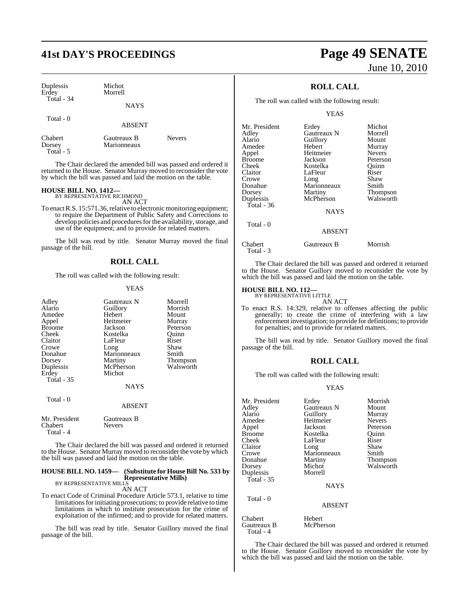Michot Morrell

| Duplessis |  |
|-----------|--|
| Erdey     |  |
| Total     |  |

**NAYS** 

Total - 0

ABSENT

Chabert Gautreaux B Nevers<br>Dorsey Marionneaux Total - 5

Marionneaux

The Chair declared the amended bill was passed and ordered it returned to the House. Senator Murray moved to reconsider the vote by which the bill was passed and laid the motion on the table.

# **HOUSE BILL NO. 1412—** BY REPRESENTATIVE RICHMOND

AN ACT

To enact R.S. 15:571.36, relative to electronic monitoring equipment; to require the Department of Public Safety and Corrections to develop policies and procedures for the availability, storage, and use of the equipment; and to provide for related matters.

The bill was read by title. Senator Murray moved the final passage of the bill.

#### **ROLL CALL**

The roll was called with the following result:

#### YEAS

| Adley<br>Alario<br>Amedee<br>Appel<br><b>Broome</b><br>Cheek<br>Claitor<br>Crowe<br>Donahue<br>Dorsey<br>Duplessis<br>Erdey<br>Total - 35 | Gautreaux N<br>Guillory<br>Hebert<br>Heitmeier<br>Jackson<br>Kostelka<br>LaFleur<br>Long<br>Marionneaux<br>Martiny<br>McPherson<br>Michot<br><b>NAYS</b> | Morrell<br>Morrish<br>Mount<br>Murray<br>Peterson<br>Quinn<br>Riser<br>Shaw<br>Smith<br>Thompson<br>Walsworth |
|-------------------------------------------------------------------------------------------------------------------------------------------|----------------------------------------------------------------------------------------------------------------------------------------------------------|---------------------------------------------------------------------------------------------------------------|
| Total - 0                                                                                                                                 | ABSENT                                                                                                                                                   |                                                                                                               |
| Mr. President<br>Chabert<br>Total - 4                                                                                                     | Gautreaux B<br><b>Nevers</b>                                                                                                                             |                                                                                                               |

The Chair declared the bill was passed and ordered it returned to the House. Senator Murray moved to reconsider the vote by which the bill was passed and laid the motion on the table.

#### **HOUSE BILL NO. 1459— (Substitute for HouseBill No. 533 by Representative Mills)** BY REPRESENTATIVE MILLS

AN ACT

To enact Code of Criminal Procedure Article 573.1, relative to time limitations for initiating prosecutions; to provide relative to time limitations in which to institute prosecution for the crime of exploitation of the infirmed; and to provide for related matters.

The bill was read by title. Senator Guillory moved the final passage of the bill.

# **41st DAY'S PROCEEDINGS Page 49 SENATE** June 10, 2010

## **ROLL CALL**

The roll was called with the following result:

YEAS

| Mr. President | Erdey       | Michot          |
|---------------|-------------|-----------------|
| Adlev         | Gautreaux N | Morrell         |
| Alario        | Guillory    | Mount           |
| Amedee        | Hebert      | Murray          |
| Appel         | Heitmeier   | <b>Nevers</b>   |
| Broome        | Jackson     | Peterson        |
| Cheek         | Kostelka    | Ouinn           |
| Claitor       | LaFleur     | Riser           |
| Crowe         | Long        | Shaw            |
| Donahue       | Marionneaux | Smith           |
| Dorsey        | Martiny     | <b>Thompson</b> |
| Duplessis     | McPherson   | Walsworth       |
| Total - 36    |             |                 |
|               | <b>NAYS</b> |                 |
| Total - 0     |             |                 |
|               | ABSENT      |                 |

Chabert Gautreaux B Morrish Total - 3

The Chair declared the bill was passed and ordered it returned to the House. Senator Guillory moved to reconsider the vote by which the bill was passed and laid the motion on the table.

#### **HOUSE BILL NO. 112—**

BY REPRESENTATIVE LITTLE AN ACT

To enact R.S. 14:329, relative to offenses affecting the public generally; to create the crime of interfering with a law enforcement investigation; to provide for definitions; to provide for penalties; and to provide for related matters.

The bill was read by title. Senator Guillory moved the final passage of the bill.

### **ROLL CALL**

The roll was called with the following result:

#### YEAS

| Mr. President<br>Adley<br>Alario<br>Amedee<br>Appel<br><b>Broome</b><br>Cheek<br>Claitor<br>Crowe<br>Donahue<br>Dorsey<br>Duplessis<br>Total - $35$ | Erdey<br>Gautreaux N<br>Guillory<br>Heitmeier<br>Jackson<br>Kostelka<br>LaFleur<br>Long<br>Marionneaux<br>Martiny<br>Michot<br>Morrell<br><b>NAYS</b> | Morrish<br>Mount<br>Murray<br><b>Nevers</b><br>Peterson<br>Ouinn<br>Riser<br>Shaw<br>Smith<br>Thompson<br>Walsworth |
|-----------------------------------------------------------------------------------------------------------------------------------------------------|-------------------------------------------------------------------------------------------------------------------------------------------------------|---------------------------------------------------------------------------------------------------------------------|
| Total - 0                                                                                                                                           | <b>ABSENT</b>                                                                                                                                         |                                                                                                                     |
| Chabert                                                                                                                                             | Hebert                                                                                                                                                |                                                                                                                     |

Gautreaux B McPherson Total - 4

The Chair declared the bill was passed and ordered it returned to the House. Senator Guillory moved to reconsider the vote by which the bill was passed and laid the motion on the table.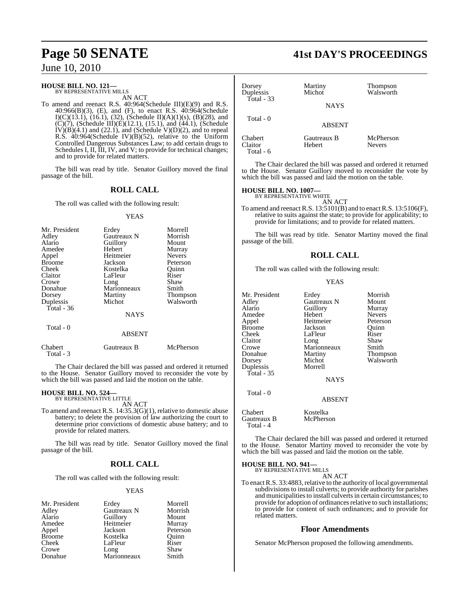#### **HOUSE BILL NO. 121—** BY REPRESENTATIVE MILLS

AN ACT

To amend and reenact R.S. 40:964(Schedule III)(E)(9) and R.S. 40:966(B)(3), (E), and (F), to enact R.S. 40:964(Schedule I)(C)(13.1), (16.1), (32), (Schedule II)(A)(1)(s), (B)(28), and  $(C)(7)$ , (Schedule III) $(E)(12.1)$ , (15.1), and (44.1), (Schedule  $IV(B)(4.1)$  and  $(22.1)$ , and  $(Schedule V)(D)(2)$ , and to repeal R.S. 40:964(Schedule IV)(B)(52), relative to the Uniform Controlled Dangerous Substances Law; to add certain drugs to Schedules I, II, III, IV, and V; to provide for technical changes; and to provide for related matters.

The bill was read by title. Senator Guillory moved the final passage of the bill.

#### **ROLL CALL**

The roll was called with the following result:

#### YEAS

| Mr. President | Erdey         | Morrell         |
|---------------|---------------|-----------------|
| Adley         | Gautreaux N   | Morrish         |
| Alario        | Guillory      | Mount           |
| Amedee        | Hebert        | Murray          |
| Appel         | Heitmeier     | <b>Nevers</b>   |
| <b>Broome</b> | Jackson       | Peterson        |
| Cheek         | Kostelka      | Ouinn           |
| Claitor       | LaFleur       | Riser           |
| Crowe         | Long          | Shaw            |
| Donahue       | Marionneaux   | Smith           |
| Dorsey        | Martiny       | <b>Thompson</b> |
| Duplessis     | Michot        | Walsworth       |
| Total - 36    |               |                 |
|               | <b>NAYS</b>   |                 |
| Total - 0     |               |                 |
|               | <b>ABSENT</b> |                 |

Chabert Gautreaux B McPherson

which the bill was passed and laid the motion on the table.

 Total - 3 The Chair declared the bill was passed and ordered it returned to the House. Senator Guillory moved to reconsider the vote by

# **HOUSE BILL NO. 524—** BY REPRESENTATIVE LITTLE

AN ACT

To amend and reenact R.S. 14:35.3(G)(1), relative to domestic abuse battery; to delete the provision of law authorizing the court to determine prior convictions of domestic abuse battery; and to provide for related matters.

The bill was read by title. Senator Guillory moved the final passage of the bill.

#### **ROLL CALL**

The roll was called with the following result:

Heitmeier<br>Jackson

#### YEAS

Mr. President Erdey Morrell<br>Adley Gautreaux N Morrish Adley Gautreaux N Morrish Alario Guillory Mount Appel Jackson Peterson<br>Broome Kostelka Quinn Broome Kostelka Quinn<br>Cheek LaFleur Riser Crowe Long Shaw<br>Donahue Marionneaux Smith

LaFleur Riser<br>Long Shaw Marionneaux

# **Page 50 SENATE 41st DAY'S PROCEEDINGS**

| Dorsey<br>Duplessis<br>Total $-33$ | Martiny<br>Michot     | Thompson<br>Walsworth      |
|------------------------------------|-----------------------|----------------------------|
|                                    | <b>NAYS</b>           |                            |
| Total $-0$                         | <b>ABSENT</b>         |                            |
| Chabert<br>Claitor<br>Total - 6    | Gautreaux B<br>Hebert | McPherson<br><b>Nevers</b> |

The Chair declared the bill was passed and ordered it returned to the House. Senator Guillory moved to reconsider the vote by which the bill was passed and laid the motion on the table.

# **HOUSE BILL NO. 1007—** BY REPRESENTATIVE WHITE

AN ACT

To amend and reenact R.S. 13:5101(B) and to enactR.S. 13:5106(F), relative to suits against the state; to provide for applicability; to provide for limitations; and to provide for related matters.

The bill was read by title. Senator Martiny moved the final passage of the bill.

#### **ROLL CALL**

The roll was called with the following result:

#### YEAS

| Mr. President | Erdey                              | Morrish       |
|---------------|------------------------------------|---------------|
| Adley         | Gautreaux N                        | Mount         |
|               |                                    |               |
| Alario        | Guillory                           | Murray        |
| Amedee        | Hebert                             | <b>Nevers</b> |
| Appel         | Heitmeier                          | Peterson      |
| Broome        | Jackson                            | Ouinn         |
| Cheek         | LaFleur                            | Riser         |
| Claitor       | Long                               | Shaw          |
| Crowe         | Marionneaux                        | Smith         |
| Donahue       | Martiny                            | Thompson      |
| Dorsey        | Michot                             | Walsworth     |
| Duplessis     | Morrell                            |               |
| Total - 35    |                                    |               |
|               | <b>NAYS</b>                        |               |
| Total - 0     |                                    |               |
|               | <b>ABSENT</b>                      |               |
| $C$ balant    | $V_{\text{out}}$ $11_{\text{tot}}$ |               |

Chabert Kostelka Gautreaux B Total - 4

The Chair declared the bill was passed and ordered it returned to the House. Senator Martiny moved to reconsider the vote by which the bill was passed and laid the motion on the table.

#### **HOUSE BILL NO. 941—** BY REPRESENTATIVE MILLS

AN ACT

To enact R.S. 33:4883, relative to the authority of local governmental subdivisions to install culverts; to provide authority for parishes and municipalities to install culverts in certain circumstances; to provide for adoption of ordinances relative to such installations; to provide for content of such ordinances; and to provide for related matters.

#### **Floor Amendments**

Senator McPherson proposed the following amendments.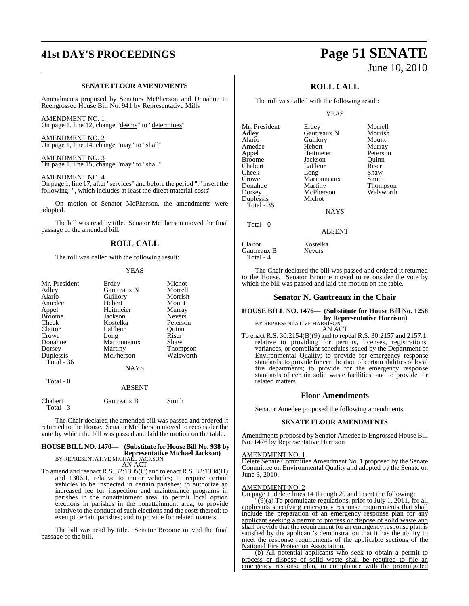# **41st DAY'S PROCEEDINGS Page 51 SENATE**

#### **SENATE FLOOR AMENDMENTS**

Amendments proposed by Senators McPherson and Donahue to Reengrossed House Bill No. 941 by Representative Mills

AMENDMENT NO. 1 On page 1, line 12, change "deems" to "determines"

AMENDMENT NO. 2 On page 1, line 14, change "may" to "shall"

AMENDMENT NO. 3 On page 1, line 15, change "may" to "shall"

AMENDMENT NO. 4

On page 1, line 17, after "services" and before the period "." insert the following: ", which includes at least the direct material costs"

On motion of Senator McPherson, the amendments were adopted.

The bill was read by title. Senator McPherson moved the final passage of the amended bill.

#### **ROLL CALL**

The roll was called with the following result:

#### YEAS

| Mr. President | Erdey         | Michot          |
|---------------|---------------|-----------------|
| Adley         | Gautreaux N   | Morrell         |
| Alario        | Guillory      | Morrish         |
| Amedee        | Hebert        | Mount           |
| Appel         | Heitmeier     | Murray          |
| <b>Broome</b> | Jackson       | <b>Nevers</b>   |
| Cheek         | Kostelka      | Peterson        |
| Claitor       | LaFleur       | Ouinn           |
| Crowe         | Long          | Riser           |
| Donahue       | Marionneaux   | Shaw            |
| Dorsey        | Martiny       | <b>Thompson</b> |
| Duplessis     | McPherson     | Walsworth       |
| Total - 36    |               |                 |
|               | <b>NAYS</b>   |                 |
| Total - 0     |               |                 |
|               | <b>ABSENT</b> |                 |
|               |               |                 |

Chabert Gautreaux B Smith Total - 3

The Chair declared the amended bill was passed and ordered it returned to the House. Senator McPherson moved to reconsider the vote by which the bill was passed and laid the motion on the table.

## **HOUSE BILL NO. 1470— (Substitute for HouseBill No. 938 by Representative Michael Jackson)** BY REPRESENTATIVE MICHAEL JACKSON

AN ACT

To amend and reenact R.S. 32:1305(C) and to enact R.S. 32:1304(H) and 1306.1, relative to motor vehicles; to require certain vehicles to be inspected in certain parishes; to authorize an increased fee for inspection and maintenance programs in parishes in the nonattainment area; to permit local option elections in parishes in the nonattainment area; to provide relative to the conduct of such elections and the costs thereof; to exempt certain parishes; and to provide for related matters.

The bill was read by title. Senator Broome moved the final passage of the bill.

# June 10, 2010

## **ROLL CALL**

The roll was called with the following result:

YEAS

Mr. President Erdey Morrell<br>Adley Gautreaux N Morrish Alario Guillory Mount Amedee Hebert Murray<br>
Appel Heitmeier Peterson Appel Heitmeier Peterson<br>Broome Jackson Quinn Broome **Jackson** Quinn<br>Chabert LaFleur Riser Chabert LaFleur Riser<br>Cheek Long Shaw Cheek Long Shaw Crowe Marionneaux Smith<br>
Donahue Martiny Thom Donahue Martiny Thompson<br>
Dorsey McPherson Walsworth Duplessis Total - 35

Gautreaux N Morrish<br>
Guillory Mount McPherson<br>Michot

**NAYS** 

#### ABSENT

Claitor Kostelka<br>Gautreaux B Nevers Gautreaux B Total - 4

Total - 0

The Chair declared the bill was passed and ordered it returned to the House. Senator Broome moved to reconsider the vote by which the bill was passed and laid the motion on the table.

#### **Senator N. Gautreaux in the Chair**

## **HOUSE BILL NO. 1476— (Substitute for House Bill No. 1258 by Representative Harrison)**<br>BY REPRESENTATIVE HARRISON

AN ACT

To enact R.S. 30:2154(B)(9) and to repeal R.S. 30:2157 and 2157.1, relative to providing for permits, licenses, registrations, variances, or compliant schedules issued by the Department of Environmental Quality; to provide for emergency response standards; to provide for certification of certain abilities of local fire departments; to provide for the emergency response standards of certain solid waste facilities; and to provide for related matters.

#### **Floor Amendments**

Senator Amedee proposed the following amendments.

#### **SENATE FLOOR AMENDMENTS**

Amendments proposed by Senator Amedee to Engrossed House Bill No. 1476 by Representative Harrison

#### AMENDMENT NO. 1

Delete Senate Committee Amendment No. 1 proposed by the Senate Committee on Environmental Quality and adopted by the Senate on June 3, 2010.

#### AMENDMENT NO. 2

On page 1, delete lines 14 through 20 and insert the following:

 $\overline{9}(9)(a)$  To promulgate regulations, prior to July 1, 2011, for all applicants specifying emergency response requirements that shall include the preparation of an emergency response plan for any applicant seeking a permit to process or dispose of solid waste and shall provide that the requirement for an emergency response plan is satisfied by the applicant's demonstration that it has the ability to meet the response requirements of the applicable sections of the National Fire Protection Association.

(b) All potential applicants who seek to obtain a permit to process or dispose of solid waste shall be required to file an emergency response plan, in compliance with the promulgated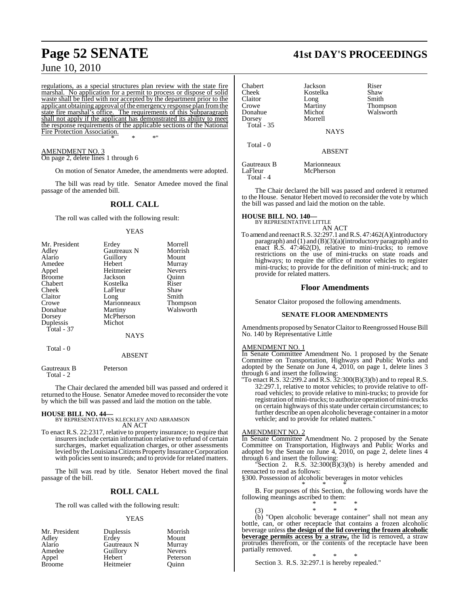regulations, as a special structures plan review with the state fire marshal. No application for a permit to process or dispose of solid waste shall be filed with nor accepted by the department prior to the applicant obtaining approval ofthe emergency response plan fromthe state fire marshal's office. The requirements of this Subparagraph shall not apply if the applicant has demonstrated its ability to meet the response requirements of the applicable sections of the National Fire Protection Association. \* \* \*"

AMENDMENT NO. 3 On page 2, delete lines 1 through 6

On motion of Senator Amedee, the amendments were adopted.

The bill was read by title. Senator Amedee moved the final passage of the amended bill.

#### **ROLL CALL**

The roll was called with the following result:

#### YEAS

| Mr. President | Erdey       | Morrell         |
|---------------|-------------|-----------------|
| Adley         | Gautreaux N | Morrish         |
| Alario        | Guillory    | Mount           |
| Amedee        | Hebert      | Murray          |
| Appel         | Heitmeier   | <b>Nevers</b>   |
| <b>Broome</b> | Jackson     | Ouinn           |
| Chabert       | Kostelka    | Riser           |
| Cheek         | LaFleur     | Shaw            |
| Claitor       | Long        | Smith           |
| Crowe         | Marionneaux | <b>Thompson</b> |
| Donahue       | Martiny     | Walsworth       |
| Dorsey        | McPherson   |                 |
| Duplessis     | Michot      |                 |
| Total - 37    |             |                 |
|               | <b>NAYS</b> |                 |
| Total - 0     |             |                 |
|               | ABSENT      |                 |

Gautreaux B Peterson Total - 2

The Chair declared the amended bill was passed and ordered it returned to the House. Senator Amedee moved to reconsider the vote by which the bill was passed and laid the motion on the table.

#### **HOUSE BILL NO. 44—**

#### BY REPRESENTATIVES KLECKLEY AND ABRAMSON AN ACT

To enact R.S. 22:2317, relative to property insurance; to require that insurersinclude certain information relative to refund of certain surcharges, market equalization charges, or other assessments levied by the Louisiana Citizens Property Insurance Corporation with policies sent to insureds; and to provide for related matters.

The bill was read by title. Senator Hebert moved the final passage of the bill.

## **ROLL CALL**

The roll was called with the following result:

#### YEAS

| Mr. President | Duplessis   | Morrish       |
|---------------|-------------|---------------|
| Adley         | Erdey       | Mount         |
| Alario        | Gautreaux N | Murray        |
| Amedee        | Guillory    | <b>Nevers</b> |
| Appel         | Hebert      | Peterson      |
| <b>Broome</b> | Heitmeier   | Ouinn         |

# **Page 52 SENATE 41st DAY'S PROCEEDINGS**

| Chabert<br>Cheek<br>Claitor<br>Crowe<br>Donahue<br>Dorsey<br><b>Total</b> - 35 | Jackson<br>Kostelka<br>Long<br>Martiny<br>Michot<br>Morrell | Riser<br>Shaw<br>Smith<br>Thompson<br>Walsworth |
|--------------------------------------------------------------------------------|-------------------------------------------------------------|-------------------------------------------------|
| Total - 0                                                                      | <b>NAYS</b>                                                 |                                                 |
|                                                                                | <b>ABSENT</b>                                               |                                                 |
| Gautreaux B<br>LaFleur<br>Total - 4                                            | Marionneaux<br>McPherson                                    |                                                 |

The Chair declared the bill was passed and ordered it returned to the House. Senator Hebert moved to reconsider the vote by which the bill was passed and laid the motion on the table.

#### **HOUSE BILL NO. 140—**

BY REPRESENTATIVE LITTLE

AN ACT To amend and reenact R.S. 32:297.1 and R.S. 47:462(A)(introductory paragraph) and (1) and (B)(3)(a)(introductory paragraph) and to enact R.S. 47:462(D), relative to mini-trucks; to remove restrictions on the use of mini-trucks on state roads and highways; to require the office of motor vehicles to register mini-trucks; to provide for the definition of mini-truck; and to provide for related matters.

#### **Floor Amendments**

Senator Claitor proposed the following amendments.

#### **SENATE FLOOR AMENDMENTS**

Amendments proposed by Senator Claitor to Reengrossed House Bill No. 140 by Representative Little

#### AMENDMENT NO. 1

In Senate Committee Amendment No. 1 proposed by the Senate Committee on Transportation, Highways and Public Works and adopted by the Senate on June 4, 2010, on page 1, delete lines 3 through 6 and insert the following:

"To enact R.S. 32:299.2 and R.S. 32:300(B)(3)(b) and to repeal R.S. 32:297.1, relative to motor vehicles; to provide relative to offroad vehicles; to provide relative to mini-trucks; to provide for registration of mini-trucks; to authorize operation of mini-trucks on certain highways of this state under certain circumstances; to further describe an open alcoholic beverage container in a motor vehicle; and to provide for related matters."

#### AMENDMENT NO. 2

In Senate Committee Amendment No. 2 proposed by the Senate Committee on Transportation, Highways and Public Works and adopted by the Senate on June 4, 2010, on page 2, delete lines 4 through 6 and insert the following:

"Section 2. R.S.  $32:300(\overline{B})(3)(b)$  is hereby amended and reenacted to read as follows:

§300. Possession of alcoholic beverages in motor vehicles \* \* \*

B. For purposes of this Section, the following words have the following meanings ascribed to them: \* \* \*

(3) \* \* \* (b) "Open alcoholic beverage container" shall not mean any bottle, can, or other receptacle that contains a frozen alcoholic beverage unless **the design of the lid covering the frozen alcoholic beverage permits access by a straw,** the lid is removed, a straw protrudes therefrom, or the contents of the receptacle have been partially removed.

\* \* \* Section 3. R.S. 32:297.1 is hereby repealed."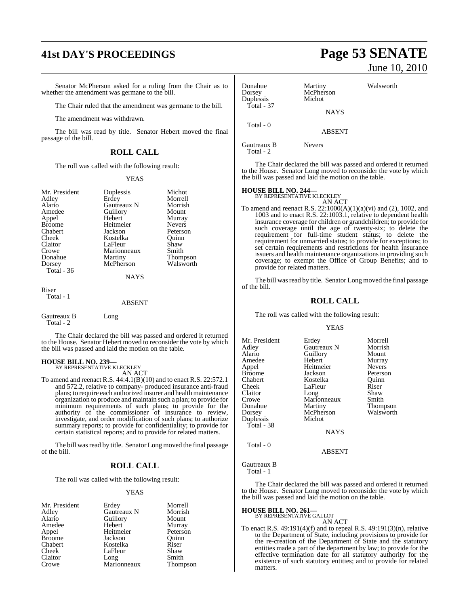# **41st DAY'S PROCEEDINGS Page 53 SENATE**

Senator McPherson asked for a ruling from the Chair as to whether the amendment was germane to the bill.

The Chair ruled that the amendment was germane to the bill.

The amendment was withdrawn.

The bill was read by title. Senator Hebert moved the final passage of the bill.

## **ROLL CALL**

The roll was called with the following result:

#### YEAS

| Mr. President<br>Adley<br>Alario<br>Amedee<br>Appel<br><b>Broome</b><br>Chabert<br>Cheek<br>Claitor<br>Crowe<br>Donahue<br>Dorsey<br>Total $-36$ | Duplessis<br>Erdey<br>Gautreaux N<br>Guillory<br>Hebert<br>Heitmeier<br>Jackson<br>Kostelka<br>LaFleur<br>Marionneaux<br>Martiny<br>McPherson<br><b>NAYS</b> | Michot<br>Morrell<br>Morrish<br>Mount<br>Murray<br><b>Nevers</b><br>Peterson<br>Ouinn<br>Shaw<br>Smith<br>Thompson<br>Walsworth |
|--------------------------------------------------------------------------------------------------------------------------------------------------|--------------------------------------------------------------------------------------------------------------------------------------------------------------|---------------------------------------------------------------------------------------------------------------------------------|
| Riser<br>Total - 1                                                                                                                               | <b>ABSENT</b>                                                                                                                                                |                                                                                                                                 |

Gautreaux B Long Total - 2

The Chair declared the bill was passed and ordered it returned to the House. Senator Hebert moved to reconsider the vote by which the bill was passed and laid the motion on the table.

#### **HOUSE BILL NO. 239—**

BY REPRESENTATIVE KLECKLEY AN ACT

To amend and reenact R.S. 44:4.1(B)(10) and to enact R.S. 22:572.1 and 572.2, relative to company- produced insurance anti-fraud plans; to require each authorized insurer and health maintenance organization to produce and maintain such a plan; to provide for minimum requirements of such plans; to provide for the authority of the commissioner of insurance to review, investigate, and order modification of such plans; to authorize summary reports; to provide for confidentiality; to provide for certain statistical reports; and to provide for related matters.

The bill was read by title. Senator Long moved the final passage of the bill.

#### **ROLL CALL**

The roll was called with the following result:

#### YEAS

| Mr. President |
|---------------|
| Adley         |
| Alario        |
| Amedee        |
| Appel         |
| Broome        |
| Chabert       |
| Cheek         |
| Claitor       |
| Crowe         |

Erdey Morrell<br>
Gautreaux N Morrish Gautreaux N Morris<br>
Guillory Mount Guillory<br>Hebert Heitmeier<br>Jackson Kostelka Riser<br>LaFleur Shaw LaFleur Shaw<br>Long Smith Long<br>Marionneaux

Murray<br>Peterson

Thompson

Quinn<br>Riser

June 10, 2010

| Donahue<br>Dorsey<br>Duplessis | Martiny<br>McPherson<br>Michot | Walsworth |
|--------------------------------|--------------------------------|-----------|
| Total - $37$                   | <b>NAYS</b>                    |           |
| Total - 0                      | <b>ABSENT</b>                  |           |

Gautreaux B Nevers

Total - 2

The Chair declared the bill was passed and ordered it returned to the House. Senator Long moved to reconsider the vote by which the bill was passed and laid the motion on the table.

# **HOUSE BILL NO. 244—** BY REPRESENTATIVE KLECKLEY

AN ACT

To amend and reenact R.S. 22:1000(A)(1)(a)(vi) and (2), 1002, and 1003 and to enact R.S. 22:1003.1, relative to dependent health insurance coverage for children or grandchildren; to provide for such coverage until the age of twenty-six; to delete the requirement for full-time student status; to delete the requirement for unmarried status; to provide for exceptions; to set certain requirements and restrictions for health insurance issuers and health maintenance organizations in providing such coverage; to exempt the Office of Group Benefits; and to provide for related matters.

The bill was read by title. Senator Long moved the final passage of the bill.

#### **ROLL CALL**

The roll was called with the following result:

#### YEAS

| Mr. President | Erdey       | Morrell       |
|---------------|-------------|---------------|
| Adley         | Gautreaux N | Morrish       |
| Alario        | Guillory    | Mount         |
| Amedee        | Hebert      | Murray        |
| Appel         | Heitmeier   | <b>Nevers</b> |
| <b>Broome</b> | Jackson     | Peterson      |
| Chabert       | Kostelka    | Ouinn         |
| Cheek         | LaFleur     | Riser         |
| Claitor       | Long        | Shaw          |
| Crowe         | Marionneaux | Smith         |
| Donahue       | Martiny     | Thompson      |
| Dorsey        | McPherson   | Walsworth     |
| Duplessis     | Michot      |               |
| Total - 38    |             |               |
|               | <b>NAYS</b> |               |
|               |             |               |

ABSENT

#### Gautreaux B

Total - 0

Total - 1

The Chair declared the bill was passed and ordered it returned to the House. Senator Long moved to reconsider the vote by which the bill was passed and laid the motion on the table.

**HOUSE BILL NO. 261—**

BY REPRESENTATIVE GALLOT

AN ACT To enact R.S. 49:191(4)(f) and to repeal R.S. 49:191(3)(n), relative to the Department of State, including provisions to provide for the re-creation of the Department of State and the statutory entities made a part of the department by law; to provide for the effective termination date for all statutory authority for the existence of such statutory entities; and to provide for related matters.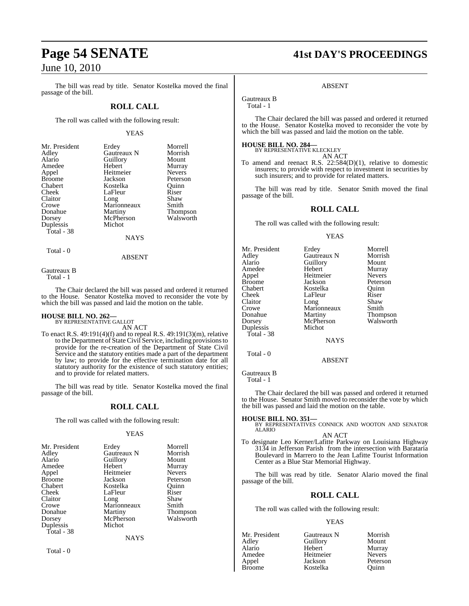The bill was read by title. Senator Kostelka moved the final passage of the bill.

#### **ROLL CALL**

The roll was called with the following result:

#### YEAS

| Mr. President | Erdey           | Morrell       |
|---------------|-----------------|---------------|
| Adley         | Gautreaux N     | Morrish       |
| Alario        | Guillory        | Mount         |
| Amedee        | Hebert          | Murray        |
| Appel         | Heitmeier       | <b>Nevers</b> |
| <b>Broome</b> | Jackson         | Peterso       |
| Chabert       | Kostelka        | Ouinn         |
| Cheek         | LaFleur         | Riser         |
| Claitor       | Long            | Shaw          |
| Crowe         | Marionneaux     | Smith         |
| Donahue       | Martiny         | Thomps        |
| Dorsey        | McPherson       | Walswo        |
| Duplessis     | Michot          |               |
| Total - 38    |                 |               |
|               | <b>NI A VZC</b> |               |

NAYS

Total - 0

ABSENT

Total - 1

The Chair declared the bill was passed and ordered it returned to the House. Senator Kostelka moved to reconsider the vote by which the bill was passed and laid the motion on the table.

# **HOUSE BILL NO. 262—** BY REPRESENTATIVE GALLOT

AN ACT

To enact R.S. 49:191(4)(f) and to repeal R.S. 49:191(3)(m), relative to the Department of State Civil Service, including provisionsto provide for the re-creation of the Department of State Civil Service and the statutory entities made a part of the department by law; to provide for the effective termination date for all statutory authority for the existence of such statutory entities; and to provide for related matters.

The bill was read by title. Senator Kostelka moved the final passage of the bill.

#### **ROLL CALL**

The roll was called with the following result:

#### YEAS

| Mr. President | Erdey       | Morrell         |
|---------------|-------------|-----------------|
| Adley         | Gautreaux N | Morrish         |
| Alario        | Guillory    | Mount           |
| Amedee        | Hebert      | Murray          |
| Appel         | Heitmeier   | <b>Nevers</b>   |
| <b>Broome</b> | Jackson     | Peterson        |
| Chabert       | Kostelka    | Ouinn           |
| Cheek         | LaFleur     | Riser           |
| Claitor       | Long        | Shaw            |
| Crowe         | Marionneaux | Smith           |
| Donahue       | Martiny     | <b>Thompson</b> |
| Dorsey        | McPherson   | Walsworth       |
| Duplessis     | Michot      |                 |
| Total - 38    |             |                 |
|               | <b>NAYS</b> |                 |

Total - 0

**Page 54 SENATE 41st DAY'S PROCEEDINGS**

#### ABSENT

Gautreaux B

Total - 1

The Chair declared the bill was passed and ordered it returned to the House. Senator Kostelka moved to reconsider the vote by which the bill was passed and laid the motion on the table.

# **HOUSE BILL NO. 284—** BY REPRESENTATIVE KLECKLEY

| . KLECKLEY |        |
|------------|--------|
|            | AN ACT |

To amend and reenact R.S. 22:584(D)(1), relative to domestic insurers; to provide with respect to investment in securities by such insurers; and to provide for related matters.

The bill was read by title. Senator Smith moved the final passage of the bill.

#### **ROLL CALL**

The roll was called with the following result:

#### YEAS

| Mr. President | Erdey       | Morrell       |
|---------------|-------------|---------------|
| Adley         | Gautreaux N | Morrish       |
| Alario        | Guillory    | Mount         |
| Amedee        | Hebert      | Murray        |
| Appel         | Heitmeier   | <b>Nevers</b> |
| <b>Broome</b> | Jackson     | Peterson      |
| Chabert       | Kostelka    | Ouinn         |
| Cheek         | LaFleur     | Riser         |
| Claitor       | Long        | Shaw          |
| Crowe         | Marionneaux | Smith         |
| Donahue       | Martiny     | Thompson      |
| Dorsey        | McPherson   | Walsworth     |
| Duplessis     | Michot      |               |
| Total - 38    |             |               |
|               | <b>NAYS</b> |               |
| $Total - 0$   |             |               |

ABSENT

Gautreaux B Total - 1

The Chair declared the bill was passed and ordered it returned to the House. Senator Smith moved to reconsider the vote by which the bill was passed and laid the motion on the table.

#### **HOUSE BILL NO. 351—**

BY REPRESENTATIVES CONNICK AND WOOTON AND SENATOR ALARIO AN ACT

To designate Leo Kerner/Lafitte Parkway on Louisiana Highway 3134 in Jefferson Parish from the intersection with Barataria Boulevard in Marrero to the Jean Lafitte Tourist Information Center as a Blue Star Memorial Highway.

The bill was read by title. Senator Alario moved the final passage of the bill.

#### **ROLL CALL**

The roll was called with the following result:

#### YEAS

| Gautreaux N | Morrish       |
|-------------|---------------|
| Guillory    | Mount         |
| Hebert      | Murray        |
| Heitmeier   | <b>Nevers</b> |
| Jackson     | Peterson      |
| Kostelka    | Ouinn         |
|             |               |

Morrish Mount Murray Nevers Peterson Quinn<br>Riser

**Thompson** Walsworth

# Gautreaux B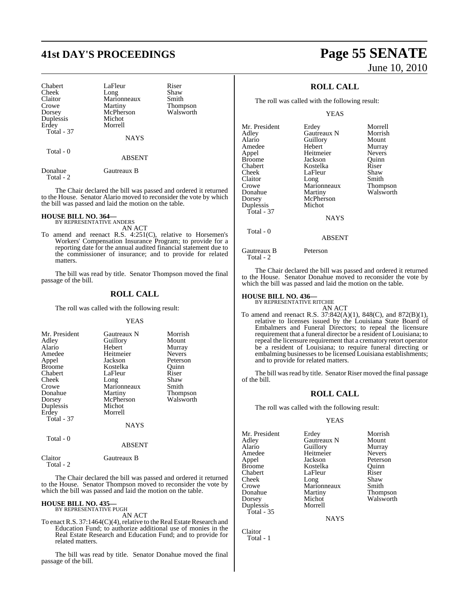# **41st DAY'S PROCEEDINGS Page 55 SENATE**

Michot Morrell

| Chabert           |  |
|-------------------|--|
| Cheek             |  |
| Claitor           |  |
| Crowe             |  |
| Dorsey            |  |
| Duplessis         |  |
| Erdey             |  |
| <b>Total - 37</b> |  |
|                   |  |
|                   |  |
| Total - 0         |  |

LaFleur Riser<br>Long Shaw Long Shaw<br>Marionneaux Smith Marionneaux<br>Martiny Thompson<br>Walsworth McPherson

NAYS

ABSENT

Donahue Gautreaux B Total - 2

The Chair declared the bill was passed and ordered it returned to the House. Senator Alario moved to reconsider the vote by which the bill was passed and laid the motion on the table.

# **HOUSE BILL NO. 364—** BY REPRESENTATIVE ANDERS

- AN ACT
- To amend and reenact R.S. 4:251(C), relative to Horsemen's Workers' Compensation Insurance Program; to provide for a reporting date for the annual audited financial statement due to the commissioner of insurance; and to provide for related matters.

The bill was read by title. Senator Thompson moved the final passage of the bill.

### **ROLL CALL**

The roll was called with the following result:

#### YEAS

| Mr. President | Gautreaux N | Morrish         |
|---------------|-------------|-----------------|
| Adley         | Guillory    | Mount           |
|               |             |                 |
| Alario        | Hebert      | Murray          |
| Amedee        | Heitmeier   | <b>Nevers</b>   |
| Appel         | Jackson     | Peterson        |
| <b>Broome</b> | Kostelka    | Ouinn           |
| Chabert       | LaFleur     | Riser           |
| Cheek         | Long        | Shaw            |
| Crowe         | Marionneaux | Smith           |
| Donahue       | Martiny     | <b>Thompson</b> |
| Dorsey        | McPherson   | Walsworth       |
| Duplessis     | Michot      |                 |
| Erdey         | Morrell     |                 |
| Total - 37    |             |                 |
|               | NAYS        |                 |

Total - 0

#### ABSENT

Claitor Gautreaux B Total - 2

The Chair declared the bill was passed and ordered it returned to the House. Senator Thompson moved to reconsider the vote by which the bill was passed and laid the motion on the table.

# **HOUSE BILL NO. 435—** BY REPRESENTATIVE PUGH

AN ACT

To enact R.S. 37:1464(C)(4), relative to the Real Estate Research and Education Fund; to authorize additional use of monies in the Real Estate Research and Education Fund; and to provide for related matters.

The bill was read by title. Senator Donahue moved the final passage of the bill.

# June 10, 2010

## **ROLL CALL**

The roll was called with the following result:

YEAS

|               | Morrell                                    |
|---------------|--------------------------------------------|
|               | Morrish                                    |
|               |                                            |
|               | Mount                                      |
|               | Murray                                     |
| Heitmeier     | <b>Nevers</b>                              |
| Jackson       | Quinn                                      |
| Kostelka      | Riser                                      |
| LaFleur       | Shaw                                       |
| Long          | Smith                                      |
| Marionneaux   | Thompson                                   |
| Martiny       | Walsworth                                  |
| McPherson     |                                            |
| Michot        |                                            |
|               |                                            |
| <b>NAYS</b>   |                                            |
|               |                                            |
| <b>ABSENT</b> |                                            |
| Peterson      |                                            |
|               | Erdey<br>Gautreaux N<br>Guillory<br>Hebert |

The Chair declared the bill was passed and ordered it returned to the House. Senator Donahue moved to reconsider the vote by which the bill was passed and laid the motion on the table.

# **HOUSE BILL NO. 436—** BY REPRESENTATIVE RITCHIE

Total - 2

- AN ACT To amend and reenact R.S. 37:842(A)(1), 848(C), and 872(B)(1), relative to licenses issued by the Louisiana State Board of
	- Embalmers and Funeral Directors; to repeal the licensure requirement that a funeral director be a resident of Louisiana; to repeal the licensure requirement that a crematory retort operator be a resident of Louisiana; to require funeral directing or embalming businesses to be licensed Louisiana establishments; and to provide for related matters.

The bill was read by title. Senator Riser moved the final passage of the bill.

#### **ROLL CALL**

The roll was called with the following result:

#### YEAS

| Mr. President | Erdey       | Morrish         |
|---------------|-------------|-----------------|
| Adley         | Gautreaux N | Mount           |
| Alario        | Guillory    | Murray          |
| Amedee        | Heitmeier   | <b>Nevers</b>   |
| Appel         | Jackson     | Peterson        |
| <b>Broome</b> | Kostelka    | Ouinn           |
| Chabert       | LaFleur     | Riser           |
| Cheek         | Long        | Shaw            |
| Crowe         | Marionneaux | Smith           |
| Donahue       | Martiny     | <b>Thompson</b> |
| Dorsey        | Michot      | Walsworth       |
| Duplessis     | Morrell     |                 |
| Total - 35    |             |                 |

NAYS

Claitor Total - 1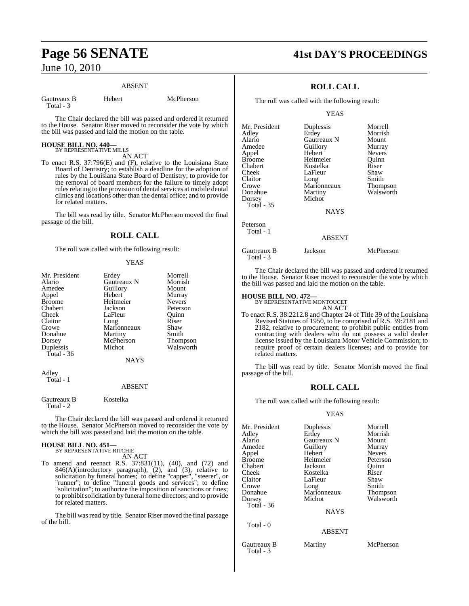#### ABSENT

Gautreaux B Hebert McPherson Total - 3

The Chair declared the bill was passed and ordered it returned to the House. Senator Riser moved to reconsider the vote by which the bill was passed and laid the motion on the table.

#### **HOUSE BILL NO. 440—** BY REPRESENTATIVE MILLS

AN ACT

To enact R.S. 37:796(E) and (F), relative to the Louisiana State Board of Dentistry; to establish a deadline for the adoption of rules by the Louisiana State Board of Dentistry; to provide for the removal of board members for the failure to timely adopt rules relating to the provision of dental services at mobile dental clinics and locations other than the dental office; and to provide for related matters.

The bill was read by title. Senator McPherson moved the final passage of the bill.

#### **ROLL CALL**

The roll was called with the following result:

#### YEAS

| Mr. President | Erdey       | Morrell         |
|---------------|-------------|-----------------|
| Alario        | Gautreaux N | Morrish         |
|               |             |                 |
| Amedee        | Guillory    | Mount           |
| Appel         | Hebert      | Murray          |
| <b>Broome</b> | Heitmeier   | <b>Nevers</b>   |
| Chabert       | Jackson     | Peterson        |
| Cheek         | LaFleur     | Ouinn           |
| Claitor       | Long        | Riser           |
| Crowe         | Marionneaux | Shaw            |
| Donahue       | Martiny     | Smith           |
| Dorsey        | McPherson   | <b>Thompson</b> |
| Duplessis     | Michot      | Walsworth       |
| Total - 36    |             |                 |
|               | <b>NAYS</b> |                 |
| Adley         |             |                 |
|               |             |                 |
| Total - 1     |             |                 |

#### ABSENT

Gautreaux B Kostelka Total - 2

The Chair declared the bill was passed and ordered it returned to the House. Senator McPherson moved to reconsider the vote by which the bill was passed and laid the motion on the table.

# **HOUSE BILL NO. 451—** BY REPRESENTATIVE RITCHIE

AN ACT

To amend and reenact R.S. 37:831(11), (40), and (72) and 846(A)(introductory paragraph), (2), and (3), relative to solicitation by funeral homes; to define "capper", "steerer", or "runner"; to define "funeral goods and services"; to define "solicitation"; to authorize the imposition of sanctions or fines; to prohibitsolicitation by funeral home directors; and to provide for related matters.

The bill was read by title. Senator Riser moved the final passage of the bill.

# **Page 56 SENATE 41st DAY'S PROCEEDINGS**

## **ROLL CALL**

The roll was called with the following result:

YEAS

| Mr. President | Duplessis   | Morrell       |
|---------------|-------------|---------------|
| Adley         | Erdey       | Morrish       |
| Alario        | Gautreaux N | Mount         |
| Amedee        | Guillory    | Murray        |
| Appel         | Hebert      | <b>Nevers</b> |
| <b>Broome</b> | Heitmeier   | Quinn         |
| Chabert       | Kostelka    | Riser         |
| Cheek         | LaFleur     | Shaw          |
| Claitor       | Long        | Smith         |
| Crowe         | Marionneaux | Thompson      |
| Donahue       | Martiny     | Walsworth     |
| Dorsey        | Michot      |               |
| Total - 35    |             |               |
|               | <b>NAYS</b> |               |
| Peterson      |             |               |
| Total - 1     |             |               |
|               | ABSENT      |               |
|               |             |               |

Gautreaux B Jackson McPherson

The Chair declared the bill was passed and ordered it returned to the House. Senator Riser moved to reconsider the vote by which the bill was passed and laid the motion on the table.

# **HOUSE BILL NO. 472—** BY REPRESENTATIVE MONTOUCET

Total - 3

AN ACT

To enact R.S. 38:2212.8 and Chapter 24 of Title 39 of the Louisiana Revised Statutes of 1950, to be comprised of R.S. 39:2181 and 2182, relative to procurement; to prohibit public entities from contracting with dealers who do not possess a valid dealer license issued by the Louisiana Motor Vehicle Commission; to require proof of certain dealers licenses; and to provide for related matters.

The bill was read by title. Senator Morrish moved the final passage of the bill.

#### **ROLL CALL**

The roll was called with the following result:

#### YEAS

| Mr. President | Duplessis     | Morrell       |
|---------------|---------------|---------------|
| Adley         | Erdey         | Morrish       |
| Alario        | Gautreaux N   | Mount         |
| Amedee        | Guillory      | Murray        |
| Appel         | Hebert        | <b>Nevers</b> |
| Broome        | Heitmeier     | Peterson      |
| Chabert       | Jackson       | Ouinn         |
| Cheek         | Kostelka      | Riser         |
| Claitor       | LaFleur       | Shaw          |
| Crowe         | Long          | Smith         |
| Donahue       | Marionneaux   | Thompson      |
| Dorsey        | Michot        | Walsworth     |
| Total - 36    |               |               |
|               | <b>NAYS</b>   |               |
| Total - 0     |               |               |
|               | <b>ABSENT</b> |               |
| Gautreaux B   | Martiny       | McPherson     |

Total - 3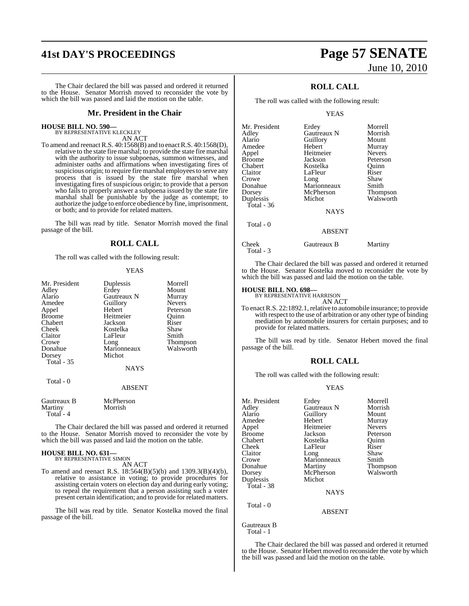# **41st DAY'S PROCEEDINGS Page 57 SENATE**

The Chair declared the bill was passed and ordered it returned to the House. Senator Morrish moved to reconsider the vote by which the bill was passed and laid the motion on the table.

#### **Mr. President in the Chair**

| <b>HOUSE BILL NO. 590—</b> |            |  |
|----------------------------|------------|--|
| BY REPRESENTATIVE KLECKLEY |            |  |
|                            | $\sqrt{1}$ |  |

AN ACT To amend and reenact R.S. 40:1568(B) and to enact R.S. 40:1568(D), relative to the state fire marshal; to provide the state fire marshal with the authority to issue subpoenas, summon witnesses, and administer oaths and affirmations when investigating fires of suspicious origin; to require fire marshal employees to serve any process that is issued by the state fire marshal when investigating fires of suspicious origin; to provide that a person who fails to properly answer a subpoena issued by the state fire marshal shall be punishable by the judge as contempt; to authorize the judge to enforce obedience by fine, imprisonment, or both; and to provide for related matters.

The bill was read by title. Senator Morrish moved the final passage of the bill.

#### **ROLL CALL**

The roll was called with the following result:

#### YEAS

| Duplessis<br>Erdey<br>Gautreaux N<br>Guillory<br>Hebert<br>Heitmeier<br>Jackson<br>Kostelka<br>LaFleur<br>Long<br>Marionneaux<br>Michot<br><b>NAYS</b> | Morrell<br>Mount<br>Murray<br><b>Nevers</b><br>Peterson<br>Ouinn<br>Riser<br>Shaw<br>Smith<br>Thompson<br>Walsworth |
|--------------------------------------------------------------------------------------------------------------------------------------------------------|---------------------------------------------------------------------------------------------------------------------|
| <b>ABSENT</b>                                                                                                                                          |                                                                                                                     |
| McPherson<br>Morrish                                                                                                                                   |                                                                                                                     |
|                                                                                                                                                        |                                                                                                                     |

The Chair declared the bill was passed and ordered it returned to the House. Senator Morrish moved to reconsider the vote by which the bill was passed and laid the motion on the table.

# **HOUSE BILL NO. 631—** BY REPRESENTATIVE SIMON

AN ACT

To amend and reenact R.S. 18:564(B)(5)(b) and 1309.3(B)(4)(b), relative to assistance in voting; to provide procedures for assisting certain voters on election day and during early voting; to repeal the requirement that a person assisting such a voter present certain identification; and to provide for related matters.

The bill was read by title. Senator Kostelka moved the final passage of the bill.

# June 10, 2010

## **ROLL CALL**

The roll was called with the following result:

YEAS

| Mr. President | Erdey       | Morrell       |
|---------------|-------------|---------------|
| Adley         | Gautreaux N | Morrish       |
| Alario        | Guillory    | Mount         |
| Amedee        | Hebert      | Murray        |
| Appel         | Heitmeier   | <b>Nevers</b> |
| Broome        | Jackson     | Peterson      |
| Chabert       | Kostelka    | Ouinn         |
| Claitor       | LaFleur     | Riser         |
| Crowe         | Long        | Shaw          |
| Donahue       | Marionneaux | Smith         |
| Dorsey        | McPherson   | Thompson      |
| Duplessis     | Michot      | Walsworth     |
| Total - 36    |             |               |
|               | <b>NAYS</b> |               |
| Total - 0     |             |               |
|               | ABSENT      |               |

Cheek Gautreaux B Martiny Total - 3

The Chair declared the bill was passed and ordered it returned to the House. Senator Kostelka moved to reconsider the vote by which the bill was passed and laid the motion on the table.

#### **HOUSE BILL NO. 698—**

BY REPRESENTATIVE HARRISON AN ACT

To enact R.S. 22:1892.1, relative to automobile insurance; to provide with respect to the use of arbitration or any other type of binding mediation by automobile insurers for certain purposes; and to provide for related matters.

The bill was read by title. Senator Hebert moved the final passage of the bill.

### **ROLL CALL**

The roll was called with the following result:

#### YEAS

| Mr. President | Erdey              | Morrell       |
|---------------|--------------------|---------------|
| Adley         | <b>Gautreaux N</b> | Morrish       |
| Alario        | Guillory           | Mount         |
| Amedee        | Hebert             | Murray        |
| Appel         | Heitmeier          | <b>Nevers</b> |
| <b>Broome</b> | Jackson            | Peterson      |
| Chabert       | Kostelka           | Ouinn         |
| Cheek         | LaFleur            | Riser         |
| Claitor       | Long               | Shaw          |
| Crowe         | Marionneaux        | Smith         |
| Donahue       | Martiny            | Thompson      |
| Dorsey        | McPherson          | Walsworth     |
| Duplessis     | Michot             |               |
| Total - 38    |                    |               |
|               | <b>NAYS</b>        |               |
| Total - 0     |                    |               |
|               | <b>ABSENT</b>      |               |
| Gautreaux B   |                    |               |

Total - 1

The Chair declared the bill was passed and ordered it returned to the House. Senator Hebert moved to reconsider the vote by which the bill was passed and laid the motion on the table.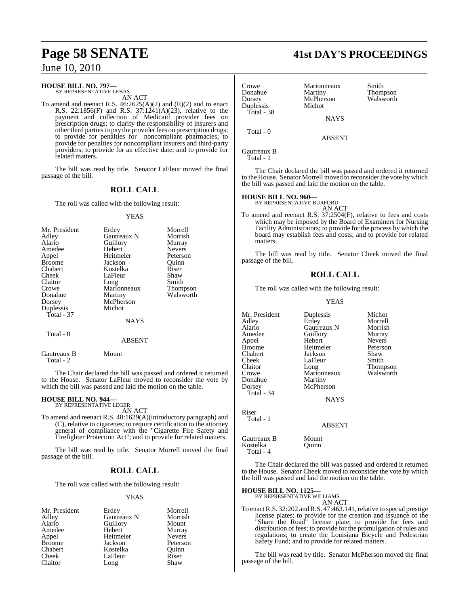#### **HOUSE BILL NO. 797—**

BY REPRESENTATIVE LEBAS AN ACT

To amend and reenact R.S.  $46:2625(A)(2)$  and  $(E)(2)$  and to enact R.S. 22:1856(F) and R.S. 37:1241(A)(23), relative to the payment and collection of Medicaid provider fees on prescription drugs; to clarify the responsibility of insurers and other third parties to pay the provider fees on prescription drugs; to provide for penalties for noncompliant pharmacies; to provide for penalties for noncompliant insurers and third-party providers; to provide for an effective date; and to provide for related matters.

The bill was read by title. Senator LaFleur moved the final passage of the bill.

#### **ROLL CALL**

The roll was called with the following result:

#### YEAS

| Mr. President | Erdey       | Morrell         |
|---------------|-------------|-----------------|
| Adley         | Gautreaux N | Morrish         |
| Alario        | Guillory    | Murray          |
| Amedee        | Hebert      | <b>Nevers</b>   |
| Appel         | Heitmeier   | Peterson        |
| <b>Broome</b> | Jackson     | Ouinn           |
| Chabert       | Kostelka    | Riser           |
| Cheek         | LaFleur     | Shaw            |
| Claitor       | Long        | Smith           |
| Crowe         | Marionneaux | <b>Thompson</b> |
| Donahue       | Martiny     | Walsworth       |
| Dorsey        | McPherson   |                 |
| Duplessis     | Michot      |                 |
| Total - 37    |             |                 |
|               | NAYS        |                 |

Total - 0

Gautreaux B Mount

Total - 2

The Chair declared the bill was passed and ordered it returned to the House. Senator LaFleur moved to reconsider the vote by which the bill was passed and laid the motion on the table.

ABSENT

# **HOUSE BILL NO. 944—** BY REPRESENTATIVE LEGER

AN ACT

To amend and reenact R.S. 40:1629(A)(introductory paragraph) and (C), relative to cigarettes; to require certification to the attorney general of compliance with the "Cigarette Fire Safety and Firefighter Protection Act"; and to provide for related matters.

The bill was read by title. Senator Morrell moved the final passage of the bill.

#### **ROLL CALL**

The roll was called with the following result:

#### YEAS

| Mr. President | Erdey       | Morrell       |
|---------------|-------------|---------------|
| Adley         | Gautreaux N | Morrish       |
| Alario        | Guillory    | Mount         |
| Amedee        | Hebert      | Murray        |
| Appel         | Heitmeier   | <b>Nevers</b> |
| <b>Broome</b> | Jackson     | Peterson      |
| Chabert       | Kostelka    | Ouinn         |
| Cheek         | LaFleur     | Riser         |
| Claitor       | Long        | Shaw          |

# **Page 58 SENATE 41st DAY'S PROCEEDINGS**

| Crowe<br>Donahue<br>Dorsey<br>Duplessis | Marionneaux<br>Martiny<br>McPherson<br>Michot                                                                                                                                                  | Smith<br>Thompson<br>Walsworth |
|-----------------------------------------|------------------------------------------------------------------------------------------------------------------------------------------------------------------------------------------------|--------------------------------|
| Total - 38                              | <b>NAYS</b>                                                                                                                                                                                    |                                |
| Total - 0                               | <b>ABSENT</b>                                                                                                                                                                                  |                                |
| Gautreaux B<br>Total - 1                |                                                                                                                                                                                                |                                |
|                                         | The Chair declared the bill was passed and ordered it returned<br>to the House. Senator Morrell moved to reconsider the vote by which<br>the bill was passed and laid the motion on the table. |                                |

#### **HOUSE BILL NO. 960—** BY REPRESENTATIVE BURFORD

AN ACT To amend and reenact R.S. 37:2504(F), relative to fees and costs which may be imposed by the Board of Examiners for Nursing Facility Administrators; to provide for the process by which the board may establish fees and costs; and to provide for related matters.

The bill was read by title. Senator Cheek moved the final passage of the bill.

#### **ROLL CALL**

The roll was called with the following result:

YEAS

Mr. President Duplessis Michot<br>Adley Erdey Morrell Adley Erdey Morrell Alario Gautreaux N Morrish<br>Amedee Guillory Murray Amedee Guillory Murray<br>Appel Hebert Nevers Appel Hebert Nevers Broome Heitmeier Peters<br>
Chabert Jackson Shaw Chabert Jackson Shaw Cheek LaFleur<br>Claitor Long Claitor Long Thompson<br>Crowe Marionneaux Walsworth Donahue Dorsey McPherson Total - 34

NAYS

Marionneaux<br>Martiny

Riser Total - 1

ABSENT

Gautreaux B Mount<br>Kostelka Ouinn Kostelka Total - 4

The Chair declared the bill was passed and ordered it returned to the House. Senator Cheek moved to reconsider the vote by which the bill was passed and laid the motion on the table.

#### **HOUSE BILL NO. 1125—**

BY REPRESENTATIVE WILLIAMS AN ACT

To enact R.S. 32:202 and R.S. 47:463.141, relative to special prestige license plates; to provide for the creation and issuance of the "Share the Road" license plate; to provide for fees and distribution of fees; to provide for the promulgation of rules and regulations; to create the Louisiana Bicycle and Pedestrian Safety Fund; and to provide for related matters.

The bill was read by title. Senator McPherson moved the final passage of the bill.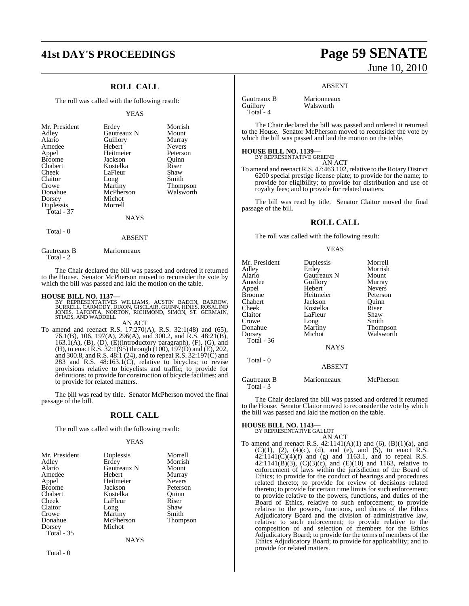# **41st DAY'S PROCEEDINGS Page 59 SENATE**

## **ROLL CALL**

The roll was called with the following result:

#### YEAS

| Mr. President<br>Adley<br>Alario<br>Amedee<br>Appel<br><b>Broome</b><br>Chabert | Erdey<br>Gautreaux N<br>Guillory<br>Hebert<br>Heitmeier<br>Jackson<br>Kostelka | Morrish<br>Mount<br>Murray<br><b>Nevers</b><br>Peterson<br>Ouinn<br>Riser |
|---------------------------------------------------------------------------------|--------------------------------------------------------------------------------|---------------------------------------------------------------------------|
| Cheek                                                                           | LaFleur                                                                        | Shaw                                                                      |
| Claitor                                                                         | Long                                                                           | Smith                                                                     |
| Crowe                                                                           | Martiny                                                                        | <b>Thompson</b>                                                           |
| Donahue                                                                         | McPherson                                                                      | Walsworth                                                                 |
| Dorsey                                                                          | Michot                                                                         |                                                                           |
| Duplessis                                                                       | Morrell                                                                        |                                                                           |
| Total - $37$                                                                    |                                                                                |                                                                           |
|                                                                                 | <b>NAYS</b>                                                                    |                                                                           |
|                                                                                 |                                                                                |                                                                           |

## Total - 0

ABSENT

Gautreaux B Marionneaux Total - 2

The Chair declared the bill was passed and ordered it returned to the House. Senator McPherson moved to reconsider the vote by which the bill was passed and laid the motion on the table.

#### **HOUSE BILL NO. 1137—**

BY REPRESENTATIVES WILLIAMS, AUSTIN BADON, BARROW,<br>BURRELL, CARMODY, DIXON, GISCLAIR, GUINN, HINES, ROSALIND<br>JONES, LAFONTA, NORTON, RICHMOND, SIMÓN, ST. GERMAIN,<br>STIAES, AND WADDELL

#### AN ACT

To amend and reenact R.S. 17:270(A), R.S. 32:1(48) and (65), 76.1(B), 106, 197(A), 296(A), and 300.2, and R.S. 48:21(B),  $163.1(A)$ ,  $(B)$ ,  $(D)$ ,  $(E)$ (introductory paragraph),  $(F)$ ,  $(G)$ , and (H), to enact R.S. 32:1(95) through (100), 197(D) and (E), 202, and 300.8, and R.S. 48:1 (24), and to repeal R.S. 32:197(C) and 283 and R.S. 48:163.1(C), relative to bicycles; to revise provisions relative to bicyclists and traffic; to provide for definitions; to provide for construction of bicycle facilities; and to provide for related matters.

The bill was read by title. Senator McPherson moved the final passage of the bill.

#### **ROLL CALL**

The roll was called with the following result:

#### YEAS

| Mr. President | Duplessis   | Morrell         |
|---------------|-------------|-----------------|
| Adley         | Erdey       | Morrish         |
| Alario        | Gautreaux N | Mount           |
| Amedee        | Hebert      | Murray          |
| Appel         | Heitmeier   | <b>Nevers</b>   |
| <b>Broome</b> | Jackson     | Peterson        |
| Chabert       | Kostelka    | Ouinn           |
| Cheek         | LaFleur     | Riser           |
| Claitor       | Long        | Shaw            |
| Crowe         | Martiny     | Smith           |
| Donahue       | McPherson   | <b>Thompson</b> |
| Dorsey        | Michot      |                 |
| Total $-35$   |             |                 |
|               | <b>NAYS</b> |                 |

Total - 0

# June 10, 2010

#### ABSENT

Gautreaux B Marionneaux<br>
Guillory Walsworth Total - 4

Walsworth

The Chair declared the bill was passed and ordered it returned to the House. Senator McPherson moved to reconsider the vote by which the bill was passed and laid the motion on the table.

#### **HOUSE BILL NO. 1139—**

BY REPRESENTATIVE GREENE AN ACT

To amend and reenactR.S. 47:463.102, relative to the Rotary District 6200 special prestige license plate; to provide for the name; to provide for eligibility; to provide for distribution and use of royalty fees; and to provide for related matters.

The bill was read by title. Senator Claitor moved the final passage of the bill.

#### **ROLL CALL**

The roll was called with the following result:

#### YEAS

| Mr. President     | Duplessis     | Morrell       |
|-------------------|---------------|---------------|
| Adley             | Erdey         | Morrish       |
| Alario            | Gautreaux N   | Mount         |
| Amedee            | Guillory      | Murray        |
| Appel             | Hebert        | <b>Nevers</b> |
| <b>Broome</b>     | Heitmeier     | Peterson      |
| Chabert           | Jackson       | Ouinn         |
| Cheek             | Kostelka      | Riser         |
| Claitor           | LaFleur       | Shaw          |
| Crowe             | Long          | Smith         |
| Donahue           | Martiny       | Thompson      |
| Dorsey            | Michot        | Walsworth     |
| <b>Total - 36</b> |               |               |
|                   | <b>NAYS</b>   |               |
| Total - 0         |               |               |
|                   | <b>ABSENT</b> |               |
| Gautreaux B       | Marionneaux   | McPherson     |

The Chair declared the bill was passed and ordered it returned to the House. Senator Claitor moved to reconsider the vote by which the bill was passed and laid the motion on the table.

# **HOUSE BILL NO. 1143—** BY REPRESENTATIVE GALLOT

Total - 3

AN ACT

To amend and reenact R.S.  $42:1141(A)(1)$  and  $(6)$ ,  $(B)(1)(a)$ , and  $(C)(1)$ ,  $(2)$ ,  $(4)(c)$ ,  $(d)$ , and  $(e)$ , and  $(5)$ , to enact R.S.  $42:1141(C)(4)(f)$  and (g) and 1163.1, and to repeal R.S. 42:1141(B)(3),  $(C)(3)(c)$ , and  $(E)(10)$  and 1163, relative to enforcement of laws within the jurisdiction of the Board of Ethics; to provide for the conduct of hearings and procedures related thereto; to provide for review of decisions related thereto; to provide for certain time limits for such enforcement; to provide relative to the powers, functions, and duties of the Board of Ethics, relative to such enforcement; to provide relative to the powers, functions, and duties of the Ethics Adjudicatory Board and the division of administrative law, relative to such enforcement; to provide relative to the composition of and selection of members for the Ethics Adjudicatory Board; to provide for the terms of members of the Ethics Adjudicatory Board; to provide for applicability; and to provide for related matters.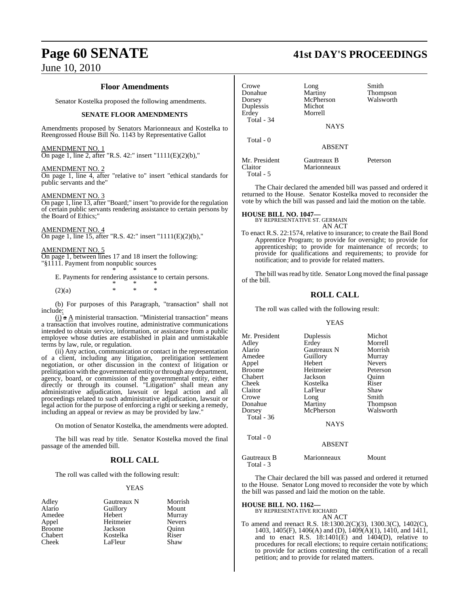#### **Floor Amendments**

Senator Kostelka proposed the following amendments.

#### **SENATE FLOOR AMENDMENTS**

Amendments proposed by Senators Marionneaux and Kostelka to Reengrossed House Bill No. 1143 by Representative Gallot

#### AMENDMENT NO. 1

On page 1, line 2, after "R.S. 42:" insert "1111(E)(2)(b),"

#### AMENDMENT NO. 2

On page 1, line 4, after "relative to" insert "ethical standards for public servants and the"

#### AMENDMENT NO. 3

On page 1, line 13, after "Board;" insert "to provide for the regulation of certain public servants rendering assistance to certain persons by the Board of Ethics;"

#### AMENDMENT NO. 4

On page 1, line 15, after "R.S. 42:" insert "1111(E)(2)(b),"

#### AMENDMENT NO. 5

On page 1, between lines 17 and 18 insert the following: "§1111. Payment from nonpublic sources

\* \* \* E. Payments for rendering assistance to certain persons. \* \* \*

 $(2)(a)$  \* \* \*

(b) For purposes of this Paragraph, "transaction" shall not include:

 $(i)$  a  $\underline{A}$  ministerial transaction. "Ministerial transaction" means a transaction that involves routine, administrative communications intended to obtain service, information, or assistance from a public employee whose duties are established in plain and unmistakable terms by law, rule, or regulation.

(ii) Any action, communication or contact in the representation of a client, including any litigation, prelitigation settlement negotiation, or other discussion in the context of litigation or prelitigation with the governmental entity or through any department, agency, board, or commission of the governmental entity, either directly or through its counsel. "Litigation" shall mean any administrative adjudication, lawsuit or legal action and all proceedings related to such administrative adjudication, lawsuit or legal action for the purpose of enforcing a right or seeking a remedy, including an appeal or review as may be provided by law.

On motion of Senator Kostelka, the amendments were adopted.

The bill was read by title. Senator Kostelka moved the final passage of the amended bill.

#### **ROLL CALL**

The roll was called with the following result:

#### YEAS

| Adley         | Gautreaux N | Morrish       |
|---------------|-------------|---------------|
| Alario        | Guillory    | Mount         |
| Amedee        | Hebert      | Murray        |
| Appel         | Heitmeier   | <b>Nevers</b> |
| <b>Broome</b> | Jackson     | Ouinn         |
| Chabert       | Kostelka    | Riser         |
| Cheek         | LaFleur     | Shaw          |

# **Page 60 SENATE 41st DAY'S PROCEEDINGS**

| Crowe<br>Donahue<br>Dorsey<br>Duplessis<br>Erdey<br><b>Total - 34</b> | Long<br>Martiny<br>McPherson<br>Michot<br>Morrell<br><b>NAYS</b> | Smith<br><b>Thompson</b><br>Walsworth |
|-----------------------------------------------------------------------|------------------------------------------------------------------|---------------------------------------|
| Total - 0                                                             | <b>ABSENT</b>                                                    |                                       |
| Mr. President<br>Claitor<br>Total - 5                                 | Gautreaux B<br>Marionneaux                                       | Peterson                              |

The Chair declared the amended bill was passed and ordered it returned to the House. Senator Kostelka moved to reconsider the vote by which the bill was passed and laid the motion on the table.

#### **HOUSE BILL NO. 1047—** BY REPRESENTATIVE ST. GERMAIN

AN ACT

To enact R.S. 22:1574, relative to insurance; to create the Bail Bond Apprentice Program; to provide for oversight; to provide for apprenticeship; to provide for maintenance of records; to provide for qualifications and requirements; to provide for notification; and to provide for related matters.

The bill was read by title. Senator Long moved the final passage of the bill.

#### **ROLL CALL**

The roll was called with the following result:

#### YEAS

| Mr. President | Duplessis   | Michot          |
|---------------|-------------|-----------------|
| Adley         | Erdey       | Morrell         |
| Alario        | Gautreaux N | Morrish         |
| Amedee        | Guillory    | Murray          |
| Appel         | Hebert      | <b>Nevers</b>   |
| Broome        | Heitmeier   | Peterson        |
| Chabert       | Jackson     | Ouinn           |
| Cheek         | Kostelka    | Riser           |
| Claitor       | LaFleur     | Shaw            |
| Crowe         | Long        | Smith           |
| Donahue       | Martiny     | <b>Thompson</b> |
| Dorsey        | McPherson   | Walsworth       |
| Total - 36    |             |                 |
|               | <b>NAYS</b> |                 |
| Total - 0     |             |                 |

#### ABSENT

| Gautreaux B | Marionneaux | Mount |
|-------------|-------------|-------|
| Total - 3   |             |       |

The Chair declared the bill was passed and ordered it returned to the House. Senator Long moved to reconsider the vote by which the bill was passed and laid the motion on the table.

#### **HOUSE BILL NO. 1162—**

BY REPRESENTATIVE RICHARD

AN ACT

To amend and reenact R.S. 18:1300.2(C)(3), 1300.3(C), 1402(C), 1403, 1405(F), 1406(A) and (D), 1409(A)(1), 1410, and 1411, and to enact R.S.  $18:1401(E)$  and  $1404(D)$ , relative to procedures for recall elections; to require certain notifications; to provide for actions contesting the certification of a recall petition; and to provide for related matters.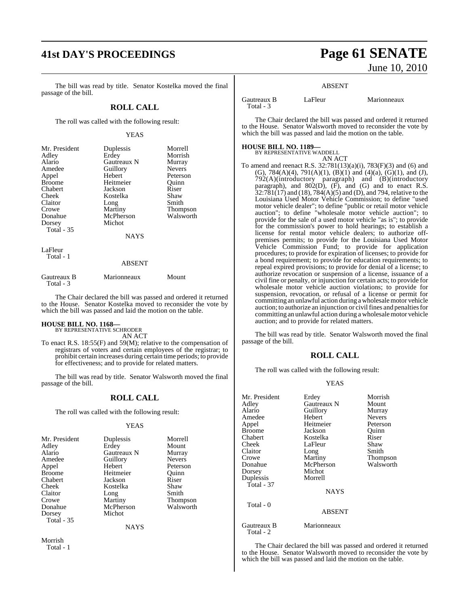# **41st DAY'S PROCEEDINGS Page 61 SENATE**

The bill was read by title. Senator Kostelka moved the final passage of the bill.

#### **ROLL CALL**

The roll was called with the following result:

#### YEAS

| Mr. President | Duplessis   | Morrell         |
|---------------|-------------|-----------------|
| Adley         | Erdey       | Morrish         |
| Alario        | Gautreaux N | Murray          |
| Amedee        | Guillory    | <b>Nevers</b>   |
| Appel         | Hebert      | Peterson        |
| <b>Broome</b> | Heitmeier   | Ouinn           |
| Chabert       | Jackson     | Riser           |
| Cheek         | Kostelka    | Shaw            |
| Claitor       | Long        | Smith           |
| Crowe         | Martiny     | <b>Thompson</b> |
| Donahue       | McPherson   | Walsworth       |
| Dorsey        | Michot      |                 |
| Total $-35$   |             |                 |
|               | <b>NAYS</b> |                 |
| LaFleur       |             |                 |
| Total - 1     |             |                 |

#### ABSENT

| Gautreaux B | Marionneaux | Mount |
|-------------|-------------|-------|
| Total - 3   |             |       |

The Chair declared the bill was passed and ordered it returned to the House. Senator Kostelka moved to reconsider the vote by which the bill was passed and laid the motion on the table.

# **HOUSE BILL NO. 1168—** BY REPRESENTATIVE SCHRODER

AN ACT

To enact R.S. 18:55(F) and 59(M); relative to the compensation of registrars of voters and certain employees of the registrar; to prohibit certain increases during certain time periods; to provide for effectiveness; and to provide for related matters.

The bill was read by title. Senator Walsworth moved the final passage of the bill.

#### **ROLL CALL**

The roll was called with the following result:

#### YEAS

| Mr. President | Duplessis   | Morrell         |
|---------------|-------------|-----------------|
| Adley         | Erdey       | Mount           |
| Alario        | Gautreaux N | Murray          |
| Amedee        | Guillory    | <b>Nevers</b>   |
| Appel         | Hebert      | Peterson        |
| Broome        | Heitmeier   | Ouinn           |
| Chabert       | Jackson     | Riser           |
| Cheek         | Kostelka    | Shaw            |
| Claitor       | Long        | Smith           |
| Crowe         | Martiny     | <b>Thompson</b> |
| Donahue       | McPherson   | Walsworth       |
| Dorsey        | Michot      |                 |
| Total - 35    |             |                 |
|               |             |                 |

NAYS

Morrish Total - 1

# June 10, 2010

#### ABSENT

Gautreaux B LaFleur Marionneaux Total - 3

The Chair declared the bill was passed and ordered it returned to the House. Senator Walsworth moved to reconsider the vote by which the bill was passed and laid the motion on the table.

#### **HOUSE BILL NO. 1189—**

BY REPRESENTATIVE WADDELL AN ACT

To amend and reenact R.S. 32:781(13)(a)(i), 783(F)(3) and (6) and (G), 784(A)(4), 791(A)(1), (B)(1) and (4)(a), (G)(1), and (J), 792(A)(introductory paragraph) and (B)(introductory paragraph), and  $802(D)$ ,  $(F)$ , and  $(G)$  and to enact R.S.  $32:781(17)$  and  $(18)$ ,  $784(A)(5)$  and  $(D)$ , and  $794$ , relative to the Louisiana Used Motor Vehicle Commission; to define "used motor vehicle dealer"; to define "public or retail motor vehicle auction"; to define "wholesale motor vehicle auction"; to provide for the sale of a used motor vehicle "as is"; to provide for the commission's power to hold hearings; to establish a license for rental motor vehicle dealers; to authorize offpremises permits; to provide for the Louisiana Used Motor Vehicle Commission Fund; to provide for application procedures; to provide for expiration of licenses; to provide for a bond requirement; to provide for education requirements; to repeal expired provisions; to provide for denial of a license; to authorize revocation or suspension of a license, issuance of a civil fine or penalty, or injunction for certain acts; to provide for wholesale motor vehicle auction violations; to provide for suspension, revocation, or refusal of a license or permit for committing an unlawful action during awholesalemotor vehicle auction; to authorize an injunction or civil fines and penalties for committing an unlawful action during a wholesalemotor vehicle auction; and to provide for related matters.

The bill was read by title. Senator Walsworth moved the final passage of the bill.

#### **ROLL CALL**

The roll was called with the following result:

#### YEAS

| Mr. President<br>Adley<br>Alario<br>Amedee<br>Appel<br><b>Broome</b><br>Chabert<br>Cheek<br>Claitor<br>Crowe<br>Donahue<br>Dorsey<br>Duplessis<br><b>Total - 37</b> | Erdey<br>Gautreaux N<br>Guillory<br>Hebert<br>Heitmeier<br>Jackson<br>Kostelka<br>LaFleur<br>Long<br>Martiny<br>McPherson<br>Michot<br>Morrell<br><b>NAYS</b> | Morrish<br>Mount<br>Murray<br><b>Nevers</b><br>Peterson<br>Ouinn<br>Riser<br>Shaw<br>Smith<br>Thompson<br>Walsworth |
|---------------------------------------------------------------------------------------------------------------------------------------------------------------------|---------------------------------------------------------------------------------------------------------------------------------------------------------------|---------------------------------------------------------------------------------------------------------------------|
| Total - 0                                                                                                                                                           | <b>ABSENT</b>                                                                                                                                                 |                                                                                                                     |
| Gautreaux B<br>Total - 2                                                                                                                                            | Marionneaux                                                                                                                                                   |                                                                                                                     |

The Chair declared the bill was passed and ordered it returned to the House. Senator Walsworth moved to reconsider the vote by which the bill was passed and laid the motion on the table.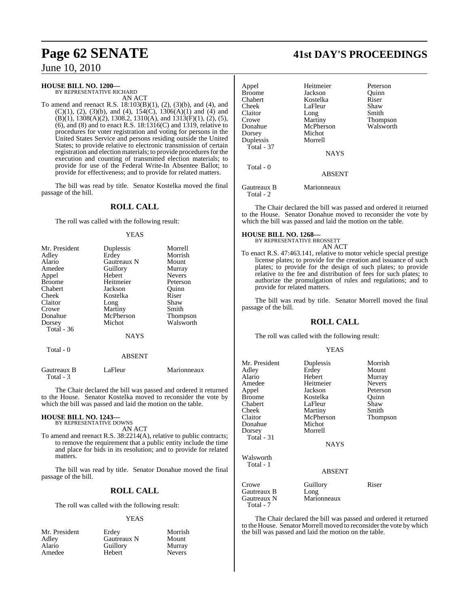# **HOUSE BILL NO. 1200—** BY REPRESENTATIVE RICHARD

AN ACT

To amend and reenact R.S. 18:103(B)(1), (2), (3)(b), and (4), and (C)(1), (2), (3)(b), and (4),  $154(\tilde{C})$ ,  $1306(A)(1)$  and (4) and  $(B)(1)$ , 1308 $(A)(2)$ , 1308.2, 1310 $(A)$ , and 1313 $(F)(1)$ ,  $(2)$ ,  $(5)$ ,  $(6)$ , and  $(8)$  and to enact R.S. 18:1316 $(C)$  and 1319, relative to procedures for voter registration and voting for persons in the United States Service and persons residing outside the United States; to provide relative to electronic transmission of certain registration and election materials; to provide procedures for the execution and counting of transmitted election materials; to provide for use of the Federal Write-In Absentee Ballot; to provide for effectiveness; and to provide for related matters.

The bill was read by title. Senator Kostelka moved the final passage of the bill.

#### **ROLL CALL**

The roll was called with the following result:

#### YEAS

| Mr. President | Duplessis   | Morrell       |
|---------------|-------------|---------------|
| Adley         | Erdey       | Morrish       |
| Alario        | Gautreaux N | Mount         |
| Amedee        | Guillory    | Murray        |
| Appel         | Hebert      | <b>Nevers</b> |
| <b>Broome</b> | Heitmeier   | Peterson      |
| Chabert       | Jackson     | Ouinn         |
| Cheek         | Kostelka    | Riser         |
| Claitor       | Long        | Shaw          |
| Crowe         | Martiny     | Smith         |
| Donahue       | McPherson   | Thompson      |
| Dorsey        | Michot      | Walsworth     |
| Total - 36    |             |               |
|               | <b>NAYS</b> |               |
| Total - 0     |             |               |

#### ABSENT

| Gautreaux B | LaFleur | Marionneaux |
|-------------|---------|-------------|
| Total - 3   |         |             |

The Chair declared the bill was passed and ordered it returned to the House. Senator Kostelka moved to reconsider the vote by which the bill was passed and laid the motion on the table.

### **HOUSE BILL NO. 1243—**

BY REPRESENTATIVE DOWNS AN ACT

To amend and reenact R.S. 38:2214(A), relative to public contracts; to remove the requirement that a public entity include the time and place for bids in its resolution; and to provide for related matters.

The bill was read by title. Senator Donahue moved the final passage of the bill.

#### **ROLL CALL**

The roll was called with the following result:

#### YEAS

| Mr. President | Erdey       | Morrish       |
|---------------|-------------|---------------|
| Adley         | Gautreaux N | Mount         |
| Alario        | Guillory    | Murray        |
| Amedee        | Hebert      | <b>Nevers</b> |

# **Page 62 SENATE 41st DAY'S PROCEEDINGS**

| Appel<br><b>Broome</b><br>Chabert | Heitmeier<br>Jackson<br>Kostelka | Peterson<br>Ouinn<br>Riser |
|-----------------------------------|----------------------------------|----------------------------|
| Cheek                             | LaFleur                          | Shaw                       |
| Claitor                           | Long                             | Smith                      |
| Crowe                             | Martiny                          | Thompson                   |
| Donahue                           | McPherson                        | Walsworth                  |
| Dorsey                            | Michot                           |                            |
| Duplessis                         | Morrell                          |                            |
| Total - 37                        |                                  |                            |
|                                   | <b>NAYS</b>                      |                            |
| Total - 0                         |                                  |                            |
|                                   | <b>ABSENT</b>                    |                            |
| Gautreaux B                       | Marionneaux                      |                            |

Total - 2

The Chair declared the bill was passed and ordered it returned to the House. Senator Donahue moved to reconsider the vote by which the bill was passed and laid the motion on the table.

# **HOUSE BILL NO. 1268—** BY REPRESENTATIVE BROSSETT

AN ACT

To enact R.S. 47:463.141, relative to motor vehicle special prestige license plates; to provide for the creation and issuance of such plates; to provide for the design of such plates; to provide relative to the fee and distribution of fees for such plates; to authorize the promulgation of rules and regulations; and to provide for related matters.

The bill was read by title. Senator Morrell moved the final passage of the bill.

#### **ROLL CALL**

The roll was called with the following result:

#### YEAS

| Mr. President |               | Morrish       |
|---------------|---------------|---------------|
|               | Duplessis     |               |
| Adley         | Erdey         | Mount         |
| Alario        | Hebert        | Murray        |
| Amedee        | Heitmeier     | <b>Nevers</b> |
| Appel         | Jackson       | Peterson      |
| <b>Broome</b> | Kostelka      | Quinn         |
| Chabert       | LaFleur       | Shaw          |
| Cheek         | Martiny       | Smith         |
| Claitor       | McPherson     | Thompson      |
| Donahue       | Michot        |               |
| Dorsey        | Morrell       |               |
| Total - 31    |               |               |
|               | <b>NAYS</b>   |               |
| Walsworth     |               |               |
| Total - 1     |               |               |
|               | <b>ABSENT</b> |               |
| Crowe         | Guillory      | Riser         |
| Gautreaux B   | Long          |               |
| Gautreaux N   | Marionneaux   |               |
| Total - 7     |               |               |

The Chair declared the bill was passed and ordered it returned to the House. Senator Morrell moved to reconsider the vote by which the bill was passed and laid the motion on the table.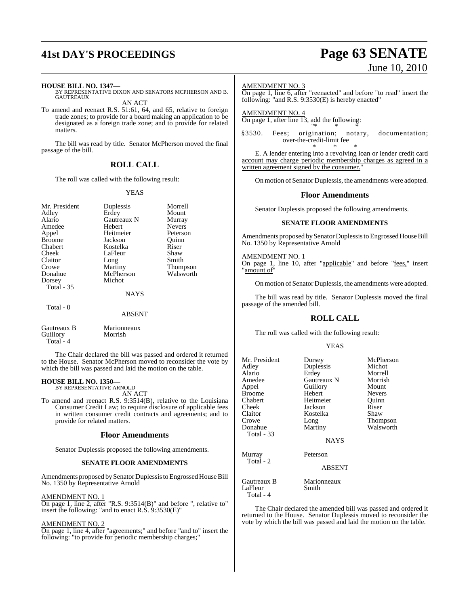# **41st DAY'S PROCEEDINGS Page 63 SENATE**

# June 10, 2010

#### **HOUSE BILL NO. 1347—**

BY REPRESENTATIVE DIXON AND SENATORS MCPHERSON AND B. GAUTREAUX

AN ACT

To amend and reenact R.S. 51:61, 64, and 65, relative to foreign trade zones; to provide for a board making an application to be designated as a foreign trade zone; and to provide for related matters.

The bill was read by title. Senator McPherson moved the final passage of the bill.

#### **ROLL CALL**

The roll was called with the following result:

#### YEAS

| Mr. President     | Duplessis     | Morrell         |
|-------------------|---------------|-----------------|
| Adley             | Erdey         | Mount           |
| Alario            | Gautreaux N   | Murray          |
| Amedee            | Hebert        | <b>Nevers</b>   |
| Appel             | Heitmeier     | Peterson        |
| <b>Broome</b>     | Jackson       | Ouinn           |
| Chabert           | Kostelka      | Riser           |
| Cheek             | LaFleur       | Shaw            |
| Claitor           | Long          | Smith           |
| Crowe             | Martiny       | <b>Thompson</b> |
| Donahue           | McPherson     | Walsworth       |
| Dorsey            | Michot        |                 |
| <b>Total - 35</b> |               |                 |
|                   | <b>NAYS</b>   |                 |
| Total $-0$        |               |                 |
|                   | <b>ABSENT</b> |                 |
|                   |               |                 |

Gautreaux B Marionneaux<br>
Guillory Morrish Guillory Total - 4

The Chair declared the bill was passed and ordered it returned to the House. Senator McPherson moved to reconsider the vote by which the bill was passed and laid the motion on the table.

#### **HOUSE BILL NO. 1350—** BY REPRESENTATIVE ARNOLD

AN ACT

To amend and reenact R.S. 9:3514(B), relative to the Louisiana Consumer Credit Law; to require disclosure of applicable fees in written consumer credit contracts and agreements; and to provide for related matters.

#### **Floor Amendments**

Senator Duplessis proposed the following amendments.

#### **SENATE FLOOR AMENDMENTS**

Amendments proposed bySenator Duplessis to Engrossed House Bill No. 1350 by Representative Arnold

AMENDMENT NO. 1

On page 1, line 2, after "R.S. 9:3514(B)" and before ", relative to" insert the following: "and to enact R.S. 9:3530(E)"

#### AMENDMENT NO. 2

On page 1, line 4, after "agreements;" and before "and to" insert the following: "to provide for periodic membership charges;"

#### AMENDMENT NO. 3

On page 1, line 6, after "reenacted" and before "to read" insert the following: "and R.S. 9:3530(E) is hereby enacted"

AMENDMENT NO. 4 On page 1, after line 13, add the following: "\* \* \*

§3530. Fees; origination; notary, documentation; over-the-credit-limit fee \* \* \*

E. A lender entering into a revolving loan or lender credit card account may charge periodic membership charges as agreed in a written agreement signed by the consumer."

On motion of Senator Duplessis, the amendments were adopted.

#### **Floor Amendments**

Senator Duplessis proposed the following amendments.

#### **SENATE FLOOR AMENDMENTS**

Amendments proposed bySenator Duplessisto Engrossed House Bill No. 1350 by Representative Arnold

#### AMENDMENT NO. 1

On page 1, line 10, after "applicable" and before "fees," insert amount of

On motion of Senator Duplessis, the amendments were adopted.

The bill was read by title. Senator Duplessis moved the final passage of the amended bill.

#### **ROLL CALL**

The roll was called with the following result:

#### YEAS

| Mr. President                       | Dorsey               | McPherson     |
|-------------------------------------|----------------------|---------------|
| Adley                               | Duplessis            | Michot        |
| Alario                              | Erdey                | Morrell       |
| Amedee                              | Gautreaux N          | Morrish       |
| Appel                               | Guillory             | Mount         |
| <b>Broome</b>                       | Hebert               | <b>Nevers</b> |
| Chabert                             | Heitmeier            | Ouinn         |
| Cheek                               | Jackson              | Riser         |
| Claitor                             | Kostelka             | Shaw          |
| Crowe                               | Long                 | Thompson      |
| Donahue                             | Martiny              | Walsworth     |
| <b>Total - 33</b>                   |                      |               |
|                                     | NAYS                 |               |
| Murray                              | Peterson             |               |
| Total - 2                           | ABSENT               |               |
| Gautreaux B<br>LaFleur<br>Total - 4 | Marionneaux<br>Smith |               |

The Chair declared the amended bill was passed and ordered it returned to the House. Senator Duplessis moved to reconsider the vote by which the bill was passed and laid the motion on the table.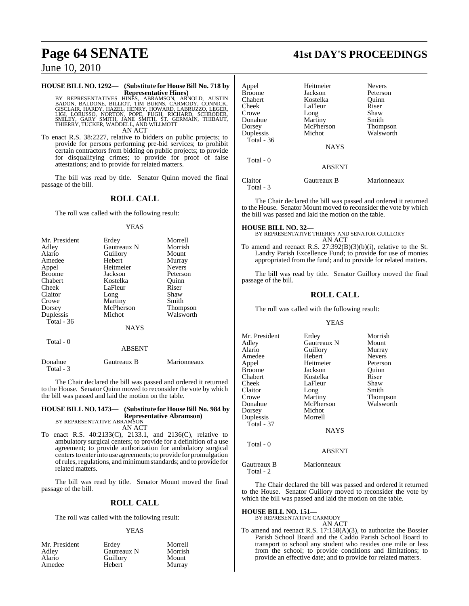#### **HOUSE BILL NO. 1292— (Substitute for HouseBill No. 718 by**

**Representative Hines)** BY REPRESENTATIVES HINĒS, ABRAMSON, ARNOLD, AUSTIN<br>BADON, BALDONE, BILLIOT, TIM BURNS, CARMODY, CONNICK,<br>GISCLAIR, HARDY, HAZEL, HENRY, HOWARD, LABRUZZO, LEGER,<br>LIGI, LORUSSO, NORTON, POPE, PUGH, RICHARD, SCHRODER,<br>SMILEY, AN ACT

To enact R.S. 38:2227, relative to bidders on public projects; to provide for persons performing pre-bid services; to prohibit certain contractors from bidding on public projects; to provide for disqualifying crimes; to provide for proof of false attestations; and to provide for related matters.

The bill was read by title. Senator Quinn moved the final passage of the bill.

### **ROLL CALL**

The roll was called with the following result:

#### YEAS

| Mr. President | Erdey       | Morrell       |
|---------------|-------------|---------------|
| Adley         | Gautreaux N | Morrish       |
| Alario        | Guillory    | Mount         |
| Amedee        | Hebert      | Murray        |
| Appel         | Heitmeier   | <b>Nevers</b> |
| <b>Broome</b> | Jackson     | Peterson      |
| Chabert       | Kostelka    | Ouinn         |
| Cheek         | LaFleur     | Riser         |
| Claitor       | Long        | Shaw          |
| Crowe         | Martiny     | Smith         |
| Dorsey        | McPherson   | Thompson      |
| Duplessis     | Michot      | Walsworth     |
| Total $-36$   |             |               |
|               | <b>NAYS</b> |               |
| Total - 0     |             |               |
|               | ABSENT      |               |

| Donahue   | Gautreaux B | Marionneaux |
|-----------|-------------|-------------|
| Total - 3 |             |             |

The Chair declared the bill was passed and ordered it returned to the House. Senator Quinn moved to reconsider the vote by which the bill was passed and laid the motion on the table.

**HOUSE BILL NO. 1473— (Substitute for HouseBill No. 984 by Representative Abramson)** BY REPRESENTATIVE ABRAMSON AN ACT

To enact R.S. 40:2133(C), 2133.1, and 2136(C), relative to ambulatory surgical centers; to provide for a definition of a use agreement; to provide authorization for ambulatory surgical centersto enterinto use agreements; to provide for promulgation ofrules,regulations, and minimumstandards; and to provide for related matters.

The bill was read by title. Senator Mount moved the final passage of the bill.

#### **ROLL CALL**

The roll was called with the following result:

#### YEAS

| Mr. President | Erdey       | Morrell |
|---------------|-------------|---------|
| Adley         | Gautreaux N | Morrish |
| Alario        | Guillory    | Mount   |
| Amedee        | Hebert      | Murray  |

# **Page 64 SENATE 41st DAY'S PROCEEDINGS**

| Appel<br>Broome<br>Chabert<br>Cheek<br>Crowe<br>Donahue<br>Dorsey<br>Duplessis<br>Total - 36 | Heitmeier<br>Jackson<br>Kostelka<br>LaFleur<br>Long<br>Martiny<br>McPherson<br>Michot | <b>Nevers</b><br>Peterson<br>Ouinn<br>Riser<br>Shaw<br>Smith<br><b>Thompson</b><br>Walsworth |
|----------------------------------------------------------------------------------------------|---------------------------------------------------------------------------------------|----------------------------------------------------------------------------------------------|
|                                                                                              | <b>NAYS</b>                                                                           |                                                                                              |
| Total - 0                                                                                    | <b>ABSENT</b>                                                                         |                                                                                              |
| Claitor<br>Total - 3                                                                         | Gautreaux B                                                                           | Marionneaux                                                                                  |

The Chair declared the bill was passed and ordered it returned to the House. Senator Mount moved to reconsider the vote by which the bill was passed and laid the motion on the table.

#### **HOUSE BILL NO. 32—**

BY REPRESENTATIVE THIERRY AND SENATOR GUILLORY AN ACT

To amend and reenact R.S. 27:392(B)(3)(b)(i), relative to the St. Landry Parish Excellence Fund; to provide for use of monies appropriated from the fund; and to provide for related matters.

The bill was read by title. Senator Guillory moved the final passage of the bill.

#### **ROLL CALL**

The roll was called with the following result:

#### YEAS

| Mr. President | Erdey         | Morrish         |
|---------------|---------------|-----------------|
| Adley         | Gautreaux N   | Mount           |
| Alario        | Guillory      | Murray          |
| Amedee        | Hebert        | <b>Nevers</b>   |
| Appel         | Heitmeier     | Peterson        |
| <b>Broome</b> | Jackson       | Quinn           |
| Chabert       | Kostelka      | Riser           |
| Cheek         | LaFleur       | Shaw            |
| Claitor       | Long          | Smith           |
| Crowe         | Martiny       | <b>Thompson</b> |
| Donahue       | McPherson     | Walsworth       |
| Dorsey        | Michot        |                 |
| Duplessis     | Morrell       |                 |
| Total - 37    |               |                 |
|               | <b>NAYS</b>   |                 |
| Total - 0     |               |                 |
|               | <b>ABSENT</b> |                 |
| Gautreaux B   | Marionneaux   |                 |

The Chair declared the bill was passed and ordered it returned to the House. Senator Guillory moved to reconsider the vote by which the bill was passed and laid the motion on the table.

#### **HOUSE BILL NO. 151—**

Total - 2

BY REPRESENTATIVE CARMODY AN ACT

To amend and reenact R.S. 17:158(A)(3), to authorize the Bossier Parish School Board and the Caddo Parish School Board to transport to school any student who resides one mile or less from the school; to provide conditions and limitations; to provide an effective date; and to provide for related matters.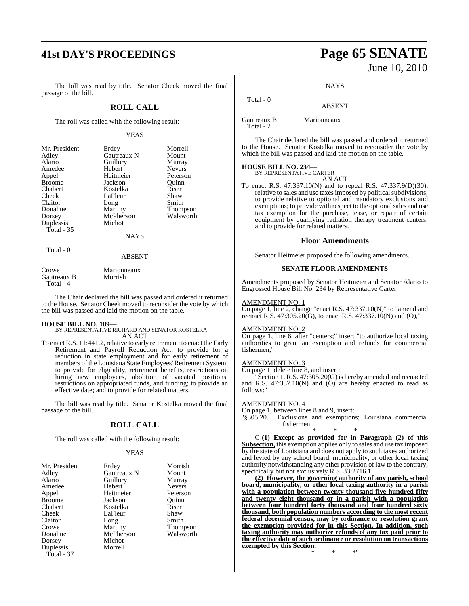# **41st DAY'S PROCEEDINGS Page 65 SENATE**

The bill was read by title. Senator Cheek moved the final passage of the bill.

#### **ROLL CALL**

The roll was called with the following result:

#### YEAS

| Mr. President | Erdey       | Morrell         |
|---------------|-------------|-----------------|
| Adley         | Gautreaux N | Mount           |
| Alario        | Guillory    | Murray          |
| Amedee        | Hebert      | <b>Nevers</b>   |
| Appel         | Heitmeier   | Peterson        |
| <b>Broome</b> | Jackson     | Ouinn           |
| Chabert       | Kostelka    | Riser           |
| Cheek         | LaFleur     | Shaw            |
| Claitor       | Long        | Smith           |
| Donahue       | Martiny     | <b>Thompson</b> |
| Dorsey        | McPherson   | Walsworth       |
| Duplessis     | Michot      |                 |
| Total $-35$   |             |                 |
|               | <b>NAYS</b> |                 |
| Total - 0     |             |                 |

#### ABSENT

| Crowe       | Marionneaux |
|-------------|-------------|
| Gautreaux B | Morrish     |
| Total - 4   |             |

The Chair declared the bill was passed and ordered it returned to the House. Senator Cheek moved to reconsider the vote by which the bill was passed and laid the motion on the table.

#### **HOUSE BILL NO. 189—**

BY REPRESENTATIVE RICHARD AND SENATOR KOSTELKA AN ACT

To enact R.S. 11:441.2, relative to early retirement; to enact the Early Retirement and Payroll Reduction Act; to provide for a reduction in state employment and for early retirement of members of the Louisiana State Employees'Retirement System; to provide for eligibility, retirement benefits, restrictions on hiring new employees, abolition of vacated positions, restrictions on appropriated funds, and funding; to provide an effective date; and to provide for related matters.

The bill was read by title. Senator Kostelka moved the final passage of the bill.

#### **ROLL CALL**

The roll was called with the following result:

#### YEAS

| Mr. President | Erdey       | Morrish         |
|---------------|-------------|-----------------|
| Adley         | Gautreaux N | Mount           |
| Alario        | Guillory    | Murray          |
| Amedee        | Hebert      | <b>Nevers</b>   |
| Appel         | Heitmeier   | Peterson        |
| <b>Broome</b> | Jackson     | Ouinn           |
| Chabert       | Kostelka    | Riser           |
| Cheek         | LaFleur     | Shaw            |
| Claitor       | Long        | Smith           |
| Crowe         | Martiny     | <b>Thompson</b> |
| Donahue       | McPherson   | Walsworth       |
| Dorsey        | Michot      |                 |
| Duplessis     | Morrell     |                 |
| Total - 37    |             |                 |

# June 10, 2010

#### **NAYS**

#### ABSENT

Gautreaux B Marionneaux Total - 2

Total - 0

The Chair declared the bill was passed and ordered it returned to the House. Senator Kostelka moved to reconsider the vote by which the bill was passed and laid the motion on the table.

# **HOUSE BILL NO. 234—** BY REPRESENTATIVE CARTER

AN ACT

To enact R.S. 47:337.10(N) and to repeal R.S. 47:337.9(D)(30), relative to sales and use taxes imposed by political subdivisions; to provide relative to optional and mandatory exclusions and exemptions; to provide with respect to the optional sales and use tax exemption for the purchase, lease, or repair of certain equipment by qualifying radiation therapy treatment centers; and to provide for related matters.

#### **Floor Amendments**

Senator Heitmeier proposed the following amendments.

#### **SENATE FLOOR AMENDMENTS**

Amendments proposed by Senator Heitmeier and Senator Alario to Engrossed House Bill No. 234 by Representative Carter

#### AMENDMENT NO. 1

On page 1, line 2, change "enact R.S. 47:337.10(N)" to "amend and reenact R.S. 47:305.20(G), to enact R.S. 47:337.10(N) and (O),"

#### AMENDMENT NO. 2

On page 1, line 6, after "centers;" insert "to authorize local taxing authorities to grant an exemption and refunds for commercial fishermen;"

#### AMENDMENT NO. 3

On page 1, delete line 8, and insert:

"Section 1. R.S. 47:305.20(G) is hereby amended and reenacted and R.S.  $47:337.10(N)$  and  $(O)$  are hereby enacted to read as follows:"

#### AMENDMENT NO. 4

On page 1, between lines 8 and 9, insert:

"§305.20. Exclusions and exemptions; Louisiana commercial fishermen \* \* \*

G.**(1) Except as provided for in Paragraph (2) of this Subsection,** this exemption applies only to sales and use tax imposed by the state of Louisiana and does not apply to such taxes authorized and levied by any school board, municipality, or other local taxing authority notwithstanding any other provision of law to the contrary, specifically but not exclusively R.S. 33:2716.1.

**(2) However, the governing authority of any parish, school board, municipality, or other local taxing authority in a parish with a population between twenty thousand five hundred fifty and twenty eight thousand or in a parish with a population between four hundred forty thousand and four hundred sixty thousand, both population numbers according to the most recent federal decennial census, may by ordinance or resolution grant the exemption provided for in this Section. In addition, such taxing authority may authorize refunds of any tax paid prior to the effective date of such ordinance or resolution on transactions exempted by this Section.**

\* \* \*"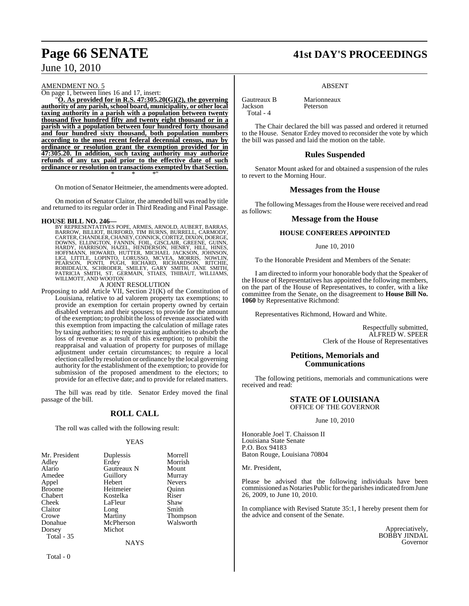#### AMENDMENT NO. 5

On page 1, between lines 16 and 17, insert:

"**O. As provided for in R.S. 47:305.20(G)(2), the governing authority of any parish,school board, municipality, or other local taxing authority in a parish with a population between twenty thousand five hundred fifty and twenty eight thousand or in a parish with a population between four hundred forty thousand and four hundred sixty thousand, both population numbers according to the most recent federal decennial census, may by ordinance or resolution grant the exemption provided for in 47:305.20. In addition, such taxing authority may authorize refunds of any tax paid prior to the effective date of such ordinance or resolution on transactions exempted by that Section.** \* \* \*"

On motion of Senator Heitmeier, the amendments were adopted.

On motion of Senator Claitor, the amended bill wasread by title and returned to its regular order in Third Reading and Final Passage.

#### **HOUSE BILL NO. 246—**

BY REPRESENTATIVES POPE, ARMES, ARNOLD, AUBERT, BARRAS, BAROW, BILLIOT, BURFORD, TIM BURNS, BURFECL, CARNODY,<br>CARTER, CHANDLER, CHANEY, CONNICK, CORTEZ, DIXON, DOERGE,<br>DOWNS, ELLINGTON, FANNIN, FOIL, GISCLAIR, GREENE, GUIN

#### A JOINT RESOLUTION

Proposing to add Article VII, Section 21(K) of the Constitution of Louisiana, relative to ad valorem property tax exemptions; to provide an exemption for certain property owned by certain disabled veterans and their spouses; to provide for the amount of the exemption; to prohibit the loss of revenue associated with this exemption from impacting the calculation of millage rates by taxing authorities; to require taxing authorities to absorb the loss of revenue as a result of this exemption; to prohibit the reappraisal and valuation of property for purposes of millage adjustment under certain circumstances; to require a local election called by resolution or ordinance by the local governing authority for the establishment of the exemption; to provide for submission of the proposed amendment to the electors; to provide for an effective date; and to provide for related matters.

The bill was read by title. Senator Erdey moved the final passage of the bill.

#### **ROLL CALL**

The roll was called with the following result:

#### YEAS

| Mr. President     | Duplessis   | Morrell         |
|-------------------|-------------|-----------------|
| Adley             | Erdey       | Morrish         |
| Alario            | Gautreaux N | Mount           |
| Amedee            | Guillory    | Murray          |
| Appel             | Hebert      | <b>Nevers</b>   |
| <b>Broome</b>     | Heitmeier   | Ouinn           |
| Chabert           | Kostelka    | Riser           |
| Cheek             | LaFleur     | Shaw            |
| Claitor           | Long        | Smith           |
| Crowe             | Martiny     | <b>Thompson</b> |
| Donahue           | McPherson   | Walsworth       |
| Dorsey            | Michot      |                 |
| <b>Total - 35</b> |             |                 |
|                   | <b>NAYS</b> |                 |
|                   |             |                 |

Total - 0

# **Page 66 SENATE 41st DAY'S PROCEEDINGS**

#### ABSENT

Gautreaux B Marionneaux Jackson Peterson Total - 4

The Chair declared the bill was passed and ordered it returned to the House. Senator Erdey moved to reconsider the vote by which the bill was passed and laid the motion on the table.

#### **Rules Suspended**

Senator Mount asked for and obtained a suspension of the rules to revert to the Morning Hour.

#### **Messages from the House**

The following Messages from the House were received and read as follows:

#### **Message from the House**

#### **HOUSE CONFEREES APPOINTED**

#### June 10, 2010

To the Honorable President and Members of the Senate:

I am directed to inform your honorable body that the Speaker of the House of Representatives has appointed the following members, on the part of the House of Representatives, to confer, with a like committee from the Senate, on the disagreement to **House Bill No. 1060** by Representative Richmond:

Representatives Richmond, Howard and White.

Respectfully submitted, ALFRED W. SPEER Clerk of the House of Representatives

#### **Petitions, Memorials and Communications**

The following petitions, memorials and communications were received and read:

#### **STATE OF LOUISIANA** OFFICE OF THE GOVERNOR

June 10, 2010

Honorable Joel T. Chaisson II Louisiana State Senate P.O. Box 94183 Baton Rouge, Louisiana 70804

Mr. President,

Please be advised that the following individuals have been commissioned as Notaries Public for the parishes indicated from June 26, 2009, to June 10, 2010.

In compliance with Revised Statute 35:1, I hereby present them for the advice and consent of the Senate.

> Appreciatively, BOBBY JINDAL Governor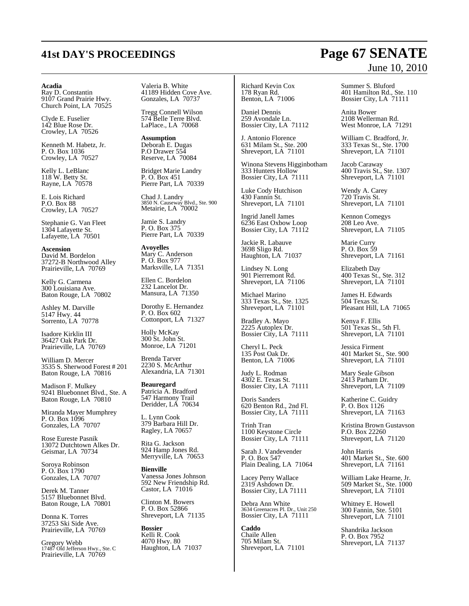#### **Acadia**

Ray D. Constantin 9107 Grand Prairie Hwy. Church Point, LA 70525

Clyde E. Fuselier 142 Blue Rose Dr. Crowley, LA 70526

Kenneth M. Habetz, Jr. P. O. Box 1036 Crowley, LA 70527

Kelly L. LeBlanc 118 W. Betty St. Rayne, LA 70578

E. Lois Richard P.O. Box 88 Crowley, LA 70527

Stephanie G. Van Fleet 1304 Lafayette St. Lafayette, LA 70501

**Ascension** David M. Bordelon 37272-B Northwood Alley Prairieville, LA 70769

Kelly G. Carmena 300 Louisiana Ave. Baton Rouge, LA 70802

Ashley M. Darville 5147 Hwy. 44 Sorrento, LA 70778

Isadore Kirklin III 36427 Oak Park Dr. Prairieville, LA 70769

William D. Mercer 3535 S. Sherwood Forest # 201 Baton Rouge, LA 70816

Madison F. Mulkey 9241 Bluebonnet Blvd., Ste. A Baton Rouge, LA 70810

Miranda Mayer Mumphrey P. O. Box 1096 Gonzales, LA 70707

Rose Eureste Pasnik 13072 Dutchtown Alkes Dr. Geismar, LA 70734

Soroya Robinson P. O. Box 1790 Gonzales, LA 70707

Derek M. Tanner 5157 Bluebonnet Blvd. Baton Rouge, LA 70801

Donna K. Torres 37253 Ski Side Ave. Prairieville, LA 70769

Gregory Webb 17487 Old Jefferson Hwy., Ste. C Prairieville, LA 70769

Valeria B. White 41189 Hidden Cove Ave. Gonzales, LA 70737

Tregg Connell Wilson 574 Belle Terre Blvd. LaPlace., LA 70068

**Assumption** Deborah E. Dugas P.O Drawer 554 Reserve, LA 70084

Bridget Marie Landry P. O. Box 451 Pierre Part, LA 70339

Chad J. Landry 3850 N. Causeway Blvd., Ste. 900 Metairie, LA 70002

Jamie S. Landry P. O. Box 375 Pierre Part, LA 70339

**Avoyelles** Mary C. Anderson P. O. Box 977 Marksville, LA 71351

Ellen C. Bordelon 232 Lancelot Dr. Mansura, LA 71350

Dorothy E. Hernandez P. O. Box 602 Cottonport, LA 71327

Holly McKay 300 St. John St. Monroe, LA 71201

Brenda Tarver 2230 S. McArthur Alexandria, LA 71301

**Beauregard** Patricia A. Bradford 547 Harmony Trail Deridder, LA 70634

L. Lynn Cook 379 Barbara Hill Dr. Ragley, LA 70657

Rita G. Jackson 924 Hamp Jones Rd. Merryville, LA 70653

**Bienville** Vanessa Jones Johnson 592 New Friendship Rd. Castor, LA 71016

Clinton M. Bowers P. O. Box 52866 Shreveport, LA 71135

**Bossier** Kelli R. Cook 4070 Hwy. 80 Haughton, LA 71037 Richard Kevin Cox 178 Ryan Rd. Benton, LA 71006

Daniel Dennis 259 Avondale Ln. Bossier City, LA 71112

J. Antonio Florence 631 Milam St., Ste. 200 Shreveport, LA 71101

Winona Stevens Higginbotham 333 Hunters Hollow Bossier City, LA 71111

Luke Cody Hutchison 430 Fannin St. Shreveport, LA 71101

Ingrid Janell James 6236 East Oxbow Loop Bossier City, LA 71112

Jackie R. Labauve 3698 Sligo Rd. Haughton, LA 71037

Lindsey N. Long 901 Pierremont Rd. Shreveport, LA 71106

Michael Marino 333 Texas St., Ste. 1325 Shreveport, LA 71101

Bradley A. Mayo 2225 Autoplex Dr. Bossier City, LA 71111

Cheryl L. Peck 135 Post Oak Dr. Benton, LA 71006

Judy L. Rodman 4302 E. Texas St. Bossier City, LA 71111

Doris Sanders 620 Benton Rd., 2nd Fl. Bossier City, LA 71111

Trinh Tran 1100 Keystone Circle Bossier City, LA 71111

Sarah J. Vandevender P. O. Box 547 Plain Dealing, LA 71064

Lacey Perry Wallace 2319 Ashdown Dr. Bossier City, LA 71111

Debra Ann White 3634 Greenacres Pl. Dr., Unit 250 Bossier City, LA 71111

**Caddo** Chaile Allen 705 Milam St. Shreveport, LA 71101 Summer S. Bluford 401 Hamilton Rd., Ste. 110 Bossier City, LA 71111

Anita Bower 2108 Wellerman Rd. West Monroe, LA 71291

William C. Bradford, Jr. 333 Texas St., Ste. 1700 Shreveport, LA 71101

Jacob Caraway 400 Travis St., Ste. 1307 Shreveport, LA 71101

Wendy A. Carey 720 Travis St. Shreveport, LA 71101

Kennon Comegys 208 Leo Ave. Shreveport, LA 71105

Marie Curry P. O. Box 59 Shreveport, LA 71161

Elizabeth Day 400 Texas St., Ste. 312 Shreveport, LA 71101

James H. Edwards 504 Texas St. Pleasant Hill, LA 71065

Kenya F. Ellis 501 Texas St., 5th Fl. Shreveport, LA 71101

Jessica Firment 401 Market St., Ste. 900 Shreveport, LA 71101

Mary Seale Gibson 2413 Parham Dr. Shreveport, LA 71109

Katherine C. Guidry P. O. Box 1126 Shreveport, LA 71163

Kristina Brown Gustavson P.O. Box 22260 Shreveport, LA 71120

John Harris 401 Market St., Ste. 600 Shreveport, LA 71161

William Lake Hearne, Jr. 509 Market St., Ste. 1000 Shreveport, LA 71101

Whitney E. Howell 300 Fannin, Ste. 5101 Shreveport, LA 71101

Shandrika Jackson P. O. Box 7952 Shreveport, LA 71137

# **41st DAY'S PROCEEDINGS Page 67 SENATE** June 10, 2010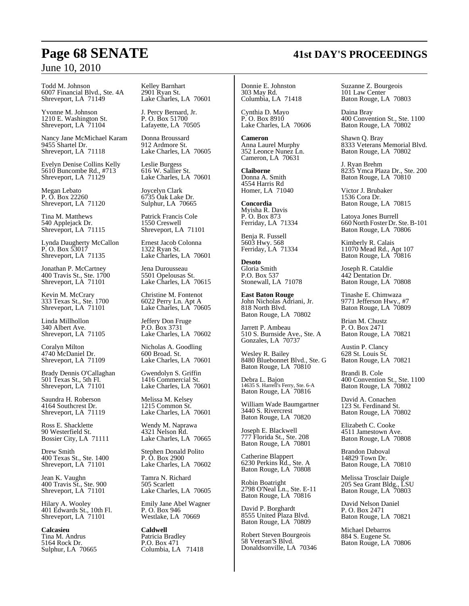Todd M. Johnson 6007 Financial Blvd., Ste. 4A Shreveport, LA 71149

Yvonne M. Johnson 1210 E. Washington St. Shreveport, LA 71104

Nancy Jane McMichael Karam 9455 Shartel Dr. Shreveport, LA 71118

Evelyn Denise Collins Kelly 5610 Buncombe Rd., #713 Shreveport, LA 71129

Megan Lebato P. O. Box 22260 Shreveport, LA 71120

Tina M. Matthews 540 Applejack Dr. Shreveport, LA 71115

Lynda Daugherty McCallon P. O. Box 53017 Shreveport, LA 71135

Jonathan P. McCartney 400 Travis St., Ste. 1700 Shreveport, LA 71101

Kevin M. McCrary 333 Texas St., Ste. 1700 Shreveport, LA 71101

Linda Millhollon 340 Albert Ave. Shreveport, LA 71105

Coralyn Milton 4740 McDaniel Dr. Shreveport, LA 71109

Brady Dennis O'Callaghan 501 Texas St., 5th Fl. Shreveport, LA 71101

Saundra H. Roberson 4164 Southcrest Dr. Shreveport, LA 71119

Ross E. Shacklette 90 Westerfield St. Bossier City, LA 71111

Drew Smith 400 Texas St., Ste. 1400 Shreveport, LA 71101

Jean K. Vaughn 400 Travis St., Ste. 900 Shreveport, LA 71101

Hilary A. Wooley 401 Edwards St., 10th Fl. Shreveport, LA 71101

**Calcasieu** Tina M. Andrus 5164 Rock Dr. Sulphur, LA 70665 Kelley Barnhart 2901 Ryan St. Lake Charles, LA 70601

J. Percy Bernard, Jr. P. O. Box 51700 Lafayette, LA 70505

Donna Broussard 912 Ardmore St. Lake Charles, LA 70605

Leslie Burgess 616 W. Sallier St. Lake Charles, LA 70601

Joycelyn Clark 6735 Oak Lake Dr. Sulphur, LA 70665

Patrick Francis Cole 1550 Creswell Shreveport, LA 71101

Ernest Jacob Colonna 1322 Ryan St. Lake Charles, LA 70601

Jena Durousseau 5501 Opelousas St. Lake Charles, LA 70615

Christine M. Fontenot 6022 Perry Ln. Apt A Lake Charles, LA<sup>'</sup> 70605

Jeffery Don Fruge P.O. Box 3731 Lake Charles, LA 70602

Nicholas A. Goodling 600 Broad. St. Lake Charles, LA 70601

Gwendolyn S. Griffin 1416 Commercial St. Lake Charles, LA 70601

Melissa M. Kelsey 1215 Common St. Lake Charles, LA 70601

Wendy M. Naprawa 4321 Nelson Rd. Lake Charles, LA 70665

Stephen Donald Polito P. O. Box 2900 Lake Charles, LA 70602

Tamra N. Richard 505 Scarlett Lake Charles, LA 70605

Emily Jane Abel Wagner P. O. Box 946 Westlake, LA 70669

**Caldwell** Patricia Bradley P.O. Box 471 Columbia, LA 71418 Donnie E. Johnston 303 May Rd. Columbia, LA 71418

Cynthia D. Mayo P. O. Box 8910 Lake Charles, LA 70606

**Cameron** Anna Laurel Murphy 352 Leonce Nunez Ln. Cameron, LA 70631

**Claiborne** Donna A. Smith 4554 Harris Rd Homer, LA 71040

**Concordia** Myisha R. Davis P. O. Box 873 Ferriday, LA 71334

Benja R. Fussell 5603 Hwy. 568 Ferriday, LA 71334

**Desoto** Gloria Smith P.O. Box 537 Stonewall, LA 71078

**East Baton Rouge** John Nicholas Adriani, Jr. 818 North Blvd. Baton Rouge, LA 70802

Jarrett P. Ambeau 510 S. Burnside Ave., Ste. A Gonzales, LA 70737

Wesley R. Bailey 8480 Bluebonnet Blvd., Ste. G Baton Rouge, LA 70810

Debra L. Bajon 14635 S. Harrell's Ferry, Ste. 6-A Baton Rouge, LA 70816

William Wade Baumgartner 3440 S. Rivercrest Baton Rouge, LA 70820

Joseph E. Blackwell 777 Florida St., Ste. 208 Baton Rouge, LA 70801

Catherine Blappert 6230 Perkins Rd., Ste. A Baton Rouge, LA 70808

Robin Boatright 2798 O'Neal Ln., Ste. E-11 Baton Rouge, LA 70816

David P. Borghardt 8555 United Plaza Blvd. Baton Rouge, LA 70809

Robert Steven Bourgeois 58 Veteran'S Blvd. Donaldsonville, LA 70346 Suzanne Z. Bourgeois 101 Law Center Baton Rouge, LA 70803

Daina Bray 400 Convention St., Ste. 1100 Baton Rouge, LA 70802

Shawn Q. Bray 8333 Veterans Memorial Blvd. Baton Rouge, LA 70802

J. Ryan Brehm 8235 Ymca Plaza Dr., Ste. 200 Baton Rouge, LA 70810

Victor J. Brubaker 1536 Cora Dr. Baton Rouge, LA 70815

Latoya Jones Burrell 660 North Foster Dr. Ste.B-101 Baton Rouge, LA 70806

Kimberly R. Calais 11070 Mead Rd., Apt 107 Baton Rouge, LA 70816

Joseph R. Cataldie 442 Dentation Dr. Baton Rouge, LA 70808

Tinashe E. Chimwaza 9771 Jefferson Hwy., #7 Baton Rouge, LA 70809

Brian M. Chustz P. O. Box 2471 Baton Rouge, LA 70821

Austin P. Clancy 628 St. Louis St. Baton Rouge, LA 70821

Brandi B. Cole 400 Convention St., Ste. 1100 Baton Rouge, LA 70802

David A. Conachen 123 St. Ferdinand St. Baton Rouge, LA 70802

Elizabeth C. Cooke 4511 Jamestown Ave. Baton Rouge, LA 70808

Brandon Daboval 14829 Town Dr. Baton Rouge, LA 70810

Melissa Trosclair Daigle 205 Sea Grant Bldg., LSU Baton Rouge, LA 70803

David Nelson Daniel P. O. Box 2471 Baton Rouge, LA 70821

Michael Debarros 884 S. Eugene St. Baton Rouge, LA 70806

# **Page 68 SENATE 41st DAY'S PROCEEDINGS**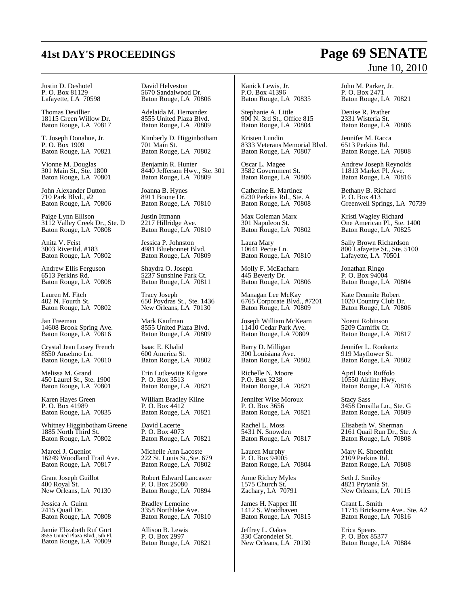Justin D. Deshotel P. O. Box 81129 Lafayette, LA 70598

Thomas Devillier 18115 Green Willow Dr. Baton Rouge, LA 70817

T. Joseph Donahue, Jr. P. O. Box 1909 Baton Rouge, LA 70821

Vionne M. Douglas 301 Main St., Ste. 1800 Baton Rouge, LA 70801

John Alexander Dutton 710 Park Blvd., #2 Baton Rouge, LA 70806

Paige Lynn Ellison 3112 Valley Creek Dr., Ste. D Baton Rouge, LA 70808

Anita V. Feist 3003 RiverRd. #183 Baton Rouge, LA 70802

Andrew Ellis Ferguson 6513 Perkins Rd. Baton Rouge, LA 70808

Lauren M. Fitch 402 N. Fourth St. Baton Rouge, LA 70802

Jan Freeman 14608 Brook Spring Ave. Baton Rouge, LA 70816

Crystal Jean Losey French 8550 Anselmo Ln. Baton Rouge, LA 70810

Melissa M. Grand 450 Laurel St., Ste. 1900 Baton Rouge, LA 70801

Karen Hayes Green P. O. Box 41989 Baton Rouge, LA 70835

Whitney Higginbotham Greene 1885 North Third St. Baton Rouge, LA 70802

Marcel J. Gueniot 16249 Woodland Trail Ave. Baton Rouge, LA 70817

Grant Joseph Guillot 400 Royal St. New Orleans, LA 70130

Jessica A. Guinn 2415 Quail Dr. Baton Rouge, LA 70808

Jamie Elizabeth Ruf Gurt 8555 United Plaza Blvd., 5th Fl. Baton Rouge, LA 70809 David Helveston 5670 Sandalwood Dr. Baton Rouge, LA 70806

Adelaida M. Hernandez 8555 United Plaza Blvd. Baton Rouge, LA 70809

Kimberly D. Higginbotham 701 Main St. Baton Rouge, LA 70802

Benjamin R. Hunter 8440 Jefferson Hwy., Ste. 301 Baton Rouge, LA 70809

Joanna B. Hynes 8911 Boone Dr. Baton Rouge, LA 70810

Justin Ittmann 2217 Hillridge Ave. Baton Rouge, LA 70810

Jessica P. Johnston 4981 Bluebonnet Blvd. Baton Rouge, LA 70809

Shaydra O. Joseph 5237 Sunshine Park Ct. Baton Rouge, LA 70811

Tracy Joseph 650 Poydras St., Ste. 1436 New Orleans, LA 70130

Mark Kaufman 8555 United Plaza Blvd. Baton Rouge, LA 70809

Isaac E. Khalid 600 America St. Baton Rouge, LA 70802

Erin Lutkewitte Kilgore P. O. Box 3513 Baton Rouge, LA 70821

William Bradley Kline P. O. Box 4412 Baton Rouge, LA 70821

David Lacerte P. O. Box 4073 Baton Rouge, LA 70821

Michelle Ann Lacoste 222 St. Louis St.,Ste. 679 Baton Rouge, LA 70802

Robert Edward Lancaster P. O. Box 25080 Baton Rouge, LA 70894

Bradley Lemoine 3358 Northlake Ave. Baton Rouge, LA 70810

Allison B. Lewis P. O. Box 2997 Baton Rouge, LA 70821

Kanick Lewis, Jr. P.O. Box 41396 Baton Rouge, LA 70835

Stephanie A. Little 900 N. 3rd St., Office 815 Baton Rouge, LA 70804

Kristen Lundin 8333 Veterans Memorial Blvd. Baton Rouge, LA 70807

Oscar L. Magee 3582 Government St. Baton Rouge, LA 70806

Catherine E. Martinez 6230 Perkins Rd., Ste. A Baton Rouge, LA 70808

Max Coleman Marx 301 Napoleon St. Baton Rouge, LA 70802

Laura Mary 10641 Pecue Ln. Baton Rouge, LA 70810

Molly F. McEacharn 445 Beverly Dr. Baton Rouge, LA 70806

Managan Lee McKay 6765 Corporate Blvd., #7201 Baton Rouge, LA 70809

Joseph William McKearn 11410 Cedar Park Ave. Baton Rouge, LA 70809

Barry D. Milligan 300 Louisiana Ave. Baton Rouge, LA 70802

Richelle N. Moore P.O. Box 3238 Baton Rouge, LA 70821

Jennifer Wise Moroux P. O. Box 3656 Baton Rouge, LA 70821

Rachel L. Moss 5431 N. Snowden Baton Rouge, LA 70817

Lauren Murphy P. O. Box 94005 Baton Rouge, LA 70804

Anne Richey Myles 1575 Church St. Zachary, LA 70791

James H. Napper III 1412 S. Woodhaven Baton Rouge, LA 70815

Jeffrey L. Oakes 330 Carondelet St. New Orleans, LA 70130

## John M. Parker, Jr. P. O. Box 2471

Baton Rouge, LA 70821

Denise R. Prather 2331 Wisteria St. Baton Rouge, LA 70806

Jennifer M. Racca 6513 Perkins Rd. Baton Rouge, LA 70808

Andrew Joseph Reynolds 11813 Market Pl. Ave. Baton Rouge, LA 70816

Bethany B. Richard P. O. Box 413 Greenwell Springs, LA 70739

Kristi Wagley Richard One American Pl., Ste. 1400 Baton Rouge, LA 70825

Sally Brown Richardson 800 Lafayette St., Ste. 5100 Lafayette, LA 70501

Jonathan Ringo P. O. Box 94004 Baton Rouge, LA 70804

Kate Deumite Robert 1020 Country Club Dr. Baton Rouge, LA 70806

Noemi Robinson 5209 Carnifix Ct. Baton Rouge, LA 70817

Jennifer L. Ronkartz 919 Mayflower St. Baton Rouge, LA 70802

April Rush Ruffolo 10550 Airline Hwy. Baton Rouge, LA 70816

Stacy Sass 3458 Drusilla Ln., Ste. G Baton Rouge, LA 70809

Elisabeth W. Sherman 2161 Quail Run Dr., Ste. A Baton Rouge, LA 70808

Mary K. Shoenfelt 2109 Perkins Rd. Baton Rouge, LA 70808

Seth J. Smiley 4821 Prytania St. New Orleans, LA 70115

Grant L. Smith 11715 Bricksome Ave., Ste. A2 Baton Rouge, LA 70816

Erica Spears P. O. Box 85377 Baton Rouge, LA 70884

# **41st DAY'S PROCEEDINGS Page 69 SENATE** June 10, 2010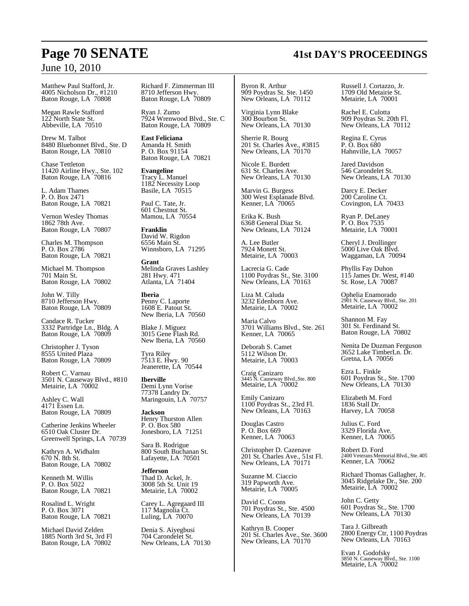Matthew Paul Stafford, Jr. 4005 Nicholson Dr., #1210 Baton Rouge, LA 70808

Megan Rawle Stafford 122 North State St. Abbeville, LA 70510

Drew M. Talbot 8480 Bluebonnet Blvd., Ste. D Baton Rouge, LA 70810

Chase Tettleton 11420 Airline Hwy., Ste. 102 Baton Rouge, LA 70816

L. Adam Thames P. O. Box 2471 Baton Rouge, LA 70821

Vernon Wesley Thomas 1862 78th Ave. Baton Rouge, LA 70807

Charles M. Thompson P. O. Box 2786 Baton Rouge, LA 70821

Michael M. Thompson 701 Main St. Baton Rouge, LA 70802

John W. Tilly 8710 Jefferson Hwy. Baton Rouge, LA 70809

Candace R. Tucker 3332 Partridge Ln., Bldg. A Baton Rouge, LA 70809

Christopher J. Tyson 8555 United Plaza Baton Rouge, LA 70809

Robert C. Varnau 3501 N. Causeway Blvd., #810 Metairie, LA 70002

Ashley C. Wall 4171 Essen Ln. Baton Rouge, LA 70809

Catherine Jenkins Wheeler 6510 Oak Cluster Dr. Greenwell Springs, LA 70739

Kathryn A. Widhalm 670 N. 8th St. Baton Rouge, LA 70802

Kenneth M. Willis P. O. Box 5022 Baton Rouge, LA 70821

Rosalind L. Wright P. O. Box 3071 Baton Rouge, LA 70821

Michael David Zelden 1885 North 3rd St, 3rd Fl Baton Rouge, LA 70802

Richard F. Zimmerman III 8710 Jefferson Hwy. Baton Rouge, LA 70809

Ryan J. Zumo 7924 Wrenwood Blvd., Ste. C Baton Rouge, LA 70809

**East Feliciana** Amanda H. Smith P. O. Box 91154 Baton Rouge, LA 70821

**Evangeline** Tracy L. Manuel 1182 Necessity Loop Basile, LA 70515

Paul C. Tate, Jr. 601 Chestnut St. Mamou, LA 70554

**Franklin** David W. Rigdon 6556 Main St. Winnsboro, LA 71295

**Grant** Melinda Graves Lashley 281 Hwy. 471 Atlanta, LA 71404

**Iberia** Penny C. Laporte 1608 E. Patout St. New Iberia, LA 70560

Blake J. Miguez 3015 Gene Flash Rd. New Iberia, LA 70560

Tyra Riley 7513 E. Hwy. 90 Jeanerette, LA 70544

**Iberville** Demi Lynn Vorise 77378 Landry Dr. Maringouin, LA 70757

**Jackson** Henry Thurston Allen P. O. Box 580 Jonesboro, LA 71251

Sara B. Rodrigue 800 South Buchanan St. Lafayette, LA 70501

**Jefferson** Thad D. Ackel, Jr. 3008 5th St. Unit 19 Metairie, LA 70002

Carey L. Agregaard III 117 Magnolia Ct. Luling, LA 70070

Denia S. Aiyegbusi 704 Carondelet St. New Orleans, LA 70130 Byron R. Arthur 909 Poydras St. Ste. 1450 New Orleans, LA 70112

Virginia Lynn Blake 300 Bourbon St. New Orleans, LA 70130

Sherrie R. Bourg 201 St. Charles Ave., #3815 New Orleans, LA  $70170$ 

Nicole E. Burdett 631 St. Charles Ave. New Orleans, LA 70130

Marvin G. Burgess 300 West Esplanade Blvd. Kenner, LA 70065

Erika K. Bush 6368 General Diaz St. New Orleans, LA 70124

A. Lee Butler 7924 Monett St. Metairie, LA 70003

Lacrecia G. Cade 1100 Poydras St., Ste. 3100 New Orleans, LA 70163

Liza M. Caluda 3232 Edenborn Ave. Metairie, LA 70002

Maria Calvo 3701 Williams Blvd., Ste. 261 Kenner, LA 70065

Deborah S. Camet 5112 Wilson Dr. Metairie, LA 70003

Craig Canizaro 3445 N. Causeway Blvd.,Ste. 800 Metairie, LA 70002

Emily Canizaro 1100 Poydras St., 23rd Fl. New Orleans, LA 70163

Douglas Castro P. O. Box 669 Kenner, LA 70063

Christopher D. Cazenave 201 St. Charles Ave., 51st Fl. New Orleans, LA 70171

Suzanne M. Ciaccio 319 Papworth Ave. Metairie, LA 70005

David C. Coons 701 Poydras St., Ste. 4500 New Orleans, LA 70139

Kathryn B. Cooper 201 St. Charles Ave., Ste. 3600 New Orleans, LA  $70170$ 

Russell J. Cortazzo, Jr. 1709 Old Metairie St. Metairie, LA 70001

Rachel E. Culotta 909 Poydras St. 20th Fl. New Orleans, LA 70112

Regina E. Cyrus P. O. Box 680 Hahnville, LA 70057

Jared Davidson 546 Carondelet St. New Orleans, LA 70130

Darcy E. Decker 200 Caroline Ct. Covington, LA 70433

Ryan P. DeLaney P. O. Box 7535 Metairie, LA 70001

Cheryl J. Drollinger 5000 Live Oak Blvd. Waggaman, LA 70094

Phyllis Fay Duhon 115 James Dr. West, #140 St. Rose, LA 70087

Ophelia Enamorado 2901 N. Causeway Blvd., Ste. 201 Metairie, LA 70002

Shannon M. Fay 301 St. Ferdinand St. Baton Rouge, LA 70802

Nenita De Duzman Ferguson 3652 Lake TimberLn. Dr. Gretna, LA 70056

Ezra L. Finkle 601 Poydras St., Ste. 1700 New Orleans, LA 70130

Elizabeth M. Ford 1836 Stall Dr. Harvey, LA 70058

Julius C. Ford 3329 Florida Ave. Kenner, LA 70065

Robert D. Ford 2400 Veterans Memorial Blvd., Ste. 405<br>Kenner, LA 70062

Richard Thomas Gallagher, Jr. 3045 Ridgelake Dr., Ste. 200 Metairie, LA 70002

John C. Getty 601 Poydras St., Ste. 1700 New Orleans, LA 70130

Tara J. Gilbreath 2800 Energy Ctr, 1100 Poydras New Orleans, LA 70163

Evan J. Godofsky 3850 N. Causeway Blvd., Ste. 1100 Metairie, LA 70002

# **Page 70 SENATE 41st DAY'S PROCEEDINGS**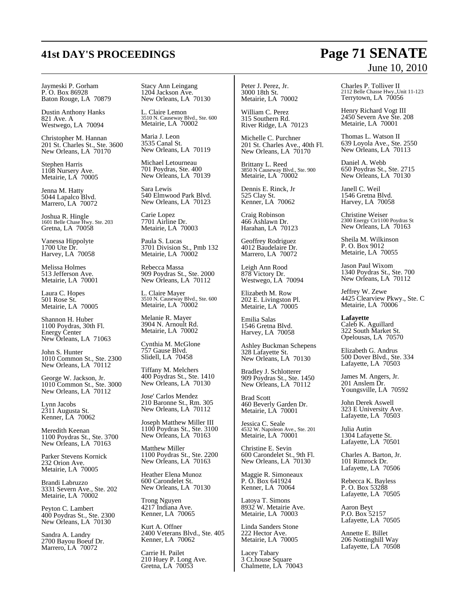Jaymeski P. Gorham P. O. Box 86928 Baton Rouge, LA 70879

Dustin Anthony Hanks 821 Ave. A Westwego, LA 70094

Christopher M. Hannan 201 St. Charles St., Ste. 3600 New Orleans, LA 70170

Stephen Harris 1108 Nursery Ave. Metairie, LA 70005

Jenna M. Hatty 5044 Lapalco Blvd. Marrero, LA 70072

Joshua R. Hingle 1601 Belle Chase Hwy. Ste. 203 Gretna, LA 70058

Vanessa Hippolyte 1700 Ute Dr. Harvey, LA 70058

Melissa Holmes 513 Jefferson Ave. Metairie, LA 70001

Laura C. Hopes 501 Rose St. Metairie, LA 70005

Shannon H. Huber 1100 Poydras, 30th Fl. Energy Center New Orleans, LA 71063

John S. Hunter 1010 Common St., Ste. 2300 New Orleans, LA 70112

George W. Jackson, Jr. 1010 Common St., Ste. 3000 New Orleans, LA 70112

Lynn Jacobs 2311 Augusta St. Kenner, LA 70062

Meredith Keenan 1100 Poydras St., Ste. 3700 New Orleans, LA 70163

Parker Stevens Kornick 232 Orion Ave. Metairie, LA 70005

Brandi Labruzzo 3331 Severn Ave., Ste. 202 Metairie, LA 70002

Peyton C. Lambert 400 Poydras St., Ste. 2300 New Orleans, LA 70130

Sandra A. Landry 2700 Bayou Boeuf Dr. Marrero, LA 70072

Stacy Ann Leingang 1204 Jackson Ave. New Orleans, LA 70130

L. Claire Lemon 3510 N. Causeway Blvd., Ste. 600 Metairie, LA 70002

Maria J. Leon 3535 Canal St. New Orleans, LA 70119

Michael Letourneau 701 Poydras, Ste. 400 New Orleans, LA 70139

Sara Lewis 540 Elmwood Park Blvd. New Orleans, LA 70123

Carie Lopez 7701 Airline Dr. Metairie, LA 70003

Paula S. Lucas 3701 Division St., Pmb 132 Metairie, LA 70002

Rebecca Massa 909 Poydras St., Ste. 2000 New Orleans, LA 70112

L. Claire Mayer 3510 N. Causeway Blvd., Ste. 600 Metairie, LA 70002

Melanie R. Mayer 3904 N. Arnoult Rd. Metairie, LA 70002

Cynthia M. McGlone 757 Gause Blvd. Slidell, LA 70458

Tiffany M. Melchers 400 Poydras St., Ste. 1410 New Orleans, LA 70130

Jose' Carlos Mendez 210 Baronne St., Rm. 305 New Orleans, LA 70112

Joseph Matthew Miller III 1100 Poydras St., Ste. 3100 New Orleans, LA 70163

Matthew Miller 1100 Poydras St., Ste. 2200 New Orleans, LA 70163

Heather Elena Munoz 600 Carondelet St. New Orleans, LA 70130

Trong Nguyen 4217 Indiana Ave. Kenner, LA 70065

Kurt A. Offner 2400 Veterans Blvd., Ste. 405 Kenner, LA 70062

Carrie H. Pailet 210 Huey P. Long Ave. Gretna, LA 70053

Peter J. Perez, Jr. 3000 18th St. Metairie, LA 70002

William C. Perez 315 Southern Rd. River Ridge, LA 70123

Michelle C. Purchner 201 St. Charles Ave., 40th Fl. New Orleans, LA  $70170$ 

Brittany L. Reed 3850 N Causeway Blvd., Ste. 900 Metairie, LA 70002

Dennis E. Rinck, Jr 525 Clay St. Kenner, LA 70062

Craig Robinson 466 Ashlawn Dr. Harahan, LA 70123

Geoffrey Rodriguez 4012 Baudelaire Dr. Marrero, LA 70072

Leigh Ann Rood 878 Victory Dr. Westwego, LA 70094

Elizabeth M. Row 202 E. Livingston Pl. Metairie, LA 70005

Emilia Salas 1546 Gretna Blvd. Harvey, LA 70058

Ashley Buckman Schepens 328 Lafayette St. New Orleans, LA 70130

Bradley J. Schlotterer 909 Poydras St., Ste. 1450 New Orleans, LA 70112

Brad Scott 460 Beverly Garden Dr. Metairie, LA 70001

Jessica C. Seale 4532 W. Napoleon Ave., Ste. 201 Metairie, LA 70001

Christine E. Sevin 600 Carondelet St., 9th Fl. New Orleans, LA 70130

Maggie R. Simoneaux P. O. Box 641924 Kenner, LA 70064

Latoya T. Simons 8932 W. Metairie Ave. Metairie, LA 70003

Linda Sanders Stone 222 Hector Ave. Metairie, LA 70005

Lacey Tabary 3 Ct.house Square Chalmette, LA 70043

Charles P. Tolliver II 2112 Belle Chasse Hwy.,Unit 11-123 Terrytown, LA 70056

Henry Richard Vogt III 2450 Severn Ave Ste. 208 Metairie, LA 70001

Thomas L. Watson II 639 Loyola Ave., Ste. 2550 New Orleans, LA 70113

Daniel A. Webb 650 Poydras St., Ste. 2715 New Orleans, LA 70130

Janell C. Weil 1546 Gretna Blvd. Harvey, LA 70058

Christine Weiser 2300 Energy Ctr1100 Poydras St New Orleans, LA 70163

Sheila M. Wilkinson P. O. Box 9012 Metairie, LA 70055

Jason Paul Wixom 1340 Poydras St., Ste. 700 New Orleans, LA 70112

Jeffrey W. Zewe 4425 Clearview Pkwy., Ste. C Metairie, LA 70006

**Lafayette** Caleb K. Aguillard 322 South Market St. Opelousas, LA 70570

Elizabeth G. Andrus 500 Dover Blvd., Ste. 334 Lafayette, LA 70503

James M. Angers, Jr. 201 Anslem Dr. Youngsville, LA 70592

John Derek Aswell 323 E University Ave. Lafayette, LA 70503

Julia Autin 1304 Lafayette St. Lafayette, LA 70501

Charles A. Barton, Jr. 101 Rimrock Dr. Lafayette, LA 70506

Rebecca K. Bayless P. O. Box 53288 Lafayette, LA 70505

Aaron Beyt P.O. Box 52157 Lafayette, LA 70505

Annette E. Billet 206 Nottinghill Way Lafayette, LA 70508

# **41st DAY'S PROCEEDINGS Page 71 SENATE** June 10, 2010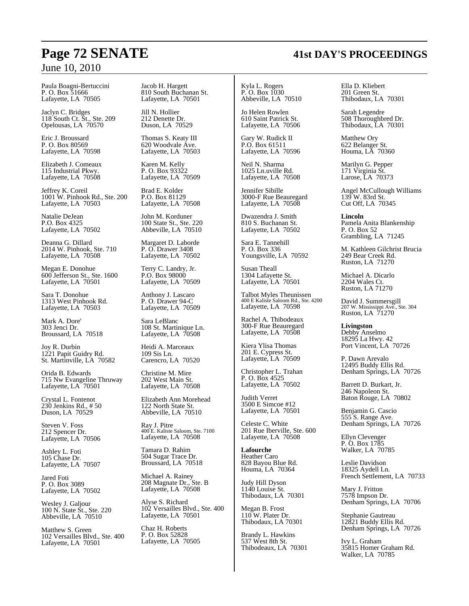Paula Boagni-Bertuccini P. O. Box 51666 Lafayette, LA 70505

Jaclyn C. Bridges 118 South Ct. St., Ste. 209 Opelousas, LA 70570

Eric J. Broussard P. O. Box 80569 Lafayette, LA 70598

Elizabeth J. Comeaux 115 Industrial Pkwy. Lafayette, LA 70508

Jeffrey K. Coreil 1001 W. Pinhook Rd., Ste. 200 Lafayette, LA 70503

Natalie DeJean P.O. Box 4325 Lafayette, LA 70502

Deanna G. Dillard 2014 W. Pinhook, Ste. 710 Lafayette, LA 70508

Megan E. Donohue 600 Jefferson St., Ste. 1600 Lafayette, LA 70501

Sara T. Donohue 1313 West Pinhook Rd. Lafayette, LA 70503

Mark A. Dore' 303 Jenci Dr. Broussard, LA 70518

Joy R. Durbin 1221 Papit Guidry Rd. St. Martinville, LA 70582

Orida B. Edwards 715 Nw Evangeline Thruway Lafayette, LA 70501

Crystal L. Fontenot 230 Jenkins Rd., # 50 Duson, LA 70529

Steven V. Foss 212 Spencer Dr. Lafayette, LA 70506

Ashley L. Foti 105 Chase Dr. Lafayette, LA 70507

Jared Foti P. O. Box 3089 Lafayette, LA 70502

Wesley J. Galjour 100 N. State St., Ste. 220 Abbeville, LA 70510

Matthew S. Green 102 Versailles Blvd., Ste. 400 Lafayette, LA 70501

Jacob H. Hargett 810 South Buchanan St. Lafayette, LA 70501

Jill N. Hollier 212 Denette Dr. Duson, LA 70529

Thomas S. Keaty III 620 Woodvale Ave. Lafayette, LA 70503

Karen M. Kelly P. O. Box 93322 Lafayette, LA 70509

Brad E. Kolder P.O. Box 81129 Lafayette, LA 70508

John M. Korduner 100 State St., Ste. 220 Abbeville, LA 70510

Margaret D. Laborde P. O. Drawer 3408 Lafayette, LA 70502

Terry C. Landry, Jr. P.O. Box 98000 Lafayette, LA 70509

Anthony J. Lascaro P. O. Drawer 94-C Lafayette, LA 70509

Sara LeBlanc 108 St. Martinique Ln. Lafayette, LA 70508

Heidi A. Marceaux 109 Sis Ln. Carencro, LA 70520

Christine M. Mire 202 West Main St. Lafayette, LA 70508

Elizabeth Ann Morehead 122 North State St. Abbeville, LA 70510

Ray J. Pitre 400 E. Kaliste Saloom, Ste. 7100 Lafayette, LA 70508

Tamara D. Rahim 504 Sugar Trace Dr. Broussard, LA 70518

Michael A. Rainey 208 Magnate Dr., Ste. B Lafayette, LA 70508

Alyse S. Richard 102 Versailles Blvd., Ste. 400 Lafayette, LA 70501

Chaz H. Roberts P. O. Box 52828 Lafayette, LA 70505

Kyla L. Rogers P. O. Box 1030 Abbeville, LA 70510

Jo Helen Rowlen 610 Saint Patrick St. Lafayette, LA 70506

Gary W. Rudick II P.O. Box 61511 Lafayette, LA 70596

Neil N. Sharma 1025 Ln.uville Rd. Lafayette, LA 70508

Jennifer Sibille 3000-F Rue Beauregard Lafayette, LA 70508

Dwazendra J. Smith 810 S. Buchanan St. Lafayette, LA 70502

Sara E. Tannehill P. O. Box 336 Youngsville, LA 70592

Susan Theall 1304 Lafayette St. Lafayette, LA 70501

Talbot Myles Theunissen 400 E Kaliste Saloom Rd., Ste. 4200 Lafayette, LA 70598

Rachel A. Thibodeaux 300-F Rue Beauregard Lafayette, LA 70508

Kiera Ylisa Thomas 201 E. Cypress St. Lafayette, LA 70509

Christopher L. Trahan P. O. Box 4525 Lafayette, LA 70502

Judith Verret 3500 E Simcoe #12 Lafayette, LA 70501

Celeste C. White 201 Rue Iberville, Ste. 600 Lafayette, LA 70508

**Lafourche** Heather Caro 828 Bayou Blue Rd. Houma, LA 70364

Judy Hill Dyson 1140 Louise St. Thibodaux, LA 70301

Megan B. Frost 110 W. Plater Dr. Thibodaux, LA 70301

Brandy L. Hawkins 537 West 8th St. Thibodeaux, LA 70301 Ella D. Kliebert 201 Green St. Thibodaux, LA 70301

Sarah Legendre 508 Thoroughbred Dr. Thibodaux, LA 70301

Matthew Ory 622 Belanger St. Houma, LA 70360

Marilyn G. Pepper 171 Virginia St. Larose, LA 70373

Angel McCullough Williams 139 W. 83rd St. Cut Off, LA 70345

**Lincoln** Pamela Anita Blankenship P. O. Box 52 Grambling, LA 71245

M. Kathleen Gilchrist Brucia 249 Bear Creek Rd. Ruston, LA 71270

Michael A. Dicarlo 2204 Wales Ct. Ruston, LA 71270

David J. Summersgill 207 W. Mississippi Ave., Ste. 304 Ruston, LA 71270

**Livingston** Debby Anselmo 18295 La Hwy. 42 Port Vincent, LA 70726

P. Dawn Arevalo 12495 Buddy Ellis Rd. Denham Springs, LA 70726

Barrett D. Burkart, Jr. 246 Napoleon St. Baton Rouge, LA 70802

Benjamin G. Cascio 555 S. Range Ave. Denham Springs, LA 70726

Ellyn Clevenger P. O. Box 1785 Walker, LA 70785

Leslie Davidson 18325 Aydell Ln. French Settlement, LA 70733

Mary J. Fritton 7578 Impson Dr. Denham Springs, LA 70706

Stephanie Gautreau 12821 Buddy Ellis Rd. Denham Springs, LA 70726

Ivy L. Graham 35815 Homer Graham Rd. Walker, LA 70785

# **Page 72 SENATE 41st DAY'S PROCEEDINGS**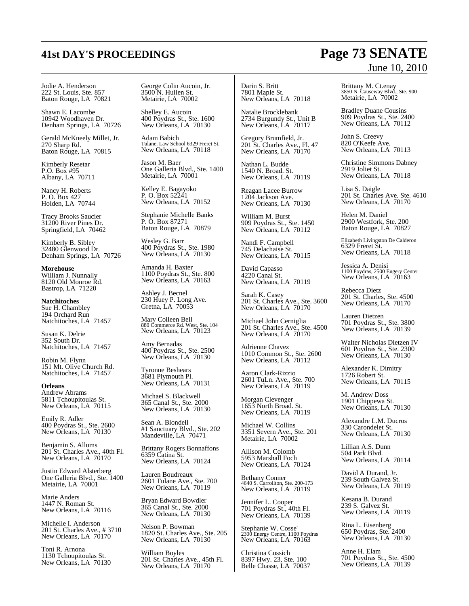### Jodie A. Henderson 222 St. Louis, Ste. 857 Baton Rouge, LA 70821

Shawn E. Lacombe 10942 Woodhaven Dr. Denham Springs, LA 70726

Gerald McKneely Millet, Jr. 270 Sharp Rd. Baton Rouge, LA 70815

Kimberly Resetar P.O. Box #95 Albany, LA 70711

Nancy H. Roberts P. O. Box 427 Holden, LA 70744

Tracy Brooks Saucier 31200 River Pines Dr. Springfield, LA 70462

Kimberly B. Sibley 32480 Glenwood Dr. Denham Springs, LA 70726

**Morehouse** William J. Nunnally 8120 Old Monroe Rd. Bastrop, LA 71220

**Natchitoches** Sue H. Chambley 194 Orchard Run Natchitoches, LA 71457

Susan K. Delrie 352 South Dr. Natchitoches, LA 71457

Robin M. Flynn 151 Mt. Olive Church Rd. Natchitoches, LA 71457

**Orleans** Andrew Abrams 5811 Tchoupitoulas St. New Orleans, LA 70115

Emily R. Adler 400 Poydras St., Ste. 2600 New Orleans, LA 70130

Benjamin S. Allums 201<sup>'</sup>St. Charles Ave., 40th Fl. New Orleans, LA 70170

Justin Edward Alsterberg One Galleria Blvd., Ste. 1400 Metairie, LA 70001

Marie Anders 1447 N. Roman St. New Orleans, LA 70116

Michelle I. Anderson 201 St. Charles Ave., # 3710 New Orleans, LA 70170

Toni R. Arnona 1130 Tchoupitoulas St. New Orleans, LA 70130

George Colin Aucoin, Jr. 3500 N. Hullen St. Metairie, LA 70002

Shelley E. Aucoin 400 Poydras St., Ste. 1600 New Orleans, LA 70130

Adam Babich Tulane. Law School 6329 Freret St. New Orleans, LA 70118

Jason M. Baer One Galleria Blvd., Ste. 1400 Metairie, LA 70001

Kelley E. Bagayoko P. O. Box 52241 New Orleans, LA 70152

Stephanie Michelle Banks P. O. Box 87271 Baton Rouge, LA 70879

Wesley G. Barr 400 Poydras St., Ste. 1980 New Orleans, LA 70130

Amanda H. Baxter 1100 Poydras St., Ste. 800 New Orleans, LA 70163

Ashley J. Becnel 230 Huey P. Long Ave. Gretna, LA 70053

Mary Colleen Bell 880 Commerce Rd. West, Ste. 104 New Orleans, LA 70123

Amy Bernadas 400 Poydras St., Ste. 2500 New Orleans, LA 70130

Tyronne Beshears 3681 Plymouth Pl. New Orleans, LA 70131

Michael S. Blackwell 365 Canal St., Ste. 2000 New Orleans, LA 70130

Sean A. Blondell #1 Sanctuary Blvd., Ste. 202 Mandeville, LA 70471

Brittany Rogers Bonnaffons 6359 Catina St. New Orleans, LA 70124

Lauren Boudreaux 2601 Tulane Ave., Ste. 700 New Orleans, LA 70119

Bryan Edward Bowdler 365 Canal St., Ste. 2000 New Orleans, LA 70130

Nelson P. Bowman 1820 St. Charles Ave., Ste. 205 New Orleans, LA 70130

William Boyles 201 St. Charles Ave., 45th Fl. New Orleans, LA  $70170$ 

Darin S. Britt 7801 Maple St. New Orleans, LA 70118

Natalie Brocklebank 2734 Burgundy St., Unit B New Orleans, LA 70117

Gregory Brumfield, Jr. 201 St. Charles Ave., Fl. 47 New Orleans, LA  $70170$ 

Nathan L. Budde 1540 N. Broad. St. New Orleans, LA 70119

Reagan Lacee Burrow 1204 Jackson Ave. New Orleans, LA 70130

William M. Burst 909 Poydras St., Ste. 1450 New Orleans, LA 70112

Nandi F. Campbell 745 Delachaise St. New Orleans, LA 70115

David Capasso 4220 Canal St. New Orleans, LA 70119

Sarah K. Casey 201 St. Charles Ave., Ste. 3600 New Orleans, LA 70170

Michael John Cerniglia 201 St. Charles Ave., Ste. 4500 New Orleans, LA 70170

Adrienne Chavez 1010 Common St., Ste. 2600 New Orleans, LA 70112

Aaron Clark-Rizzio 2601 TuLn. Ave., Ste. 700 New Orleans, LA 70119

Morgan Clevenger 1653 North Broad. St. New Orleans, LA 70119

Michael W. Collins 3351 Severn Ave., Ste. 201 Metairie, LA 70002

Allison M. Colomb 5953 Marshall Foch New Orleans, LA 70124

Bethany Conner 4640 S. Carrollton, Ste. 200-173 New Orleans, LA 70119

Jennifer L. Cooper 701 Poydras St., 40th Fl. New Orleans, LA 70139

Stephanie W. Cosse' 2300 Energy Centre, 1100 Poydras New Orleans, LA 70163

Christina Cossich 8397 Hwy. 23, Ste. 100 Belle Chasse, LA 70037 June 10, 2010

Brittany M. Ct.enay 3850 N. Causeway Blvd., Ste. 900 Metairie, LA 70002

Bradley Duane Cousins 909 Poydras St., Ste. 2400 New Orleans, LA 70112

John S. Creevy 820 O'Keefe Ave. New Orleans, LA 70113

Christine Simmons Dabney 2919 Joliet St. New Orleans, LA 70118

Lisa S. Daigle 201 St. Charles Ave. Ste. 4610 New Orleans, LA 70170

Helen M. Daniel 2900 Westfork, Ste. 200 Baton Rouge, LA 70827

Elizabeth Livingston De Calderon 6329 Freret St. New Orleans, LA 70118

Jessica A. Denisi 1100 Poydras, 2500 Engery Center New Orleans, LA 70163

Rebecca Dietz 201 St. Charles, Ste. 4500 New Orleans, LA 70170

Lauren Dietzen 701 Poydras St., Ste. 3800 New Orleans, LA 70139

Walter Nicholas Dietzen IV 601 Poydras St., Ste. 2300 New Orleans, LA 70130

Alexander K. Dimitry 1726 Robert St. New Orleans, LA 70115

M. Andrew Doss 1901 Chippewa St. New Orleans, LA 70130

Alexandre L.M. Ducros 330 Carondelet St. New Orleans, LA 70130

Lillian A.S. Dunn 504 Park Blvd. New Orleans, LA 70114

David A Durand, Jr. 239 South Galvez St. New Orleans, LA 70119

Kesana B. Durand 239 S. Galvez St. New Orleans, LA 70119

Rina L. Eisenberg 650 Poydras, Ste. 2400 New Orleans, LA 70130

Anne H. Elam 701 Poydras St., Ste. 4500 New Orleans, LA 70139

# **41st DAY'S PROCEEDINGS Page 73 SENATE**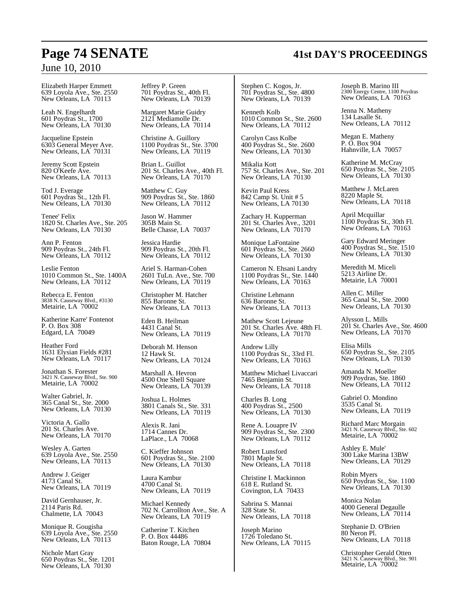## June 10, 2010

Elizabeth Harper Emmett 639 Loyola Ave., Ste. 2550 New Orleans, LA 70113

Leah N. Engelhardt 601 Poydras St., 1700 New Orleans, LA 70130

Jacqueline Epstein 6303 General Meyer Ave. New Orleans, LA 70131

Jeremy Scott Epstein 820 O'Keefe Ave. New Orleans, LA 70113

Tod J. Everage 601 Poydras St., 12th Fl. New Orleans, LA 70130

Tenee' Felix 1820 St. Charles Ave., Ste. 205 New Orleans, LA 70130

Ann P. Fenton 909 Poydras St., 24th Fl. New Orleans, LA 70112

Leslie Fenton 1010 Common St., Ste. 1400A New Orleans, LA 70112

Rebecca E. Fenton 3838 N. Causeway Blvd., #3130 Metairie, LA 70002

Katherine Karre' Fontenot P. O. Box 308 Edgard, LA 70049

Heather Ford 1631 Elysian Fields #281 New Orleans, LA 70117

Jonathan S. Forester 3421 N. Causeway Blvd., Ste. 900 Metairie, LA 70002

Walter Gabriel, Jr. 365 Canal St., Ste. 2000 New Orleans, LA 70130

Victoria A. Gallo 201 St. Charles Ave. New Orleans, LA 70170

Wesley A. Garten 639 Loyola Ave., Ste. 2550 New Orleans, LA 70113

Andrew J. Geiger 4173 Canal St. New Orleans, LA 70119

David Gernhauser, Jr. 2114 Paris Rd. Chalmette, LA 70043

Monique R. Gougisha 639 Loyola Ave., Ste. 2550 New Orleans, LA 70113

Nichole Mart Gray 650 Poydras St., Ste. 1201 New Orleans, LA 70130

Jeffrey P. Green 701 Poydras St., 40th Fl. New Orleans, LA 70139

Margaret Marie Guidry 2121 Mediamolle Dr. New Orleans, LA 70114

Christine A. Guillory 1100 Poydras St., Ste. 3700 New Orleans, LA 70119

Brian L. Guillot 201 St. Charles Ave., 40th Fl. New Orleans, LA 70170

Matthew C. Guy 909 Poydras St., Ste. 1860 New Orleans, LA 70112

Jason W. Hammer 305B Main St. Belle Chasse, LA 70037

Jessica Hardie 909 Poydras St., 20th Fl. New Orleans, LA 70112

Ariel S. Harman-Cohen 2601 TuLn. Ave., Ste. 700 New Orleans, LA 70119

Christopher M. Hatcher 855 Baronne St. New Orleans, LA 70113

Eden B. Heilman 4431 Canal St. New Orleans, LA 70119

Deborah M. Henson 12 Hawk St. New Orleans, LA 70124

Marshall A. Hevron 4500 One Shell Square New Orleans, LA 70139

Joshua L. Holmes 3801 Canals St., Ste. 331 New Orleans, LA 70119

Alexis R. Jani 1714 Cannes Dr. LaPlace., LA 70068

C. Kieffer Johnson 601 Poydras St., Ste. 2100 New Orleans, LA 70130

Laura Kambur 4700 Canal St. New Orleans, LA 70119

Michael Kennedy 702 N. Carrollton Ave., Ste. A New Orleans, LA 70119

Catherine T. Kitchen P. O. Box 44486 Baton Rouge, LA 70804 Stephen C. Kogos, Jr. 701 Poydras St., Ste. 4800 New Orleans, LA 70139

Kenneth Kolb 1010 Common St., Ste. 2600 New Orleans, LA 70112

Carolyn Cass Kolbe 400 Poydras St., Ste. 2600 New Orleans, LA 70130

Mikalia Kott 757 St. Charles Ave., Ste. 201 New Orleans, LA 70130

Kevin Paul Kress 842 Camp St. Unit # 5 New Orleans, LA 70130

Zachary H. Kupperman 201 St. Charles Ave., 3201 New Orleans, LA  $70170$ 

Monique LaFontaine 601 Poydras St., Ste. 2660 New Orleans, LA 70130

Cameron N. Ehsani Landry 1100 Poydras St., Ste. 1440 New Orleans, LA 70163

Christine Lehmann 636 Baronne St. New Orleans, LA 70113

Mathew Scott Lejeune 201 St. Charles Ave. 48th Fl. New Orleans, LA 70170

Andrew Lilly 1100 Poydras St., 33rd Fl. New Orleans, LA 70163

Matthew Michael Livaccari 7465 Benjamin St. New Orleans, LA 70118

Charles B. Long 400 Poydras St., 2500 New Orleans, LA 70130

Rene A. Louapre IV 909 Poydras St., Ste. 2300 New Orleans, LA 70112

Robert Lunsford 7801 Maple St. New Orleans, LA 70118

Christine I. Mackinnon 618 E. Rutland St. Covington, LA 70433

Sabrina S. Mannai 328 State St. New Orleans, LA 70118

Joseph Marino 1726 Toledano St. New Orleans, LA 70115 Joseph B. Marino III 2300 Energy Centre, 1100 Poydras New Orleans, LA 70163

Jenna N. Matheny 134 Lasalle St. New Orleans, LA 70112

Megan E. Matheny P. O. Box 904 Hahnville, LA 70057

Katherine M. McCray 650 Poydras St., Ste. 2105 New Orleans, LA 70130

Matthew J. McLaren 8220 Maple St. New Orleans, LA 70118

April Mcquillar 1100 Poydras St., 30th Fl. New Orleans, LA 70163

Gary Edward Meringer 400 Poydras St., Ste. 1510 New Orleans, LA 70130

Meredith M. Miceli 5213 Airline Dr. Metairie, LA 70001

Allen C. Miller 365 Canal St., Ste. 2000 New Orleans, LA 70130

Alysson L. Mills 201 St. Charles Ave., Ste. 4600 New Orleans, LA  $70170$ 

Elisa Mills 650 Poydras St., Ste. 2105 New Orleans, LA 70130

Amanda N. Moeller 909 Poydras, Ste. 1860 New Orleans, LA 70112

Gabriel O. Mondino 3535 Canal St. New Orleans, LA 70119

Richard Marc Morgain 3421 N. Causeway Blvd., Ste. 602 Metairie, LA 70002

Ashley E. Mule' 300 Lake Marina 13BW New Orleans, LA 70129

Robin Myers 650 Poydras St., Ste. 1100 New Orleans, LA 70130

Monica Nolan 4000 General Degaulle New Orleans, LA 70114

Stephanie D. O'Brien 80 Neron Pl. New Orleans, LA 70118

Christopher Gerald Otten 3421 N. Causeway Blvd., Ste. 901 Metairie, LA 70002

## **Page 74 SENATE 41st DAY'S PROCEEDINGS**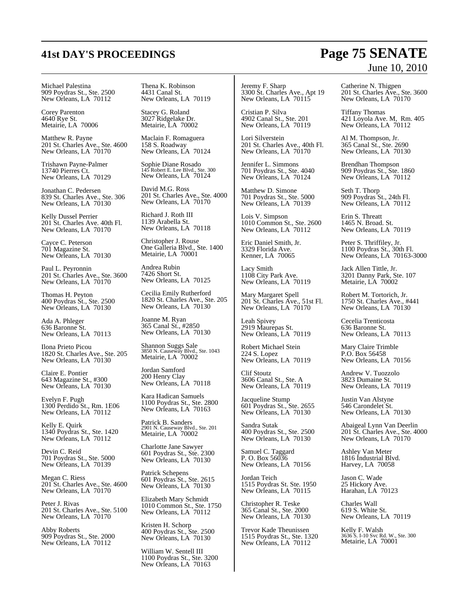### Michael Palestina 909 Poydras St., Ste. 2500 New Orleans, LA 70112

Corey Parenton 4640 Rye St. Metairie, LA 70006

Matthew R. Payne 201 St. Charles Ave., Ste. 4600 New Orleans, LA 70170

Trishawn Payne-Palmer 13740 Pierres Ct. New Orleans, LA 70129

Jonathan C. Pedersen 839 St. Charles Ave., Ste. 306 New Orleans, LA  $70130$ 

Kelly Dussel Perrier 201 St. Charles Ave. 40th Fl. New Orleans, LA 70170

Cayce C. Peterson 701 Magazine St. New Orleans, LA 70130

Paul L. Peyronnin 201 St. Charles Ave., Ste. 3600 New Orleans, LA 70170

Thomas H. Peyton 400 Poydras St., Ste. 2500 New Orleans, LA 70130

Ada A. Phleger 636 Baronne St. New Orleans, LA 70113

Ilona Prieto Picou 1820 St. Charles Ave., Ste. 205 New Orleans, LA 70130

Claire E. Pontier 643 Magazine St., #300 New Orleans, LA 70130

Evelyn F. Pugh 1300 Perdido St., Rm. 1E06 New Orleans, LA 70112

Kelly E. Quirk 1340 Poydras St., Ste. 1420 New Orleans, LA 70112

Devin C. Reid 701 Poydras St., Ste. 5000 New Orleans, LA 70139

Megan C. Riess 201 St. Charles Ave., Ste. 4600 New Orleans, LA  $70170$ 

Peter J. Rivas 201 St. Charles Ave., Ste. 5100 New Orleans, LA 70170

Abby Roberts 909 Poydras St., Ste. 2000 New Orleans, LA 70112

Thena K. Robinson 4431 Canal St. New Orleans, LA 70119

Stacey G. Roland 3027 Ridgelake Dr. Metairie, LA 70002

Maclain F. Romaguera 158 S. Roadway New Orleans, LA 70124

Sophie Diane Rosado 145 Robert E. Lee Blvd., Ste. 300 New Orleans, LA 70124

David M.G. Ross 201 St. Charles Ave., Ste. 4000 New Orleans, LA  $70170$ 

Richard I. Roth III 1139 Arabella St. New Orleans, LA 70118

Christopher J. Rouse One Galleria Blvd., Ste. 1400 Metairie, LA 70001

Andrea Rubin 7426 Short St. New Orleans, LA 70125

Cecilia Emily Rutherford 1820 St. Charles Ave., Ste. 205 New Orleans, LA 70130

Joanne M. Ryan 365 Canal St., #2850 New Orleans, LA 70130

Shannon Suggs Sale 3850 N. Causeway Blvd., Ste. 1043 Metairie, LA 70002

Jordan Samford 200 Henry Clay New Orleans, LA 70118

Kara Hadican Samuels 1100 Poydras St., Ste. 2800 New Orleans, LA 70163

Patrick B. Sanders 2901 N. Causeway Blvd., Ste. 201 Metairie, LA 70002

Charlotte Jane Sawyer 601 Poydras St., Ste. 2300 New Orleans, LA 70130

Patrick Schepens 601 Poydras St., Ste. 2615 New Orleans, LA 70130

Elizabeth Mary Schmidt 1010 Common St., Ste. 1750 New Orleans, LA 70112

Kristen H. Schorp 400 Poydras St., Ste. 2500 New Orleans, LA 70130

William W. Sentell III 1100 Poydras St., Ste. 3200 New Orleans, LA 70163

Jeremy F. Sharp 3300 St. Charles Ave., Apt 19 New Orleans, LA 70115

Cristian P. Silva 4902 Canal St., Ste. 201 New Orleans, LA 70119

Lori Silverstein 201 St. Charles Ave., 40th Fl. New Orleans, LA  $70170$ 

Jennifer L. Simmons 701 Poydras St., Ste. 4040 New Orleans, LA 70124

Matthew D. Simone 701 Poydras St., Ste. 5000 New Orleans, LA 70139

Lois V. Simpson 1010 Common St., Ste. 2600 New Orleans, LA 70112

Eric Daniel Smith, Jr. 3329 Florida Ave. Kenner, LA 70065

Lacy Smith 1108 City Park Ave. New Orleans, LA 70119

Mary Margaret Spell 201 St. Charles Ave., 51st Fl. New Orleans, LA  $70170$ 

Leah Spivey 2919 Maurepas St. New Orleans, LA 70119

Robert Michael Stein 224 S. Lopez New Orleans, LA 70119

Clif Stoutz 3606 Canal St., Ste. A New Orleans, LA 70119

Jacqueline Stump 601 Poydras St., Ste. 2655 New Orleans, LA 70130

Sandra Sutak 400 Poydras St., Ste. 2500 New Orleans, LA 70130

Samuel C. Taggard P. O. Box 56036 New Orleans, LA 70156

Jordan Teich 1515 Poydras St. Ste. 1950 New Orleans, LA 70115

Christopher R. Teske 365 Canal St., Ste. 2000 New Orleans, LA 70130

Trevor Kade Theunissen 1515 Poydras St., Ste. 1320 New Orleans, LA 70112

## **41st DAY'S PROCEEDINGS Page 75 SENATE** June 10, 2010

Catherine N. Thigpen 201 St. Charles Ave., Ste. 3600 New Orleans, LA  $70170$ 

Tiffany Thomas 421 Loyola Ave. M, Rm. 405 New Orleans, LA 70112

Al M. Thompson, Jr. 365 Canal St., Ste. 2690 New Orleans, LA 70130

Brendhan Thompson 909 Poydras St., Ste. 1860 New Orleans, LA 70112

Seth T. Thorp 909 Poydras St., 24th Fl. New Orleans, LA 70112

Erin S. Threatt 1465 N. Broad. St. New Orleans, LA 70119

Peter S. Thriffiley, Jr. 1100 Poydras St., 30th Fl. New Orleans, LA 70163-3000

Jack Allen Tittle, Jr. 3201 Danny Park, Ste. 107 Metairie, LA 70002

Robert M. Tortorich, Jr. 1750 St. Charles Ave., #441 New Orleans, LA 70130

Cecelia Trenticosta 636 Baronne St. New Orleans, LA 70113

Mary Claire Trimble P.O. Box 56458 New Orleans, LA 70156

Andrew V. Tuozzolo 3823 Dumaine St. New Orleans, LA 70119

Justin Van Alstyne 546 Carondelet St. New Orleans, LA 70130

Abaigeal Lynn Van Deerlin 201 St. Charles Ave., Ste. 4000 New Orleans, LA 70170

Ashley Van Meter 1816 Industrial Blvd. Harvey, LA 70058

Jason C. Wade 25 Hickory Ave. Harahan, LA 70123

Charles Wall 619 S. White St. New Orleans, LA 70119

Kelly F. Walsh 3636 S. I-10 Svc Rd. W., Ste. 300 Metairie, LA 70001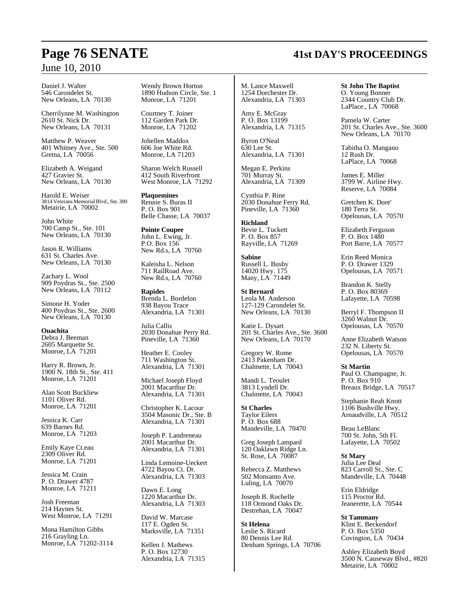## **Page 76 SENATE 41st DAY'S PROCEEDINGS**

## June 10, 2010

Daniel J. Walter 546 Carondelet St. New Orleans, LA 70130

Cherrilynne M. Washington 2610 St. Nick Dr. New Orleans, LA 70131

Matthew P. Weaver 401 Whitney Ave., Ste. 500 Gretna, LA 70056

Elizabeth A. Weigand 427 Gravier St. New Orleans, LA 70130

Harold E. Weiser 3814 Veterans Memorial Blvd., Ste. 300 Metairie, LA 70002

John White 700 Camp St., Ste. 101 New Orleans, LA 70130

Jason R. Williams 631 St. Charles Ave. New Orleans, LA 70130

Zachary L. Wool 909 Poydras St., Ste. 2500 New Orleans, LA 70112

Simone H. Yoder 400 Poydras St., Ste. 2600 New Orleans, LA 70130

**Ouachita** Debra J. Beeman 2605 Marquette St. Monroe, LA 71201

Harry R. Brown, Jr. 1900 N. 18th St., Ste. 411 Monroe, LA 71201

Alan Scott Buckliew 1101 Oliver Rd. Monroe, LA 71201

Jessica K. Carr 639 Barnes Rd. Monroe, LA 71203

Emily Kaye Ct.eau 2309 Oliver Rd. Monroe, LA 71201

Jessica M. Crain P. O. Drawer 4787 Monroe, LA 71211

Josh Freeman 214 Haynes St. West Monroe, LA 71291

Mona Hamilton Gibbs 216 Grayling Ln. Monroe, LA 71202-3114 Wendy Brown Horton 1890 Hudson Circle, Ste. 1 Monroe, LA 71201

Courtney T. Joiner 112 Garden Park Dr. Monroe, LA 71202

Johellen Maddox 606 Joe White Rd. Monroe, LA 71203

Sharon Welch Russell 412 South Riverfront West Monroe, LA 71292

**Plaquemines** Rennie S. Buras II P. O. Box 901 Belle Chasse, LA 70037

**Pointe Coupee** John L. Ewing, Jr. P.O. Box 156 New Rd.s, LA 70760

Kaleisha L. Nelson 711 RailRoad Ave. New Rd.s, LA 70760

**Rapides** Brenda L. Bordelon 938 Bayou Trace Alexandria, LA 71301

Julia Callis 2030 Donahue Perry Rd. Pineville, LA 71360

Heather E. Cooley 711 Washington St. Alexandria, LA 71301

Michael Joseph Floyd 2001 Macarthur Dr. Alexandria, LA 71301

Christopher K. Lacour 3504 Masonic Dr., Ste. B Alexandria, LA 71301

Joseph P. Landreneau 2001 Macarthur Dr. Alexandria, LA 71301

Linda Lemoine-Ueckert 4722 Bayou Ct. Dr. Alexandria, LA 71303

Dawn E. Long 1220 Macarthur Dr. Alexandria, LA 71303

David W. Marcase 117 E. Ogden St. Marksville, LA 71351

Kellen J. Mathews P. O. Box 12730 Alexandria, LA 71315 M. Lance Maxwell 1254 Dorchester Dr. Alexandria, LA 71303

Amy E. McGray P. O. Box 13199 Alexandria, LA 71315

Byron O'Neal 630 Lee St. Alexandria, LA 71301

Megan E. Perkins 701 Murray St. Alexandria, LA 71309

Cynthia P. Rine 2030 Donahue Ferry Rd. Pineville, LA 71360

**Richland** Bevie L. Tuckett P. O. Box 857 Rayville, LA 71269

**Sabine** Russell L. Busby 14020 Hwy. 175 Many, LA 71449

**St Bernard** Leola M. Anderson 127-129 Carondelet St. New Orleans, LA 70130

Katie L. Dysart 201 St. Charles Ave., Ste. 3600 New Orleans, LA 70170

Gregory W. Rome 2413 Pakenham Dr. Chalmette, LA 70043

Mandi L. Teoulet 3813 Lyndell Dr. Chalmette, LA 70043

**St Charles** Taylor Eilers P. O. Box 688 Mandeville, LA 70470

Greg Joseph Lampard 120 Oaklawn Ridge Ln. St. Rose, LA 70087

Rebecca Z. Matthews 502 Monsanto Ave. Luling, LA 70070

Joseph B. Rochelle 118 Ormond Oaks Dr. Destrehan, LA 70047

**St Helena** Leslie S. Ricard 80 Dennis Lee Rd. Denham Springs, LA 70706

**St John The Baptist** O. Young Bonner 2344 Country Club Dr. LaPlace., LA 70068

Pamela W. Carter 201 St. Charles Ave., Ste. 3600 New Orleans, LA 70170

Tabitha O. Mangano 12 Rush Dr. LaPlace, LA 70068

James E. Miller 3799 W. Airline Hwy. Reserve, LA 70084

Gretchen K. Dore' 180 Terra St. Opelousas, LA 70570

Elizabeth Ferguson P. O. Box 1480 Port Barre, LA 70577

Erin Reed Monica P. O. Drawer 1329 Opelousas, LA 70571

Brandon K. Stelly P. O. Box 80369 Lafayette, LA 70598

Berryl F. Thompson II 3260 Walnut Dr. Opelousas, LA 70570

Anne Elizabeth Watson 232 N. Liberty St. Opelousas, LA 70570

**St Martin** Paul O. Champagne, Jr. P. O. Box 910 Breaux Bridge, LA 70517

Stephanie Reah Knott 1106 Bushville Hwy. Arnaudville, LA 70512

Beau LeBlanc 700 St. John, 5th Fl. Lafayette, LA 70502

**St Mary** Julia Lee Deal 823 Carroll St., Ste. C Mandeville, LA 70448

Erin Eldridge 115 Proctor Rd. Jeanerette, LA 70544

**St Tammany** Klint E. Beckendorf P. O. Box 5350 Covington, LA 70434

Ashley Elizabeth Boyd 3500 N. Causeway Blvd., #820 Metairie, LA 70002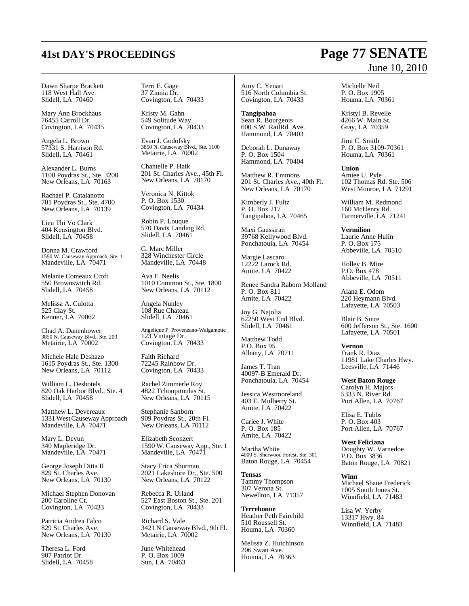Dawn Sharpe Brackett 118 West Hall Ave. Slidell, LA 70460

Mary Ann Brockhaus 76455 Carroll Dr. Covington, LA 70435

Angela L. Brown 57331 S. Harrison Rd. Slidell, LA 70461

Alexander L. Burns 1100 Poydras St., Ste. 3200 New Orleans, LA 70163

Rachael P. Catalanotto 701 Poydras St., Ste. 4700 New Orleans, LA 70139

Lieu Thi Vo Clark 404 Kensington Blvd. Slidell, LA 70458

Donna M. Crawford 1590 W. Causeway Approach, Ste. 1 Mandeville, LA 70471

Melanie Comeaux Croft 550 Brownswitch Rd. Slidell, LA 70458

Melissa A. Culotta 525 Clay St. Kenner, LA 70062

Chad A. Danenhower 3850 N. Causeway Blvd., Ste. 200 Metairie, LA 70002

Michele Hale Deshazo 1615 Poydras St., Ste. 1300 New Orleans, LA 70112

William L. Deshotels 820 Oak Harbor Blvd., Ste. 4 Slidell, LA 70458

Matthew L. Devereaux 1331West Causeway Approach Mandeville, LA 70471

Mary L. Devun 340 Mapleridge Dr. Mandeville, LA 70471

George Joseph Ditta II 829 St. Charles Ave. New Orleans, LA 70130

Michael Stephen Donovan 200 Caroline Ct. Covington, LA 70433

Patricia Andrea Falco 829 St. Charles Ave. New Orleans, LA 70130

Theresa L. Ford 907 Patriot Dr. Slidell, LA 70458 Terri E. Gage 37 Zinnia Dr. Covington, LA 70433

Kristy M. Gahn 549 Solitude Way Covington, LA 70433

Evan J. Godofsky 3850 N. Causeway Blvd., Ste. 1100 Metairie, LA 70002

Chantelle P. Haik 201 St. Charles Ave., 45th Fl. New Orleans, LA 70170

Veronica N. Kittok P. O. Box 1530 Covington, LA 70434

Robin P. Louque 570 Davis Landing Rd. Slidell, LA 70461

G. Marc Miller 328 Winchester Circle Mandeville, LA 70448

Ava F. Neelis 1010 Common St., Ste. 1800 New Orleans, LA 70112

Angela Nunley 108 Rue Chateau Slidell, LA 70461

Angelique P. Provenzano-Walgamotte 123 Vintage Dr. Covington, LA 70433

Faith Richard 72245 Rainbow Dr. Covington, LA 70433

Rachel Zimmerle Roy 4822 Tchoupitoulas St. New Orleans, LA 70115

Stephanie Sanborn 909 Poydras St., 20th Fl. New Orleans, LA 70112

Elizabeth Sconzert 1590 W. Causeway App., Ste. 1 Mandeville, LA  $70471$ 

Stacy Erica Shurman 2021 Lakeshore Dr., Ste. 500 New Orleans, LA 70122

Rebecca R. Urland 527 East Boston St., Ste. 201 Covington, LA 70433

Richard S. Vale 3421 N CausewayBlvd., 9th Fl. Metairie, LA 70002

June Whitehead P. O. Box 1009 Sun, LA 70463

Amy C. Yenari 516 North Columbia St. Covington, LA 70433

**Tangipahoa** Sean R. Bourgeois 600 S.W. RailRd. Ave. Hammond, LA 70403

Deborah L. Dunaway P. O. Box 1504 Hammond, LA 70404

Matthew R. Emmons 201 St. Charles Ave., 40th Fl. New Orleans, LA 70170

Kimberly J. Fultz P. O. Box 217 Tangipahoa, LA 70465

Maxi Gaussiran 39768 Kellywood Blvd. Ponchatoula, LA 70454

Margie Lascaro 12222 Larock Rd. Amite, LA 70422

Renee Sandra Raborn Molland P. O. Box 811 Amite, LA 70422

Joy G. Najolia 62250 West End Blvd. Slidell, LA 70461

Matthew Todd P.O. Box 95 Albany, LA 70711

James T. Tran 40097-B Emerald Dr. Ponchatoula, LA 70454

Jessica Westmoreland 403 E. Mulberry St. Amite, LA 70422

Carlee J. White P. O. Box 185 Amite, LA 70422

Martha White 4000 S. Sherwood Forest, Ste. 301 Baton Rouge, LA 70454

**Tensas** Tammy Thompson 307 Verona St. Newellton, LA 71357

**Terrebonne** Heather Peth Fairchild 510 Roussell St. Houma, LA 70360

Melissa Z. Hutchinson 206 Swan Ave. Houma, LA 70363

Michelle Neil P. O. Box 1905 Houma, LA 70361

Kristyl B. Revelle 4266 W. Main St. Gray, LA 70359

Jimi C. Smith P. O. Box 3109-70361 Houma, LA 70361

**Union** Amiee U. Pyle 102 Thomas Rd. Ste. 506 West Monroe, LA 71291

William M. Redmond 160 McHenry Rd. Farmerville, LA 71241

**Vermilion** Laurie Anne Hulin P. O. Box 175 Abbeville, LA 70510

Holley B. Mire P.O. Box 478 Abbeville, LA 70511

Alana E. Odom 220 Heymann Blvd. Lafayette, LA 70503

Blair B. Suire 600 Jefferson St., Ste. 1600 Lafayette, LA 70501

**Vernon** Frank R. Diaz 11981 Lake Charles Hwy. Leesville, LA 71446

**West Baton Rouge** Carolyn H. Majors 5333 N. River Rd. Port Allen, LA 70767

Elisa E. Tubbs P. O. Box 403 Port Allen, LA 70767

**West Feliciana** Doughty W. Varnedoe P.O. Box 3836 Baton Rouge, LA 70821

**Winn** Michael Shane Frederick 1005 South Jones St. Winnfield, LA 71483

Lisa W. Yerby 13317 Hwy. 84 Winnfield, LA 71483

## **41st DAY'S PROCEEDINGS Page 77 SENATE** June 10, 2010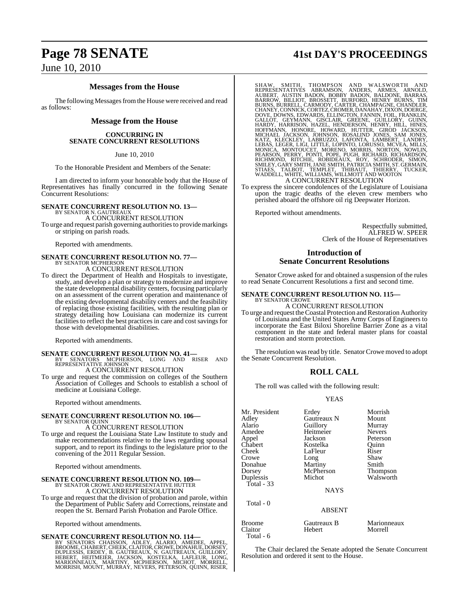## June 10, 2010

## **Messages from the House**

The following Messages from the House were received and read as follows:

## **Message from the House**

### **CONCURRING IN SENATE CONCURRENT RESOLUTIONS**

June 10, 2010

To the Honorable President and Members of the Senate:

I am directed to inform your honorable body that the House of Representatives has finally concurred in the following Senate Concurrent Resolutions:

## **SENATE CONCURRENT RESOLUTION NO. 13—** BY SENATOR N. GAUTREAUX

A CONCURRENT RESOLUTION

To urge and request parish governing authoritiesto provide markings or striping on parish roads.

Reported with amendments.

## **SENATE CONCURRENT RESOLUTION NO. 77—** BY SENATOR MCPHERSON

A CONCURRENT RESOLUTION

To direct the Department of Health and Hospitals to investigate, study, and develop a plan or strategy to modernize and improve the state developmental disability centers, focusing particularly on an assessment of the current operation and maintenance of the existing developmental disability centers and the feasibility of replacing those existing facilities, with the resulting plan or strategy detailing how Louisiana can modernize its current facilities to reflect the best practices in care and cost savings for those with developmental disabilities.

Reported with amendments.

**SENATE CONCURRENT RESOLUTION NO. 41—**<br>BY SENATORS MCPHERSON, LONG AND RISER AND<br>REPRESENTATIVE JOHNSON A CONCURRENT RESOLUTION

To urge and request the commission on colleges of the Southern Association of Colleges and Schools to establish a school of medicine at Louisiana College.

Reported without amendments.

### **SENATE CONCURRENT RESOLUTION NO. 106—** BY SENATOR QUINN

A CONCURRENT RESOLUTION

To urge and request the Louisiana State Law Institute to study and make recommendations relative to the laws regarding spousal support, and to report its findings to the legislature prior to the convening of the 2011 Regular Session.

Reported without amendments.

## **SENATE CONCURRENT RESOLUTION NO. 109—** BY SENATOR CROWE AND REPRESENTATIVE HUTTER

A CONCURRENT RESOLUTION

To urge and request that the division of probation and parole, within the Department of Public Safety and Corrections, reinstate and reopen the St. Bernard Parish Probation and Parole Office.

Reported without amendments.

## **SENATE CONCURRENT RESOLUTION NO. 114—**

BY SENATORS CHAISSON, ADLEY, ALARIO, AMEDEE, APPEL,<br>BROOME,CHABERT,CHEEK,CLAITOR,CROWE,DONAHUE,DORSEY,<br>DUPLESSIS, ERDEY, B. GAUTREAUX, N. GAUTREAUX, GUILLORY,<br>HEBERT, HEITMEIER, JACKSON, KOSTELKA, LAFLEUR, LONG,<br>MARIONNEAU

## **Page 78 SENATE 41st DAY'S PROCEEDINGS**

SHAW, SMITH, THOMPSON AND WALSWORTH AND<br>REPRESENTATIVES ABRAMSON, ANDERS, ARMES, ARNOLD,<br>BAUBERT, AUSTIN BADON, BOBBY BADON, BALDONE, BARRAS,<br>BARROW, BILLIOT, BROSSETT, BURFORD, HENRY BURNS, TIM<br>BIRNS, BURRELL, CARMODY, CA

To express the sincere condolences of the Legislature of Louisiana upon the tragic deaths of the eleven crew members who perished aboard the offshore oil rig Deepwater Horizon.

Reported without amendments.

Respectfully submitted, ALFRED W. SPEER Clerk of the House of Representatives

## **Introduction of Senate Concurrent Resolutions**

Senator Crowe asked for and obtained a suspension of the rules to read Senate Concurrent Resolutions a first and second time.

### **SENATE CONCURRENT RESOLUTION NO. 115—** BY SENATOR CROWE

A CONCURRENT RESOLUTION

To urge and request the Coastal Protection and Restoration Authority of Louisiana and the United States Army Corps of Engineers to incorporate the East Biloxi Shoreline Barrier Zone as a vital component in the state and federal master plans for coastal restoration and storm protection.

The resolution was read by title. Senator Crowe moved to adopt the Senate Concurrent Resolution.

## **ROLL CALL**

The roll was called with the following result:

### YEAS

| Mr. President            | Erdey                 | Morrish                |
|--------------------------|-----------------------|------------------------|
| Adley                    | Gautreaux N           | Mount                  |
| Alario                   | Guillory              | Murray                 |
| Amedee                   | Heitmeier             | <b>Nevers</b>          |
| Appel                    | Jackson               | Peterson               |
| Chabert                  | Kostelka              | Quinn                  |
| Cheek                    | LaFleur               | Riser                  |
| Crowe                    | Long                  | Shaw                   |
| Donahue                  | Martiny               | Smith                  |
| Dorsey                   | McPherson             | <b>Thompson</b>        |
| Duplessis                | Michot                | Walsworth              |
| Total - 33               |                       |                        |
|                          | <b>NAYS</b>           |                        |
| Total - 0                |                       |                        |
|                          | <b>ABSENT</b>         |                        |
| <b>Broome</b><br>Claitor | Gautreaux B<br>Hebert | Marionneaux<br>Morrell |

Total - 6

The Chair declared the Senate adopted the Senate Concurrent Resolution and ordered it sent to the House.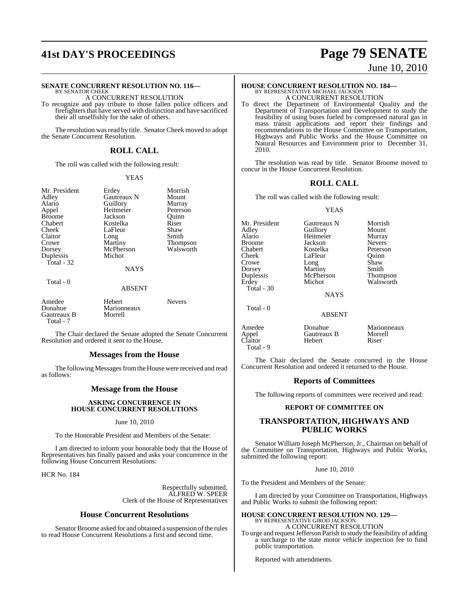## **SENATE CONCURRENT RESOLUTION NO. 116—**

BY SENATOR CHEEK A CONCURRENT RESOLUTION

To recognize and pay tribute to those fallen police officers and firefighters that have served with distinction and have sacrificed their all unselfishly for the sake of others.

The resolution was read by title. Senator Cheek moved to adopt the Senate Concurrent Resolution.

## **ROLL CALL**

The roll was called with the following result:

### YEAS

Mr. President Erdey Morrish<br>Adley Gautreaux N Mount Adley Gautreaux N Mount Alario Guillory Murray<br>Appel Heitmeier Peterson Appel Heitmeier Peterson<br>Broome Jackson Ouinn Chabert Kostelka Riser<br>Cheek LaFleur Shaw Cheek LaFleur Shaw<br>Claitor Long Smith Claitor Long<br>Crowe Martiny Crowe Martiny Thompson<br>
Dorsey McPherson Walsworth Duplessis Total - 32

Total - 0

Jackson<br>Kostelka McPherson<br>Michot

## **NAYS**

ABSENT

| .                                |               |  |
|----------------------------------|---------------|--|
| Hebert<br>Marionneaux<br>Morrell | <b>Nevers</b> |  |
|                                  |               |  |

The Chair declared the Senate adopted the Senate Concurrent Resolution and ordered it sent to the House.

## **Messages from the House**

The following Messages from the House were received and read as follows:

## **Message from the House**

## **ASKING CONCURRENCE IN HOUSE CONCURRENT RESOLUTIONS**

## June 10, 2010

To the Honorable President and Members of the Senate:

I am directed to inform your honorable body that the House of Representatives has finally passed and asks your concurrence in the following House Concurrent Resolutions:

HCR No. 184

Respectfully submitted, ALFRED W. SPEER Clerk of the House of Representatives

### **House Concurrent Resolutions**

Senator Broome asked for and obtained a suspension of the rules to read House Concurrent Resolutions a first and second time.

## **41st DAY'S PROCEEDINGS Page 79 SENATE** June 10, 2010

# **HOUSE CONCURRENT RESOLUTION NO. 184—** BY REPRESENTATIVE MICHAEL JACKSON A CONCURRENT RESOLUTION

To direct the Department of Environmental Quality and the Department of Transportation and Development to study the feasibility of using buses fueled by compressed natural gas in mass transit applications and report their findings and recommendations to the House Committee on Transportation, Highways and Public Works and the House Committee on Natural Resources and Environment prior to December 31, 2010.

The resolution was read by title. Senator Broome moved to concur in the House Concurrent Resolution.

## **ROLL CALL**

The roll was called with the following result:

### YEAS

Mr. President Gautreaux N Morrish<br>Adley Guillory Mount Adley Guillory Mount<br>Alario Heitmeier Murray Alario Heitmeier Murray Broome Jackson Nevers<br>
Chabert Kostelka Peterson Chabert **Kostelka** Peterson<br>Cheek LaFleur Quinn Crowe Long Shaw<br>Dorsey Martiny Smith Dorsey Martiny<br>
Duplessis McPherson Erdey Michot Walsworth Total - 30

 $Total = 0$ 

LaFleur Quinn<br>Long Shaw

Thompson

NAYS

ABSENT

Amedee Donahue Marionneaux<br>Appel Gautreaux B Morrell Appel Gautreaux B Morrell Claitor Total - 9

The Chair declared the Senate concurred in the House Concurrent Resolution and ordered it returned to the House.

### **Reports of Committees**

The following reports of committees were received and read:

### **REPORT OF COMMITTEE ON**

## **TRANSPORTATION, HIGHWAYS AND PUBLIC WORKS**

Senator William Joseph McPherson, Jr., Chairman on behalf of the Committee on Transportation, Highways and Public Works, submitted the following report:

### June 10, 2010

To the President and Members of the Senate:

I am directed by your Committee on Transportation, Highways and Public Works to submit the following report:

### **HOUSE CONCURRENT RESOLUTION NO. 129—** BY REPRESENTATIVE GIROD JACKSON A CONCURRENT RESOLUTION

To urge and request Jefferson Parish to study the feasibility of adding a surcharge to the state motor vehicle inspection fee to fund public transportation.

Reported with amendments.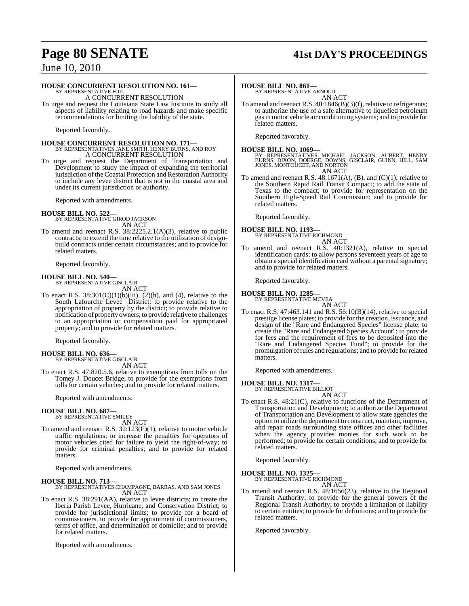## **Page 80 SENATE 41st DAY'S PROCEEDINGS**

## June 10, 2010

## **HOUSE CONCURRENT RESOLUTION NO. 161—**

BY REPRESENTATIVE FOIL A CONCURRENT RESOLUTION

To urge and request the Louisiana State Law Institute to study all aspects of liability relating to road hazards and make specific recommendations for limiting the liability of the state.

Reported favorably.

### **HOUSE CONCURRENT RESOLUTION NO. 171—** BY REPRESENTATIVES JANE SMITH, HENRY BURNS, AND ROY A CONCURRENT RESOLUTION

To urge and request the Department of Transportation and Development to study the impact of expanding the territorial jurisdiction of the Coastal Protection and Restoration Authority to include any levee district that is not in the coastal area and under its current jurisdiction or authority.

Reported with amendments.

## **HOUSE BILL NO. 522—** BY REPRESENTATIVE GIROD JACKSON

AN ACT

To amend and reenact R.S. 38:2225.2.1(A)(3), relative to public contracts; to extend the time relative to the utilization of designbuild contracts under certain circumstances; and to provide for related matters.

Reported favorably.

**HOUSE BILL NO. 540—** BY REPRESENTATIVE GISCLAIR

AN ACT

To enact R.S.  $38:301(C)(1)(b)(iii)$ ,  $(2)(h)$ , and  $(4)$ , relative to the South Lafourche Levee District; to provide relative to the appropriation of property by the district; to provide relative to notification of property owners; to provide relative to challenges to an appropriation or compensation paid for appropriated property; and to provide for related matters.

Reported favorably.

### **HOUSE BILL NO. 636—** BY REPRESENTATIVE GISCLAIR

AN ACT

To enact R.S. 47:820.5.6, relative to exemptions from tolls on the Tomey J. Doucet Bridge; to provide for the exemptions from tolls for certain vehicles; and to provide for related matters.

Reported with amendments.

### **HOUSE BILL NO. 687—** BY REPRESENTATIVE SMILEY

AN ACT

To amend and reenact R.S. 32:123(E)(1), relative to motor vehicle traffic regulations; to increase the penalties for operators of motor vehicles cited for failure to yield the right-of-way; to provide for criminal penalties; and to provide for related matters.

Reported with amendments.

**HOUSE BILL NO. 713—** BY REPRESENTATIVES CHAMPAGNE, BARRAS, AND SAM JONES AN ACT

To enact R.S. 38:291(AA), relative to levee districts; to create the Iberia Parish Levee, Hurricane, and Conservation District; to provide for jurisdictional limits; to provide for a board of commissioners, to provide for appointment of commissioners, terms of office, and determination of domicile; and to provide for related matters.

Reported with amendments.

## **HOUSE BILL NO. 861—**

BY REPRESENTATIVE ARNOLD AN ACT

To amend and reenact R.S. 40:1846(B)(3)(f), relative to refrigerants; to authorize the use of a safe alternative to liquefied petroleum gasin motor vehicle air conditioning systems; and to provide for related matters.

Reported favorably.

**HOUSE BILL NO. 1069—** BY REPRESENTATIVES MICHAEL JACKSON, AUBERT, HENRY BURNS, DIXON, DOERGE, DOWNS, GISCLAIR, GUINN, HILL, SAM JONES, MONTOUCET, AND NORTON AN ACT

To amend and reenact R.S.  $48:1671(A)$ , (B), and (C)(1), relative to the Southern Rapid Rail Transit Compact; to add the state of Texas to the compact; to provide for representation on the Southern High-Speed Rail Commission; and to provide for related matters.

Reported favorably.

**HOUSE BILL NO. 1193—** BY REPRESENTATIVE RICHMOND

## AN ACT

To amend and reenact R.S. 40:1321(A), relative to special identification cards; to allow persons seventeen years of age to obtain a special identification card without a parental signature; and to provide for related matters.

Reported favorably.

### **HOUSE BILL NO. 1285—** BY REPRESENTATIVE MCVEA

AN ACT

To enact R.S. 47:463.141 and R.S. 56:10(B)(14), relative to special prestige license plates; to provide for the creation, issuance, and design of the "Rare and Endangered Species" license plate; to create the "Rare and Endangered Species Account"; to provide for fees and the requirement of fees to be deposited into the "Rare and Endangered Species Fund"; to provide for the promulgation ofrules and regulations; and to provide forrelated matters.

Reported with amendments.

**HOUSE BILL NO. 1317—**

BY REPRESENTATIVE BILLIOT AN ACT

To enact R.S. 48:21(C), relative to functions of the Department of Transportation and Development; to authorize the Department of Transportation and Development to allow state agencies the option to utilize the department to construct, maintain, improve, and repair roads surrounding state offices and other facilities when the agency provides monies for such work to be performed; to provide for certain conditions; and to provide for related matters.

Reported favorably.

## **HOUSE BILL NO. 1325—** BY REPRESENTATIVE RICHMOND

AN ACT

To amend and reenact R.S. 48:1656(23), relative to the Regional Transit Authority; to provide for the general powers of the Regional Transit Authority; to provide a limitation of liability to certain entities; to provide for definitions; and to provide for related matters.

Reported favorably.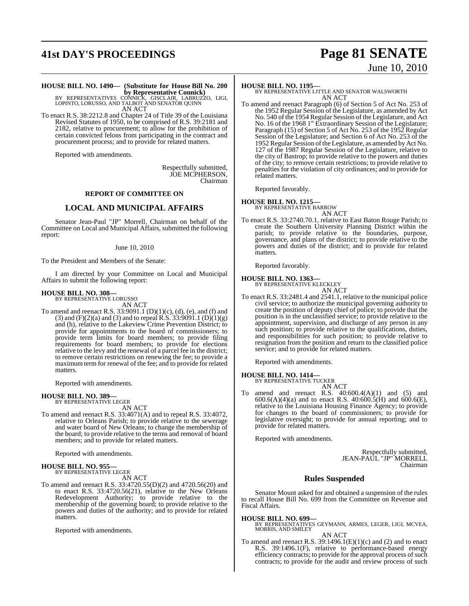## **41st DAY'S PROCEEDINGS Page 81 SENATE**

# June 10, 2010

## **HOUSE BILL NO. 1490— (Substitute for House Bill No. 200**

**by Representative Connick)<br>BY REPRESENTATIVES CONNICK, GISCLAIR, LABRUZZO, LIGI,<br>LOPINTO, LORUSSO, AND TALBOT AND SENATOR QUINN** AN ACT

To enact R.S. 38:2212.8 and Chapter 24 of Title 39 of the Louisiana Revised Statutes of 1950, to be comprised of R.S. 39:2181 and 2182, relative to procurement; to allow for the prohibition of certain convicted felons from participating in the contract and procurement process; and to provide for related matters.

Reported with amendments.

Respectfully submitted, JOE MCPHERSON, Chairman

## **REPORT OF COMMITTEE ON**

## **LOCAL AND MUNICIPAL AFFAIRS**

Senator Jean-Paul "JP" Morrell, Chairman on behalf of the Committee on Local and Municipal Affairs, submitted the following report:

### June 10, 2010

To the President and Members of the Senate:

I am directed by your Committee on Local and Municipal Affairs to submit the following report:

### **HOUSE BILL NO. 308—** BY REPRESENTATIVE LORUSSO

AN ACT

To amend and reenact R.S. 33:9091.1 (D)(1)(c), (d), (e), and (f) and (3) and (F)(2)(a) and (3) and to repeal R.S. 33:9091.1 (D)(1)(g) and (h), relative to the Lakeview Crime Prevention District; to provide for appointments to the board of commissioners; to provide term limits for board members; to provide filing requirements for board members; to provide for elections relative to the levy and the renewal of a parcel fee in the district; to remove certain restrictions on renewing the fee; to provide a maximum term for renewal of the fee; and to provide for related matters.

Reported with amendments.

## **HOUSE BILL NO. 389—** BY REPRESENTATIVE LEGER

AN ACT

To amend and reenact R.S. 33:4071(A) and to repeal R.S. 33:4072, relative to Orleans Parish; to provide relative to the sewerage and water board of New Orleans; to change the membership of the board; to provide relative to the terms and removal of board members; and to provide for related matters.

Reported with amendments.

### **HOUSE BILL NO. 955—** BY REPRESENTATIVE LEGER

AN ACT

To amend and reenact R.S. 33:4720.55(D)(2) and 4720.56(20) and to enact R.S. 33:4720.56(21), relative to the New Orleans Redevelopment Authority; to provide relative to the membership of the governing board; to provide relative to the powers and duties of the authority; and to provide for related matters.

Reported with amendments.

## **HOUSE BILL NO. 1195—**

BY REPRESENTATIVE LITTLE AND SENATOR WALSWORTH AN ACT

To amend and reenact Paragraph (6) of Section 5 of Act No. 253 of the 1952 Regular Session of the Legislature, as amended by Act No. 540 of the 1954 Regular Session of the Legislature, and Act No. 16 of the 1968 1<sup>st</sup> Extraordinary Session of the Legislature; Paragraph (15) of Section 5 of Act No. 253 of the 1952 Regular Session of the Legislature; and Section 6 of Act No. 253 of the 1952 Regular Session ofthe Legislature, as amended byAct No. 127 of the 1987 Regular Session of the Legislature, relative to the city of Bastrop; to provide relative to the powers and duties of the city; to remove certain restrictions; to provide relative to penalties for the violation of city ordinances; and to provide for related matters.

Reported favorably.

**HOUSE BILL NO. 1215—** BY REPRESENTATIVE BARROW

AN ACT

To enact R.S. 33:2740.70.1, relative to East Baton Rouge Parish; to create the Southern University Planning District within the parish; to provide relative to the boundaries, purpose, governance, and plans of the district; to provide relative to the powers and duties of the district; and to provide for related matters.

Reported favorably.

**HOUSE BILL NO. 1363—** BY REPRESENTATIVE KLECKLEY

AN ACT

To enact R.S. 33:2481.4 and 2541.1, relative to the municipal police civil service; to authorize the municipal governing authority to create the position of deputy chief of police; to provide that the position is in the unclassified service; to provide relative to the appointment, supervision, and discharge of any person in any such position; to provide relative to the qualifications, duties, and responsibilities for such position; to provide relative to resignation from the position and return to the classified police service; and to provide for related matters.

Reported with amendments.

## **HOUSE BILL NO. 1414—** BY REPRESENTATIVE TUCKER

AN ACT

To amend and reenact R.S. 40:600.4(A)(1) and (5) and  $600.6(A)(4)(a)$  and to enact R.S.  $40:600.5(H)$  and  $600.6(E)$ , relative to the Louisiana Housing Finance Agency; to provide for changes to the board of commissioners; to provide for legislative oversight; to provide for annual reporting; and to provide for related matters.

Reported with amendments.

Respectfully submitted, JEAN-PAUL "JP" MORRELL Chairman

## **Rules Suspended**

Senator Mount asked for and obtained a suspension of the rules to recall House Bill No. 699 from the Committee on Revenue and Fiscal Affairs.

### **HOUSE BILL NO. 699—**

BY REPRESENTATIVES GEYMANN, ARMES, LEGER, LIGI, MCVEA, MORRIS, AND SMILEY AN ACT

To amend and reenact R.S.  $39:1496.1(E)(1)(c)$  and (2) and to enact R.S. 39:1496.1(F), relative to performance-based energy efficiency contracts; to provide for the approval process of such contracts; to provide for the audit and review process of such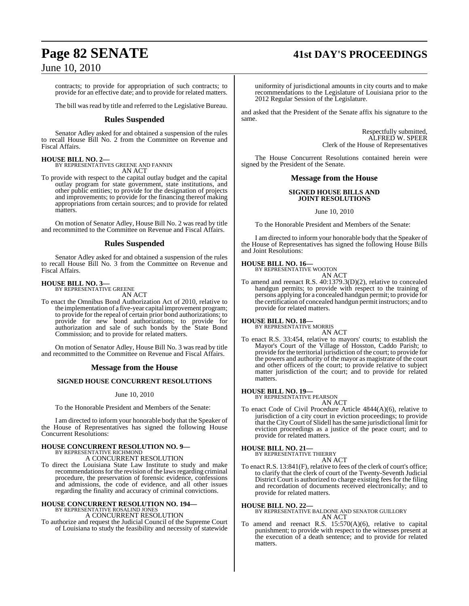## **Page 82 SENATE 41st DAY'S PROCEEDINGS**

## June 10, 2010

contracts; to provide for appropriation of such contracts; to provide for an effective date; and to provide for related matters.

The bill was read by title and referred to the Legislative Bureau.

## **Rules Suspended**

Senator Adley asked for and obtained a suspension of the rules to recall House Bill No. 2 from the Committee on Revenue and Fiscal Affairs.

## **HOUSE BILL NO. 2—**

BY REPRESENTATIVES GREENE AND FANNIN AN ACT

To provide with respect to the capital outlay budget and the capital outlay program for state government, state institutions, and other public entities; to provide for the designation of projects and improvements; to provide for the financing thereof making appropriations from certain sources; and to provide for related matters.

On motion of Senator Adley, House Bill No. 2 was read by title and recommitted to the Committee on Revenue and Fiscal Affairs.

## **Rules Suspended**

Senator Adley asked for and obtained a suspension of the rules to recall House Bill No. 3 from the Committee on Revenue and Fiscal Affairs.

## **HOUSE BILL NO. 3—** BY REPRESENTATIVE GREENE

AN ACT

To enact the Omnibus Bond Authorization Act of 2010, relative to the implementation of a five-year capital improvement program; to provide for the repeal of certain prior bond authorizations; to provide for new bond authorizations; to provide for authorization and sale of such bonds by the State Bond Commission; and to provide for related matters.

On motion of Senator Adley, House Bill No. 3 was read by title and recommitted to the Committee on Revenue and Fiscal Affairs.

## **Message from the House**

## **SIGNED HOUSE CONCURRENT RESOLUTIONS**

### June 10, 2010

To the Honorable President and Members of the Senate:

I am directed to inform your honorable body that the Speaker of the House of Representatives has signed the following House Concurrent Resolutions:

## **HOUSE CONCURRENT RESOLUTION NO. 9—** BY REPRESENTATIVE RICHMOND A CONCURRENT RESOLUTION

To direct the Louisiana State Law Institute to study and make recommendations for the revision of the laws regarding criminal procedure, the preservation of forensic evidence, confessions and admissions, the code of evidence, and all other issues regarding the finality and accuracy of criminal convictions.

## **HOUSE CONCURRENT RESOLUTION NO. 194—** BY REPRESENTATIVE ROSALIND JONES A CONCURRENT RESOLUTION

To authorize and request the Judicial Council of the Supreme Court of Louisiana to study the feasibility and necessity of statewide uniformity of jurisdictional amounts in city courts and to make recommendations to the Legislature of Louisiana prior to the 2012 Regular Session of the Legislature.

and asked that the President of the Senate affix his signature to the same.

> Respectfully submitted, ALFRED W. SPEER Clerk of the House of Representatives

The House Concurrent Resolutions contained herein were signed by the President of the Senate.

## **Message from the House**

## **SIGNED HOUSE BILLS AND JOINT RESOLUTIONS**

June 10, 2010

To the Honorable President and Members of the Senate:

I am directed to inform your honorable body that the Speaker of the House of Representatives has signed the following House Bills and Joint Resolutions:

## **HOUSE BILL NO. 16—**

BY REPRESENTATIVE WOOTON AN ACT

To amend and reenact R.S. 40:1379.3(D)(2), relative to concealed handgun permits; to provide with respect to the training of persons applying for a concealed handgun permit; to provide for the certification of concealed handgun permit instructors; and to provide for related matters.

## **HOUSE BILL NO. 18—**

BY REPRESENTATIVE MORRIS AN ACT

To enact R.S. 33:454, relative to mayors' courts; to establish the Mayor's Court of the Village of Hosston, Caddo Parish; to provide for the territorial jurisdiction of the court; to provide for the powers and authority of the mayor as magistrate of the court and other officers of the court; to provide relative to subject matter jurisdiction of the court; and to provide for related matters.

## **HOUSE BILL NO. 19—**

BY REPRESENTATIVE PEARSON AN ACT

To enact Code of Civil Procedure Article 4844(A)(6), relative to jurisdiction of a city court in eviction proceedings; to provide that the CityCourt of Slidell hasthe same jurisdictional limit for eviction proceedings as a justice of the peace court; and to provide for related matters.

### **HOUSE BILL NO. 21—** BY REPRESENTATIVE THIERRY

AN ACT

To enact R.S. 13:841(F), relative to fees of the clerk of court's office; to clarify that the clerk of court of the Twenty-Seventh Judicial District Court is authorized to charge existing fees for the filing and recordation of documents received electronically; and to provide for related matters.

### **HOUSE BILL NO. 22—**

BY REPRESENTATIVE BALDONE AND SENATOR GUILLORY AN ACT

To amend and reenact R.S. 15:570(A)(6), relative to capital punishment; to provide with respect to the witnesses present at the execution of a death sentence; and to provide for related matters.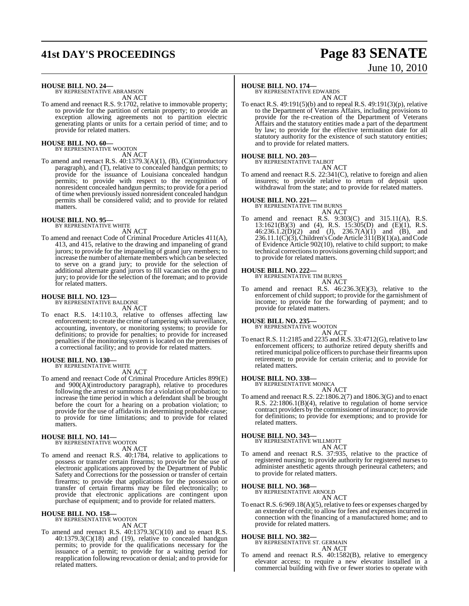## **41st DAY'S PROCEEDINGS Page 83 SENATE**

# June 10, 2010

**HOUSE BILL NO. 24—** BY REPRESENTATIVE ABRAMSON

AN ACT

To amend and reenact R.S. 9:1702, relative to immovable property; to provide for the partition of certain property; to provide an exception allowing agreements not to partition electric generating plants or units for a certain period of time; and to provide for related matters.

### **HOUSE BILL NO. 60—** BY REPRESENTATIVE WOOTON

AN ACT

To amend and reenact R.S. 40:1379.3(A)(1), (B), (C)(introductory paragraph), and (T), relative to concealed handgun permits; to provide for the issuance of Louisiana concealed handgun permits; to provide with respect to the recognition of nonresident concealed handgun permits; to provide for a period of time when previously issued nonresident concealed handgun permits shall be considered valid; and to provide for related matters.

**HOUSE BILL NO. 95—** BY REPRESENTATIVE WHITE

AN ACT

To amend and reenact Code of Criminal Procedure Articles 411(A), 413, and 415, relative to the drawing and impaneling of grand jurors; to provide for the impaneling of grand jury members; to increase the number of alternate members which can be selected to serve on a grand jury; to provide for the selection of additional alternate grand jurors to fill vacancies on the grand jury; to provide for the selection of the foreman; and to provide for related matters.

### **HOUSE BILL NO. 123—** BY REPRESENTATIVE BALDONE

AN ACT

To enact R.S. 14:110.3, relative to offenses affecting law enforcement; to create the crime of tampering with surveillance, accounting, inventory, or monitoring systems; to provide for definitions; to provide for penalties; to provide for increased penalties if the monitoring system is located on the premises of a correctional facility; and to provide for related matters.

## **HOUSE BILL NO. 130—** BY REPRESENTATIVE WHITE

AN ACT

To amend and reenact Code of Criminal Procedure Articles 899(E) and 900(A)(introductory paragraph), relative to procedures following the arrest or summons for a violation of probation; to increase the time period in which a defendant shall be brought before the court for a hearing on a probation violation; to provide for the use of affidavits in determining probable cause; to provide for time limitations; and to provide for related matters.

## **HOUSE BILL NO. 141—** BY REPRESENTATIVE WOOTON

AN ACT

To amend and reenact R.S. 40:1784, relative to applications to possess or transfer certain firearms; to provide for the use of electronic applications approved by the Department of Public Safety and Corrections for the possession or transfer of certain firearms; to provide that applications for the possession or transfer of certain firearms may be filed electronically; to provide that electronic applications are contingent upon purchase of equipment; and to provide for related matters.

## **HOUSE BILL NO. 158—** BY REPRESENTATIVE WOOTON

AN ACT

To amend and reenact R.S. 40:1379.3(C)(10) and to enact R.S. 40:1379.3(C)(18) and (19), relative to concealed handgun permits; to provide for the qualifications necessary for the issuance of a permit; to provide for a waiting period for reapplication following revocation or denial; and to provide for related matters.

## **HOUSE BILL NO. 174—**

BY REPRESENTATIVE EDWARDS AN ACT

To enact R.S. 49:191(5)(b) and to repeal R.S. 49:191(3)(p), relative to the Department of Veterans Affairs, including provisions to provide for the re-creation of the Department of Veterans Affairs and the statutory entities made a part of the department by law; to provide for the effective termination date for all statutory authority for the existence of such statutory entities; and to provide for related matters.

## **HOUSE BILL NO. 203—** BY REPRESENTATIVE TALBOT

- AN ACT
- To amend and reenact R.S. 22:341(C), relative to foreign and alien insurers; to provide relative to return of deposit upon withdrawal from the state; and to provide for related matters.

## **HOUSE BILL NO. 221—** BY REPRESENTATIVE TIM BURNS

AN ACT

To amend and reenact R.S. 9:303(C) and 315.11(A), R.S. 13:1621(B)(3) and (4), R.S. 15:305(D) and (E)(1), R.S.  $46:236.1.2(D)(2)$  and  $(J), 236.7(A)(1)$  and  $(B),$  and 236.11.1(C)(3), Children's Code Article  $311(B)(1)(a)$ , and Code of Evidence Article 902(10), relative to child support; to make technical correctionsto provisions governing child support; and to provide for related matters.

**HOUSE BILL NO. 222—** BY REPRESENTATIVE TIM BURNS AN ACT

To amend and reenact R.S. 46:236.3(E)(3), relative to the enforcement of child support; to provide for the garnishment of income; to provide for the forwarding of payment; and to provide for related matters.

**HOUSE BILL NO. 235—**

BY REPRESENTATIVE WOOTON AN ACT

To enact R.S. 11:2185 and 2235 and R.S. 33:4712(G), relative to law enforcement officers; to authorize retired deputy sheriffs and retired municipal police officers to purchase their firearms upon retirement; to provide for certain criteria; and to provide for related matters.

## **HOUSE BILL NO. 338—** BY REPRESENTATIVE MONICA

AN ACT

To amend and reenact R.S. 22:1806.2(7) and 1806.3(G) and to enact R.S. 22:1806.1(B)(4), relative to regulation of home service contract providers by the commissioner of insurance; to provide for definitions; to provide for exemptions; and to provide for related matters.

**HOUSE BILL NO. 343—** BY REPRESENTATIVE WILLMOTT AN ACT

To amend and reenact R.S. 37:935, relative to the practice of registered nursing; to provide authority for registered nurses to administer anesthetic agents through perineural catheters; and to provide for related matters.

## **HOUSE BILL NO. 368—**

BY REPRESENTATIVE ARNOLD AN ACT

To enact R.S. 6:969.18(A)(5), relative to fees or expenses charged by an extender of credit; to allow for fees and expenses incurred in connection with the financing of a manufactured home; and to provide for related matters.

## **HOUSE BILL NO. 382—** BY REPRESENTATIVE ST. GERMAIN

AN ACT

To amend and reenact R.S. 40:1582(B), relative to emergency elevator access; to require a new elevator installed in a commercial building with five or fewer stories to operate with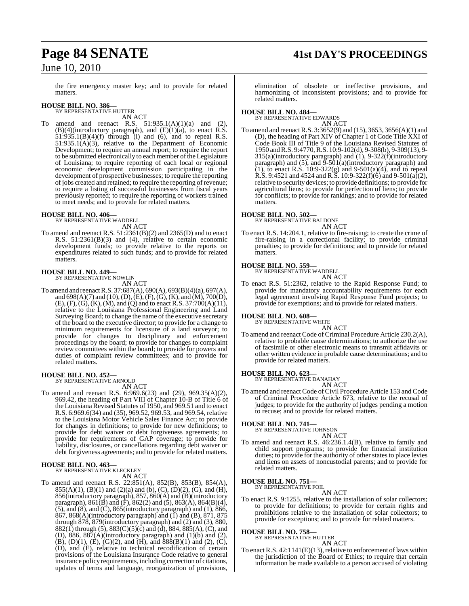## **Page 84 SENATE 41st DAY'S PROCEEDINGS**

June 10, 2010

the fire emergency master key; and to provide for related matters.

## **HOUSE BILL NO. 386—** BY REPRESENTATIVE HUTTER

AN ACT

To amend and reenact R.S.  $51:935.1(A)(1)(a)$  and (2),  $(B)(4)$ (introductory paragraph), and  $(E)(1)(a)$ , to enact R.S.  $51:935.1(B)(4)(f)$  through (1) and (6), and to repeal R.S.  $51:935.1(A)(3)$ , relative to the Department of Economic Development; to require an annual report; to require the report to be submitted electronically to each member of the Legislature of Louisiana; to require reporting of each local or regional economic development commission participating in the development of prospective businesses; to require the reporting of jobs created and retained; to require the reporting of revenue; to require a listing of successful businesses from fiscal years previously reported; to require the reporting of workers trained to meet needs; and to provide for related matters.

**HOUSE BILL NO. 406—** BY REPRESENTATIVE WADDELL

AN ACT

To amend and reenact R.S. 51:2361(B)(2) and 2365(D) and to enact R.S. 51:2361(B)(3) and (4), relative to certain economic development funds; to provide relative to the reports on expenditures related to such funds; and to provide for related matters.

### **HOUSE BILL NO. 449—** BY REPRESENTATIVE NOWLIN

AN ACT

To amend and reenact R.S. 37:687(A), 690(A), 693(B)(4)(a), 697(A), and 698(A)(7) and (10), (D), (E), (F), (G), (K), and (M), 700(D), (E), (F), (G), (K), (M), and (Q) and to enact R.S. 37:700(A)(11), relative to the Louisiana Professional Engineering and Land Surveying Board; to change the name of the executive secretary of the board to the executive director; to provide for a change to minimum requirements for licensure of a land surveyor; to provide for changes to disciplinary and enforcement proceedings by the board; to provide for changes to complaint review committees within the board; to provide for powers and duties of complaint review committees; and to provide for related matters.

### **HOUSE BILL NO. 452—** BY REPRESENTATIVE ARNOLD

AN ACT

To amend and reenact R.S. 6:969.6(23) and (29), 969.35(A)(2), 969.42, the heading of Part VIII of Chapter 10-B of Title 6 of the Louisiana Revised Statutes of 1950, and 969.51 and to enact R.S. 6:969.6(34) and (35), 969.52, 969.53, and 969.54, relative to the Louisiana Motor Vehicle Sales Finance Act; to provide for changes in definitions; to provide for new definitions; to provide for debt waiver or debt forgiveness agreements; to provide for requirements of GAP coverage; to provide for liability, disclosures, or cancellations regarding debt waiver or debt forgiveness agreements; and to provide for related matters.

## **HOUSE BILL NO. 463—** BY REPRESENTATIVE KLECKLEY

AN ACT

To amend and reenact R.S. 22:851(A), 852(B), 853(B), 854(A),  $855(A)(1)$ ,  $(B)(1)$  and  $(2)(a)$  and  $(b)$ ,  $(C)$ ,  $(D)(2)$ ,  $(G)$ , and  $(H)$ , 856(introductory paragraph), 857, 860(A) and (B)(introductory paragraph),  $861(B)$  and  $(F)$ ,  $862(2)$  and  $(5)$ ,  $863(A)$ ,  $864(B)(4)$ , (5), and (8), and (C), 865(introductory paragraph) and (1), 866, 867, 868(A)(introductory paragraph) and (1) and (B), 871, 875 through 878, 879(introductory paragraph) and (2) and (3), 880, 882(1) through (5),  $883(C)(5)(c)$  and (d),  $884, 885(A)$ , (C), and (D), 886, 887(A)(introductory paragraph) and  $(1)(b)$  and  $(2)$ , (B), (D)(1), (E), (G)(2), and (H), and  $888(B)(1)$  and (2), (C), (D), and (E), relative to technical recodification of certain provisions of the Louisiana Insurance Code relative to general insurance policy requirements, including correction of citations, updates of terms and language, reorganization of provisions,

elimination of obsolete or ineffective provisions, and harmonizing of inconsistent provisions; and to provide for related matters.

**HOUSE BILL NO. 484—** BY REPRESENTATIVE EDWARDS AN ACT

To amend and reenactR.S. 3:3652(9) and (15), 3653, 3656(A)(1) and (D), the heading of Part XIV of Chapter 1 of Code Title XXI of Code Book III of Title 9 of the Louisiana Revised Statutes of 1950 andR.S. 9:4770,R.S. 10:9-102(d), 9-308(b), 9-309(13), 9- 315(a)(introductory paragraph) and (1), 9-322(f)(introductory paragraph) and  $(5)$ , and  $\overline{9}$ - $\overline{501}$ (a)(introductory paragraph) and (1), to enact R.S.  $10:9-322(g)$  and  $9-501(a)(4)$ , and to repeal R.S. 9:4521 and 4524 and R.S. 10:9-322(f)(6) and 9-501(a)(2), relative to security devices; to provide definitions; to provide for agricultural liens; to provide for perfection of liens; to provide for conflicts; to provide for rankings; and to provide for related matters.

**HOUSE BILL NO. 502—** BY REPRESENTATIVE BALDONE

AN ACT

To enact R.S. 14:204.1, relative to fire-raising; to create the crime of fire-raising in a correctional facility; to provide criminal penalties; to provide for definitions; and to provide for related matters.

## **HOUSE BILL NO. 559—**

BY REPRESENTATIVE WADDELL AN ACT

To enact R.S. 51:2362, relative to the Rapid Response Fund; to provide for mandatory accountability requirements for each legal agreement involving Rapid Response Fund projects; to provide for exemptions; and to provide for related matters.

## **HOUSE BILL NO. 608—** BY REPRESENTATIVE WHITE

- AN ACT
- To amend and reenact Code of Criminal Procedure Article 230.2(A), relative to probable cause determinations; to authorize the use of facsimile or other electronic means to transmit affidavits or other written evidence in probable cause determinations; and to provide for related matters.

## **HOUSE BILL NO. 623—**

BY REPRESENTATIVE DANAHAY AN ACT

To amend and reenact Code of Civil Procedure Article 153 and Code of Criminal Procedure Article 673, relative to the recusal of judges; to provide for the authority of judges pending a motion to recuse; and to provide for related matters.

### **HOUSE BILL NO. 741—**

BY REPRESENTATIVE JOHNSON AN ACT

To amend and reenact R.S. 46:236.1.4(B), relative to family and child support programs; to provide for financial institution duties; to provide for the authority of other states to place levies and liens on assets of noncustodial parents; and to provide for related matters.

## **HOUSE BILL NO. 751—** BY REPRESENTATIVE FOIL

AN ACT

To enact R.S. 9:1255, relative to the installation of solar collectors; to provide for definitions; to provide for certain rights and prohibitions relative to the installation of solar collectors; to provide for exceptions; and to provide for related matters.

## **HOUSE BILL NO. 758—**

BY REPRESENTATIVE HUTTER

- AN ACT
- To enact R.S.  $42:1141(E)(13)$ , relative to enforcement of laws within the jurisdiction of the Board of Ethics; to require that certain information be made available to a person accused of violating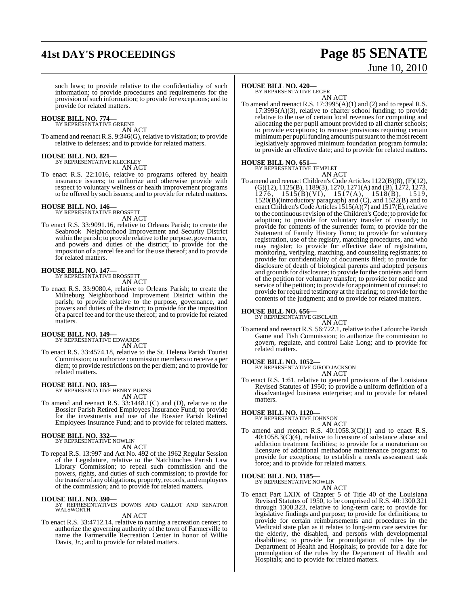## **41st DAY'S PROCEEDINGS Page 85 SENATE**

# June 10, 2010

such laws; to provide relative to the confidentiality of such information; to provide procedures and requirements for the provision of such information; to provide for exceptions; and to provide for related matters.

### **HOUSE BILL NO. 774—** BY REPRESENTATIVE GREENE

AN ACT

To amend and reenact R.S. 9:346(G), relative to visitation; to provide relative to defenses; and to provide for related matters.

## **HOUSE BILL NO. 821—** BY REPRESENTATIVE KLECKLEY

AN ACT

To enact R.S. 22:1016, relative to programs offered by health insurance issuers; to authorize and otherwise provide with respect to voluntary wellness or health improvement programs to be offered by such issuers; and to provide for related matters.

## **HOUSE BILL NO. 146—** BY REPRESENTATIVE BROSSETT

AN ACT

To enact R.S. 33:9091.16, relative to Orleans Parish; to create the Seabrook Neighborhood Improvement and Security District within the parish; to provide relative to the purpose, governance, and powers and duties of the district; to provide for the imposition of a parcel fee and for the use thereof; and to provide for related matters.

## **HOUSE BILL NO. 147—** BY REPRESENTATIVE BROSSETT

AN ACT

To enact R.S. 33:9080.4, relative to Orleans Parish; to create the Milneburg Neighborhood Improvement District within the parish; to provide relative to the purpose, governance, and powers and duties of the district; to provide for the imposition of a parcel fee and for the use thereof; and to provide for related

## **HOUSE BILL NO. 149—** BY REPRESENTATIVE EDWARDS

matters.

AN ACT

To enact R.S. 33:4574.18, relative to the St. Helena Parish Tourist Commission; to authorize commission members to receive a per diem; to provide restrictions on the per diem; and to provide for related matters.

## **HOUSE BILL NO. 183—** BY REPRESENTATIVE HENRY BURNS

AN ACT

To amend and reenact R.S. 33:1448.1(C) and (D), relative to the Bossier Parish Retired Employees Insurance Fund; to provide for the investments and use of the Bossier Parish Retired Employees Insurance Fund; and to provide for related matters.

### **HOUSE BILL NO. 332—**

BY REPRESENTATIVE NOWLIN AN ACT

To repeal R.S. 13:997 and Act No. 492 of the 1962 Regular Session of the Legislature, relative to the Natchitoches Parish Law Library Commission; to repeal such commission and the powers, rights, and duties of such commission; to provide for the transfer of any obligations, property, records, and employees of the commission; and to provide for related matters.

### **HOUSE BILL NO. 390—**

BY REPRESENTATIVES DOWNS AND GALLOT AND SENATOR WALSWORTH

AN ACT

To enact R.S. 33:4712.14, relative to naming a recreation center; to authorize the governing authority of the town of Farmerville to name the Farmerville Recreation Center in honor of Willie Davis, Jr.; and to provide for related matters.

## **HOUSE BILL NO. 420—**

BY REPRESENTATIVE LEGER

AN ACT To amend and reenact R.S. 17:3995(A)(1) and (2) and to repeal R.S.  $17:3995(A)(3)$ , relative to charter school funding; to provide relative to the use of certain local revenues for computing and allocating the per pupil amount provided to all charter schools; to provide exceptions; to remove provisions requiring certain minimum per pupil funding amounts pursuant to the most recent legislatively approved minimum foundation program formula; to provide an effective date; and to provide for related matters.

## **HOUSE BILL NO. 651—**

BY REPRESENTATIVE TEMPLET

AN ACT To amend and reenact Children's Code Articles 1122(B)(8), (F)(12), (G)(12), 1125(B), 1189(3), 1270, 1271(A) and (B), 1272, 1273, 1276, 1515(B)(VI), 1517(A), 1518(B), 1519, 1520(B)(introductory paragraph) and (C), and 1522(B) and to enactChildren's Code Articles 1515(A)(7) and 1517(E), relative to the continuous revision of the Children's Code; to provide for adoption; to provide for voluntary transfer of custody; to provide for contents of the surrender form; to provide for the Statement of Family History Form; to provide for voluntary registration, use of the registry, matching procedures, and who may register; to provide for effective date of registration, monitoring, verifying, matching, and counseling registrants; to provide for confidentiality of documents filed; to provide for disclosure of death of biological parents and adopted persons and grounds for disclosure; to provide for the contents and form of the petition for voluntary transfer; to provide for notice and service of the petition; to provide for appointment of counsel; to provide for required testimony at the hearing; to provide for the contents of the judgment; and to provide for related matters.

## **HOUSE BILL NO. 656—** BY REPRESENTATIVE GISCLAIR

AN ACT

To amend and reenact R.S. 56:722.1, relative to the Lafourche Parish Game and Fish Commission; to authorize the commission to govern, regulate, and control Lake Long; and to provide for related matters.

## **HOUSE BILL NO. 1052—**

BY REPRESENTATIVE GIROD JACKSON AN ACT

To enact R.S. 1:61, relative to general provisions of the Louisiana Revised Statutes of 1950; to provide a uniform definition of a disadvantaged business enterprise; and to provide for related matters.

### **HOUSE BILL NO. 1120—**

BY REPRESENTATIVE JOHNSON AN ACT

To amend and reenact R.S.  $40:1058.3(C)(1)$  and to enact R.S.  $40:1058.3(C)(4)$ , relative to licensure of substance abuse and addiction treatment facilities; to provide for a moratorium on licensure of additional methadone maintenance programs; to provide for exceptions; to establish a needs assessment task force; and to provide for related matters.

### **HOUSE BILL NO. 1185—** BY REPRESENTATIVE NOWLIN

AN ACT

To enact Part LXIX of Chapter 5 of Title 40 of the Louisiana Revised Statutes of 1950, to be comprised of R.S. 40:1300.321 through 1300.323, relative to long-term care; to provide for legislative findings and purpose; to provide for definitions; to provide for certain reimbursements and procedures in the Medicaid state plan as it relates to long-term care services for the elderly, the disabled, and persons with developmental disabilities; to provide for promulgation of rules by the Department of Health and Hospitals; to provide for a date for promulgation of the rules by the Department of Health and Hospitals; and to provide for related matters.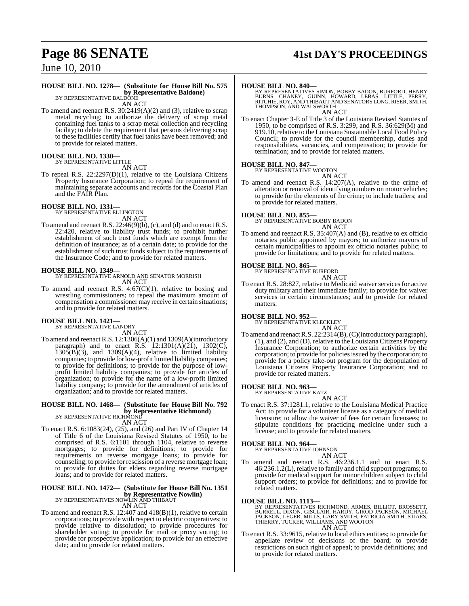## **Page 86 SENATE 41st DAY'S PROCEEDINGS**

June 10, 2010

### **HOUSE BILL NO. 1278— (Substitute for House Bill No. 575 by Representative Baldone)**

BY REPRESENTATIVE BALDONE AN ACT

To amend and reenact R.S. 30:2419(A)(2) and (3), relative to scrap metal recycling; to authorize the delivery of scrap metal containing fuel tanks to a scrap metal collection and recycling facility; to delete the requirement that persons delivering scrap to these facilities certify that fuel tanks have been removed; and to provide for related matters.

## **HOUSE BILL NO. 1330—** BY REPRESENTATIVE LITTLE

AN ACT

To repeal R.S. 22:2297(D)(1), relative to the Louisiana Citizens Property Insurance Corporation; to repeal the requirement of maintaining separate accounts and records for the Coastal Plan and the FAIR Plan.

## **HOUSE BILL NO. 1331—** BY REPRESENTATIVE ELLINGTON

AN ACT

To amend and reenact R.S. 22:46(9)(b), (c), and (d) and to enact R.S. 22:420, relative to liability trust funds; to prohibit further establishment of such trust funds which are exempt from the definition of insurance; as of a certain date; to provide for the establishment of such trust funds subject to the requirements of the Insurance Code; and to provide for related matters.

### **HOUSE BILL NO. 1349—**

BY REPRESENTATIVE ARNOLD AND SENATOR MORRISH AN ACT

To amend and reenact R.S. 4:67(C)(1), relative to boxing and wrestling commissioners; to repeal the maximum amount of compensation a commissioner may receive in certain situations; and to provide for related matters.

### **HOUSE BILL NO. 1421—**

BY REPRESENTATIVE LANDRY AN ACT

To amend and reenact R.S. 12:1306(A)(1) and 1309(A)(introductory paragraph) and to enact R.S. 12:1301(A)(21), 1302(C),  $1305(B)(3)$ , and  $1309(A)(4)$ , relative to limited liability companies; to provide forlow-profit limited liability companies; to provide for definitions; to provide for the purpose of lowprofit limited liability companies; to provide for articles of organization; to provide for the name of a low-profit limited liability company; to provide for the amendment of articles of organization; and to provide for related matters.

## **HOUSE BILL NO. 1468— (Substitute for House Bill No. 792 by Representative Richmond)**<br>BY REPRESENTATIVE RICHMOND

AN ACT

To enact R.S. 6:1083(24), (25), and (26) and Part IV of Chapter 14 of Title 6 of the Louisiana Revised Statutes of 1950, to be comprised of R.S. 6:1101 through 1104, relative to reverse mortgages; to provide for definitions; to provide for requirements on reverse mortgage loans; to provide for counseling; to provide for rescission of a reverse mortgage loan; to provide for duties for elders regarding reverse mortgage loans; and to provide for related matters.

## **HOUSE BILL NO. 1472— (Substitute for House Bill No. 1351 by Representative Nowlin)**<br>BY REPRESENTATIVES NOWLIN AND THIBAUT

AN ACT

To amend and reenact R.S. 12:407 and 418(B)(1), relative to certain corporations; to provide with respect to electric cooperatives; to provide relative to dissolution; to provide procedures for shareholder voting; to provide for mail or proxy voting; to provide for prospective application; to provide for an effective date; and to provide for related matters.

**HOUSE BILL NO. 840—**<br>BY REPRESENTATIVES SIMON, BOBBY BADON, BURFORD, HENRY, BURNES, CHANEY, GUINN, HOWARD, LEBAS, LITTLE, PERRY,<br>BURNS, CHANEY, GUINN, HOWARD, LEBAS, LITTLE, PERRY,<br>THOMPSON, AND WALSWORTH AN ACT

To enact Chapter 3-E of Title 3 of the Louisiana Revised Statutes of 1950, to be comprised of R.S. 3:299, and R.S. 36:629(M) and 919.10, relative to the Louisiana Sustainable Local Food Policy Council; to provide for the council membership, duties and responsibilities, vacancies, and compensation; to provide for termination; and to provide for related matters.

## **HOUSE BILL NO. 847—** BY REPRESENTATIVE WOOTON

AN ACT To amend and reenact R.S. 14:207(A), relative to the crime of alteration or removal of identifying numbers on motor vehicles; to provide for the elements of the crime; to include trailers; and to provide for related matters.

### **HOUSE BILL NO. 855—**

BY REPRESENTATIVE BOBBY BADON

AN ACT

To amend and reenact R.S. 35:407(A) and (B), relative to ex officio notaries public appointed by mayors; to authorize mayors of certain municipalities to appoint ex officio notaries public; to provide for limitations; and to provide for related matters.

### **HOUSE BILL NO. 865—**

BY REPRESENTATIVE BURFORD AN ACT

To enact R.S. 28:827, relative to Medicaid waiver services for active duty military and their immediate family; to provide for waiver services in certain circumstances; and to provide for related matters.

### **HOUSE BILL NO. 952—**

BY REPRESENTATIVE KLECKLEY

### AN ACT

To amend and reenactR.S. 22:2314(B),(C)(introductory paragraph), (1), and (2), and (D), relative to the Louisiana Citizens Property Insurance Corporation; to authorize certain activities by the corporation; to provide for policiesissued by the corporation; to provide for a policy take-out program for the depopulation of Louisiana Citizens Property Insurance Corporation; and to provide for related matters.

### **HOUSE BILL NO. 963—**

BY REPRESENTATIVE KATZ AN ACT

To enact R.S. 37:1281.1, relative to the Louisiana Medical Practice Act; to provide for a volunteer license as a category of medical licensure; to allow the waiver of fees for certain licensees; to stipulate conditions for practicing medicine under such a license; and to provide for related matters.

### **HOUSE BILL NO. 964—**

BY REPRESENTATIVE JOHNSON

## AN ACT

To amend and reenact R.S. 46:236.1.1 and to enact R.S. 46:236.1.2(L), relative to family and child support programs; to provide for medical support for minor children subject to child support orders; to provide for definitions; and to provide for related matters.

**HOUSE BILL NO. 1113—**<br>BY REPRESENTATIVES RICHMOND, ARMES, BILLIOT, BROSSETT, BURRELL, DIXON, GISCLAIR, HARDY, GIROD JACKSON, MICHAEL<br>JACKSON, LEGER, MILLS, GARY SMITH, PATRICIA SMITH, STIAES,<br>THIERRY, TUCKER, WILLIAMS, AN

To enact R.S. 33:9615, relative to local ethics entities; to provide for To enact R.S. 33:9615, relative to local ethics entities; to provide for appellate review of decisions of the board; to provide restrictions on such right of appeal; to provide definitions; and to provide for related matters.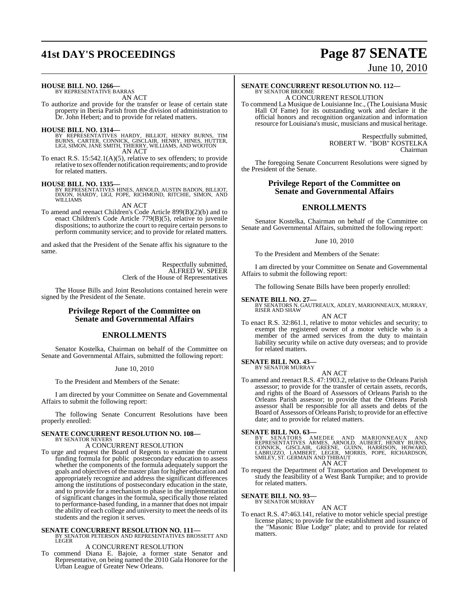## **41st DAY'S PROCEEDINGS Page 87 SENATE**

# June 10, 2010

**HOUSE BILL NO. 1266—**

BY REPRESENTATIVE BARRAS AN ACT

To authorize and provide for the transfer or lease of certain state property in Iberia Parish from the division of administration to Dr. John Hebert; and to provide for related matters.

**HOUSE BILL NO. 1314—** BY REPRESENTATIVES HARDY, BILLIOT, HENRY BURNS, TIM BURNS, CARTER, CONNICK, GISCLAIR, HENRY, HINES, HUTTER, LIGI, SIMON, JANE SMITH, THIERRY, WILLIAMS, AND WOOTON AN ACT

To enact R.S. 15:542.1(A)(5), relative to sex offenders; to provide To enact R.S.  $15:542.1(A)(5)$ , relative to sex offenders; to provide relative to sex offender notification requirements; and to provide for related matters.

### **HOUSE BILL NO. 1335—**

BY REPRESENTATIVES HINES, ARNOLD, AUSTIN BADON, BILLIOT, DIXON, HARDY, LIGI, POPE, RICHMOND, RITCHIE, SIMON, AND WILLIAMS

AN ACT

To amend and reenact Children's Code Article 899(B)(2)(b) and to enact Children's Code Article 779(B)(5), relative to juvenile dispositions; to authorize the court to require certain persons to perform community service; and to provide for related matters.

and asked that the President of the Senate affix his signature to the same.

> Respectfully submitted, ALFRED W. SPEER Clerk of the House of Representatives

The House Bills and Joint Resolutions contained herein were signed by the President of the Senate.

## **Privilege Report of the Committee on Senate and Governmental Affairs**

## **ENROLLMENTS**

Senator Kostelka, Chairman on behalf of the Committee on Senate and Governmental Affairs, submitted the following report:

### June 10, 2010

To the President and Members of the Senate:

I am directed by your Committee on Senate and Governmental Affairs to submit the following report:

The following Senate Concurrent Resolutions have been properly enrolled:

### **SENATE CONCURRENT RESOLUTION NO. 108—** BY SENATOR NEVERS

A CONCURRENT RESOLUTION

- To urge and request the Board of Regents to examine the current funding formula for public postsecondary education to assess whether the components of the formula adequately support the goals and objectives of the master plan for higher education and appropriately recognize and address the significant differences among the institutions of postsecondary education in the state, and to provide for a mechanism to phase in the implementation of significant changes in the formula, specifically those related to performance-based funding, in a manner that does not impair the ability of each college and university to meet the needs of its students and the region it serves.
- **SENATE CONCURRENT RESOLUTION NO. 111—** BY SENATOR PETERSON AND REPRESENTATIVES BROSSETT AND **LEGER**

## A CONCURRENT RESOLUTION

To commend Diana E. Bajoie, a former state Senator and Representative, on being named the 2010 Gala Honoree for the Urban League of Greater New Orleans.

## **SENATE CONCURRENT RESOLUTION NO. 112—** BY SENATOR BROOME A CONCURRENT RESOLUTION

To commend La Musique de Louisianne Inc., (The Louisiana Music Hall Of Fame) for its outstanding work and declare it the official honors and recognition organization and information resource for Louisiana's music, musicians and musical heritage.

> Respectfully submitted, ROBERT W. "BOB" KOSTELKA Chairman

The foregoing Senate Concurrent Resolutions were signed by the President of the Senate.

## **Privilege Report of the Committee on Senate and Governmental Affairs**

## **ENROLLMENTS**

Senator Kostelka, Chairman on behalf of the Committee on Senate and Governmental Affairs, submitted the following report:

### June 10, 2010

To the President and Members of the Senate:

I am directed by your Committee on Senate and Governmental Affairs to submit the following report:

The following Senate Bills have been properly enrolled:

**SENATE BILL NO. 27—** BY SENATORS N. GAUTREAUX, ADLEY, MARIONNEAUX, MURRAY, RISER AND SHAW

AN ACT

To enact R.S. 32:861.1, relative to motor vehicles and security; to exempt the registered owner of a motor vehicle who is a member of the armed services from the duty to maintain liability security while on active duty overseas; and to provide for related matters.

### **SENATE BILL NO. 43—** BY SENATOR MURRAY

AN ACT To amend and reenact R.S. 47:1903.2, relative to the Orleans Parish assessor; to provide for the transfer of certain assets, records, and rights of the Board of Assessors of Orleans Parish to the Orleans Parish assessor; to provide that the Orleans Parish assessor shall be responsible for all assets and debts of the Board of Assessors of Orleans Parish; to provide for an effective date; and to provide for related matters.

### **SENATE BILL NO. 63—**

BY SENATORS AMEDEE AND MARIONNEAUX AND<br>REPRESENTATIVES ARMES, ARNOLD, AUBERT, HENRY BURNS,<br>CONNICK, GISCLAIR, GREENE, GUINN, HARRISON, HOWARD,<br>LABRUZZO, LAMBERT, LEGER, MORRIS, POPE, RICHARDSON,<br>SMILEY, ST. GERMAIN AND THI AN ACT

To request the Department of Transportation and Development to study the feasibility of a West Bank Turnpike; and to provide for related matters.

## **SENATE BILL NO. 93—** BY SENATOR MURRAY

AN ACT

To enact R.S. 47:463.141, relative to motor vehicle special prestige license plates; to provide for the establishment and issuance of the "Masonic Blue Lodge" plate; and to provide for related matters.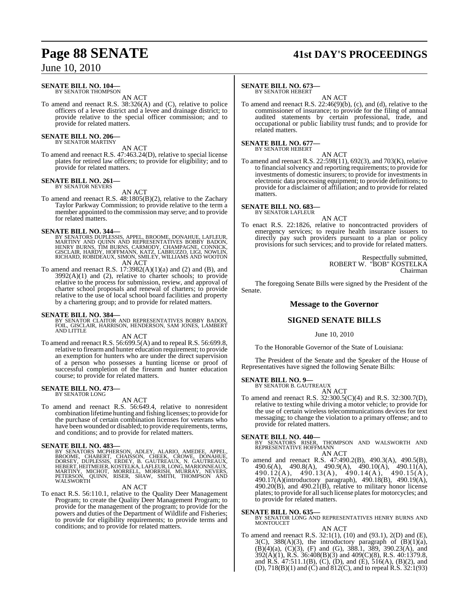## June 10, 2010

### **SENATE BILL NO. 104—** BY SENATOR THOMPSON

AN ACT

To amend and reenact R.S. 38:326(A) and (C), relative to police officers of a levee district and a levee and drainage district; to provide relative to the special officer commission; and to provide for related matters.

### **SENATE BILL NO. 206** BY SENATOR MARTINY

AN ACT

To amend and reenact R.S. 47:463.24(D), relative to special license plates for retired law officers; to provide for eligibility; and to provide for related matters.

### **SENATE BILL NO. 261—** BY SENATOR NEVERS

AN ACT

To amend and reenact R.S. 48:1805(B)(2), relative to the Zachary Taylor Parkway Commission; to provide relative to the term a member appointed to the commission may serve; and to provide for related matters.

- SENATE BILL NO. 344—<br>BY SENATORS DUPLESSIS, APPEL, BROOME, DONAHUE, LAFLEUR,<br>MARTINY AND QUINN AND REPRESENTATIVES BOBBY BADON,<br>HENRY BURNS, TIM BURNS, CARMODY, CHAMPAGNE, CONNICK,<br>GISCLAIR, HARDY, HOFFMANN, KATZ, LABRUZZO AN ACT
- To amend and reenact R.S.  $17:3982(A)(1)(a)$  and  $(2)$  and  $(B)$ , and  $3992(A)(1)$  and  $(2)$ , relative to charter schools; to provide relative to the process for submission, review, and approval of charter school proposals and renewal of charters; to provide relative to the use of local school board facilities and property by a chartering group; and to provide for related matters.

## **SENATE BILL NO. 384—**

BY SENATOR CLAITOR AND REPRESENTATIVES BOBBY BADON, FOIL, GISCLAIR, HARRISON, HENDERSON, SAM JONES, LAMBERT AND LITTLE

AN ACT

To amend and reenact R.S. 56:699.5(A) and to repeal R.S. 56:699.8, relative to firearmand hunter education requirement; to provide an exemption for hunters who are under the direct supervision of a person who possesses a hunting license or proof of successful completion of the firearm and hunter education course; to provide for related matters.

## **SENATE BILL NO. 473—** BY SENATOR LONG

AN ACT

To amend and reenact R.S. 56:649.4, relative to nonresident combination lifetime hunting and fishing licenses; to provide for the purchase of certain combination licenses for veterans who have been wounded or disabled; to provide requirements, terms, and conditions; and to provide for related matters.

**SENATE BILL NO. 483—**<br>BY SENATORS MCPHERSON, ADLEY, ALARIO, AMEDEE, APPEL, BROOME, CHABERT, CHAISSON, CHEEK, CROWE, DONAHUE,<br>DORSEY, DUPLESSIS, ERDEY, B. GAUTREAUX, N. GAUTREAUX,<br>HEBERT, HEITMEIER, KOSTELKA, LAFLEUR, LONG

### AN ACT

To enact R.S. 56:110.1, relative to the Quality Deer Management Program; to create the Quality Deer Management Program; to provide for the management of the program; to provide for the powers and duties of the Department of Wildlife and Fisheries; to provide for eligibility requirements; to provide terms and conditions; and to provide for related matters.

## **Page 88 SENATE 41st DAY'S PROCEEDINGS**

## **SENATE BILL NO. 673—**

BY SENATOR HEBERT

AN ACT To amend and reenact R.S. 22:46(9)(b), (c), and (d), relative to the commissioner of insurance; to provide for the filing of annual audited statements by certain professional, trade, and occupational or public liability trust funds; and to provide for related matters.

**SENATE BILL NO. 677—** BY SENATOR HEBERT

AN ACT

To amend and reenact R.S. 22:598(11), 692(3), and 703(K), relative to financial solvency and reporting requirements; to provide for investments of domestic insurers; to provide for investments in electronic data processing equipment; to provide definitions; to provide for a disclaimer of affiliation; and to provide for related matters.

**SENATE BILL NO. 683—** BY SENATOR LAFLEUR

AN ACT To enact R.S. 22:1826, relative to noncontracted providers of emergency services; to require health insurance issuers to directly pay such providers pursuant to a plan or policy provisions for such services; and to provide for related matters.

> Respectfully submitted, ROBERT W. "BOB" KOSTELKA Chairman

The foregoing Senate Bills were signed by the President of the Senate.

## **Message to the Governor**

## **SIGNED SENATE BILLS**

June 10, 2010

To the Honorable Governor of the State of Louisiana:

The President of the Senate and the Speaker of the House of Representatives have signed the following Senate Bills:

### **SENATE BILL NO. 9—**

BY SENATOR B. GAUTREAUX AN ACT

To amend and reenact R.S. 32:300.5(C)(4) and R.S. 32:300.7(D), relative to texting while driving a motor vehicle; to provide for the use of certain wireless telecommunications devices for text messaging; to change the violation to a primary offense; and to provide for related matters.

**SENATE BILL NO. 440—**<br>BY SENATORS RISER, THOMPSON AND WALSWORTH AND<br>REPRESENTATIVE HOFFMANN AN ACT

To amend and reenact R.S. 47:490.2(B), 490.3(A), 490.5(B), 490.6(A), 490.8(A), 490.9(A), 490.10(A), 490.11(A),  $490.12(A), 490.13(A), 490.14(A), 490.15(A),$ 490.17(A)(introductory paragraph), 490.18(B), 490.19(A),  $490.20(B)$ , and  $490.21(B)$ , relative to military honor license plates; to provide for all such license plates for motorcycles; and to provide for related matters.

**SENATE BILL NO. 635—** BY SENATOR LONG AND REPRESENTATIVES HENRY BURNS AND MONTOUCET AN ACT

To amend and reenact R.S. 32:1(1), (10) and (93.1), 2(D) and (E),  $3(C)$ ,  $388(A)(3)$ , the introductory paragraph of  $(B)(1)(a)$ ,  $(B)(4)(a)$ ,  $(C)(3)$ ,  $(F)$  and  $(G)$ , 388.1, 389, 390.23 $(A)$ , and 392(A)(1), R.S. 36:408(B)(3) and 409(C)(8), R.S. 40:1379.8, and R.S.  $47:511.1(B)$ ,  $(C)$ ,  $(D)$ , and  $(E)$ ,  $516(A)$ ,  $(B)(2)$ , and (D), 718(B)(1) and (C) and 812(C), and to repeal R.S. 32:1(93)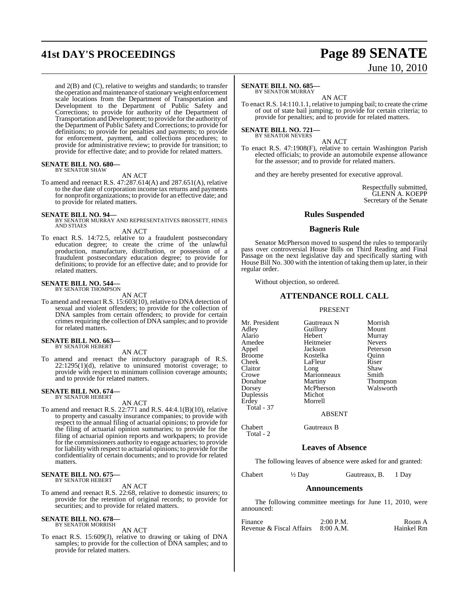## **41st DAY'S PROCEEDINGS Page 89 SENATE**

and 2(B) and (C), relative to weights and standards; to transfer the operation and maintenance of stationary weight enforcement scale locations from the Department of Transportation and Development to the Department of Public Safety and Corrections; to provide for authority of the Department of Transportation and Development; to provide forthe authority of the Department of Public Safety and Corrections; to provide for definitions; to provide for penalties and payments; to provide for enforcement, payment, and collections procedures; to provide for administrative review; to provide for transition; to provide for effective date; and to provide for related matters.

## **SENATE BILL NO. 680—** BY SENATOR SHAW

### AN ACT

To amend and reenact R.S. 47:287.614(A) and 287.651(A), relative to the due date of corporation income tax returns and payments for nonprofit organizations; to provide for an effective date; and to provide for related matters.

**SENATE BILL NO. 94—**<br>BY SENATOR MURRAY AND REPRESENTATIVES BROSSETT, HINES<br>AND STIAES

AN ACT

To enact R.S. 14:72.5, relative to a fraudulent postsecondary education degree; to create the crime of the unlawful production, manufacture, distribution, or possession of a fraudulent postsecondary education degree; to provide for definitions; to provide for an effective date; and to provide for related matters.

## **SENATE BILL NO. 544—** BY SENATOR THOMPSON

AN ACT

To amend and reenact R.S. 15:603(10), relative to DNA detection of sexual and violent offenders; to provide for the collection of DNA samples from certain offenders; to provide for certain crimes requiring the collection of DNA samples; and to provide for related matters.

### **SENATE BILL NO. 663—** BY SENATOR HEBERT

AN ACT

To amend and reenact the introductory paragraph of R.S.  $22:1295(1)(d)$ , relative to uninsured motorist coverage; to provide with respect to minimum collision coverage amounts; and to provide for related matters.

## **SENATE BILL NO. 674—** BY SENATOR HEBERT

AN ACT

To amend and reenact R.S. 22:771 and R.S. 44:4.1(B)(10), relative to property and casualty insurance companies; to provide with respect to the annual filing of actuarial opinions; to provide for the filing of actuarial opinion summaries; to provide for the filing of actuarial opinion reports and workpapers; to provide for the commissioners authority to engage actuaries; to provide for liability with respect to actuarial opinions; to provide for the confidentiality of certain documents; and to provide for related matters.

## **SENATE BILL NO. 675—** BY SENATOR HEBERT

AN ACT

To amend and reenact R.S. 22:68, relative to domestic insurers; to provide for the retention of original records; to provide for securities; and to provide for related matters.

### **SENATE BILL NO. 678—** BY SENATOR MORRISH

AN ACT

To enact R.S. 15:609(J), relative to drawing or taking of DNA samples; to provide for the collection of DNA samples; and to provide for related matters.

# June 10, 2010

## **SENATE BILL NO. 685—**

BY SENATOR MURRAY AN ACT

To enact R.S. 14:110.1.1, relative to jumping bail; to create the crime of out of state bail jumping; to provide for certain criteria; to provide for penalties; and to provide for related matters.

## **SENATE BILL NO. 721—** BY SENATOR NEVERS

AN ACT

To enact R.S. 47:1908(F), relative to certain Washington Parish elected officials; to provide an automobile expense allowance for the assessor; and to provide for related matters.

and they are hereby presented for executive approval.

Respectfully submitted, GLENN A. KOEPP Secretary of the Senate

## **Rules Suspended**

## **Bagneris Rule**

Senator McPherson moved to suspend the rules to temporarily pass over controversial House Bills on Third Reading and Final Passage on the next legislative day and specifically starting with House Bill No. 300 with the intention of taking themup later, in their regular order.

Without objection, so ordered.

## **ATTENDANCE ROLL CALL**

## PRESENT

Mr. President Gautreaux N Morrish<br>Adley Guillory Mount **Guillory** Alario Hebert Murray<br>Amedee Heitmeier Nevers Amedee Heitmei<br>
Appel Jackson Appel Jackson Peterson<br>Broome Kostelka Quinn Broome Kostelka Quinn<br>Cheek LaFleur Riser LaFleur Riser<br>Long Shaw Claitor Long Shaw<br>Crowe Marionneaux Smith Crowe Marionneaux<br>Donahue Martiny Donahue Martiny Thompson McPherson<br>Michot Duplessis<br>Erdey **Morrell** Total - 37

## ABSENT

Chabert Gautreaux B

Total - 2

## **Leaves of Absence**

The following leaves of absence were asked for and granted:

Chabert ½ Day Gautreaux, B. 1 Day

## **Announcements**

The following committee meetings for June 11, 2010, were announced:

| Finance                            | $2:00$ P.M. | Room A     |
|------------------------------------|-------------|------------|
| Revenue & Fiscal Affairs 8:00 A.M. |             | Hainkel Rm |